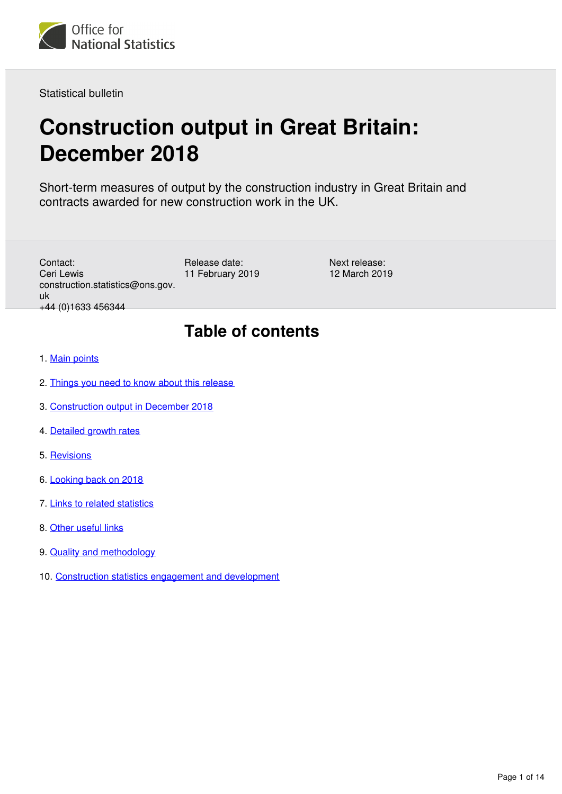

Statistical bulletin

# **Construction output in Great Britain: December 2018**

Short-term measures of output by the construction industry in Great Britain and contracts awarded for new construction work in the UK.

Contact: Ceri Lewis construction.statistics@ons.gov. uk +44 (0)1633 456344

Release date: 11 February 2019

Next release: 12 March 2019

# **Table of contents**

- 1. [Main points](#page-1-0)
- 2. [Things you need to know about this release](#page-1-1)
- 3. [Construction output in December 2018](#page-2-0)
- 4. [Detailed growth rates](#page-7-0)
- 5. [Revisions](#page-8-0)
- 6. [Looking back on 2018](#page-8-1)
- 7. [Links to related statistics](#page-11-0)
- 8. [Other useful links](#page-11-1)
- 9. [Quality and methodology](#page-11-2)
- 10. [Construction statistics engagement and development](#page-12-0)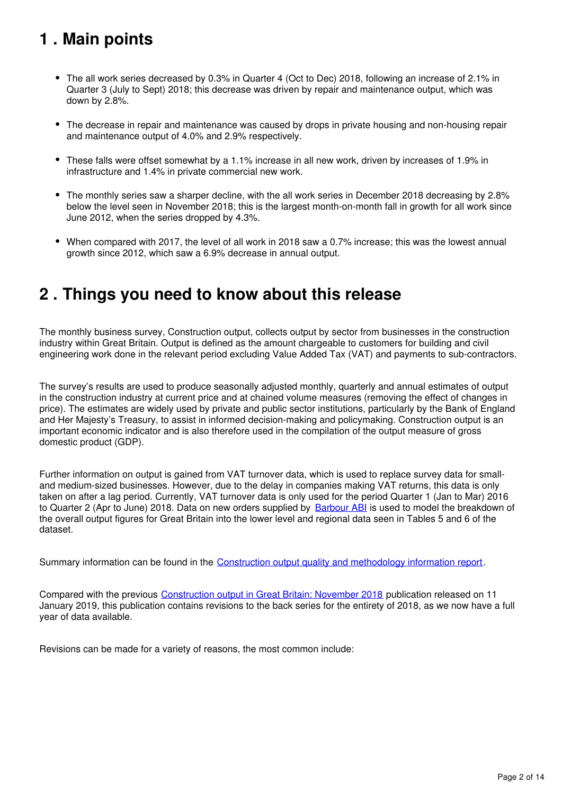# <span id="page-1-0"></span>**1 . Main points**

- The all work series decreased by 0.3% in Quarter 4 (Oct to Dec) 2018, following an increase of 2.1% in Quarter 3 (July to Sept) 2018; this decrease was driven by repair and maintenance output, which was down by 2.8%.
- The decrease in repair and maintenance was caused by drops in private housing and non-housing repair and maintenance output of 4.0% and 2.9% respectively.
- These falls were offset somewhat by a 1.1% increase in all new work, driven by increases of 1.9% in infrastructure and 1.4% in private commercial new work.
- The monthly series saw a sharper decline, with the all work series in December 2018 decreasing by 2.8% below the level seen in November 2018; this is the largest month-on-month fall in growth for all work since June 2012, when the series dropped by 4.3%.
- When compared with 2017, the level of all work in 2018 saw a 0.7% increase; this was the lowest annual growth since 2012, which saw a 6.9% decrease in annual output.

## <span id="page-1-1"></span>**2 . Things you need to know about this release**

The monthly business survey, Construction output, collects output by sector from businesses in the construction industry within Great Britain. Output is defined as the amount chargeable to customers for building and civil engineering work done in the relevant period excluding Value Added Tax (VAT) and payments to sub-contractors.

The survey's results are used to produce seasonally adjusted monthly, quarterly and annual estimates of output in the construction industry at current price and at chained volume measures (removing the effect of changes in price). The estimates are widely used by private and public sector institutions, particularly by the Bank of England and Her Majesty's Treasury, to assist in informed decision-making and policymaking. Construction output is an important economic indicator and is also therefore used in the compilation of the output measure of gross domestic product (GDP).

Further information on output is gained from VAT turnover data, which is used to replace survey data for smalland medium-sized businesses. However, due to the delay in companies making VAT returns, this data is only taken on after a lag period. Currently, VAT turnover data is only used for the period Quarter 1 (Jan to Mar) 2016 to Quarter 2 (Apr to June) 2018. Data on new orders supplied by [Barbour ABI](https://www.ons.gov.uk/economy/economicoutputandproductivity/output/methodologies/qualityassuranceofadministrativedatausedinconstructionstatistics) is used to model the breakdown of the overall output figures for Great Britain into the lower level and regional data seen in Tables 5 and 6 of the dataset.

Summary information can be found in the [Construction output quality and methodology information report](https://www.ons.gov.uk/businessindustryandtrade/constructionindustry/methodologies/constructionoutputqualityandmethodologyinformation).

Compared with the previous [Construction output in Great Britain: November 2018](https://www.ons.gov.uk/businessindustryandtrade/constructionindustry/bulletins/constructionoutputingreatbritain/november2018) publication released on 11 January 2019, this publication contains revisions to the back series for the entirety of 2018, as we now have a full year of data available.

Revisions can be made for a variety of reasons, the most common include: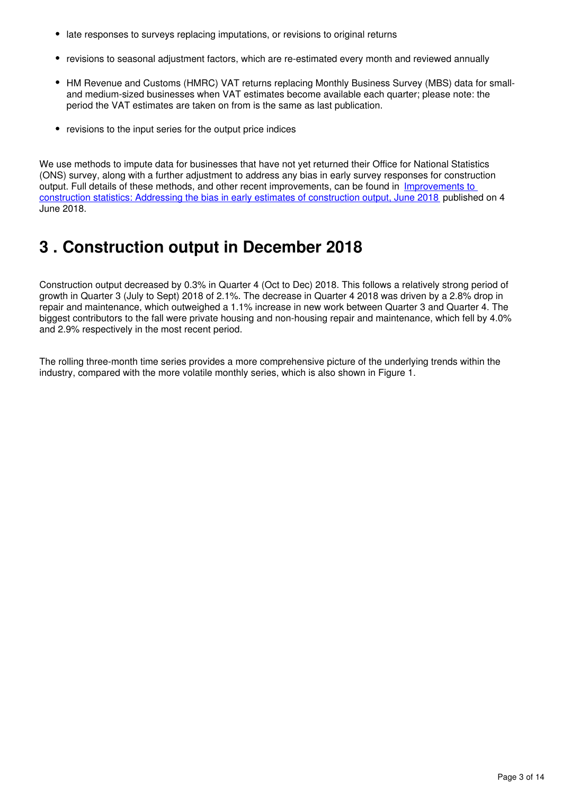- late responses to surveys replacing imputations, or revisions to original returns
- revisions to seasonal adjustment factors, which are re-estimated every month and reviewed annually
- HM Revenue and Customs (HMRC) VAT returns replacing Monthly Business Survey (MBS) data for smalland medium-sized businesses when VAT estimates become available each quarter; please note: the period the VAT estimates are taken on from is the same as last publication.
- revisions to the input series for the output price indices

We use methods to impute data for businesses that have not yet returned their Office for National Statistics (ONS) survey, along with a further adjustment to address any bias in early survey responses for construction output. Full details of these methods, and other recent improvements, can be found in Improvements to [construction statistics: Addressing the bias in early estimates of construction output, June 2018](https://www.ons.gov.uk/businessindustryandtrade/constructionindustry/articles/improvementstoconstructionstatisticsaddressingthebiasinearlyestimatesofconstructionoutputjune2018/2018-06-04) published on 4 June 2018.

# <span id="page-2-0"></span>**3 . Construction output in December 2018**

Construction output decreased by 0.3% in Quarter 4 (Oct to Dec) 2018. This follows a relatively strong period of growth in Quarter 3 (July to Sept) 2018 of 2.1%. The decrease in Quarter 4 2018 was driven by a 2.8% drop in repair and maintenance, which outweighed a 1.1% increase in new work between Quarter 3 and Quarter 4. The biggest contributors to the fall were private housing and non-housing repair and maintenance, which fell by 4.0% and 2.9% respectively in the most recent period.

The rolling three-month time series provides a more comprehensive picture of the underlying trends within the industry, compared with the more volatile monthly series, which is also shown in Figure 1.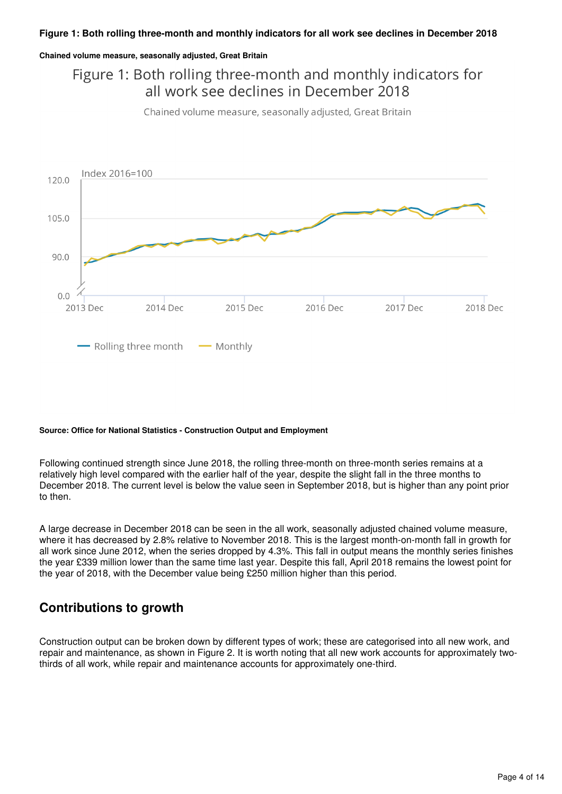#### **Chained volume measure, seasonally adjusted, Great Britain**

### Figure 1: Both rolling three-month and monthly indicators for all work see declines in December 2018

Chained volume measure, seasonally adjusted, Great Britain



#### **Source: Office for National Statistics - Construction Output and Employment**

Following continued strength since June 2018, the rolling three-month on three-month series remains at a relatively high level compared with the earlier half of the year, despite the slight fall in the three months to December 2018. The current level is below the value seen in September 2018, but is higher than any point prior to then.

A large decrease in December 2018 can be seen in the all work, seasonally adjusted chained volume measure, where it has decreased by 2.8% relative to November 2018. This is the largest month-on-month fall in growth for all work since June 2012, when the series dropped by 4.3%. This fall in output means the monthly series finishes the year £339 million lower than the same time last year. Despite this fall, April 2018 remains the lowest point for the year of 2018, with the December value being £250 million higher than this period.

#### **Contributions to growth**

Construction output can be broken down by different types of work; these are categorised into all new work, and repair and maintenance, as shown in Figure 2. It is worth noting that all new work accounts for approximately twothirds of all work, while repair and maintenance accounts for approximately one-third.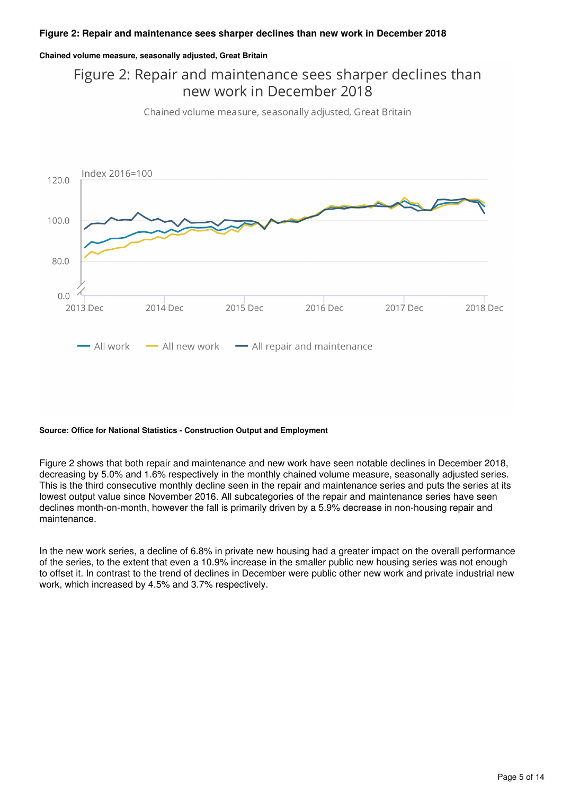#### **Chained volume measure, seasonally adjusted, Great Britain**

## Figure 2: Repair and maintenance sees sharper declines than new work in December 2018

Chained volume measure, seasonally adjusted, Great Britain



#### **Source: Office for National Statistics - Construction Output and Employment**

Figure 2 shows that both repair and maintenance and new work have seen notable declines in December 2018, decreasing by 5.0% and 1.6% respectively in the monthly chained volume measure, seasonally adjusted series. This is the third consecutive monthly decline seen in the repair and maintenance series and puts the series at its lowest output value since November 2016. All subcategories of the repair and maintenance series have seen declines month-on-month, however the fall is primarily driven by a 5.9% decrease in non-housing repair and maintenance.

In the new work series, a decline of 6.8% in private new housing had a greater impact on the overall performance of the series, to the extent that even a 10.9% increase in the smaller public new housing series was not enough to offset it. In contrast to the trend of declines in December were public other new work and private industrial new work, which increased by 4.5% and 3.7% respectively.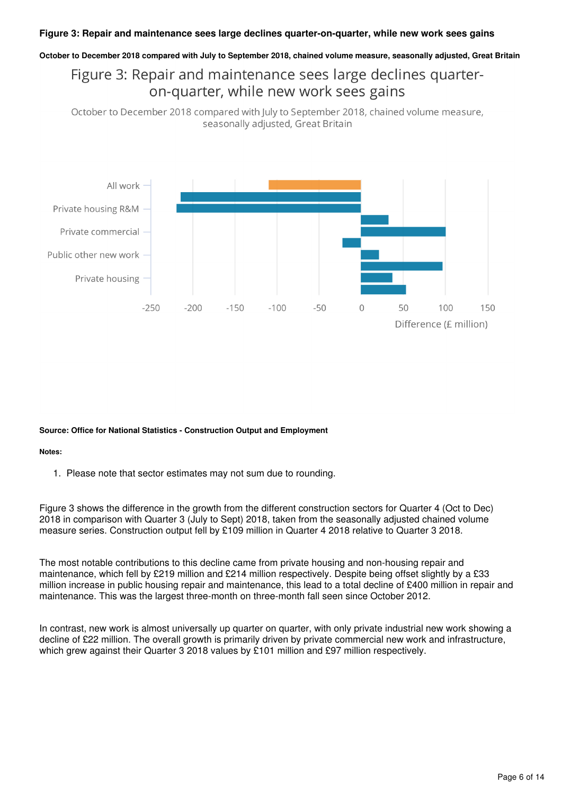#### **Figure 3: Repair and maintenance sees large declines quarter-on-quarter, while new work sees gains**

#### **October to December 2018 compared with July to September 2018, chained volume measure, seasonally adjusted, Great Britain**

### Figure 3: Repair and maintenance sees large declines quarteron-quarter, while new work sees gains

October to December 2018 compared with July to September 2018, chained volume measure, seasonally adjusted, Great Britain



#### **Source: Office for National Statistics - Construction Output and Employment**

#### **Notes:**

1. Please note that sector estimates may not sum due to rounding.

Figure 3 shows the difference in the growth from the different construction sectors for Quarter 4 (Oct to Dec) 2018 in comparison with Quarter 3 (July to Sept) 2018, taken from the seasonally adjusted chained volume measure series. Construction output fell by £109 million in Quarter 4 2018 relative to Quarter 3 2018.

The most notable contributions to this decline came from private housing and non-housing repair and maintenance, which fell by £219 million and £214 million respectively. Despite being offset slightly by a £33 million increase in public housing repair and maintenance, this lead to a total decline of £400 million in repair and maintenance. This was the largest three-month on three-month fall seen since October 2012.

In contrast, new work is almost universally up quarter on quarter, with only private industrial new work showing a decline of £22 million. The overall growth is primarily driven by private commercial new work and infrastructure, which grew against their Quarter 3 2018 values by £101 million and £97 million respectively.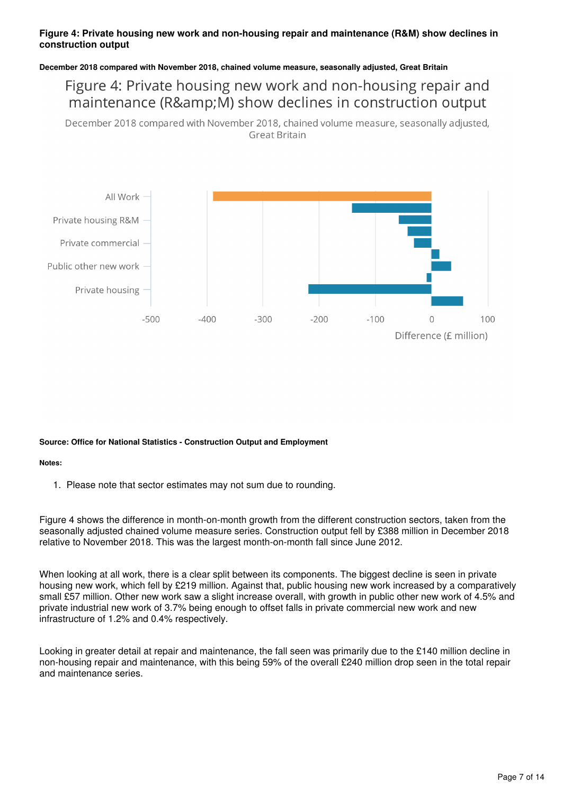#### **Figure 4: Private housing new work and non-housing repair and maintenance (R&M) show declines in construction output**

#### **December 2018 compared with November 2018, chained volume measure, seasonally adjusted, Great Britain**

#### Figure 4: Private housing new work and non-housing repair and maintenance (R&M) show declines in construction output

December 2018 compared with November 2018, chained volume measure, seasonally adjusted, **Great Britain** 



#### **Source: Office for National Statistics - Construction Output and Employment**

#### **Notes:**

1. Please note that sector estimates may not sum due to rounding.

Figure 4 shows the difference in month-on-month growth from the different construction sectors, taken from the seasonally adjusted chained volume measure series. Construction output fell by £388 million in December 2018 relative to November 2018. This was the largest month-on-month fall since June 2012.

When looking at all work, there is a clear split between its components. The biggest decline is seen in private housing new work, which fell by £219 million. Against that, public housing new work increased by a comparatively small £57 million. Other new work saw a slight increase overall, with growth in public other new work of 4.5% and private industrial new work of 3.7% being enough to offset falls in private commercial new work and new infrastructure of 1.2% and 0.4% respectively.

Looking in greater detail at repair and maintenance, the fall seen was primarily due to the £140 million decline in non-housing repair and maintenance, with this being 59% of the overall £240 million drop seen in the total repair and maintenance series.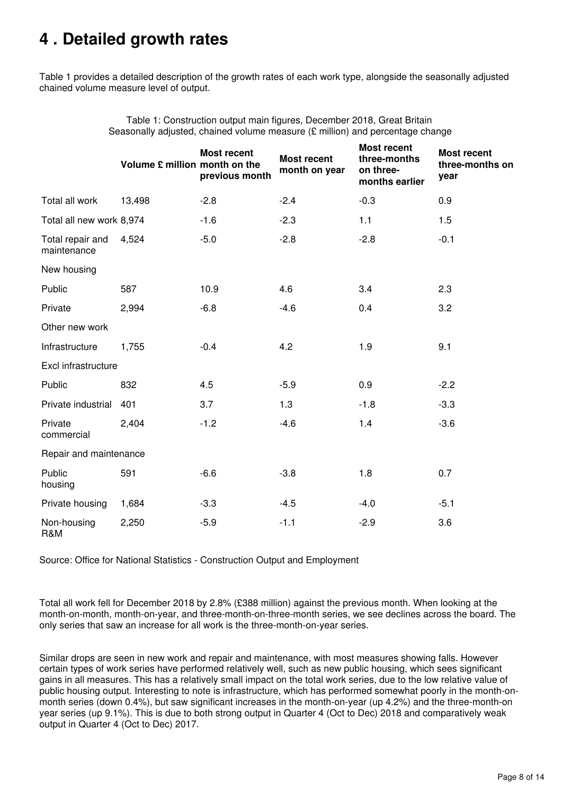# <span id="page-7-0"></span>**4 . Detailed growth rates**

Table 1 provides a detailed description of the growth rates of each work type, alongside the seasonally adjusted chained volume measure level of output.

|                                 | Volume £ million month on the | <b>Most recent</b><br>previous month | <b>Most recent</b><br>month on year | <b>Most recent</b><br>three-months<br>on three-<br>months earlier | <b>Most recent</b><br>three-months on<br>year |
|---------------------------------|-------------------------------|--------------------------------------|-------------------------------------|-------------------------------------------------------------------|-----------------------------------------------|
| Total all work                  | 13,498                        | $-2.8$                               | $-2.4$                              | $-0.3$                                                            | 0.9                                           |
| Total all new work 8,974        |                               | $-1.6$                               | $-2.3$                              | 1.1                                                               | 1.5                                           |
| Total repair and<br>maintenance | 4,524                         | $-5.0$                               | $-2.8$                              | $-2.8$                                                            | $-0.1$                                        |
| New housing                     |                               |                                      |                                     |                                                                   |                                               |
| Public                          | 587                           | 10.9                                 | 4.6                                 | 3.4                                                               | 2.3                                           |
| Private                         | 2,994                         | $-6.8$                               | $-4.6$                              | 0.4                                                               | 3.2                                           |
| Other new work                  |                               |                                      |                                     |                                                                   |                                               |
| Infrastructure                  | 1,755                         | $-0.4$                               | 4.2                                 | 1.9                                                               | 9.1                                           |
| Excl infrastructure             |                               |                                      |                                     |                                                                   |                                               |
| Public                          | 832                           | 4.5                                  | $-5.9$                              | 0.9                                                               | $-2.2$                                        |
| Private industrial              | 401                           | 3.7                                  | 1.3                                 | $-1.8$                                                            | $-3.3$                                        |
| Private<br>commercial           | 2,404                         | $-1.2$                               | $-4.6$                              | 1.4                                                               | $-3.6$                                        |
| Repair and maintenance          |                               |                                      |                                     |                                                                   |                                               |
| Public<br>housing               | 591                           | $-6.6$                               | $-3.8$                              | 1.8                                                               | 0.7                                           |
| Private housing                 | 1,684                         | $-3.3$                               | $-4.5$                              | $-4.0$                                                            | $-5.1$                                        |
| Non-housing<br>R&M              | 2,250                         | $-5.9$                               | $-1.1$                              | $-2.9$                                                            | 3.6                                           |

Table 1: Construction output main figures, December 2018, Great Britain Seasonally adjusted, chained volume measure (£ million) and percentage change

Source: Office for National Statistics - Construction Output and Employment

Total all work fell for December 2018 by 2.8% (£388 million) against the previous month. When looking at the month-on-month, month-on-year, and three-month-on-three-month series, we see declines across the board. The only series that saw an increase for all work is the three-month-on-year series.

Similar drops are seen in new work and repair and maintenance, with most measures showing falls. However certain types of work series have performed relatively well, such as new public housing, which sees significant gains in all measures. This has a relatively small impact on the total work series, due to the low relative value of public housing output. Interesting to note is infrastructure, which has performed somewhat poorly in the month-onmonth series (down 0.4%), but saw significant increases in the month-on-year (up 4.2%) and the three-month-on year series (up 9.1%). This is due to both strong output in Quarter 4 (Oct to Dec) 2018 and comparatively weak output in Quarter 4 (Oct to Dec) 2017.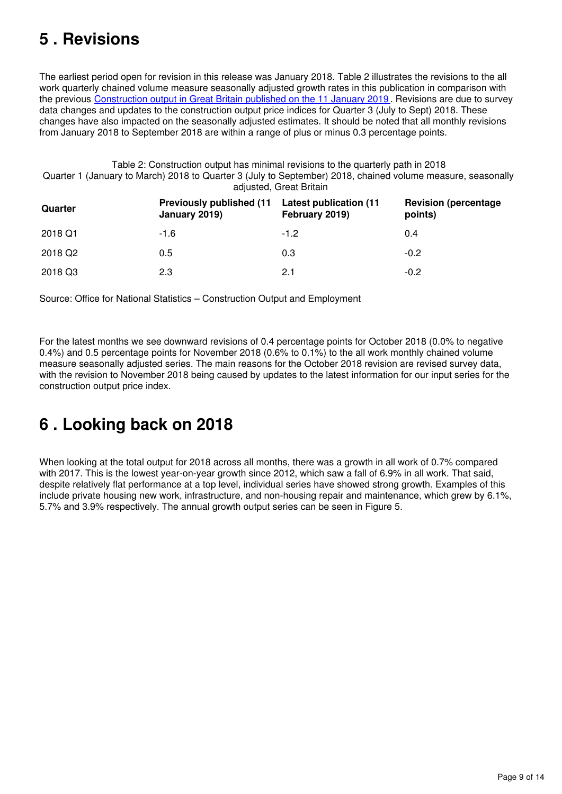# <span id="page-8-0"></span>**5 . Revisions**

The earliest period open for revision in this release was January 2018. Table 2 illustrates the revisions to the all work quarterly chained volume measure seasonally adjusted growth rates in this publication in comparison with the previous [Construction output in Great Britain published on the 11 January 2019](https://www.ons.gov.uk/businessindustryandtrade/constructionindustry/bulletins/constructionoutputingreatbritain/november2018) . Revisions are due to survey data changes and updates to the construction output price indices for Quarter 3 (July to Sept) 2018. These changes have also impacted on the seasonally adjusted estimates. It should be noted that all monthly revisions from January 2018 to September 2018 are within a range of plus or minus 0.3 percentage points.

Table 2: Construction output has minimal revisions to the quarterly path in 2018 Quarter 1 (January to March) 2018 to Quarter 3 (July to September) 2018, chained volume measure, seasonally adjusted, Great Britain

| Quarter             | <b>Previously published (11)</b><br>January 2019) | Latest publication (11)<br>February 2019) | <b>Revision (percentage)</b><br>points) |
|---------------------|---------------------------------------------------|-------------------------------------------|-----------------------------------------|
| 2018 Q1             | $-1.6$                                            | $-1.2$                                    | 0.4                                     |
| 2018 Q <sub>2</sub> | 0.5                                               | 0.3                                       | $-0.2$                                  |
| 2018 Q3             | 2.3                                               | 2.1                                       | $-0.2$                                  |

Source: Office for National Statistics – Construction Output and Employment

For the latest months we see downward revisions of 0.4 percentage points for October 2018 (0.0% to negative 0.4%) and 0.5 percentage points for November 2018 (0.6% to 0.1%) to the all work monthly chained volume measure seasonally adjusted series. The main reasons for the October 2018 revision are revised survey data, with the revision to November 2018 being caused by updates to the latest information for our input series for the construction output price index.

# <span id="page-8-1"></span>**6 . Looking back on 2018**

When looking at the total output for 2018 across all months, there was a growth in all work of 0.7% compared with 2017. This is the lowest year-on-year growth since 2012, which saw a fall of 6.9% in all work. That said, despite relatively flat performance at a top level, individual series have showed strong growth. Examples of this include private housing new work, infrastructure, and non-housing repair and maintenance, which grew by 6.1%, 5.7% and 3.9% respectively. The annual growth output series can be seen in Figure 5.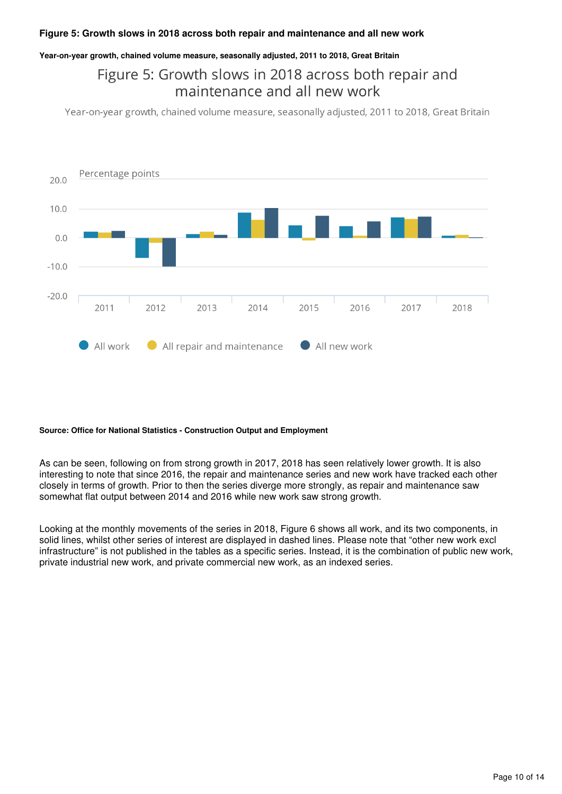#### **Figure 5: Growth slows in 2018 across both repair and maintenance and all new work**

#### **Year-on-year growth, chained volume measure, seasonally adjusted, 2011 to 2018, Great Britain**

### Figure 5: Growth slows in 2018 across both repair and maintenance and all new work

Year-on-year growth, chained volume measure, seasonally adjusted, 2011 to 2018, Great Britain



#### **Source: Office for National Statistics - Construction Output and Employment**

As can be seen, following on from strong growth in 2017, 2018 has seen relatively lower growth. It is also interesting to note that since 2016, the repair and maintenance series and new work have tracked each other closely in terms of growth. Prior to then the series diverge more strongly, as repair and maintenance saw somewhat flat output between 2014 and 2016 while new work saw strong growth.

Looking at the monthly movements of the series in 2018, Figure 6 shows all work, and its two components, in solid lines, whilst other series of interest are displayed in dashed lines. Please note that "other new work excl infrastructure" is not published in the tables as a specific series. Instead, it is the combination of public new work, private industrial new work, and private commercial new work, as an indexed series.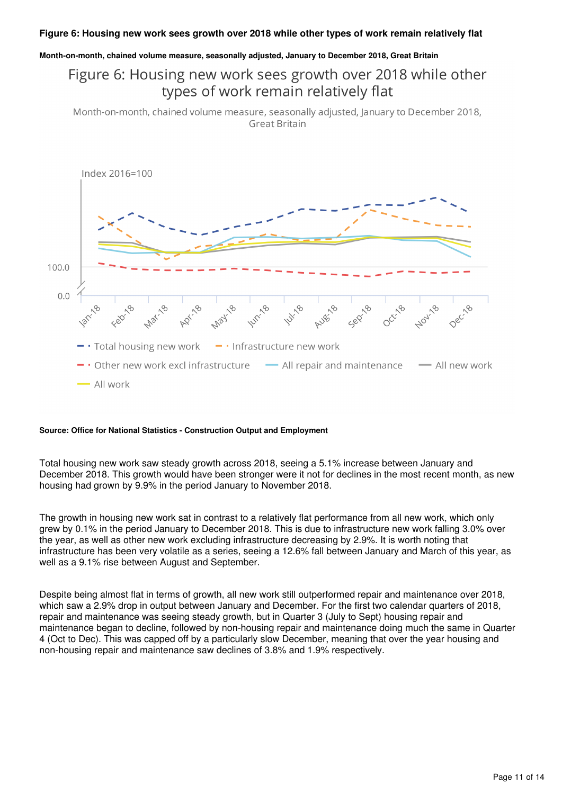#### **Figure 6: Housing new work sees growth over 2018 while other types of work remain relatively flat**

#### **Month-on-month, chained volume measure, seasonally adjusted, January to December 2018, Great Britain**

#### Figure 6: Housing new work sees growth over 2018 while other types of work remain relatively flat

Month-on-month, chained volume measure, seasonally adjusted, January to December 2018, **Great Britain** 



#### **Source: Office for National Statistics - Construction Output and Employment**

Total housing new work saw steady growth across 2018, seeing a 5.1% increase between January and December 2018. This growth would have been stronger were it not for declines in the most recent month, as new housing had grown by 9.9% in the period January to November 2018.

The growth in housing new work sat in contrast to a relatively flat performance from all new work, which only grew by 0.1% in the period January to December 2018. This is due to infrastructure new work falling 3.0% over the year, as well as other new work excluding infrastructure decreasing by 2.9%. It is worth noting that infrastructure has been very volatile as a series, seeing a 12.6% fall between January and March of this year, as well as a 9.1% rise between August and September.

Despite being almost flat in terms of growth, all new work still outperformed repair and maintenance over 2018, which saw a 2.9% drop in output between January and December. For the first two calendar quarters of 2018, repair and maintenance was seeing steady growth, but in Quarter 3 (July to Sept) housing repair and maintenance began to decline, followed by non-housing repair and maintenance doing much the same in Quarter 4 (Oct to Dec). This was capped off by a particularly slow December, meaning that over the year housing and non-housing repair and maintenance saw declines of 3.8% and 1.9% respectively.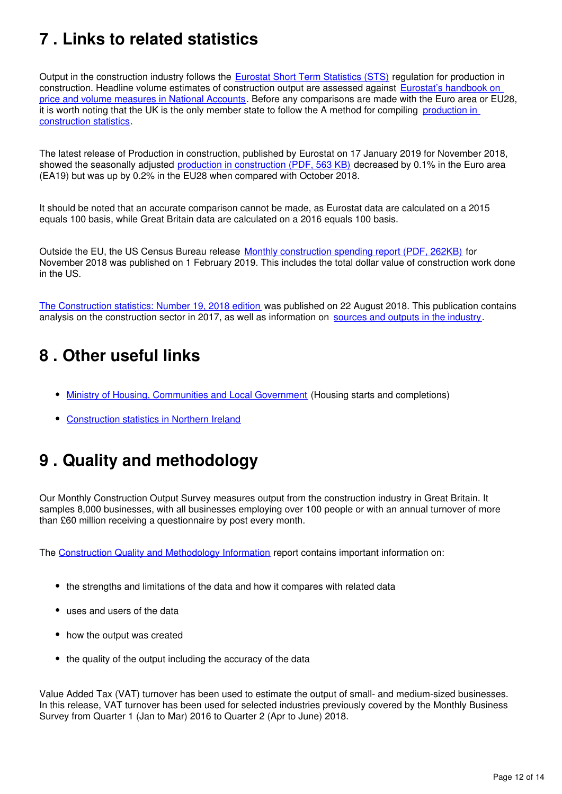# <span id="page-11-0"></span>**7 . Links to related statistics**

Output in the construction industry follows the [Eurostat Short Term Statistics \(STS\)](http://ec.europa.eu/eurostat/c/portal/layout?p_l_id=1916630&p_v_l_s_g_id=0) regulation for production in construction. Headline volume estimates of construction output are assessed against Eurostat's handbook on [price and volume measures in National Accounts](http://ec.europa.eu/eurostat/web/products-manuals-and-guidelines/-/KS-GQ-14-005). Before any comparisons are made with the Euro area or EU28, it is worth noting that the UK is the only member state to follow the A method for compiling production in [construction statistics](http://ec.europa.eu/eurostat/en/web/products-manuals-and-guidelines/-/KS-RA-11-018).

The latest release of Production in construction, published by Eurostat on 17 January 2019 for November 2018, showed the seasonally adjusted [production in construction \(PDF, 563 KB\)](https://ec.europa.eu/eurostat/documents/2995521/9499965/4-17012019-BP-EN.pdf/106c1798-70f9-4fab-abe3-35c5c7078317) decreased by 0.1% in the Euro area (EA19) but was up by 0.2% in the EU28 when compared with October 2018.

It should be noted that an accurate comparison cannot be made, as Eurostat data are calculated on a 2015 equals 100 basis, while Great Britain data are calculated on a 2016 equals 100 basis.

Outside the EU, the US Census Bureau release [Monthly construction spending report \(PDF, 262KB\)](https://www.census.gov/construction/c30/pdf/release.pdf) for November 2018 was published on 1 February 2019. This includes the total dollar value of construction work done in the US.

[The Construction statistics: Number 19, 2018 edition](https://www.ons.gov.uk/businessindustryandtrade/constructionindustry/articles/constructionstatistics/number192018edition) was published on 22 August 2018. This publication contains analysis on the construction sector in 2017, as well as information on sources and outputs in the industry[.](https://www.ons.gov.uk/businessindustryandtrade/constructionindustry/methodologies/constructionstatisticssourcesandoutputs)

## <span id="page-11-1"></span>**8 . Other useful links**

- [Ministry of Housing, Communities and Local Government](https://www.gov.uk/government/organisations/department-for-communities-and-local-government) (Housing starts and completions)
- [Construction statistics in Northern Ireland](https://www.economy-ni.gov.uk/articles/construction-output-statistics)

# <span id="page-11-2"></span>**9 . Quality and methodology**

Our Monthly Construction Output Survey measures output from the construction industry in Great Britain. It samples 8,000 businesses, with all businesses employing over 100 people or with an annual turnover of more than £60 million receiving a questionnaire by post every month.

The [Construction Quality and Methodology Information](https://www.ons.gov.uk/businessindustryandtrade/constructionindustry/methodologies/constructionoutputqualityandmethodologyinformation) report contains important information on:

- the strengths and limitations of the data and how it compares with related data
- uses and users of the data
- how the output was created
- the quality of the output including the accuracy of the data

Value Added Tax (VAT) turnover has been used to estimate the output of small- and medium-sized businesses. In this release, VAT turnover has been used for selected industries previously covered by the Monthly Business Survey from Quarter 1 (Jan to Mar) 2016 to Quarter 2 (Apr to June) 2018.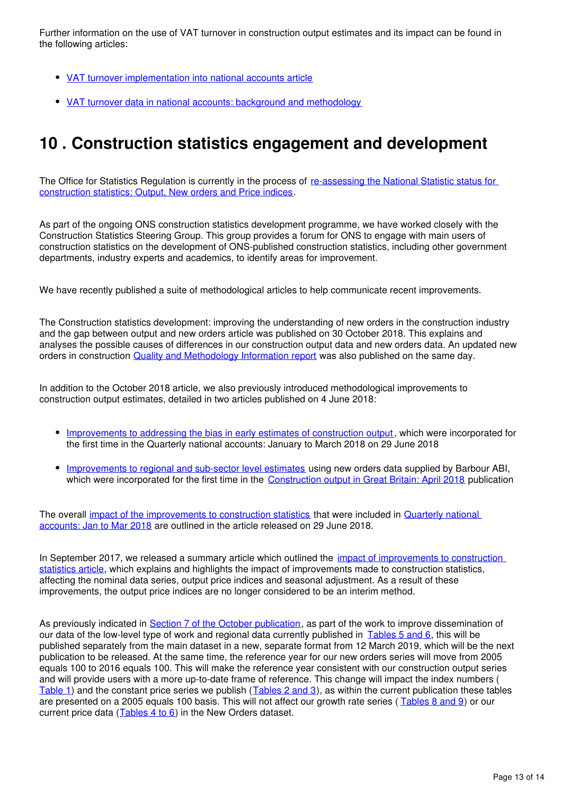Further information on the use of VAT turnover in construction output estimates and its impact can be found in the following articles:

- [VAT turnover implementation into national accounts article](https://www.ons.gov.uk/economy/grossdomesticproductgdp/articles/vatturnoverinitialresearchanalysisuk/december)
- [VAT turnover data in national accounts: background and methodology](https://www.ons.gov.uk/economy/grossdomesticproductgdp/methodologies/vatturnoverdatainnationalaccountsbackgroundandmethodology)

## <span id="page-12-0"></span>**10 . Construction statistics engagement and development**

The Office for Statistics Regulation is currently in the process of re-assessing the National Statistic status for [construction statistics: Output, New orders and Price indices](https://www.statisticsauthority.gov.uk/osr/what-we-do/assessment/current-future-assessments/re-assessment-of-onss-construction-output-and-new-orders-statistics-and-construction-output-price-indices-opis-statistics/).

As part of the ongoing ONS construction statistics development programme, we have worked closely with the Construction Statistics Steering Group. This group provides a forum for ONS to engage with main users of construction statistics on the development of ONS-published construction statistics, including other government departments, industry experts and academics, to identify areas for improvement.

We have recently published a suite of methodological articles to help communicate recent improvements.

The Construction statistics development: improving the understanding of new orders in the construction industry and the gap between output and new orders article was published on 30 October 2018. This explains and analyses the possible causes of differences in our construction output data and new orders data. An updated new orders in construction [Quality and Methodology Information report](https://www.ons.gov.uk/businessindustryandtrade/constructionindustry/methodologies/newordersinconstructionqmi) was also published on the same day.

In addition to the October 2018 article, we also previously introduced methodological improvements to construction output estimates, detailed in two articles published on 4 June 2018:

- [Improvements to addressing the bias in early estimates of construction output,](https://www.ons.gov.uk/businessindustryandtrade/constructionindustry/articles/improvementstoconstructionstatisticsaddressingthebiasinearlyestimatesofconstructionoutputjune2018/2018-06-04) which were incorporated for the first time in the Quarterly national accounts: January to March 2018 on 29 June 2018
- **[Improvements to regional and sub-sector level estimates](https://www.ons.gov.uk/businessindustryandtrade/constructionindustry/articles/constructiondevelopmentimprovementstoregionalandsubsectorlevelestimatesjune2018/2018-06-04)** using new orders data supplied by Barbour ABI, which were incorporated for the first time in the [Construction output in Great Britain: April 2018](https://www.ons.gov.uk/businessindustryandtrade/constructionindustry/bulletins/constructionoutputingreatbritain/april2018andnewordersjanuarytomarch2018) publication

The overall [impact of the improvements to construction statistics](https://www.ons.gov.uk/businessindustryandtrade/constructionindustry/articles/impactofimprovementstoconstructionstatistics/june2018) that were included in [Quarterly national](https://www.ons.gov.uk/economy/grossdomesticproductgdp/bulletins/quarterlynationalaccounts/januarytomarch2018)  [accounts: Jan to Mar 2018](https://www.ons.gov.uk/economy/grossdomesticproductgdp/bulletins/quarterlynationalaccounts/januarytomarch2018) are outlined in the article released on 29 June 2018.

In September 2017, we released a summary article which outlined the impact of improvements to construction [statistics article](https://www.ons.gov.uk/businessindustryandtrade/constructionindustry/articles/constructiondevelopment/impactofimprovementstoconstructionstatistics), which explains and highlights the impact of improvements made to construction statistics, affecting the nominal data series, output price indices and seasonal adjustment. As a result of these improvements, the output price indices are no longer considered to be an interim method.

As previously indicated in [Section 7 of the October publication](https://www.ons.gov.uk/businessindustryandtrade/constructionindustry/bulletins/constructionoutputingreatbritain/october2018andnewordersjulytoseptember2018), as part of the work to improve dissemination of our data of the low-level type of work and regional data currently published in Tables 5 and 6[,](https://www.ons.gov.uk/businessindustryandtrade/constructionindustry/datasets/outputintheconstructionindustry) this will be published separately from the main dataset in a new, separate format from 12 March 2019, which will be the next publication to be released. At the same time, the reference year for our new orders series will move from 2005 equals 100 to 2016 equals 100. This will make the reference year consistent with our construction output series and will provide users with a more up-to-date frame of reference. This change will impact the index numbers ( [Table 1\)](https://www.ons.gov.uk/businessindustryandtrade/constructionindustry/datasets/newordersintheconstructionindustry) and the constant price series we publish ([Tables 2 and 3](https://www.ons.gov.uk/businessindustryandtrade/constructionindustry/datasets/newordersintheconstructionindustry)), as within the current publication these tables are presented on a 2005 equals 100 basis. This will not affect our growth rate series ([Tables 8 and 9](https://www.ons.gov.uk/businessindustryandtrade/constructionindustry/datasets/newordersintheconstructionindustry)) or our current price data  $(Iables 4 to 6)$  in the New Orders dataset.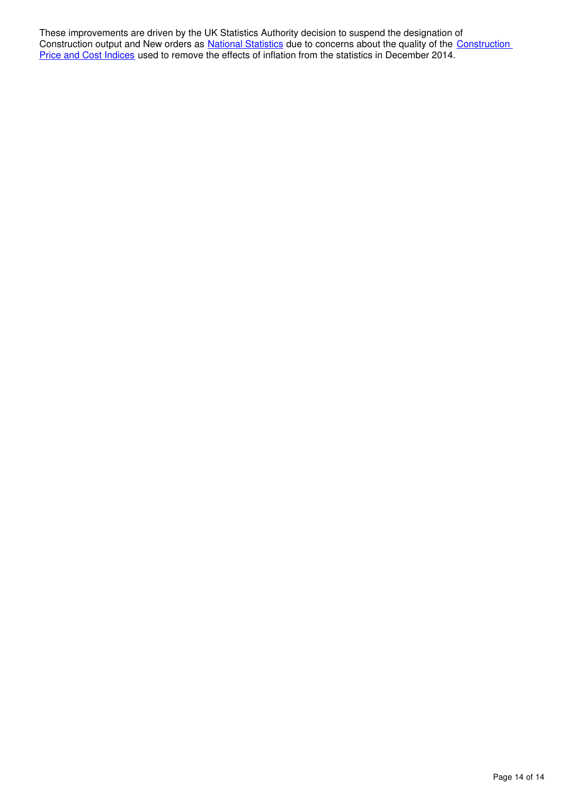These improvements are driven by the UK Statistics Authority decision to suspend the designation of Construction output and New orders as [National Statistics](https://www.statisticsauthority.gov.uk/about-the-authority/uk-statistical-system/types-of-official-statistics/) due to concerns about the quality of the Construction [Price and Cost Indices](https://www.statisticsauthority.gov.uk/correspondence/construction-price-and-cost-indices/) used to remove the effects of inflation from the statistics in December 2014.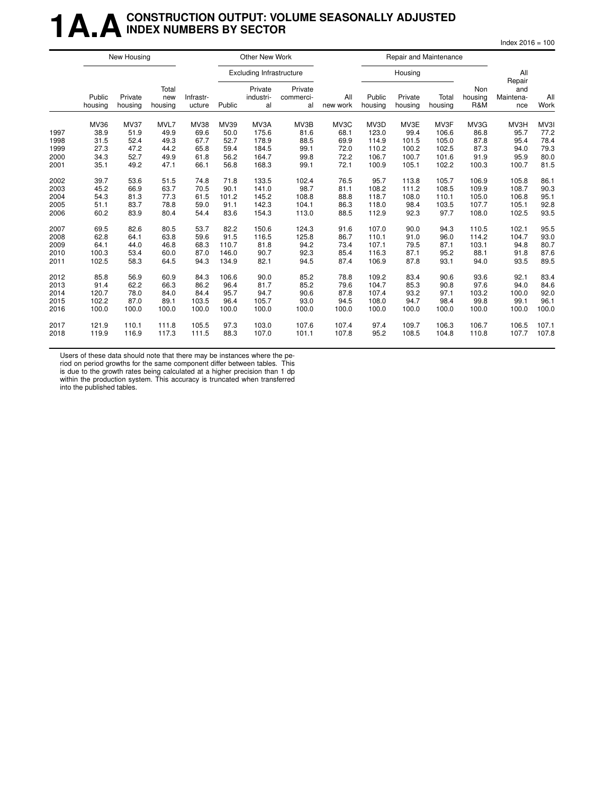### **1 A.A.** CONSTRUCTION OUTPUT: VOLUME SEASONALLY ADJUSTED **INDEX NUMBERS BY SECTOR**

 $Index 2016 = 100$ 

|      | New Housing       |                    |                         |                     |        | Other New Work                  |                            |                 |                   | Repair and Maintenance |                  |                              |                         |             |
|------|-------------------|--------------------|-------------------------|---------------------|--------|---------------------------------|----------------------------|-----------------|-------------------|------------------------|------------------|------------------------------|-------------------------|-------------|
|      |                   |                    |                         |                     |        | <b>Excluding Infrastructure</b> |                            |                 |                   | Housing                |                  |                              | All<br>Repair           |             |
|      | Public<br>housing | Private<br>housing | Total<br>new<br>housing | Infrastr-<br>ucture | Public | Private<br>industri-<br>al      | Private<br>commerci-<br>al | All<br>new work | Public<br>housing | Private<br>housing     | Total<br>housing | <b>Non</b><br>housing<br>R&M | and<br>Maintena-<br>nce | All<br>Work |
|      | <b>MV36</b>       | <b>MV37</b>        | MVL7                    | <b>MV38</b>         | MV39   | MV3A                            | MV3B                       | MV3C            | MV3D              | MV3E                   | MV3F             | MV3G                         | MV3H                    | MV3I        |
| 1997 | 38.9              | 51.9               | 49.9                    | 69.6                | 50.0   | 175.6                           | 81.6                       | 68.1            | 123.0             | 99.4                   | 106.6            | 86.8                         | 95.7                    | 77.2        |
| 1998 | 31.5              | 52.4               | 49.3                    | 67.7                | 52.7   | 178.9                           | 88.5                       | 69.9            | 114.9             | 101.5                  | 105.0            | 87.8                         | 95.4                    | 78.4        |
| 1999 | 27.3              | 47.2               | 44.2                    | 65.8                | 59.4   | 184.5                           | 99.1                       | 72.0            | 110.2             | 100.2                  | 102.5            | 87.3                         | 94.0                    | 79.3        |
| 2000 | 34.3              | 52.7               | 49.9                    | 61.8                | 56.2   | 164.7                           | 99.8                       | 72.2            | 106.7             | 100.7                  | 101.6            | 91.9                         | 95.9                    | 80.0        |
| 2001 | 35.1              | 49.2               | 47.1                    | 66.1                | 56.8   | 168.3                           | 99.1                       | 72.1            | 100.9             | 105.1                  | 102.2            | 100.3                        | 100.7                   | 81.5        |
| 2002 | 39.7              | 53.6               | 51.5                    | 74.8                | 71.8   | 133.5                           | 102.4                      | 76.5            | 95.7              | 113.8                  | 105.7            | 106.9                        | 105.8                   | 86.1        |
| 2003 | 45.2              | 66.9               | 63.7                    | 70.5                | 90.1   | 141.0                           | 98.7                       | 81.1            | 108.2             | 111.2                  | 108.5            | 109.9                        | 108.7                   | 90.3        |
| 2004 | 54.3              | 81.3               | 77.3                    | 61.5                | 101.2  | 145.2                           | 108.8                      | 88.8            | 118.7             | 108.0                  | 110.1            | 105.0                        | 106.8                   | 95.1        |
| 2005 | 51.1              | 83.7               | 78.8                    | 59.0                | 91.1   | 142.3                           | 104.1                      | 86.3            | 118.0             | 98.4                   | 103.5            | 107.7                        | 105.1                   | 92.8        |
| 2006 | 60.2              | 83.9               | 80.4                    | 54.4                | 83.6   | 154.3                           | 113.0                      | 88.5            | 112.9             | 92.3                   | 97.7             | 108.0                        | 102.5                   | 93.5        |
| 2007 | 69.5              | 82.6               | 80.5                    | 53.7                | 82.2   | 150.6                           | 124.3                      | 91.6            | 107.0             | 90.0                   | 94.3             | 110.5                        | 102.1                   | 95.5        |
| 2008 | 62.8              | 64.1               | 63.8                    | 59.6                | 91.5   | 116.5                           | 125.8                      | 86.7            | 110.1             | 91.0                   | 96.0             | 114.2                        | 104.7                   | 93.0        |
| 2009 | 64.1              | 44.0               | 46.8                    | 68.3                | 110.7  | 81.8                            | 94.2                       | 73.4            | 107.1             | 79.5                   | 87.1             | 103.1                        | 94.8                    | 80.7        |
| 2010 | 100.3             | 53.4               | 60.0                    | 87.0                | 146.0  | 90.7                            | 92.3                       | 85.4            | 116.3             | 87.1                   | 95.2             | 88.1                         | 91.8                    | 87.6        |
| 2011 | 102.5             | 58.3               | 64.5                    | 94.3                | 134.9  | 82.1                            | 94.5                       | 87.4            | 106.9             | 87.8                   | 93.1             | 94.0                         | 93.5                    | 89.5        |
| 2012 | 85.8              | 56.9               | 60.9                    | 84.3                | 106.6  | 90.0                            | 85.2                       | 78.8            | 109.2             | 83.4                   | 90.6             | 93.6                         | 92.1                    | 83.4        |
| 2013 | 91.4              | 62.2               | 66.3                    | 86.2                | 96.4   | 81.7                            | 85.2                       | 79.6            | 104.7             | 85.3                   | 90.8             | 97.6                         | 94.0                    | 84.6        |
| 2014 | 120.7             | 78.0               | 84.0                    | 84.4                | 95.7   | 94.7                            | 90.6                       | 87.8            | 107.4             | 93.2                   | 97.1             | 103.2                        | 100.0                   | 92.0        |
| 2015 | 102.2             | 87.0               | 89.1                    | 103.5               | 96.4   | 105.7                           | 93.0                       | 94.5            | 108.0             | 94.7                   | 98.4             | 99.8                         | 99.1                    | 96.1        |
| 2016 | 100.0             | 100.0              | 100.0                   | 100.0               | 100.0  | 100.0                           | 100.0                      | 100.0           | 100.0             | 100.0                  | 100.0            | 100.0                        | 100.0                   | 100.0       |
| 2017 | 121.9             | 110.1              | 111.8                   | 105.5               | 97.3   | 103.0                           | 107.6                      | 107.4           | 97.4              | 109.7                  | 106.3            | 106.7                        | 106.5                   | 107.1       |
| 2018 | 119.9             | 116.9              | 117.3                   | 111.5               | 88.3   | 107.0                           | 101.1                      | 107.8           | 95.2              | 108.5                  | 104.8            | 110.8                        | 107.7                   | 107.8       |

Users of these data should note that there may be instances where the pe-

riod on period growths for the same component differ between tables. This is due to the growth rates being calculated at a higher precision than 1 dp within the production system. This accuracy is truncated when transferred into the published tables.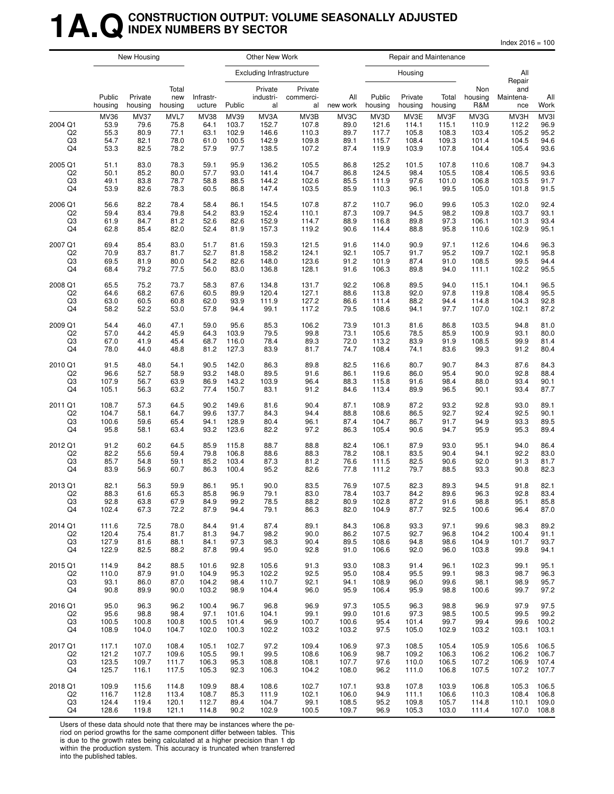## **1A.QCONSTRUCTION OUTPUT: VOLUME SEASONALLY ADJUSTED INDEX NUMBERS BY SECTOR**

 $Index 2016 = 100$ 

|                                       | New Housing                          |                                             |                                      |                                             | Other New Work                          |                                          |                                          |                                      | Repair and Maintenance                   |                                          |                                          |                                          |                                          |                                      |
|---------------------------------------|--------------------------------------|---------------------------------------------|--------------------------------------|---------------------------------------------|-----------------------------------------|------------------------------------------|------------------------------------------|--------------------------------------|------------------------------------------|------------------------------------------|------------------------------------------|------------------------------------------|------------------------------------------|--------------------------------------|
|                                       |                                      |                                             |                                      |                                             |                                         | <b>Excluding Infrastructure</b>          |                                          |                                      |                                          | Housing                                  |                                          |                                          | All<br>Repair                            |                                      |
|                                       | Public<br>housing                    | Private<br>housing                          | Total<br>new<br>housing              | Infrastr-<br>ucture                         | Public                                  | Private<br>industri-<br>al               | Private<br>commerci-<br>al               | All<br>new work                      | Public<br>housing                        | Private<br>housing                       | Total<br>housing                         | Non<br>housing<br>R&M                    | and<br>Maintena-<br>nce                  | All<br>Work                          |
| 2004 Q1<br>Q <sub>2</sub><br>Q3<br>Q4 | MV36<br>53.9<br>55.3<br>54.7<br>53.3 | <b>MV37</b><br>79.6<br>80.9<br>82.1<br>82.5 | MVL7<br>75.8<br>77.1<br>78.0<br>78.2 | <b>MV38</b><br>64.1<br>63.1<br>61.0<br>57.9 | MV39<br>103.7<br>102.9<br>100.5<br>97.7 | MV3A<br>152.7<br>146.6<br>142.9<br>138.5 | MV3B<br>107.8<br>110.3<br>109.8<br>107.2 | MV3C<br>89.0<br>89.7<br>89.1<br>87.4 | MV3D<br>121.6<br>117.7<br>115.7<br>119.9 | MV3E<br>114.1<br>105.8<br>108.4<br>103.9 | MV3F<br>115.1<br>108.3<br>109.3<br>107.8 | MV3G<br>110.9<br>103.4<br>101.4<br>104.4 | MV3H<br>112.2<br>105.2<br>104.5<br>105.4 | MV3I<br>96.9<br>95.2<br>94.6<br>93.6 |
| 2005 Q1                               | 51.1                                 | 83.0                                        | 78.3                                 | 59.1                                        | 95.9                                    | 136.2                                    | 105.5                                    | 86.8                                 | 125.2                                    | 101.5                                    | 107.8                                    | 110.6                                    | 108.7                                    | 94.3                                 |
| Q2                                    | 50.1                                 | 85.2                                        | 80.0                                 | 57.7                                        | 93.0                                    | 141.4                                    | 104.7                                    | 86.8                                 | 124.5                                    | 98.4                                     | 105.5                                    | 108.4                                    | 106.5                                    | 93.6                                 |
| Q3                                    | 49.1                                 | 83.8                                        | 78.7                                 | 58.8                                        | 88.5                                    | 144.2                                    | 102.6                                    | 85.5                                 | 111.9                                    | 97.6                                     | 101.0                                    | 106.8                                    | 103.5                                    | 91.7                                 |
| Q4                                    | 53.9                                 | 82.6                                        | 78.3                                 | 60.5                                        | 86.8                                    | 147.4                                    | 103.5                                    | 85.9                                 | 110.3                                    | 96.1                                     | 99.5                                     | 105.0                                    | 101.8                                    | 91.5                                 |
| 2006 Q1                               | 56.6                                 | 82.2                                        | 78.4                                 | 58.4                                        | 86.1                                    | 154.5                                    | 107.8                                    | 87.2                                 | 110.7                                    | 96.0                                     | 99.6                                     | 105.3                                    | 102.0                                    | 92.4                                 |
| Q <sub>2</sub>                        | 59.4                                 | 83.4                                        | 79.8                                 | 54.2                                        | 83.9                                    | 152.4                                    | 110.1                                    | 87.3                                 | 109.7                                    | 94.5                                     | 98.2                                     | 109.8                                    | 103.7                                    | 93.1                                 |
| Q3                                    | 61.9                                 | 84.7                                        | 81.2                                 | 52.6                                        | 82.6                                    | 152.9                                    | 114.7                                    | 88.9                                 | 116.8                                    | 89.8                                     | 97.3                                     | 106.1                                    | 101.3                                    | 93.4                                 |
| Q4                                    | 62.8                                 | 85.4                                        | 82.0                                 | 52.4                                        | 81.9                                    | 157.3                                    | 119.2                                    | 90.6                                 | 114.4                                    | 88.8                                     | 95.8                                     | 110.6                                    | 102.9                                    | 95.1                                 |
| 2007 Q1                               | 69.4                                 | 85.4                                        | 83.0                                 | 51.7                                        | 81.6                                    | 159.3                                    | 121.5                                    | 91.6                                 | 114.0                                    | 90.9                                     | 97.1                                     | 112.6                                    | 104.6                                    | 96.3                                 |
| Q <sub>2</sub>                        | 70.9                                 | 83.7                                        | 81.7                                 | 52.7                                        | 81.8                                    | 158.2                                    | 124.1                                    | 92.1                                 | 105.7                                    | 91.7                                     | 95.2                                     | 109.7                                    | 102.1                                    | 95.8                                 |
| Q3                                    | 69.5                                 | 81.9                                        | 80.0                                 | 54.2                                        | 82.6                                    | 148.0                                    | 123.6                                    | 91.2                                 | 101.9                                    | 87.4                                     | 91.0                                     | 108.5                                    | 99.5                                     | 94.4                                 |
| Q4                                    | 68.4                                 | 79.2                                        | 77.5                                 | 56.0                                        | 83.0                                    | 136.8                                    | 128.1                                    | 91.6                                 | 106.3                                    | 89.8                                     | 94.0                                     | 111.1                                    | 102.2                                    | 95.5                                 |
| 2008 Q1                               | 65.5                                 | 75.2                                        | 73.7                                 | 58.3                                        | 87.6                                    | 134.8                                    | 131.7                                    | 92.2                                 | 106.8                                    | 89.5                                     | 94.0                                     | 115.1                                    | 104.1                                    | 96.5                                 |
| Q2                                    | 64.6                                 | 68.2                                        | 67.6                                 | 60.5                                        | 89.9                                    | 120.4                                    | 127.1                                    | 88.6                                 | 113.8                                    | 92.0                                     | 97.8                                     | 119.8                                    | 108.4                                    | 95.5                                 |
| Q3                                    | 63.0                                 | 60.5                                        | 60.8                                 | 62.0                                        | 93.9                                    | 111.9                                    | 127.2                                    | 86.6                                 | 111.4                                    | 88.2                                     | 94.4                                     | 114.8                                    | 104.3                                    | 92.8                                 |
| Q4                                    | 58.2                                 | 52.2                                        | 53.0                                 | 57.8                                        | 94.4                                    | 99.1                                     | 117.2                                    | 79.5                                 | 108.6                                    | 94.1                                     | 97.7                                     | 107.0                                    | 102.1                                    | 87.2                                 |
| 2009 Q1                               | 54.4                                 | 46.0                                        | 47.1                                 | 59.0                                        | 95.6                                    | 85.3                                     | 106.2                                    | 73.9                                 | 101.3                                    | 81.6                                     | 86.8                                     | 103.5                                    | 94.8                                     | 81.0                                 |
| Q <sub>2</sub>                        | 57.0                                 | 44.2                                        | 45.9                                 | 64.3                                        | 103.9                                   | 79.5                                     | 99.8                                     | 73.1                                 | 105.6                                    | 78.5                                     | 85.9                                     | 100.9                                    | 93.1                                     | 80.0                                 |
| Q3                                    | 67.0                                 | 41.9                                        | 45.4                                 | 68.7                                        | 116.0                                   | 78.4                                     | 89.3                                     | 72.0                                 | 113.2                                    | 83.9                                     | 91.9                                     | 108.5                                    | 99.9                                     | 81.4                                 |
| Q4                                    | 78.0                                 | 44.0                                        | 48.8                                 | 81.2                                        | 127.3                                   | 83.9                                     | 81.7                                     | 74.7                                 | 108.4                                    | 74.1                                     | 83.6                                     | 99.3                                     | 91.2                                     | 80.4                                 |
| 2010 Q1                               | 91.5                                 | 48.0                                        | 54.1                                 | 90.5                                        | 142.0                                   | 86.3                                     | 89.8                                     | 82.5                                 | 116.6                                    | 80.7                                     | 90.7                                     | 84.3                                     | 87.6                                     | 84.3                                 |
| Q <sub>2</sub>                        | 96.6                                 | 52.7                                        | 58.9                                 | 93.2                                        | 148.0                                   | 89.5                                     | 91.6                                     | 86.1                                 | 119.6                                    | 86.0                                     | 95.4                                     | 90.0                                     | 92.8                                     | 88.4                                 |
| Q3                                    | 107.9                                | 56.7                                        | 63.9                                 | 86.9                                        | 143.2                                   | 103.9                                    | 96.4                                     | 88.3                                 | 115.8                                    | 91.6                                     | 98.4                                     | 88.0                                     | 93.4                                     | 90.1                                 |
| Q4                                    | 105.1                                | 56.3                                        | 63.2                                 | 77.4                                        | 150.7                                   | 83.1                                     | 91.2                                     | 84.6                                 | 113.4                                    | 89.9                                     | 96.5                                     | 90.1                                     | 93.4                                     | 87.7                                 |
| 2011 Q1                               | 108.7                                | 57.3                                        | 64.5                                 | 90.2                                        | 149.6                                   | 81.6                                     | 90.4                                     | 87.1                                 | 108.9                                    | 87.2                                     | 93.2                                     | 92.8                                     | 93.0                                     | 89.1                                 |
| Q2                                    | 104.7                                | 58.1                                        | 64.7                                 | 99.6                                        | 137.7                                   | 84.3                                     | 94.4                                     | 88.8                                 | 108.6                                    | 86.5                                     | 92.7                                     | 92.4                                     | 92.5                                     | 90.1                                 |
| Q3                                    | 100.6                                | 59.6                                        | 65.4                                 | 94.1                                        | 128.9                                   | 80.4                                     | 96.1                                     | 87.4                                 | 104.7                                    | 86.7                                     | 91.7                                     | 94.9                                     | 93.3                                     | 89.5                                 |
| Q4                                    | 95.8                                 | 58.1                                        | 63.4                                 | 93.2                                        | 123.6                                   | 82.2                                     | 97.2                                     | 86.3                                 | 105.4                                    | 90.6                                     | 94.7                                     | 95.9                                     | 95.3                                     | 89.4                                 |
| 2012 Q1                               | 91.2                                 | 60.2                                        | 64.5                                 | 85.9                                        | 115.8                                   | 88.7                                     | 88.8                                     | 82.4                                 | 106.1                                    | 87.9                                     | 93.0                                     | 95.1                                     | 94.0                                     | 86.4                                 |
| Q <sub>2</sub>                        | 82.2                                 | 55.6                                        | 59.4                                 | 79.8                                        | 106.8                                   | 88.6                                     | 88.3                                     | 78.2                                 | 108.1                                    | 83.5                                     | 90.4                                     | 94.1                                     | 92.2                                     | 83.0                                 |
| Q3                                    | 85.7                                 | 54.8                                        | 59.1                                 | 85.2                                        | 103.4                                   | 87.3                                     | 81.2                                     | 76.6                                 | 111.5                                    | 82.5                                     | 90.6                                     | 92.0                                     | 91.3                                     | 81.7                                 |
| Q4                                    | 83.9                                 | 56.9                                        | 60.7                                 | 86.3                                        | 100.4                                   | 95.2                                     | 82.6                                     | 77.8                                 | 111.2                                    | 79.7                                     | 88.5                                     | 93.3                                     | 90.8                                     | 82.3                                 |
| 2013 Q1                               | 82.1                                 | 56.3                                        | 59.9                                 | 86.1                                        | 95.1                                    | 90.0                                     | 83.5                                     | 76.9                                 | 107.5                                    | 82.3                                     | 89.3                                     | 94.5                                     | 91.8                                     | 82.1                                 |
| Q2                                    | 88.3                                 | 61.6                                        | 65.3                                 | 85.8                                        | 96.9                                    | 79.1                                     | 83.0                                     | 78.4                                 | 103.7                                    | 84.2                                     | 89.6                                     | 96.3                                     | 92.8                                     | 83.4                                 |
| Q3                                    | 92.8                                 | 63.8                                        | 67.9                                 | 84.9                                        | 99.2                                    | 78.5                                     | 88.2                                     | 80.9                                 | 102.8                                    | 87.2                                     | 91.6                                     | 98.8                                     | 95.1                                     | 85.8                                 |
| Q4                                    | 102.4                                | 67.3                                        | 72.2                                 | 87.9                                        | 94.4                                    | 79.1                                     | 86.3                                     | 82.0                                 | 104.9                                    | 87.7                                     | 92.5                                     | 100.6                                    | 96.4                                     | 87.0                                 |
| 2014 Q1                               | 111.6                                | 72.5                                        | 78.0                                 | 84.4                                        | 91.4                                    | 87.4                                     | 89.1                                     | 84.3                                 | 106.8                                    | 93.3                                     | 97.1                                     | 99.6                                     | 98.3                                     | 89.2                                 |
| Q2                                    | 120.4                                | 75.4                                        | 81.7                                 | 81.3                                        | 94.7                                    | 98.2                                     | 90.0                                     | 86.2                                 | 107.5                                    | 92.7                                     | 96.8                                     | 104.2                                    | 100.4                                    | 91.1                                 |
| Q3                                    | 127.9                                | 81.6                                        | 88.1                                 | 84.1                                        | 97.3                                    | 98.3                                     | 90.4                                     | 89.5                                 | 108.6                                    | 94.8                                     | 98.6                                     | 104.9                                    | 101.7                                    | 93.7                                 |
| Q4                                    | 122.9                                | 82.5                                        | 88.2                                 | 87.8                                        | 99.4                                    | 95.0                                     | 92.8                                     | 91.0                                 | 106.6                                    | 92.0                                     | 96.0                                     | 103.8                                    | 99.8                                     | 94.1                                 |
| 2015 Q1                               | 114.9                                | 84.2                                        | 88.5                                 | 101.6                                       | 92.8                                    | 105.6                                    | 91.3                                     | 93.0                                 | 108.3                                    | 91.4                                     | 96.1                                     | 102.3                                    | 99.1                                     | 95.1                                 |
| Q <sub>2</sub>                        | 110.0                                | 87.9                                        | 91.0                                 | 104.9                                       | 95.3                                    | 102.2                                    | 92.5                                     | 95.0                                 | 108.4                                    | 95.5                                     | 99.1                                     | 98.3                                     | 98.7                                     | 96.3                                 |
| Q3                                    | 93.1                                 | 86.0                                        | 87.0                                 | 104.2                                       | 98.4                                    | 110.7                                    | 92.1                                     | 94.1                                 | 108.9                                    | 96.0                                     | 99.6                                     | 98.1                                     | 98.9                                     | 95.7                                 |
| Q4                                    | 90.8                                 | 89.9                                        | 90.0                                 | 103.2                                       | 98.9                                    | 104.4                                    | 96.0                                     | 95.9                                 | 106.4                                    | 95.9                                     | 98.8                                     | 100.6                                    | 99.7                                     | 97.2                                 |
| 2016 Q1                               | 95.0                                 | 96.3                                        | 96.2                                 | 100.4                                       | 96.7                                    | 96.8                                     | 96.9                                     | 97.3                                 | 105.5                                    | 96.3                                     | 98.8                                     | 96.9                                     | 97.9                                     | 97.5                                 |
| Q2                                    | 95.6                                 | 98.8                                        | 98.4                                 | 97.1                                        | 101.6                                   | 104.1                                    | 99.1                                     | 99.0                                 | 101.6                                    | 97.3                                     | 98.5                                     | 100.5                                    | 99.5                                     | 99.2                                 |
| Q3                                    | 100.5                                | 100.8                                       | 100.8                                | 100.5                                       | 101.4                                   | 96.9                                     | 100.7                                    | 100.6                                | 95.4                                     | 101.4                                    | 99.7                                     | 99.4                                     | 99.6                                     | 100.2                                |
| Q4                                    | 108.9                                | 104.0                                       | 104.7                                | 102.0                                       | 100.3                                   | 102.2                                    | 103.2                                    | 103.2                                | 97.5                                     | 105.0                                    | 102.9                                    | 103.2                                    | 103.1                                    | 103.1                                |
| 2017 Q1                               | 117.1                                | 107.0                                       | 108.4                                | 105.1                                       | 102.7                                   | 97.2                                     | 109.4                                    | 106.9                                | 97.3                                     | 108.5                                    | 105.4                                    | 105.9                                    | 105.6                                    | 106.5                                |
| Q2                                    | 121.2                                | 107.7                                       | 109.6                                | 105.5                                       | 99.1                                    | 99.5                                     | 108.6                                    | 106.9                                | 98.7                                     | 109.2                                    | 106.3                                    | 106.2                                    | 106.2                                    | 106.7                                |
| Q3                                    | 123.5                                | 109.7                                       | 111.7                                | 106.3                                       | 95.3                                    | 108.8                                    | 108.1                                    | 107.7                                | 97.6                                     | 110.0                                    | 106.5                                    | 107.2                                    | 106.9                                    | 107.4                                |
| Q4                                    | 125.7                                | 116.1                                       | 117.5                                | 105.3                                       | 92.3                                    | 106.3                                    | 104.2                                    | 108.0                                | 96.2                                     | 111.0                                    | 106.8                                    | 107.5                                    | 107.2                                    | 107.7                                |
| 2018 Q1                               | 109.9                                | 115.6                                       | 114.8                                | 109.9                                       | 88.4                                    | 108.6                                    | 102.7                                    | 107.1                                | 93.8                                     | 107.8                                    | 103.9                                    | 106.8                                    | 105.3                                    | 106.5                                |
| Q <sub>2</sub>                        | 116.7                                | 112.8                                       | 113.4                                | 108.7                                       | 85.3                                    | 111.9                                    | 102.1                                    | 106.0                                | 94.9                                     | 111.1                                    | 106.6                                    | 110.3                                    | 108.4                                    | 106.8                                |
| Q3                                    | 124.4                                | 119.4                                       | 120.1                                | 112.7                                       | 89.4                                    | 104.7                                    | 99.1                                     | 108.5                                | 95.2                                     | 109.8                                    | 105.7                                    | 114.8                                    | 110.1                                    | 109.0                                |
| Q4                                    | 128.6                                | 119.8                                       | 121.1                                | 114.8                                       | 90.2                                    | 102.9                                    | 100.5                                    | 109.7                                | 96.9                                     | 105.3                                    | 103.0                                    | 111.4                                    | 107.0                                    | 108.8                                |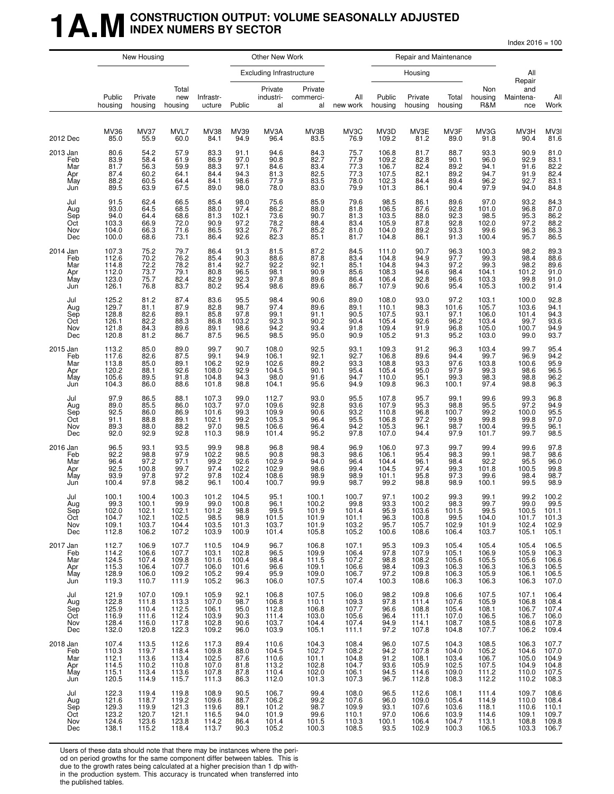## **1 A.M** CONSTRUCTION OUTPUT: VOLUME SEASONALLY ADJUSTED **INDEX NUMERS BY SECTOR**

|                                             | New Housing                                            |                                                    |                                                    |                                                    |                                                  | Other New Work                                      |                                                    |                                                    |                                                           |                                                    | Repair and Maintenance                             |                                                                                |                                                      |                                                    |
|---------------------------------------------|--------------------------------------------------------|----------------------------------------------------|----------------------------------------------------|----------------------------------------------------|--------------------------------------------------|-----------------------------------------------------|----------------------------------------------------|----------------------------------------------------|-----------------------------------------------------------|----------------------------------------------------|----------------------------------------------------|--------------------------------------------------------------------------------|------------------------------------------------------|----------------------------------------------------|
|                                             |                                                        |                                                    |                                                    |                                                    |                                                  | <b>Excluding Infrastructure</b>                     |                                                    |                                                    |                                                           | Housing                                            |                                                    |                                                                                | All                                                  |                                                    |
|                                             | Public<br>housing                                      | Private<br>housing                                 | Total<br>new<br>housing                            | Infrastr-<br>ucture                                | Public                                           | Private<br>industri-<br>al                          | Private<br>commerci-<br>al                         | All<br>new work                                    | Public<br>housing                                         | Private<br>housing                                 | Total<br>housing                                   | Non<br>housing<br>R&M                                                          | Repair<br>and<br>Maintena-<br>nce                    | All<br>Work                                        |
| 2012 Dec                                    | MV36<br>85.0                                           | MV37<br>55.9                                       | MVL7<br>60.0                                       | MV38<br>84.1                                       | MV39<br>94.9                                     | MV3A<br>96.4                                        | MV3B<br>83.5                                       | MV3C<br>76.9                                       | MV3D<br>109.2                                             | MV3E<br>81.2                                       | MV3F<br>89.0                                       | MV3G<br>91.8                                                                   | MV3H<br>90.4                                         | MV3I<br>81.6                                       |
| 2013 Jan<br>Feb<br>Mar<br>Apr<br>May<br>Jun | 80.6<br>83.9<br>81.7<br>87.4<br>88.2<br>89.5           | 54.2<br>58.4<br>56.3<br>60.2<br>60.5<br>63.9       | 57.9<br>61.9<br>59.9<br>64.1<br>64.4<br>67.5       | 83.3<br>86.9<br>88.3<br>84.4<br>84.1<br>89.0       | 91.1<br>97.0<br>97.1<br>94.3<br>98.6<br>98.0     | 94.6<br>90.8<br>84.6<br>81.3<br>77.9<br>78.0        | 84.3<br>82.7<br>83.4<br>82.5<br>83.5<br>83.0       | 75.7<br>77.9<br>77.3<br>77.3<br>78.0<br>79.9       | 106.8<br>109.2<br>106.7<br>107.5<br>102.3<br>101.3        | 81.7<br>82.8<br>82.4<br>82.1<br>84.4<br>86.1       | 88.7<br>90.1<br>89.2<br>89.2<br>89.4<br>90.4       | 93.3<br>96.0<br>94.1<br>94.7<br>96.2<br>97.9                                   | 90.9<br>92.9<br>91.6<br>91.9<br>92.7<br>94.0         | 81.0<br>83.1<br>82.2<br>82.4<br>83.1<br>84.8       |
| Jul<br>Aug<br>Sep<br>Oct<br>Nov<br>Dec      | 91.5<br>93.0<br>94.0<br>103.3<br>104.0<br>100.0        | 62.4<br>64.5<br>64.4<br>66.9<br>66.3<br>68.6       | 66.5<br>68.5<br>68.6<br>72.0<br>71.6<br>73.1       | 85.4<br>88.0<br>81.3<br>90.9<br>86.5<br>86.4       | 98.0<br>97.4<br>102.1<br>97.2<br>93.2<br>92.6    | 75.6<br>86.2<br>73.6<br>78.2<br>76.7<br>82.3        | 85.9<br>88.0<br>90.7<br>88.4<br>85.2<br>85.1       | 79.6<br>81.8<br>81.3<br>83.4<br>81.0<br>81.7       | 98.5<br>106.5<br>103.5<br>105.9<br>104.0<br>104.8         | 86.1<br>87.6<br>88.0<br>87.8<br>89.2<br>86.1       | 89.6<br>92.8<br>92.3<br>92.8<br>93.3<br>91.3       | 97.0<br>$\begin{array}{c} 101.0 \\ 98.5 \end{array}$<br>102.0<br>99.6<br>100.4 | 93.2<br>96.8<br>95.3<br>97.2<br>96.3<br>95.7         | 84.3<br>87.0<br>86.2<br>88.2<br>86.3<br>86.5       |
| 2014 Jan<br>Feb<br>Mar<br>Apr<br>May<br>Jun | 107.3<br>112.6<br>114.8<br>112.0<br>123.0<br>126.1     | 75.2<br>70.2<br>72.2<br>73.7<br>75.7<br>76.8       | 79.7<br>76.2<br>78.2<br>79.1<br>82.4<br>83.7       | 86.4<br>85.4<br>81.4<br>80.8<br>82.9<br>80.2       | 91.3<br>90.3<br>92.7<br>96.5<br>92.3<br>95.4     | 81.5<br>88.6<br>92.2<br>98.1<br>97.8<br>98.6        | 87.2<br>87.8<br>$\frac{92.1}{90.9}$<br>89.6        | 84.5<br>83.4<br>85.1<br>85.6<br>86.4<br>86.7       | 111.0<br>104.8<br>104.8<br>108.3<br>106.4<br>107.9        | 90.7<br>94.9<br>94.3<br>94.6<br>92.8<br>90.6       | 96.3<br>97.7<br>97.2<br>98.4<br>96.6<br>95.4       | 100.3<br>99.3<br>99.3<br>104.1<br>103.3<br>105.3                               | 98.2<br>98.4<br>98.2<br>101.2<br>99.8<br>100.2       | 89.3<br>88.6<br>89.6<br>91.0<br>91.0<br>91.4       |
| Jul<br>Aug<br>Sep<br>Oct<br>Nov<br>Dec      | $125.2$<br>$129.7$<br>128.8<br>126.1<br>121.8<br>120.8 | 81.2<br>81.1<br>82.6<br>82.2<br>84.3<br>81.2       | 87.4<br>87.9<br>89.1<br>88.3<br>89.6<br>86.7       | 83.6<br>82.8<br>85.8<br>86.8<br>89.1<br>87.5       | 95.5<br>98.7<br>97.8<br>103.2<br>98.6<br>96.5    | 98.4<br>97.4<br>99.1<br>92.3<br>94.2<br>98.5        | 90.6<br>89.6<br>91.1<br>90.2<br>93.4<br>95.0       | 89.0<br>89.1<br>90.5<br>90.4<br>91.8<br>90.9       | 108.0<br>$\frac{110.1}{107.5}$<br>105.4<br>109.4<br>105.2 | 93.0<br>98.3<br>93.1<br>92.6<br>91.9<br>91.3       | 97.2<br>101.6<br>97.1<br>96.2<br>96.8<br>95.2      | 103.1<br>105.7<br>106.0<br>103.4<br>105.0<br>103.0                             | 100.0<br>103.6<br>101.4<br>99.7<br>100.7<br>99.0     | 92.8<br>94.1<br>94.3<br>93.6<br>94.9<br>93.7       |
| 2015 Jan<br>Feb<br>Mar<br>Apr<br>May<br>Jun | 113.2<br>117.6<br>113.8<br>120.2<br>105.6<br>104.3     | 85.0<br>82.6<br>85.0<br>88.1<br>89.5<br>86.0       | 89.0<br>87.5<br>89.1<br>92.6<br>91.8<br>88.6       | 99.7<br>99.1<br>106.2<br>108.0<br>104.8<br>101.8   | 90.7<br>94.9<br>92.9<br>92.9<br>94.3<br>98.8     | 108.0<br>106.1<br>102.6<br>104.5<br>$98.0$<br>104.1 | 92.5<br>92.1<br>89.2<br>90.1<br>91.6<br>95.6       | 93.1<br>92.7<br>93.3<br>95.4<br>94.7<br>94.9       | 109.3<br>106.8<br>108.8<br>105.4<br>110.0<br>109.8        | 91.2<br>89.6<br>93.3<br>95.0<br>95.1<br>96.3       | 96.3<br>94.4<br>97.6<br>97.9<br>$99.3$<br>100.1    | 103.4<br>99.7<br>103.8<br>99.3<br>98.3<br>97.4                                 | 99.7<br>96.9<br>100.6<br>98.6<br>98.8<br>98.8        | 95.4<br>94.2<br>95.9<br>96.5<br>96.2<br>96.3       |
| Jul<br>Aug<br>Sep<br>Oct<br>Nov<br>Dec      | 97.9<br>89.0<br>92.5<br>91.1<br>89.3<br>92.0           | 86.5<br>85.5<br>86.0<br>88.8<br>88.0<br>92.9       | 88.1<br>86.0<br>86.9<br>89.1<br>88.2<br>92.8       | 107.3<br>103.7<br>101.6<br>102.1<br>97.0<br>110.3  | 99.0<br>97.0<br>99.3<br>99.2<br>98.5<br>98.9     | 112.7<br>109.6<br>109.9<br>105.3<br>106.6<br>101.4  | 93.0<br>92.8<br>90.6<br>96.4<br>96.4<br>95.2       | 95.5<br>93.6<br>93.2<br>95.5<br>94.2<br>97.8       | 107.8<br>107.9<br>110.8<br>106.8<br>105.3<br>107.0        | 95.7<br>95.3<br>96.8<br>97.2<br>96.1<br>94.4       | 99.1<br>98.8<br>100.7<br>99.9<br>98.7<br>97.9      | 99.6<br>95.5<br>99.2<br>99.8<br>100.4<br>101.7                                 | 99.3<br>97.2<br>100.0<br>99.8<br>99.5<br>99.7        | 96.8<br>94.9<br>95.5<br>97.0<br>96.1<br>98.5       |
| 2016 Jan<br>Feb<br>Mar<br>Apr<br>May<br>Jun | 96.5<br>92.2<br>96.4<br>92.5<br>93.9<br>100.4          | 93.1<br>98.8<br>97.2<br>100.8<br>97.8<br>97.8      | 93.5<br>97.9<br>97.1<br>99.7<br>97.2<br>98.2       | 99.9<br>102.2<br>99.2<br>97.4<br>97.8<br>96.1      | 98.8<br>98.5<br>92.6<br>102.2<br>102.4<br>100.4  | 96.8<br>90.8<br>102.9<br>102.9<br>108.6<br>100.7    | 98.4<br>98.3<br>94.0<br>98.6<br>98.9<br>99.9       | 96.9<br>98.6<br>96.4<br>99.4<br>98.9<br>98.7       | 106.0<br>106.1<br>104.4<br>104.5<br>101.1<br>99.2         | 97.3<br>95.4<br>96.1<br>97.4<br>95.8<br>98.8       | 99.7<br>98.3<br>98.4<br>99.3<br>97.3<br>98.9       | 99.4<br>99.1<br>92.2<br>101.8<br>99.6<br>100.1                                 | 99.6<br>98.7<br>$\frac{95.5}{100.5}$<br>98.4<br>99.5 | 97.8<br>98.6<br>96.0<br>99.8<br>98.7<br>98.9       |
| Jul<br>Aug<br>Sep<br>Oct<br>Nov<br>Dec      | 100.1<br>99.3<br>102.0<br>104.7<br>109.1<br>112.8      | 100.4<br>100.1<br>102.1<br>102.1<br>103.7<br>106.2 | 100.3<br>99.9<br>102.1<br>102.5<br>104.4<br>107.2  | 101.2<br>99.0<br>101.2<br>98.5<br>103.5<br>103.9   | 104.5<br>100.8<br>98.8<br>98.9<br>101.3<br>100.9 | 95.1<br>96.1<br>99.5<br>101.5<br>103.7<br>101.4     | 100.1<br>100.2<br>101.9<br>101.9<br>101.9<br>105.8 | 100.7<br>99.8<br>101.4<br>101.1<br>103.2<br>105.2  | 97.1<br>93.3<br>95.9<br>96.3<br>95.7<br>100.6             | 100.2<br>100.2<br>103.6<br>100.8<br>105.7<br>108.6 | 99.3<br>98.3<br>101.5<br>99.5<br>102.9<br>106.4    | 99.1<br>99.7<br>99.5<br>104.0<br>101.9<br>103.7                                | 99.2<br>99.0<br>100.5<br>101.7<br>102.4<br>105.1     | 100.2<br>99.5<br>101.1<br>101.3<br>102.9<br>105.1  |
| 2017 Jan<br>Feb<br>Mar<br>Apr<br>May<br>Jun | 112.7<br>114.2<br>124.5<br>115.3<br>128.9<br>119.3     | 106.9<br>106.6<br>107.4<br>106.4<br>106.0<br>110.7 | 107.7<br>107.7<br>109.8<br>107.7<br>109.2<br>111.9 | 110.5<br>103.1<br>101.6<br>106.0<br>105.2<br>105.2 | 104.9<br>102.8<br>100.4<br>101.6<br>99.4<br>96.3 | 96.7<br>96.5<br>98.4<br>96.6<br>95.9<br>106.0       | 106.8<br>109.9<br>111.5<br>109.1<br>109.0<br>107.5 | 107.1<br>106.4<br>107.2<br>106.6<br>106.7<br>107.4 | 95.3<br>97.8<br>98.8<br>98.4<br>97.2<br>100.3             | 109.3<br>107.9<br>108.2<br>109.3<br>109.8<br>108.6 | 105.4<br>105.1<br>105.6<br>106.3<br>106.3<br>106.3 | 105.4<br>106.9<br>105.5<br>106.3<br>105.9<br>106.3                             | 105.4<br>105.9<br>105.6<br>106.3<br>106.1<br>106.3   | 106.5<br>106.3<br>106.6<br>106.5<br>106.5<br>107.0 |
| Jul<br>Aug<br>Sep<br>Oct<br>Nov<br>Dec      | 121.9<br>122.8<br>125.9<br>116.9<br>128.4<br>132.0     | 107.0<br>111.8<br>110.4<br>111.6<br>116.0<br>120.8 | 109.1<br>113.3<br>112.5<br>112.4<br>117.8<br>122.3 | 105.9<br>107.0<br>106.1<br>103.9<br>102.8<br>109.2 | 92.1<br>98.7<br>95.0<br>90.3<br>90.6<br>96.0     | 106.8<br>106.8<br>112.8<br>111.4<br>103.7<br>103.9  | 107.5<br>110.1<br>106.8<br>103.0<br>104.4<br>105.1 | 106.0<br>109.3<br>107.7<br>105.6<br>107.4<br>111.1 | 98.2<br>97.8<br>96.6<br>96.4<br>94.9<br>97.2              | 109.8<br>111.4<br>108.8<br>111.1<br>114.1<br>107.8 | 106.6<br>107.6<br>105.4<br>107.0<br>108.7<br>104.8 | 107.5<br>105.9<br>108.1<br>106.5<br>108.5<br>107.7                             | 107.1<br>106.8<br>106.7<br>106.7<br>108.6<br>106.2   | 106.4<br>108.4<br>107.4<br>106.0<br>107.8<br>109.4 |
| 2018 Jan<br>Feb<br>Mar<br>Apr<br>May<br>Jun | 107.4<br>110.3<br>112.1<br>114.5<br>115.1<br>120.5     | 113.5<br>119.7<br>113.6<br>110.2<br>113.4<br>114.9 | 112.6<br>118.4<br>113.4<br>110.8<br>113.6<br>115.7 | 117.3<br>109.8<br>102.5<br>107.0<br>107.8<br>111.3 | 89.4<br>88.0<br>87.6<br>81.8<br>87.8<br>86.3     | 110.6<br>104.5<br>110.6<br>113.2<br>110.4<br>112.0  | 104.3<br>102.7<br>101.1<br>102.8<br>102.0<br>101.3 | 108.4<br>108.2<br>104.8<br>104.7<br>106.1<br>107.3 | 96.0<br>94.2<br>91.2<br>93.6<br>94.5<br>96.7              | 107.5<br>107.8<br>108.1<br>105.9<br>114.6<br>112.8 | 104.3<br>104.0<br>103.4<br>102.5<br>109.0<br>108.3 | 108.5<br>105.2<br>106.7<br>107.5<br>111.2<br>112.2                             | 106.3<br>104.6<br>105.0<br>104.9<br>110.0<br>110.2   | 107.7<br>107.0<br>104.9<br>104.8<br>107.5<br>108.3 |
| Jul<br>Aug<br>Sep<br>Oct<br>Nov<br>Dec      | 122.3<br>121.6<br>129.3<br>123.2<br>124.6<br>138.1     | 119.4<br>118.7<br>119.9<br>120.7<br>123.6<br>115.2 | 119.8<br>119.2<br>121.3<br>121.1<br>123.8<br>118.4 | 108.9<br>109.6<br>119.6<br>116.5<br>114.2<br>113.7 | 90.5<br>88.7<br>89.1<br>94.0<br>86.4<br>90.3     | 106.7<br>106.2<br>101.2<br>101.9<br>101.4<br>105.2  | 99.4<br>99.2<br>98.7<br>$99.6$<br>101.5<br>100.3   | 108.0<br>107.6<br>109.9<br>110.1<br>110.3<br>108.5 | 96.5<br>96.0<br>93.1<br>97.0<br>100.1<br>93.5             | 112.6<br>109.0<br>107.6<br>106.6<br>106.4<br>102.9 | 108.1<br>105.4<br>103.6<br>103.9<br>104.7<br>100.3 | 111.4<br>114.9<br>118.1<br>114.6<br>113.1<br>106.5                             | 109.7<br>110.0<br>110.6<br>109.1<br>108.8<br>103.3   | 108.6<br>108.4<br>110.1<br>109.7<br>109.8<br>106.7 |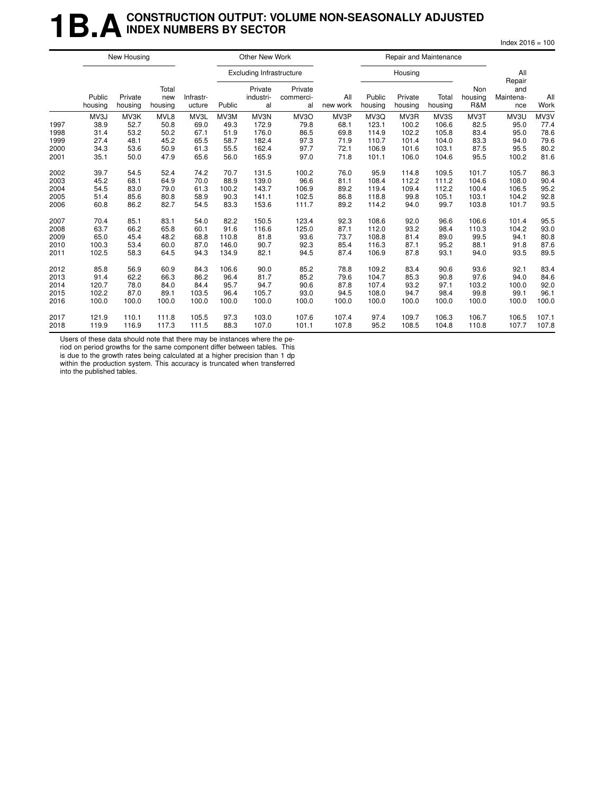## **1B.A** CONSTRUCTION OUTPUT: VOLUME NON-SEASONALLY ADJUSTED **INDEX NUMBERS BY SECTOR**

 $Index 2016 = 100$ 

|      | New Housing       |                    |                         |                     | Other New Work |                                 |                            |                 | Repair and Maintenance |                    |                  |                       |                         |             |
|------|-------------------|--------------------|-------------------------|---------------------|----------------|---------------------------------|----------------------------|-----------------|------------------------|--------------------|------------------|-----------------------|-------------------------|-------------|
|      |                   |                    |                         |                     |                | <b>Excluding Infrastructure</b> |                            |                 |                        | Housing            |                  |                       | All<br>Repair           |             |
|      | Public<br>housing | Private<br>housing | Total<br>new<br>housing | Infrastr-<br>ucture | Public         | Private<br>industri-<br>al      | Private<br>commerci-<br>al | All<br>new work | Public<br>housing      | Private<br>housing | Total<br>housing | Non<br>housing<br>R&M | and<br>Maintena-<br>nce | All<br>Work |
|      | MV3J              | MV3K               | MVL8                    | MV3L                | MV3M           | MV3N                            | MV <sub>3</sub> O          | MV3P            | MV3Q                   | MV3R               | MV3S             | MV3T                  | MV3U                    | MV3V        |
| 1997 | 38.9              | 52.7               | 50.8                    | 69.0                | 49.3           | 172.9                           | 79.8                       | 68.1            | 123.1                  | 100.2              | 106.6            | 82.5                  | 95.0                    | 77.4        |
| 1998 | 31.4              | 53.2               | 50.2                    | 67.1                | 51.9           | 176.0                           | 86.5                       | 69.8            | 114.9                  | 102.2              | 105.8            | 83.4                  | 95.0                    | 78.6        |
| 1999 | 27.4              | 48.1               | 45.2                    | 65.5                | 58.7           | 182.4                           | 97.3                       | 71.9            | 110.7                  | 101.4              | 104.0            | 83.3                  | 94.0                    | 79.6        |
| 2000 | 34.3              | 53.6               | 50.9                    | 61.3                | 55.5           | 162.4                           | 97.7                       | 72.1            | 106.9                  | 101.6              | 103.1            | 87.5                  | 95.5                    | 80.2        |
| 2001 | 35.1              | 50.0               | 47.9                    | 65.6                | 56.0           | 165.9                           | 97.0                       | 71.8            | 101.1                  | 106.0              | 104.6            | 95.5                  | 100.2                   | 81.6        |
| 2002 | 39.7              | 54.5               | 52.4                    | 74.2                | 70.7           | 131.5                           | 100.2                      | 76.0            | 95.9                   | 114.8              | 109.5            | 101.7                 | 105.7                   | 86.3        |
| 2003 | 45.2              | 68.1               | 64.9                    | 70.0                | 88.9           | 139.0                           | 96.6                       | 81.1            | 108.4                  | 112.2              | 111.2            | 104.6                 | 108.0                   | 90.4        |
| 2004 | 54.5              | 83.0               | 79.0                    | 61.3                | 100.2          | 143.7                           | 106.9                      | 89.2            | 119.4                  | 109.4              | 112.2            | 100.4                 | 106.5                   | 95.2        |
| 2005 | 51.4              | 85.6               | 80.8                    | 58.9                | 90.3           | 141.1                           | 102.5                      | 86.8            | 118.8                  | 99.8               | 105.1            | 103.1                 | 104.2                   | 92.8        |
| 2006 | 60.8              | 86.2               | 82.7                    | 54.5                | 83.3           | 153.6                           | 111.7                      | 89.2            | 114.2                  | 94.0               | 99.7             | 103.8                 | 101.7                   | 93.5        |
| 2007 | 70.4              | 85.1               | 83.1                    | 54.0                | 82.2           | 150.5                           | 123.4                      | 92.3            | 108.6                  | 92.0               | 96.6             | 106.6                 | 101.4                   | 95.5        |
| 2008 | 63.7              | 66.2               | 65.8                    | 60.1                | 91.6           | 116.6                           | 125.0                      | 87.1            | 112.0                  | 93.2               | 98.4             | 110.3                 | 104.2                   | 93.0        |
| 2009 | 65.0              | 45.4               | 48.2                    | 68.8                | 110.8          | 81.8                            | 93.6                       | 73.7            | 108.8                  | 81.4               | 89.0             | 99.5                  | 94.1                    | 80.8        |
| 2010 | 100.3             | 53.4               | 60.0                    | 87.0                | 146.0          | 90.7                            | 92.3                       | 85.4            | 116.3                  | 87.1               | 95.2             | 88.1                  | 91.8                    | 87.6        |
| 2011 | 102.5             | 58.3               | 64.5                    | 94.3                | 134.9          | 82.1                            | 94.5                       | 87.4            | 106.9                  | 87.8               | 93.1             | 94.0                  | 93.5                    | 89.5        |
| 2012 | 85.8              | 56.9               | 60.9                    | 84.3                | 106.6          | 90.0                            | 85.2                       | 78.8            | 109.2                  | 83.4               | 90.6             | 93.6                  | 92.1                    | 83.4        |
| 2013 | 91.4              | 62.2               | 66.3                    | 86.2                | 96.4           | 81.7                            | 85.2                       | 79.6            | 104.7                  | 85.3               | 90.8             | 97.6                  | 94.0                    | 84.6        |
| 2014 | 120.7             | 78.0               | 84.0                    | 84.4                | 95.7           | 94.7                            | 90.6                       | 87.8            | 107.4                  | 93.2               | 97.1             | 103.2                 | 100.0                   | 92.0        |
| 2015 | 102.2             | 87.0               | 89.1                    | 103.5               | 96.4           | 105.7                           | 93.0                       | 94.5            | 108.0                  | 94.7               | 98.4             | 99.8                  | 99.1                    | 96.1        |
| 2016 | 100.0             | 100.0              | 100.0                   | 100.0               | 100.0          | 100.0                           | 100.0                      | 100.0           | 100.0                  | 100.0              | 100.0            | 100.0                 | 100.0                   | 100.0       |
| 2017 | 121.9             | 110.1              | 111.8                   | 105.5               | 97.3           | 103.0                           | 107.6                      | 107.4           | 97.4                   | 109.7              | 106.3            | 106.7                 | 106.5                   | 107.1       |
| 2018 | 119.9             | 116.9              | 117.3                   | 111.5               | 88.3           | 107.0                           | 101.1                      | 107.8           | 95.2                   | 108.5              | 104.8            | 110.8                 | 107.7                   | 107.8       |

Users of these data should note that there may be instances where the pe-

riod on period growths for the same component differ between tables. This is due to the growth rates being calculated at a higher precision than 1 dp within the production system. This accuracy is truncated when transferred into the published tables.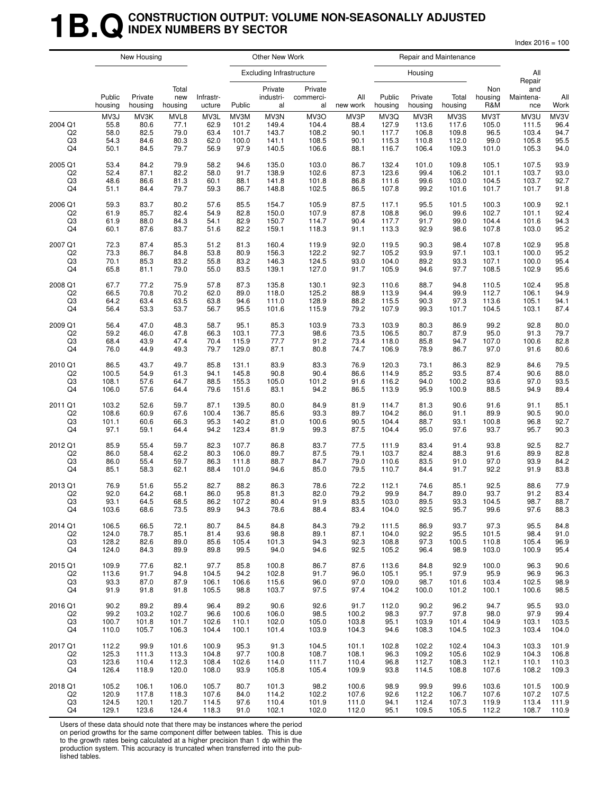## **1B.Q** CONSTRUCTION OUTPUT: VOLUME NON-SEASONALLY ADJUSTED **INDEX NUMBERS BY SECTOR**

 $Index 2016 = 100$ 

|                                       | New Housing                          |                                      |                                      | Other New Work                       |                                         |                                          |                                          | Repair and Maintenance               |                                          |                                          |                                          |                                        |                                          |                                      |
|---------------------------------------|--------------------------------------|--------------------------------------|--------------------------------------|--------------------------------------|-----------------------------------------|------------------------------------------|------------------------------------------|--------------------------------------|------------------------------------------|------------------------------------------|------------------------------------------|----------------------------------------|------------------------------------------|--------------------------------------|
|                                       |                                      |                                      |                                      |                                      |                                         | <b>Excluding Infrastructure</b>          |                                          |                                      |                                          | Housing                                  |                                          |                                        | All<br>Repair                            |                                      |
|                                       | Public<br>housing                    | Private<br>housing                   | Total<br>new<br>housing              | Infrastr-<br>ucture                  | Public                                  | Private<br>industri-<br>al               | Private<br>commerci-<br>al               | All<br>new work                      | Public<br>housing                        | Private<br>housing                       | Total<br>housing                         | Non<br>housing<br>R&M                  | and<br>Maintena-<br>nce                  | All<br>Work                          |
| 2004 Q1<br>Q <sub>2</sub><br>Q3<br>Q4 | MV3J<br>55.8<br>58.0<br>54.3<br>50.1 | MV3K<br>80.6<br>82.5<br>84.6<br>84.5 | MVL8<br>77.1<br>79.0<br>80.3<br>79.7 | MV3L<br>62.9<br>63.4<br>62.0<br>56.9 | MV3M<br>101.2<br>101.7<br>100.0<br>97.9 | MV3N<br>149.4<br>143.7<br>141.1<br>140.5 | MV3O<br>104.4<br>108.2<br>108.5<br>106.6 | MV3P<br>88.4<br>90.1<br>90.1<br>88.1 | MV3Q<br>127.9<br>117.7<br>115.3<br>116.7 | MV3R<br>113.6<br>106.8<br>110.8<br>106.4 | MV3S<br>117.6<br>109.8<br>112.0<br>109.3 | MV3T<br>105.0<br>96.5<br>99.0<br>101.0 | MV3U<br>111.5<br>103.4<br>105.8<br>105.3 | MV3V<br>96.4<br>94.7<br>95.5<br>94.0 |
| 2005 Q1                               | 53.4                                 | 84.2                                 | 79.9                                 | 58.2                                 | 94.6                                    | 135.0                                    | 103.0                                    | 86.7                                 | 132.4                                    | 101.0                                    | 109.8                                    | 105.1                                  | 107.5                                    | 93.9                                 |
| Q <sub>2</sub>                        | 52.4                                 | 87.1                                 | 82.2                                 | 58.0                                 | 91.7                                    | 138.9                                    | 102.6                                    | 87.3                                 | 123.6                                    | 99.4                                     | 106.2                                    | 101.1                                  | 103.7                                    | 93.0                                 |
| Q3                                    | 48.6                                 | 86.6                                 | 81.3                                 | 60.1                                 | 88.1                                    | 141.8                                    | 101.8                                    | 86.8                                 | 111.6                                    | 99.6                                     | 103.0                                    | 104.5                                  | 103.7                                    | 92.7                                 |
| Q4                                    | 51.1                                 | 84.4                                 | 79.7                                 | 59.3                                 | 86.7                                    | 148.8                                    | 102.5                                    | 86.5                                 | 107.8                                    | 99.2                                     | 101.6                                    | 101.7                                  | 101.7                                    | 91.8                                 |
| 2006 Q1                               | 59.3                                 | 83.7                                 | 80.2                                 | 57.6                                 | 85.5                                    | 154.7                                    | 105.9                                    | 87.5                                 | 117.1                                    | 95.5                                     | 101.5                                    | 100.3                                  | 100.9                                    | 92.1                                 |
| Q2                                    | 61.9                                 | 85.7                                 | 82.4                                 | 54.9                                 | 82.8                                    | 150.0                                    | 107.9                                    | 87.8                                 | 108.8                                    | 96.0                                     | 99.6                                     | 102.7                                  | 101.1                                    | 92.4                                 |
| Q3                                    | 61.9                                 | 88.0                                 | 84.3                                 | 54.1                                 | 82.9                                    | 150.7                                    | 114.7                                    | 90.4                                 | 117.7                                    | 91.7                                     | 99.0                                     | 104.4                                  | 101.6                                    | 94.3                                 |
| Q4                                    | 60.1                                 | 87.6                                 | 83.7                                 | 51.6                                 | 82.2                                    | 159.1                                    | 118.3                                    | 91.1                                 | 113.3                                    | 92.9                                     | 98.6                                     | 107.8                                  | 103.0                                    | 95.2                                 |
| 2007 Q1                               | 72.3                                 | 87.4                                 | 85.3                                 | 51.2                                 | 81.3                                    | 160.4                                    | 119.9                                    | 92.0                                 | 119.5                                    | 90.3                                     | 98.4                                     | 107.8                                  | 102.9                                    | 95.8                                 |
| Q <sub>2</sub>                        | 73.3                                 | 86.7                                 | 84.8                                 | 53.8                                 | 80.9                                    | 156.3                                    | 122.2                                    | 92.7                                 | 105.2                                    | 93.9                                     | 97.1                                     | 103.1                                  | 100.0                                    | 95.2                                 |
| Q3                                    | 70.1                                 | 85.3                                 | 83.2                                 | 55.8                                 | 83.2                                    | 146.3                                    | 124.5                                    | 93.0                                 | 104.0                                    | 89.2                                     | 93.3                                     | 107.1                                  | 100.0                                    | 95.4                                 |
| Q4                                    | 65.8                                 | 81.1                                 | 79.0                                 | 55.0                                 | 83.5                                    | 139.1                                    | 127.0                                    | 91.7                                 | 105.9                                    | 94.6                                     | 97.7                                     | 108.5                                  | 102.9                                    | 95.6                                 |
| 2008 Q1                               | 67.7                                 | 77.2                                 | 75.9                                 | 57.8                                 | 87.3                                    | 135.8                                    | 130.1                                    | 92.3                                 | 110.6                                    | 88.7                                     | 94.8                                     | 110.5                                  | 102.4                                    | 95.8                                 |
| Q <sub>2</sub>                        | 66.5                                 | 70.8                                 | 70.2                                 | 62.0                                 | 89.0                                    | 118.0                                    | 125.2                                    | 88.9                                 | 113.9                                    | 94.4                                     | 99.9                                     | 112.7                                  | 106.1                                    | 94.9                                 |
| Q3                                    | 64.2                                 | 63.4                                 | 63.5                                 | 63.8                                 | 94.6                                    | 111.0                                    | 128.9                                    | 88.2                                 | 115.5                                    | 90.3                                     | 97.3                                     | 113.6                                  | 105.1                                    | 94.1                                 |
| Q4                                    | 56.4                                 | 53.3                                 | 53.7                                 | 56.7                                 | 95.5                                    | 101.6                                    | 115.9                                    | 79.2                                 | 107.9                                    | 99.3                                     | 101.7                                    | 104.5                                  | 103.1                                    | 87.4                                 |
| 2009 Q1                               | 56.4                                 | 47.0                                 | 48.3                                 | 58.7                                 | 95.1                                    | 85.3                                     | 103.9                                    | 73.3                                 | 103.9                                    | 80.3                                     | 86.9                                     | 99.2                                   | 92.8                                     | 80.0                                 |
| Q2                                    | 59.2                                 | 46.0                                 | 47.8                                 | 66.3                                 | 103.1                                   | 77.3                                     | 98.6                                     | 73.5                                 | 106.5                                    | 80.7                                     | 87.9                                     | 95.0                                   | 91.3                                     | 79.7                                 |
| Q3                                    | 68.4                                 | 43.9                                 | 47.4                                 | 70.4                                 | 115.9                                   | 77.7                                     | 91.2                                     | 73.4                                 | 118.0                                    | 85.8                                     | 94.7                                     | 107.0                                  | 100.6                                    | 82.8                                 |
| Q4                                    | 76.0                                 | 44.9                                 | 49.3                                 | 79.7                                 | 129.0                                   | 87.1                                     | 80.8                                     | 74.7                                 | 106.9                                    | 78.9                                     | 86.7                                     | 97.0                                   | 91.6                                     | 80.6                                 |
| 2010 Q1                               | 86.5                                 | 43.7                                 | 49.7                                 | 85.8                                 | 131.1                                   | 83.9                                     | 83.3                                     | 76.9                                 | 120.3                                    | 73.1                                     | 86.3                                     | 82.9                                   | 84.6                                     | 79.5                                 |
| Q <sub>2</sub>                        | 100.5                                | 54.9                                 | 61.3                                 | 94.1                                 | 145.8                                   | 90.8                                     | 90.4                                     | 86.6                                 | 114.9                                    | 85.2                                     | 93.5                                     | 87.4                                   | 90.6                                     | 88.0                                 |
| Q3                                    | 108.1                                | 57.6                                 | 64.7                                 | 88.5                                 | 155.3                                   | 105.0                                    | 101.2                                    | 91.6                                 | 116.2                                    | 94.0                                     | 100.2                                    | 93.6                                   | 97.0                                     | 93.5                                 |
| Q4                                    | 106.0                                | 57.6                                 | 64.4                                 | 79.6                                 | 151.6                                   | 83.1                                     | 94.2                                     | 86.5                                 | 113.9                                    | 95.9                                     | 100.9                                    | 88.5                                   | 94.9                                     | 89.4                                 |
| 2011 Q1                               | 103.2                                | 52.6                                 | 59.7                                 | 87.1                                 | 139.5                                   | 80.0                                     | 84.9                                     | 81.9                                 | 114.7                                    | 81.3                                     | 90.6                                     | 91.6                                   | 91.1                                     | 85.1                                 |
| Q <sub>2</sub>                        | 108.6                                | 60.9                                 | 67.6                                 | 100.4                                | 136.7                                   | 85.6                                     | 93.3                                     | 89.7                                 | 104.2                                    | 86.0                                     | 91.1                                     | 89.9                                   | 90.5                                     | 90.0                                 |
| Q3                                    | 101.1                                | 60.6                                 | 66.3                                 | 95.3                                 | 140.2                                   | 81.0                                     | 100.6                                    | 90.5                                 | 104.4                                    | 88.7                                     | 93.1                                     | 100.8                                  | 96.8                                     | 92.7                                 |
| Q4                                    | 97.1                                 | 59.1                                 | 64.4                                 | 94.2                                 | 123.4                                   | 81.9                                     | 99.3                                     | 87.5                                 | 104.4                                    | 95.0                                     | 97.6                                     | 93.7                                   | 95.7                                     | 90.3                                 |
| 2012 Q1                               | 85.9                                 | 55.4                                 | 59.7                                 | 82.3                                 | 107.7                                   | 86.8                                     | 83.7                                     | 77.5                                 | 111.9                                    | 83.4                                     | 91.4                                     | 93.8                                   | 92.5                                     | 82.7                                 |
| Q2                                    | 86.0                                 | 58.4                                 | 62.2                                 | 80.3                                 | 106.0                                   | 89.7                                     | 87.5                                     | 79.1                                 | 103.7                                    | 82.4                                     | 88.3                                     | 91.6                                   | 89.9                                     | 82.8                                 |
| Q3                                    | 86.0                                 | 55.4                                 | 59.7                                 | 86.3                                 | 111.8                                   | 88.7                                     | 84.7                                     | 79.0                                 | 110.6                                    | 83.5                                     | 91.0                                     | 97.0                                   | 93.9                                     | 84.2                                 |
| Q4                                    | 85.1                                 | 58.3                                 | 62.1                                 | 88.4                                 | 101.0                                   | 94.6                                     | 85.0                                     | 79.5                                 | 110.7                                    | 84.4                                     | 91.7                                     | 92.2                                   | 91.9                                     | 83.8                                 |
| 2013 Q1                               | 76.9                                 | 51.6                                 | 55.2                                 | 82.7                                 | 88.2                                    | 86.3                                     | 78.6                                     | 72.2                                 | 112.1                                    | 74.6                                     | 85.1                                     | 92.5                                   | 88.6                                     | 77.9                                 |
| Q <sub>2</sub>                        | 92.0                                 | 64.2                                 | 68.1                                 | 86.0                                 | 95.8                                    | 81.3                                     | 82.0                                     | 79.2                                 | 99.9                                     | 84.7                                     | 89.0                                     | 93.7                                   | 91.2                                     | 83.4                                 |
| Q3                                    | 93.1                                 | 64.5                                 | 68.5                                 | 86.2                                 | 107.2                                   | 80.4                                     | 91.9                                     | 83.5                                 | 103.0                                    | 89.5                                     | 93.3                                     | 104.5                                  | 98.7                                     | 88.7                                 |
| Q4                                    | 103.6                                | 68.6                                 | 73.5                                 | 89.9                                 | 94.3                                    | 78.6                                     | 88.4                                     | 83.4                                 | 104.0                                    | 92.5                                     | 95.7                                     | 99.6                                   | 97.6                                     | 88.3                                 |
| 2014 Q1                               | 106.5                                | 66.5                                 | 72.1                                 | 80.7                                 | 84.5                                    | 84.8                                     | 84.3                                     | 79.2                                 | 111.5                                    | 86.9                                     | 93.7                                     | 97.3                                   | 95.5                                     | 84.8                                 |
| Q2                                    | 124.0                                | 78.7                                 | 85.1                                 | 81.4                                 | 93.6                                    | 98.8                                     | 89.1                                     | 87.1                                 | 104.0                                    | 92.2                                     | 95.5                                     | 101.5                                  | 98.4                                     | 91.0                                 |
| Q3                                    | 128.2                                | 82.6                                 | 89.0                                 | 85.6                                 | 105.4                                   | 101.3                                    | 94.3                                     | 92.3                                 | 108.8                                    | 97.3                                     | 100.5                                    | 110.8                                  | 105.4                                    | 96.9                                 |
| Q4                                    | 124.0                                | 84.3                                 | 89.9                                 | 89.8                                 | 99.5                                    | 94.0                                     | 94.6                                     | 92.5                                 | 105.2                                    | 96.4                                     | 98.9                                     | 103.0                                  | 100.9                                    | 95.4                                 |
| 2015 Q1                               | 109.9                                | 77.6                                 | 82.1                                 | 97.7                                 | 85.8                                    | 100.8                                    | 86.7                                     | 87.6                                 | 113.6                                    | 84.8                                     | 92.9                                     | 100.0                                  | 96.3                                     | 90.6                                 |
| Q <sub>2</sub>                        | 113.6                                | 91.7                                 | 94.8                                 | 104.5                                | 94.2                                    | 102.8                                    | 91.7                                     | 96.0                                 | 105.1                                    | 95.1                                     | 97.9                                     | 95.9                                   | 96.9                                     | 96.3                                 |
| Q3                                    | 93.3                                 | 87.0                                 | 87.9                                 | 106.1                                | 106.6                                   | 115.6                                    | 96.0                                     | 97.0                                 | 109.0                                    | 98.7                                     | 101.6                                    | 103.4                                  | 102.5                                    | 98.9                                 |
| Q4                                    | 91.9                                 | 91.8                                 | 91.8                                 | 105.5                                | 98.8                                    | 103.7                                    | 97.5                                     | 97.4                                 | 104.2                                    | 100.0                                    | 101.2                                    | 100.1                                  | 100.6                                    | 98.5                                 |
| 2016 Q1                               | 90.2                                 | 89.2                                 | 89.4                                 | 96.4                                 | 89.2                                    | 90.6                                     | 92.6                                     | 91.7                                 | 112.0                                    | 90.2                                     | 96.2                                     | 94.7                                   | 95.5                                     | 93.0                                 |
| Q2                                    | 99.2                                 | 103.2                                | 102.7                                | 96.6                                 | 100.6                                   | 106.0                                    | 98.5                                     | 100.2                                | 98.3                                     | 97.7                                     | 97.8                                     | 98.0                                   | 97.9                                     | 99.4                                 |
| Q3                                    | 100.7                                | 101.8                                | 101.7                                | 102.6                                | 110.1                                   | 102.0                                    | 105.0                                    | 103.8                                | 95.1                                     | 103.9                                    | 101.4                                    | 104.9                                  | 103.1                                    | 103.5                                |
| Q4                                    | 110.0                                | 105.7                                | 106.3                                | 104.4                                | 100.1                                   | 101.4                                    | 103.9                                    | 104.3                                | 94.6                                     | 108.3                                    | 104.5                                    | 102.3                                  | 103.4                                    | 104.0                                |
| 2017 Q1                               | 112.2                                | 99.9                                 | 101.6                                | 100.9                                | 95.3                                    | 91.3                                     | 104.5                                    | 101.1                                | 102.8                                    | 102.2                                    | 102.4                                    | 104.3                                  | 103.3                                    | 101.9                                |
| Q2                                    | 125.3                                | 111.3                                | 113.3                                | 104.8                                | 97.7                                    | 100.8                                    | 108.7                                    | 108.1                                | 96.3                                     | 109.2                                    | 105.6                                    | 102.9                                  | 104.3                                    | 106.8                                |
| Q3                                    | 123.6                                | 110.4                                | 112.3                                | 108.4                                | 102.6                                   | 114.0                                    | 111.7                                    | 110.4                                | 96.8                                     | 112.7                                    | 108.3                                    | 112.1                                  | 110.1                                    | 110.3                                |
| Q4                                    | 126.4                                | 118.9                                | 120.0                                | 108.0                                | 93.9                                    | 105.8                                    | 105.4                                    | 109.9                                | 93.8                                     | 114.5                                    | 108.8                                    | 107.6                                  | 108.2                                    | 109.3                                |
| 2018 Q1                               | 105.2                                | 106.1                                | 106.0                                | 105.7                                | 80.7                                    | 101.3                                    | 98.2                                     | 100.6                                | 98.9                                     | 99.9                                     | 99.6                                     | 103.6                                  | 101.5                                    | 100.9                                |
| Q <sub>2</sub>                        | 120.9                                | 117.8                                | 118.3                                | 107.6                                | 84.0                                    | 114.2                                    | 102.2                                    | 107.6                                | 92.6                                     | 112.2                                    | 106.7                                    | 107.6                                  | 107.2                                    | 107.5                                |
| Q3                                    | 124.5                                | 120.1                                | 120.7                                | 114.5                                | 97.6                                    | 110.4                                    | 101.9                                    | 111.0                                | 94.1                                     | 112.4                                    | 107.3                                    | 119.9                                  | 113.4                                    | 111.9                                |
| Q4                                    | 129.1                                | 123.6                                | 124.4                                | 118.3                                | 91.0                                    | 102.1                                    | 102.0                                    | 112.0                                | 95.1                                     | 109.5                                    | 105.5                                    | 112.2                                  | 108.7                                    | 110.9                                |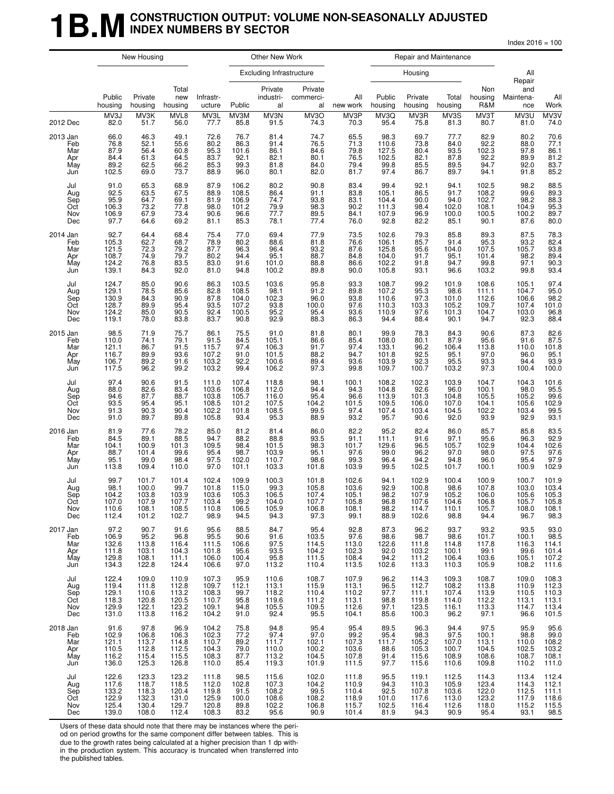### **1B.M** CONSTRUCTION OUTPUT: VOLUME NON-SEASONALLY ADJUSTED **INDEX NUMBERS BY SECTOR**

 $Index 2016 = 100$ 

|                                               | New Housing                                        |                                                    |                                                    |                                                    | Other New Work                                    |                                                                                 |                                                   |                                                    | Repair and Maintenance                             |                                                    |                                                   |                                                          |                                                         |                                                           |
|-----------------------------------------------|----------------------------------------------------|----------------------------------------------------|----------------------------------------------------|----------------------------------------------------|---------------------------------------------------|---------------------------------------------------------------------------------|---------------------------------------------------|----------------------------------------------------|----------------------------------------------------|----------------------------------------------------|---------------------------------------------------|----------------------------------------------------------|---------------------------------------------------------|-----------------------------------------------------------|
|                                               |                                                    |                                                    |                                                    |                                                    |                                                   | <b>Excluding Infrastructure</b>                                                 |                                                   |                                                    |                                                    | Housing                                            |                                                   |                                                          | All<br>Repair                                           |                                                           |
|                                               | Public<br>housing                                  | Private<br>housing                                 | Total<br>new<br>housing                            | Infrastr-<br>ucture                                | Public                                            | Private<br>industri-<br>al                                                      | Private<br>commerci-<br>al                        | All<br>new work                                    | Public<br>housing                                  | Private<br>housing                                 | Total<br>housing                                  | Non<br>housing<br>R&M                                    | and<br>Maintena-<br>nce                                 | All<br>Work                                               |
| 2012 Dec                                      | MV3J<br>82.0                                       | MV3K<br>51.7                                       | MVL8<br>56.0                                       | MV3L<br>77.7                                       | MV3M<br>85.8                                      | MV3N<br>91.5                                                                    | MV3O<br>74.3                                      | MV3P<br>70.3                                       | MV3Q<br>95.4                                       | MV3R<br>75.8                                       | MV3S<br>81.3                                      | MV3T<br>80.7                                             | MV3U<br>81.0                                            | MV3V<br>74.0                                              |
| 2013 Jan<br>Feb<br>Mar<br>Apr<br>May<br>Jun   | 66.0<br>76.8<br>87.9<br>84.4<br>89.2<br>102.5      | 46.3<br>52.1<br>56.4<br>61.3<br>62.5<br>69.0       | 49.1<br>55.6<br>60.8<br>64.5<br>66.2<br>73.7       | 72.6<br>80.2<br>95.3<br>83.7<br>85.3<br>88.9       | 76.7<br>86.3<br>101.6<br>92.1<br>99.3<br>96.0     | 81.4<br>91.4<br>86.1<br>82.1<br>81.8<br>80.1                                    | 74.7<br>76.5<br>84.6<br>80.1<br>84.0<br>82.0      | 65.5<br>71.3<br>79.8<br>76.5<br>79.4<br>81.7       | 98.3<br>110.6<br>127.5<br>102.5<br>99.8<br>97.4    | 69.7<br>73.8<br>80.4<br>82.1<br>85.5<br>86.7       | 77.7<br>84.0<br>93.5<br>87.8<br>89.5<br>89.7      | 82.9<br>92.2<br>102.3<br>92.2<br>94.7<br>94.1            | 80.2<br>88.0<br>97.8<br>89.9<br>92.0<br>91.8            | 70.6<br>77.1<br>86.1<br>$81.2$<br>$83.7$<br>$85.2$        |
| Jul<br>Aug<br>Sep<br>Oct<br>Nov<br>Dec        | 91.0<br>92.5<br>95.9<br>106.3<br>106.9<br>97.7     | 65.3<br>63.5<br>64.7<br>73.2<br>67.9<br>64.6       | 68.9<br>67.5<br>69.1<br>77.8<br>73.4<br>69.2       | 87.9<br>88.9<br>81.9<br>98.0<br>90.6<br>81.1       | 106.2<br>108.5<br>106.9<br>101.2<br>96.6<br>85.3  | 80.2<br>86.4<br>74.7<br>79.9<br>77.7<br>78.1                                    | 90.8<br>91.1<br>93.8<br>98.3<br>89.5<br>77.4      | 83.4<br>83.8<br>83.1<br>90.2<br>84.1<br>76.0       | 99.4<br>105.1<br>104.4<br>111.3<br>107.9<br>92.8   | 92.1<br>86.5<br>90.0<br>98.4<br>96.9<br>82.2       | 94.1<br>91.7<br>94.0<br>102.0<br>100.0<br>85.1    | 102.5<br>108.2<br>102.7<br>108.1<br>100.5<br>90.1        | 98.2<br>99.6<br>98.2<br>104.9<br>100.2<br>87.6          | 88.5<br>89.3<br>88.3<br>95.3<br>89.7<br>80.0              |
| 2014 Jan<br>Feb<br>Mar<br>Apr<br>May<br>Jun   | 92.7<br>105.3<br>121.5<br>108.7<br>124.2<br>139.1  | 64.4<br>62.7<br>72.3<br>74.9<br>76.8<br>84.3       | 68.4<br>68.7<br>79.2<br>79.7<br>83.5<br>92.0       | 75.4<br>78.9<br>87.7<br>80.2<br>83.0<br>81.0       | 77.0<br>80.2<br>96.3<br>94.4<br>91.6<br>94.8      | 69.4<br>88.6<br>96.4<br>95.1<br>101.0<br>100.2                                  | 77.9<br>81.8<br>93.2<br>88.7<br>88.8<br>89.8      | 73.5<br>76.6<br>87.6<br>84.8<br>86.6<br>90.0       | 102.6<br>106.1<br>125.8<br>104.0<br>102.2<br>105.8 | 79.3<br>85.7<br>95.6<br>91.7<br>91.8<br>93.1       | 85.8<br>91.4<br>104.0<br>95.1<br>94.7<br>96.6     | 89.3<br>95.3<br>107.5<br>101.4<br>99.8<br>103.2          | 87.5<br>$93.2$<br>105.7<br>98.2<br>97.1<br>99.8         | 78.3<br>82.4<br>83.8<br>89.4<br>90.3<br>93.4              |
| Jul<br>Aug<br>Sep<br>Oct<br>Nov<br>Dec        | 124.7<br>129.1<br>130.9<br>128.7<br>124.2<br>119.1 | 85.0<br>78.5<br>84.3<br>89.9<br>85.0<br>78.0       | 90.6<br>85.6<br>90.9<br>95.4<br>90.5<br>83.8       | 86.3<br>82.8<br>87.8<br>93.5<br>92.4<br>83.7       | 103.5<br>108.5<br>104.0<br>107.2<br>100.5<br>90.8 | 103.6<br>98.1<br>102.3<br>93.8<br>95.2<br>92.9                                  | 95.8<br>91.2<br>96.0<br>100.0<br>95.4<br>88.3     | 93.3<br>89.8<br>93.8<br>97.6<br>93.6<br>86.3       | 108.7<br>107.2<br>110.6<br>110.3<br>110.9<br>94.4  | 99.2<br>95.3<br>97.3<br>103.3<br>97.6<br>88.4      | 101.9<br>98.6<br>101.0<br>105.2<br>101.3<br>90.1  | 108.6<br>111.1<br>112.6<br>109.7<br>104.7<br>94.7        | 105.1<br>104.7<br>106.6<br>107.4<br>103.0<br>92.3       | 97.4<br>95.0<br>98.2<br>101.0<br>96.8<br>88.4             |
| 2015 Jan<br>Feb<br>Mar<br>Apr<br>May<br>Jun   | 98.5<br>110.0<br>121.1<br>116.7<br>106.7<br>117.5  | 71.9<br>74.1<br>86.7<br>89.9<br>89.2<br>96.2       | 75.7<br>79.1<br>91.5<br>93.6<br>91.6<br>99.2       | 86.1<br>91.5<br>115.7<br>107.2<br>103.2<br>103.2   | 75.5<br>84.5<br>97.4<br>91.0<br>92.2<br>99.4      | 91.0<br>105.1<br>106.3<br>101.5<br>100.6<br>106.2                               | 81.8<br>86.6<br>91.7<br>88.2<br>89.4<br>97.3      | 80.1<br>85.4<br>97.4<br>94.7<br>93.6<br>99.8       | 99.9<br>108.0<br>133.1<br>101.8<br>103.9<br>109.7  | 78.3<br>80.1<br>96.2<br>92.5<br>92.3<br>100.7      | 84.3<br>87.9<br>106.4<br>95.1<br>95.5<br>103.2    | 90.6<br>95.6<br>113.8<br>97.0<br>93.3<br>97.3            | 87.3<br>91.6<br>110.0<br>96.0<br>94.4<br>100.4          | 82.6<br>87.5<br>101.8<br>95.1<br>93.9<br>100.0            |
| Jul<br>Aug<br>Sep<br>Oct<br>Nov<br>Dec        | 97.4<br>88.0<br>94.6<br>93.5<br>91.3<br>91.0       | 90.6<br>82.6<br>87.7<br>95.4<br>90.3<br>89.7       | 91.5<br>83.4<br>88.7<br>95.1<br>90.4<br>89.8       | 111.0<br>103.6<br>103.8<br>108.5<br>102.2<br>105.8 | 107.4<br>106.8<br>105.7<br>101.2<br>101.8<br>93.4 | 118.8<br>112.0<br>116.0<br>107.5<br>108.5<br>95.3                               | 98.1<br>94.4<br>95.4<br>104.2<br>99.5<br>88.9     | 100.1<br>94.3<br>96.6<br>101.5<br>97.4<br>93.2     | 108.2<br>104.8<br>113.9<br>109.5<br>107.4<br>95.7  | 102.3<br>$92.6$<br>101.3<br>106.0<br>103.4<br>90.6 | 103.9<br>96.0<br>104.8<br>107.0<br>104.5<br>92.0  | 104.7<br>100.1<br>105.5<br>104.1<br>102.2<br>93.9        | 104.3<br>98.0<br>105.2<br>105.6<br>103.4<br>92.9        | 101.6<br>95.5<br>99.6<br>102.9<br>99.5<br>93.1            |
| 2016 Jan<br>Feb<br>Mar<br>Apr<br>May<br>Jun   | 81.9<br>84.5<br>104.1<br>88.7<br>95.1<br>113.8     | 77.6<br>89.1<br>100.9<br>101.4<br>99.0<br>109.4    | 78.2<br>88.5<br>101.3<br>99.6<br>98.4<br>110.0     | 85.0<br>94.7<br>109.5<br>95.4<br>97.5<br>97.0      | 81.2<br>88.2<br>98.4<br>98.7<br>102.0<br>101.1    | $\begin{array}{c} 81.4 \\ 88.8 \end{array}$<br>101.5<br>103.9<br>110.7<br>103.3 | 86.0<br>93.5<br>98.3<br>95.1<br>98.6<br>101.8     | 82.2<br>91.1<br>101.7<br>97.6<br>99.3<br>103.9     | $95.2$<br>111.1<br>129.6<br>99.0<br>96.4<br>99.5   | 82.4<br>91.6<br>96.5<br>96.2<br>94.2<br>102.5      | 86.0<br>97.1<br>105.7<br>97.0<br>94.8<br>101.7    | 85.7<br>95.6<br>102.9<br>98.0<br>96.0<br>100.1           | 85.8<br>96.3<br>104.4<br>97.5<br>95.4<br>100.9          | 83.5<br>92.9<br>102.6<br>97.6<br>97.9<br>102.9            |
| Jul<br>Aug<br>Sep<br><b>OCT</b><br>Nov<br>Dec | 99.7<br>98.1<br>104.2<br>107.0<br>110.6<br>112.4   | 101.7<br>100.0<br>103.8<br>107.9<br>108.1<br>101.2 | 101.4<br>99.7<br>103.9<br>10/7<br>108.5<br>102.7   | 102.4<br>101.8<br>103.6<br>103.4<br>110.8<br>98.9  | 109.9<br>115.0<br>105.3<br>99.2<br>106.5<br>94.5  | 100.3<br>99.3<br>106.5<br>104.0<br>105.9<br>94.3                                | 101.8<br>105.8<br>107.4<br>10/7<br>106.8<br>97.3  | 102.6<br>103.6<br>105.1<br>105.8<br>108.1<br>99.1  | 94.1<br>92.9<br>98.2<br>96.8<br>98.2<br>88.9       | 102.9<br>100.8<br>107.9<br>10/6<br>114.7<br>102.6  | 100.4<br>98.6<br>105.2<br>104.6<br>110.1<br>98.8  | 100.9<br>107.8<br>106.0<br>106.8<br>105.7<br>94.4        | 100.7<br>103.0<br>105.6<br>105.7<br>108.0<br>96.7       | 101.9<br>103.4<br>105.3<br>105.8<br>108.1<br>98.3         |
| 2017 Jan<br>Feb<br>Mar<br>Apr<br>May<br>Jun   | 97.2<br>106.9<br>132.6<br>111.8<br>129.8<br>134.3  | 90.7<br>95.2<br>113.8<br>103.1<br>108.1<br>122.8   | 91.6<br>96.8<br>116.4<br>104.3<br>111.1<br>124.4   | 95.6<br>$95.5$<br>111.5<br>101.8<br>106.0<br>106.6 | 88.5<br>90.6<br>106.6<br>95.6<br>100.4<br>97.0    | 84.7<br>91.6<br>97.5<br>93.5<br>95.8<br>113.2                                   | 95.4<br>103.5<br>114.5<br>104.2<br>111.5<br>110.4 | 92.8<br>$97.6$<br>113.0<br>102.3<br>108.4<br>113.5 | 87.3<br>98.6<br>122.6<br>92.0<br>94.2<br>102.6     | 96.2<br>98.7<br>111.8<br>103.2<br>111.2<br>113.3   | 93.7<br>98.6<br>114.8<br>100.1<br>106.4<br>110.3  | 93.2<br>101.7<br>117.8<br>99.1<br>103.6<br>105.9         | 93.5<br>100.1<br>116.3<br>99.6<br>105.1<br>108.2        | 93.0<br>98.5<br>114.1<br>101.4<br>107.2<br>111.6          |
| Jul<br>Aug<br>Sep<br>Oct<br>Nov<br>Dec        | 122.4<br>119.4<br>129.1<br>118.3<br>129.9<br>131.0 | 109.0<br>111.8<br>110.6<br>120.8<br>122.1<br>113.8 | 110.9<br>112.8<br>113.2<br>120.5<br>123.2<br>116.2 | 107.3<br>109.7<br>108.3<br>110.7<br>109.1<br>104.2 | 95.9<br>112.1<br>99.7<br>95.8<br>94.8<br>91.0     | 110.6<br>113.1<br>118.2<br>119.6<br>105.5<br>92.4                               | 108.7<br>115.9<br>110.4<br>111.2<br>109.5<br>95.5 | 107.9<br>113.1<br>110.2<br>113.1<br>112.6<br>104.1 | 96.2<br>96.5<br>97.7<br>98.8<br>97.1<br>85.6       | 114.3<br>112.7<br>111.1<br>119.8<br>123.5<br>100.3 | 109.3<br>108.2<br>107.4<br>114.0<br>116.1<br>96.2 | 108.7<br>113.8<br>113.9<br>112.2<br>113.3<br>97.1        | 109.0<br>110.9<br>110.5<br>113.1<br>114.7<br>96.6       | 108.3<br>112.3<br>110.3<br>$\frac{113.1}{113.4}$<br>101.5 |
| 2018 Jan<br>Feb<br>Mar<br>Apr<br>May<br>Jun   | 91.6<br>102.9<br>121.1<br>110.5<br>116.2<br>136.0  | 97.8<br>106.8<br>113.7<br>112.8<br>115.4<br>125.3  | 96.9<br>106.3<br>114.8<br>112.5<br>115.5<br>126.8  | 104.2<br>102.3<br>110.7<br>104.3<br>108.3<br>110.0 | 75.8<br>77.2<br>89.2<br>79.0<br>87.7<br>85.4      | 94.8<br>97.4<br>111.7<br>110.0<br>113.2<br>119.3                                | 95.4<br>97.0<br>102.1<br>100.2<br>104.5<br>101.9  | 95.4<br>99.2<br>107.3<br>103.6<br>107.8<br>111.5   | 89.5<br>95.4<br>111.7<br>88.6<br>91.4<br>97.7      | 96.3<br>98.3<br>105.2<br>105.3<br>115.6<br>115.6   | 94.4<br>97.5<br>107.0<br>100.7<br>108.9<br>110.6  | 97.5<br>100.1<br>$\frac{113.1}{104.5}$<br>108.6<br>109.8 | 95.9<br>98.8<br>110.0<br>102.5<br>108.7<br>110.2        | 95.6<br>99.0<br>108.2<br>103.2<br>108.1<br>111.0          |
| Jul<br>Aug<br>Sep<br>Oct<br>Nov<br>Dec        | 122.6<br>117.6<br>133.2<br>122.9<br>125.4<br>139.0 | 123.3<br>118.7<br>118.3<br>132.3<br>130.4<br>108.0 | 123.2<br>118.5<br>120.4<br>131.0<br>129.7<br>112.4 | 111.8<br>112.0<br>119.8<br>125.9<br>120.8<br>108.3 | 98.5<br>102.8<br>91.5<br>100.0<br>89.8<br>83.2    | 115.6<br>107.3<br>108.2<br>108.6<br>102.2<br>95.6                               | 102.0<br>104.2<br>99.5<br>108.2<br>106.8<br>90.9  | 111.8<br>110.9<br>110.4<br>118.9<br>115.7<br>101.4 | 95.5<br>94.3<br>92.5<br>101.0<br>102.5<br>81.9     | 119.1<br>110.3<br>107.8<br>117.6<br>116.4<br>94.3  | 112.5<br>105.9<br>103.6<br>113.0<br>112.6<br>90.9 | 114.3<br>123.4<br>122.0<br>123.2<br>118.0<br>95.4        | 113.4<br>$114.3$<br>$112.5$<br>$117.9$<br>115.2<br>93.1 | 112.4<br>112.1<br>111.1<br>118.6<br>115.5<br>98.5         |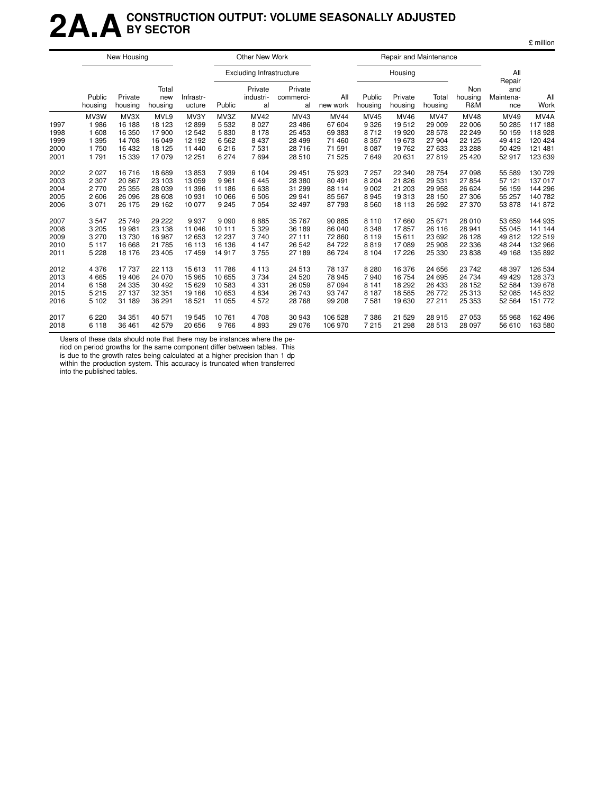## **2A.ACONSTRUCTION OUTPUT: VOLUME SEASONALLY ADJUSTED BY SECTOR**

|  | £ million |
|--|-----------|
|  |           |

|                                      | New Housing                                      |                                                        |                                                      |                                                       | Other New Work                                  |                                                              |                                                         |                                                               |                                                              | Repair and Maintenance                                      |                                                              |                                                                |                                                        |                                                                          |
|--------------------------------------|--------------------------------------------------|--------------------------------------------------------|------------------------------------------------------|-------------------------------------------------------|-------------------------------------------------|--------------------------------------------------------------|---------------------------------------------------------|---------------------------------------------------------------|--------------------------------------------------------------|-------------------------------------------------------------|--------------------------------------------------------------|----------------------------------------------------------------|--------------------------------------------------------|--------------------------------------------------------------------------|
|                                      |                                                  |                                                        |                                                      |                                                       |                                                 | <b>Excluding Infrastructure</b>                              |                                                         |                                                               |                                                              | Housing                                                     |                                                              |                                                                | All<br>Repair                                          |                                                                          |
|                                      | Public<br>housing                                | Private<br>housing                                     | Total<br>new<br>housing                              | Infrastr-<br>ucture                                   | Public                                          | Private<br>industri-<br>al                                   | Private<br>commerci-<br>al                              | All<br>new work                                               | Public<br>housing                                            | Private<br>housing                                          | Total<br>housing                                             | Non<br>housing<br>R&M                                          | and<br>Maintena-<br>nce                                | All<br>Work                                                              |
| 1997<br>1998<br>1999<br>2000<br>2001 | MV3W<br>1986<br>1 608<br>1 3 9 5<br>1750<br>1791 | MV3X<br>16 188<br>16 350<br>14 708<br>16 432<br>15 339 | MVL9<br>18 123<br>17900<br>16 049<br>18 125<br>17079 | MV3Y<br>12899<br>12 542<br>12 192<br>11 440<br>12 251 | MV3Z<br>5 5 3 2<br>5830<br>6562<br>6216<br>6274 | <b>MV42</b><br>8 0 2 7<br>8 1 7 8<br>8 4 3 7<br>7531<br>7694 | MV43<br>23 4 86<br>25 453<br>28 499<br>28 716<br>28 510 | <b>MV44</b><br>67 604<br>69 383<br>71 460<br>71 591<br>71 525 | <b>MV45</b><br>9 3 2 6<br>8712<br>8 3 5 7<br>8 0 8 7<br>7649 | <b>MV46</b><br>19512<br>19 9 20<br>19673<br>19762<br>20 631 | <b>MV47</b><br>29 009<br>28 578<br>27 904<br>27 633<br>27819 | <b>MV48</b><br>22 006<br>22 249<br>22 125<br>23 288<br>25 4 20 | MV49<br>50 285<br>50 159<br>49 412<br>50 429<br>52 917 | MV <sub>4</sub> A<br>117 188<br>118 928<br>120 424<br>121 481<br>123 639 |
| 2002                                 | 2 0 2 7                                          | 16 716                                                 | 18 689                                               | 13853                                                 | 7939                                            | 6 1 0 4                                                      | 29 451                                                  | 75 923                                                        | 7 257                                                        | 22 340                                                      | 28 754                                                       | 27 098                                                         | 55 589                                                 | 130 729                                                                  |
| 2003                                 | 2 3 0 7                                          | 20 867                                                 | 23 103                                               | 13 059                                                | 9961                                            | 6445                                                         | 28 380                                                  | 80 491                                                        | 8 2 0 4                                                      | 21826                                                       | 29 531                                                       | 27 854                                                         | 57 121                                                 | 137 017                                                                  |
| 2004                                 | 2770                                             | 25 355                                                 | 28 0 39                                              | 11 396                                                | 11 186                                          | 6638                                                         | 31 299                                                  | 88 114                                                        | 9 0 0 2                                                      | 21 203                                                      | 29 958                                                       | 26 624                                                         | 56 159                                                 | 144 296                                                                  |
| 2005                                 | 2 606                                            | 26 096                                                 | 28 608                                               | 10 931                                                | 10 066                                          | 6506                                                         | 29 941                                                  | 85 567                                                        | 8945                                                         | 19313                                                       | 28 150                                                       | 27 306                                                         | 55 257                                                 | 140 782                                                                  |
| 2006                                 | 3 0 7 1                                          | 26 175                                                 | 29 162                                               | 10 077                                                | 9 2 4 5                                         | 7054                                                         | 32 497                                                  | 87 793                                                        | 8560                                                         | 18 113                                                      | 26 592                                                       | 27 370                                                         | 53 878                                                 | 141 872                                                                  |
| 2007                                 | 3547                                             | 25 749                                                 | 29 222                                               | 9937                                                  | 9090                                            | 6885                                                         | 35 767                                                  | 90 885                                                        | 8 1 1 0                                                      | 17660                                                       | 25 671                                                       | 28 010                                                         | 53 659                                                 | 144 935                                                                  |
| 2008                                 | 3 2 0 5                                          | 19 981                                                 | 23 138                                               | 11 046                                                | 10 11 1                                         | 5 3 2 9                                                      | 36 189                                                  | 86 040                                                        | 8 3 4 8                                                      | 17857                                                       | 26 116                                                       | 28 941                                                         | 55 045                                                 | 141 144                                                                  |
| 2009                                 | 3 2 7 0                                          | 13730                                                  | 16 987                                               | 12 653                                                | 12 237                                          | 3740                                                         | 27 111                                                  | 72 860                                                        | 8 1 1 9                                                      | 15611                                                       | 23 692                                                       | 26 128                                                         | 49812                                                  | 122 519                                                                  |
| 2010                                 | 5 1 1 7                                          | 16 668                                                 | 21 785                                               | 16 113                                                | 16 136                                          | 4 1 4 7                                                      | 26 542                                                  | 84 722                                                        | 8819                                                         | 17089                                                       | 25 908                                                       | 22 336                                                         | 48 244                                                 | 132 966                                                                  |
| 2011                                 | 5 2 2 8                                          | 18 176                                                 | 23 4 05                                              | 17459                                                 | 14 917                                          | 3755                                                         | 27 189                                                  | 86 724                                                        | 8 1 0 4                                                      | 17 226                                                      | 25 330                                                       | 23 838                                                         | 49 168                                                 | 135 892                                                                  |
| 2012                                 | 4 3 7 6                                          | 17 737                                                 | 22 113                                               | 15 613                                                | 11786                                           | 4 1 1 3                                                      | 24 513                                                  | 78 137                                                        | 8 2 8 0                                                      | 16 376                                                      | 24 656                                                       | 23 742                                                         | 48 397                                                 | 126 534                                                                  |
| 2013                                 | 4 6 6 5                                          | 19 40 6                                                | 24 0 70                                              | 15 965                                                | 10 655                                          | 3734                                                         | 24 5 20                                                 | 78 945                                                        | 7940                                                         | 16 754                                                      | 24 695                                                       | 24 734                                                         | 49 4 29                                                | 128 373                                                                  |
| 2014                                 | 6 1 5 8                                          | 24 3 35                                                | 30 492                                               | 15 6 29                                               | 10583                                           | 4 3 3 1                                                      | 26 059                                                  | 87 094                                                        | 8 1 4 1                                                      | 18 29 2                                                     | 26 433                                                       | 26 152                                                         | 52 584                                                 | 139 678                                                                  |
| 2015                                 | 5 2 1 5                                          | 27 137                                                 | 32 351                                               | 19 16 6                                               | 10 653                                          | 4 8 3 4                                                      | 26 743                                                  | 93 747                                                        | 8 1 8 7                                                      | 18585                                                       | 26 772                                                       | 25 313                                                         | 52 085                                                 | 145 832                                                                  |
| 2016                                 | 5 1 0 2                                          | 31 189                                                 | 36 291                                               | 18 5 21                                               | 11 055                                          | 4572                                                         | 28 768                                                  | 99 208                                                        | 7581                                                         | 19630                                                       | 27 211                                                       | 25 353                                                         | 52 564                                                 | 151 772                                                                  |
| 2017                                 | 6 2 2 0                                          | 34 351                                                 | 40 571                                               | 19 545                                                | 10761                                           | 4708                                                         | 30 943                                                  | 106 528                                                       | 7 3 8 6                                                      | 21 5 29                                                     | 28 915                                                       | 27 053                                                         | 55 968                                                 | 162 496                                                                  |
| 2018                                 | 6 1 1 8                                          | 36 461                                                 | 42 579                                               | 20 656                                                | 9766                                            | 4893                                                         | 29 0 76                                                 | 106 970                                                       | 7 2 1 5                                                      | 21 298                                                      | 28 513                                                       | 28 097                                                         | 56 610                                                 | 163 580                                                                  |

Users of these data should note that there may be instances where the pe-

riod on period growths for the same component differ between tables. This is due to the growth rates being calculated at a higher precision than 1 dp within the production system. This accuracy is truncated when transferred into the published tables.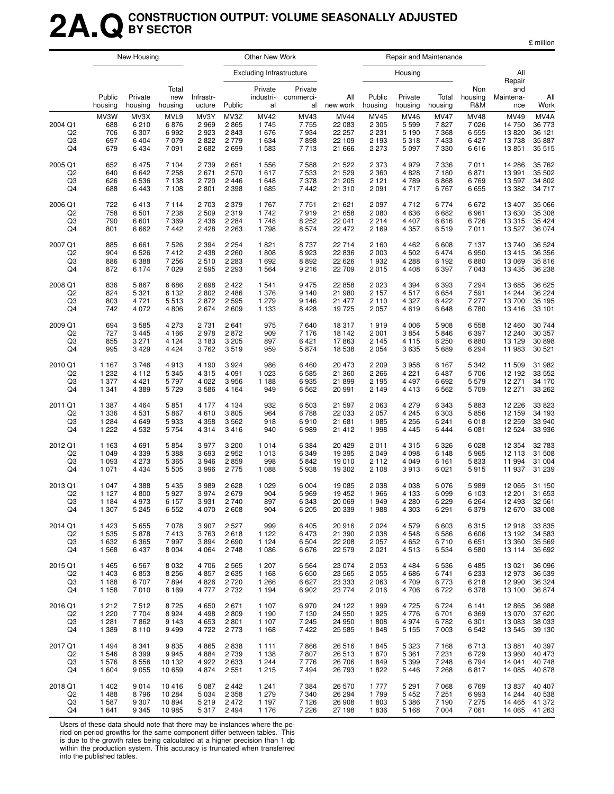## **2A.QCONSTRUCTION OUTPUT: VOLUME SEASONALLY ADJUSTED BY SECTOR**

|                                                   | New Housing                            |                                                  |                                            |                                      | Other New Work                       |                                                    |                                       |                                                     |                                                  | Repair and Maintenance                               |                                                      |                                             |                                                    |                                              |
|---------------------------------------------------|----------------------------------------|--------------------------------------------------|--------------------------------------------|--------------------------------------|--------------------------------------|----------------------------------------------------|---------------------------------------|-----------------------------------------------------|--------------------------------------------------|------------------------------------------------------|------------------------------------------------------|---------------------------------------------|----------------------------------------------------|----------------------------------------------|
|                                                   |                                        |                                                  |                                            |                                      |                                      | <b>Excluding Infrastructure</b>                    |                                       |                                                     |                                                  | Housing                                              |                                                      |                                             | All<br>Repair                                      |                                              |
|                                                   | Public<br>housing                      | Private<br>housing                               | Total<br>new<br>housing                    | Infrastr-<br>ucture                  | Public                               | Private<br>industri-<br>al                         | Private<br>commerci-<br>al            | All<br>new work                                     | Public<br>housing                                | Private<br>housing                                   | Total<br>housing                                     | Non<br>housing<br>R&M                       | and<br>Maintena-<br>nce                            | All<br>Work                                  |
| 2004 Q1<br>Q <sub>2</sub><br>Q <sub>3</sub><br>Q4 | MV3W<br>688<br>706<br>697<br>679       | MV3X<br>6 2 1 0<br>6 3 0 7<br>6 4 0 4<br>6 4 3 4 | MVL9<br>6876<br>6992<br>7 0 7 9<br>7 0 9 1 | MV3Y<br>2969<br>2923<br>2822<br>2682 | MV3Z<br>2865<br>2843<br>2779<br>2699 | <b>MV42</b><br>1745<br>1 676<br>1 6 3 4<br>1 5 8 3 | MV43<br>7755<br>7934<br>7898<br>7713  | <b>MV44</b><br>22 083<br>22 257<br>22 109<br>21 666 | MV45<br>2 3 0 5<br>2 2 3 1<br>2 1 9 3<br>2 2 7 3 | <b>MV46</b><br>5 5 9 9<br>5 1 9 0<br>5318<br>5 0 9 7 | <b>MV47</b><br>7827<br>7 3 6 8<br>7 4 3 3<br>7 3 3 0 | <b>MV48</b><br>7026<br>6555<br>6427<br>6616 | <b>MV49</b><br>14 750<br>13 8 20<br>13738<br>13851 | MV4A<br>36 773<br>36 121<br>35 887<br>35 515 |
| 2005 Q1                                           | 652                                    | 6475                                             | 7 104                                      | 2 7 3 9                              | 2651                                 | 1 5 5 6                                            | 7588                                  | 21 522                                              | 2 3 7 3                                          | 4979                                                 | 7 3 3 6                                              | 7011                                        | 14 286                                             | 35 762                                       |
| Q2                                                | 640                                    | 6642                                             | 7 2 5 8                                    | 2671                                 | 2570                                 | 1617                                               | 7 5 3 3                               | 21 5 29                                             | 2 3 6 0                                          | 4 8 2 8                                              | 7 180                                                | 6871                                        | 13 991                                             | 35 502                                       |
| Q3                                                | 626                                    | 6536                                             | 7 1 3 8                                    | 2720                                 | 2 4 4 6                              | 1648                                               | 7 3 7 8                               | 21 205                                              | 2 1 2 1                                          | 4789                                                 | 6868                                                 | 6769                                        | 13 597                                             | 34 802                                       |
| Q4                                                | 688                                    | 6443                                             | 7 108                                      | 2 8 0 1                              | 2 3 9 8                              | 1685                                               | 7442                                  | 21 310                                              | 2 0 9 1                                          | 4717                                                 | 6767                                                 | 6655                                        | 13 3 8 2                                           | 34 717                                       |
| 2006 Q1                                           | 722                                    | 6413                                             | 7 1 1 4                                    | 2 7 0 3                              | 2 3 7 9                              | 1767                                               | 7751                                  | 21 621                                              | 2 0 9 7                                          | 4 7 1 2                                              | 6774                                                 | 6672                                        | 13 407                                             | 35 066                                       |
| Q <sub>2</sub>                                    | 758                                    | 6501                                             | 7 2 3 8                                    | 2 5 0 9                              | 2319                                 | 1742                                               | 7919                                  | 21 658                                              | 2 0 8 0                                          | 4 6 3 6                                              | 6682                                                 | 6961                                        | 13 630                                             | 35 308                                       |
| Q3                                                | 790                                    | 6 601                                            | 7 3 6 9                                    | 2 4 3 6                              | 2 2 8 4                              | 1748                                               | 8 2 5 2                               | 22 041                                              | 2 2 1 4                                          | 4 4 0 7                                              | 6616                                                 | 6726                                        | 13 3 15                                            | 35 4 24                                      |
| Q4                                                | 801                                    | 6662                                             | 7442                                       | 2 4 2 8                              | 2 2 6 3                              | 1798                                               | 8574                                  | 22 472                                              | 2 1 6 9                                          | 4 3 5 7                                              | 6519                                                 | 7011                                        | 13 5 27                                            | 36 074                                       |
| 2007 Q1                                           | 885                                    | 6661                                             | 7526                                       | 2 3 9 4                              | 2 2 5 4                              | 1821                                               | 8737                                  | 22 714                                              | 2 1 6 0                                          | 4 4 6 2                                              | 6 6 0 8                                              | 7 1 3 7                                     | 13740                                              | 36 524                                       |
| Q <sub>2</sub>                                    | 904                                    | 6526                                             | 7412                                       | 2 4 3 8                              | 2 2 6 0                              | 1808                                               | 8923                                  | 22 8 36                                             | 2 0 0 3                                          | 4 5 0 2                                              | 6474                                                 | 6950                                        | 13 4 15                                            | 36 356                                       |
| Q <sub>3</sub>                                    | 886                                    | 6 3 8 8                                          | 7 2 5 6                                    | 2510                                 | 2 2 8 3                              | 1 6 9 2                                            | 8892                                  | 22 6 26                                             | 1932                                             | 4 2 8 8                                              | 6 1 9 2                                              | 6880                                        | 13 069                                             | 35816                                        |
| Q4                                                | 872                                    | 6 1 7 4                                          | 7 0 2 9                                    | 2 5 9 5                              | 2 2 9 3                              | 1 5 6 4                                            | 9 2 1 6                               | 22 709                                              | 2015                                             | 4 4 0 8                                              | 6 3 9 7                                              | 7043                                        | 13 4 35                                            | 36 238                                       |
| 2008 Q1                                           | 836                                    | 5867                                             | 6686                                       | 2698                                 | 2 4 2 2                              | 1 541                                              | 9475                                  | 22 858                                              | 2 0 2 3                                          | 4 3 9 4                                              | 6 3 9 3                                              | 7 2 9 4                                     | 13 685                                             | 36 625                                       |
| Q2                                                | 824                                    | 5 3 21                                           | 6 1 3 2                                    | 2802                                 | 2486                                 | 1 376                                              | 9 1 4 0                               | 21 980                                              | 2 1 5 7                                          | 4517                                                 | 6654                                                 | 7591                                        | 14 244                                             | 36 224                                       |
| Q3                                                | 803                                    | 4 7 2 1                                          | 5513                                       | 2872                                 | 2595                                 | 1 2 7 9                                            | 9 1 4 6                               | 21 477                                              | 2 1 1 0                                          | 4 3 2 7                                              | 6422                                                 | 7 277                                       | 13 700                                             | 35 195                                       |
| Q4                                                | 742                                    | 4 0 7 2                                          | 4 8 0 6                                    | 2674                                 | 2609                                 | 1 1 3 3                                            | 8428                                  | 19 725                                              | 2 0 5 7                                          | 4619                                                 | 6648                                                 | 6780                                        | 13416                                              | 33 101                                       |
| 2009 Q1                                           | 694                                    | 3585                                             | 4 2 7 3                                    | 2 7 3 1                              | 2641                                 | 975                                                | 7640                                  | 18 317                                              | 1919                                             | 4 0 0 6                                              | 5 9 0 8                                              | 6558                                        | 12 460                                             | 30 744                                       |
| Q <sub>2</sub>                                    | 727                                    | 3 4 4 5                                          | 4 1 6 6                                    | 2978                                 | 2872                                 | 909                                                | 7 1 7 6                               | 18 142                                              | 2 0 0 1                                          | 3854                                                 | 5846                                                 | 6397                                        | 12 240                                             | 30 357                                       |
| Q3                                                | 855                                    | 3 2 7 1                                          | 4 1 2 4                                    | 3 1 8 3                              | 3 2 0 5                              | 897                                                | 6421                                  | 17863                                               | 2 1 4 5                                          | 4 1 1 5                                              | 6 2 5 0                                              | 6880                                        | 13 129                                             | 30 898                                       |
| Q4                                                | 995                                    | 3 4 2 9                                          | 4 4 2 4                                    | 3762                                 | 3519                                 | 959                                                | 5874                                  | 18 538                                              | 2 0 5 4                                          | 3635                                                 | 5 6 8 9                                              | 6 2 9 4                                     | 11 983                                             | 30 521                                       |
| 2010 Q1                                           | 1 1 6 7                                | 3746                                             | 4913                                       | 4 190                                | 3 9 2 4                              | 986                                                | 6460                                  | 20 473                                              | 2 2 0 9                                          | 3958                                                 | 6 1 6 7                                              | 5 3 4 2                                     | 11 509                                             | 31 982                                       |
| Q <sub>2</sub>                                    | 1 2 3 2                                | 4 1 1 2                                          | 5 3 4 5                                    | 4 3 1 5                              | 4 0 9 1                              | 1 0 2 3                                            | 6585                                  | 21 360                                              | 2 2 6 6                                          | 4 2 2 1                                              | 6487                                                 | 5706                                        | 12 192                                             | 33 552                                       |
| Q3                                                | 1 377                                  | 4 4 2 1                                          | 5797                                       | 4 0 2 2                              | 3956                                 | 1 1 8 8                                            | 6935                                  | 21 899                                              | 2 1 9 5                                          | 4 4 9 7                                              | 6692                                                 | 5579                                        | 12 271                                             | 34 170                                       |
| Q4                                                | 1 3 4 1                                | 4 3 8 9                                          | 5729                                       | 3586                                 | 4 1 6 4                              | 949                                                | 6 5 6 2                               | 20 991                                              | 2 1 4 9                                          | 4 4 1 3                                              | 6 5 6 2                                              | 5709                                        | 12 271                                             | 33 262                                       |
| 2011 Q1                                           | 1 3 8 7                                | 4 4 6 4                                          | 5851                                       | 4 177                                | 4 1 3 4                              | 932                                                | 6 5 0 3                               | 21 597                                              | 2 0 6 3                                          | 4 2 7 9                                              | 6 3 4 3                                              | 5883                                        | 12 2 2 6                                           | 33 823                                       |
| Q <sub>2</sub>                                    | 1 3 3 6                                | 4531                                             | 5867                                       | 4610                                 | 3805                                 | 964                                                | 6788                                  | 22 033                                              | 2 0 5 7                                          | 4 2 4 5                                              | 6 3 0 3                                              | 5856                                        | 12 159                                             | 34 193                                       |
| Q3                                                | 1 2 8 4                                | 4 6 4 9                                          | 5933                                       | 4 3 5 8                              | 3562                                 | 918                                                | 6910                                  | 21 681                                              | 1985                                             | 4 2 5 6                                              | 6 2 4 1                                              | 6018                                        | 12 259                                             | 33 940                                       |
| Q4                                                | 1 2 2 2                                | 4 5 3 2                                          | 5 7 5 4                                    | 4 3 1 4                              | 3416                                 | 940                                                | 6989                                  | 21 4 12                                             | 1998                                             | 4 4 4 5                                              | 6444                                                 | 6081                                        | 12 5 24                                            | 33 936                                       |
| 2012 Q1                                           | 1 1 6 3                                | 4 6 9 1                                          | 5854                                       | 3977                                 | 3 200                                | 1 0 1 4                                            | 6 3 8 4                               | 20 4 29                                             | 2011                                             | 4 3 1 5                                              | 6 3 2 6                                              | 6028                                        | 12 3 54                                            | 32 783                                       |
| Q <sub>2</sub>                                    | 1 0 4 9                                | 4 3 3 9                                          | 5 3 8 8                                    | 3693                                 | 2952                                 | 1 0 1 3                                            | 6 3 4 9                               | 19 3 95                                             | 2 0 4 9                                          | 4 0 9 8                                              | 6 1 4 8                                              | 5965                                        | 12 113                                             | 31 508                                       |
| Q3                                                | 1 0 9 3                                | 4 2 7 3                                          | 5 3 6 5                                    | 3946                                 | 2859                                 | 998                                                | 5842                                  | 19 010                                              | 2 1 1 2                                          | 4 0 4 9                                              | 6 1 6 1                                              | 5833                                        | 11 994                                             | 31 004                                       |
| Q4                                                | 1 0 7 1                                | 4 4 3 4                                          | 5 5 0 5                                    | 3996                                 | 2775                                 | 1 0 8 8                                            | 5938                                  | 19 302                                              | 2 108                                            | 3913                                                 | 6 0 21                                               | 5915                                        | 11 937                                             | 31 239                                       |
| 2013 Q1<br>Q <sub>2</sub><br>Q3<br>Q4             | 1 0 4 7<br>1 1 2 7<br>1 1 8 4<br>1 307 | 4 3 8 8<br>4 800<br>4973<br>5 2 4 5              | 5 4 3 5<br>5927<br>6 157<br>6 5 5 2        | 3989<br>3974<br>3931<br>4 0 7 0      | 2628<br>2679<br>2740<br>2608         | 1 0 2 9<br>904<br>897<br>904                       | 6 0 0 4<br>5969<br>6 3 4 3<br>6 2 0 5 | 19 085<br>19 452<br>20 069<br>20 339                | 2 0 38<br>1966<br>1949<br>1988                   | 4 0 38<br>4 1 3 3<br>4 2 8 0<br>4 3 0 3              | 6076<br>6 0 9 9<br>6 2 2 9<br>6 2 9 1                | 5989<br>6 1 0 3<br>6 2 6 4<br>6379          | 12 065<br>12 201<br>12 493                         | 31 150<br>31 653<br>32 561<br>12 670 33 008  |
| 2014 Q1                                           | 1423                                   | 5 6 5 5                                          | 7078                                       | 3 9 0 7                              | 2 5 2 7                              | 999                                                | 6405                                  | 20 916                                              | 2 0 2 4                                          | 4579                                                 | 6 603                                                | 6315                                        | 12918                                              | 33 835                                       |
| Q <sub>2</sub>                                    | 1 5 3 5                                | 5878                                             | 7413                                       | 3763                                 | 2618                                 | 1 1 2 2                                            | 6473                                  | 21 390                                              | 2 0 3 8                                          | 4548                                                 | 6586                                                 | 6606                                        | 13 192                                             | 34 583                                       |
| Q3                                                | 1 6 3 2                                | 6 3 6 5                                          | 7997                                       | 3894                                 | 2690                                 | 1 1 2 4                                            | 6 5 0 4                               | 22 208                                              | 2 0 5 7                                          | 4 6 5 2                                              | 6710                                                 | 6651                                        | 13 360                                             | 35 569                                       |
| Q4                                                | 1568                                   | 6437                                             | 8 0 0 4                                    | 4 0 64                               | 2748                                 | 1 0 8 6                                            | 6676                                  | 22 579                                              | 2 0 2 1                                          | 4513                                                 | 6 5 3 4                                              | 6580                                        | 13 114                                             | 35 692                                       |
| 2015 Q1                                           | 1465                                   | 6567                                             | 8 0 3 2                                    | 4706                                 | 2 5 6 5                              | 1 207                                              | 6 5 64                                | 23 0 74                                             | 2 0 5 3                                          | 4 4 8 4                                              | 6536                                                 | 6485                                        | 13 0 21                                            | 36 096                                       |
| Q <sub>2</sub>                                    | 1 4 0 3                                | 6853                                             | 8 2 5 6                                    | 4 8 5 7                              | 2635                                 | 1 1 6 8                                            | 6650                                  | 23 5 65                                             | 2 0 5 5                                          | 4686                                                 | 6741                                                 | 6 2 3 3                                     | 12973                                              | 36 539                                       |
| Q3                                                | 1 1 8 8                                | 6707                                             | 7894                                       | 4 8 2 6                              | 2720                                 | 1 2 6 6                                            | 6627                                  | 23 333                                              | 2 0 6 3                                          | 4709                                                 | 6773                                                 | 6218                                        | 12 990                                             | 36 324                                       |
| Q4                                                | 1 1 5 8                                | 7010                                             | 8 1 6 9                                    | 4 777                                | 2732                                 | 1 1 9 4                                            | 6902                                  | 23 774                                              | 2016                                             | 4706                                                 | 6722                                                 | 6378                                        | 13 100                                             | 36 874                                       |
| 2016 Q1                                           | 1 2 1 2                                | 7512                                             | 8725                                       | 4 6 5 0                              | 2671                                 | 1 107                                              | 6970                                  | 24 122                                              | 1999                                             | 4725                                                 | 6724                                                 | 6 1 4 1                                     | 12 8 65                                            | 36 988                                       |
| Q <sub>2</sub>                                    | 1 2 2 0                                | 7 7 0 4                                          | 8924                                       | 4498                                 | 2809                                 | 1 1 9 0                                            | 7 1 3 0                               | 24 550                                              | 1925                                             | 4776                                                 | 6701                                                 | 6 3 6 9                                     | 13 070                                             | 37 620                                       |
| Q3                                                | 1 2 8 1                                | 7862                                             | 9 1 4 3                                    | 4 6 5 3                              | 2801                                 | 1 107                                              | 7 2 4 5                               | 24 950                                              | 1808                                             | 4974                                                 | 6782                                                 | 6 3 0 1                                     | 13 083                                             | 38 033                                       |
| Q4                                                | 1 3 8 9                                | 8 1 1 0                                          | 9499                                       | 4 7 2 2                              | 2 7 7 3                              | 1 1 6 8                                            | 7422                                  | 25 5 85                                             | 1848                                             | 5 1 5 5                                              | 7 0 0 3                                              | 6 5 4 2                                     | 13 545                                             | 39 130                                       |
| 2017 Q1                                           | 1494                                   | 8 3 4 1                                          | 9835                                       | 4 8 6 5                              | 2838                                 | 1 1 1 1                                            | 7866                                  | 26 516                                              | 1845                                             | 5 3 2 3                                              | 7 1 6 8                                              | 6713                                        | 13881                                              | 40 397                                       |
| Q <sub>2</sub>                                    | 1 546                                  | 8 3 9 9                                          | 9945                                       | 4 8 8 4                              | 2739                                 | 1 1 3 8                                            | 7807                                  | 26 513                                              | 1870                                             | 5 3 6 1                                              | 7 2 3 1                                              | 6729                                        | 13 960                                             | 40 473                                       |
| Q3                                                | 1 576                                  | 8 5 5 6                                          | 10 132                                     | 4 9 2 2                              | 2633                                 | 1 2 4 4                                            | 7776                                  | 26 706                                              | 1849                                             | 5 3 9 9                                              | 7 2 4 8                                              | 6794                                        | 14 041                                             | 40 748                                       |
| Q4                                                | 1 604                                  | 9 0 5 5                                          | 10 659                                     | 4 8 7 4                              | 2551                                 | 1 2 1 5                                            | 7494                                  | 26 793                                              | 1822                                             | 5446                                                 | 7 2 6 8                                              | 6817                                        | 14 085                                             | 40 878                                       |
| 2018 Q1                                           | 1 4 0 2                                | 9014                                             | 10416                                      | 5 0 8 7                              | 2 4 4 2                              | 1 2 4 1                                            | 7 3 8 4                               | 26 570                                              | 1777                                             | 5 2 9 1                                              | 7 0 68                                               | 6769                                        | 13837                                              | 40 407                                       |
| Q <sub>2</sub>                                    | 1488                                   | 8796                                             | 10 284                                     | 5 0 34                               | 2 3 5 8                              | 1 2 7 9                                            | 7 3 4 0                               | 26 294                                              | 1799                                             | 5452                                                 | 7 2 5 1                                              | 6993                                        | 14 244                                             | 40 538                                       |
| Q3                                                | 1587                                   | 9 3 0 7                                          | 10894                                      | 5219                                 | 2472                                 | 1 1 9 7                                            | 7 1 2 6                               | 26 908                                              | 1803                                             | 5 3 8 6                                              | 7 1 9 0                                              | 7 2 7 5                                     | 14 4 65                                            | 41 372                                       |
| Q4                                                | 1641                                   | 9 3 4 5                                          | 10 985                                     | 5317                                 | 2494                                 | 1 1 7 6                                            | 7 2 2 6                               | 27 198                                              | 1836                                             | 5 1 6 8                                              | 7 0 0 4                                              | 7061                                        | 14 065                                             | 41 263                                       |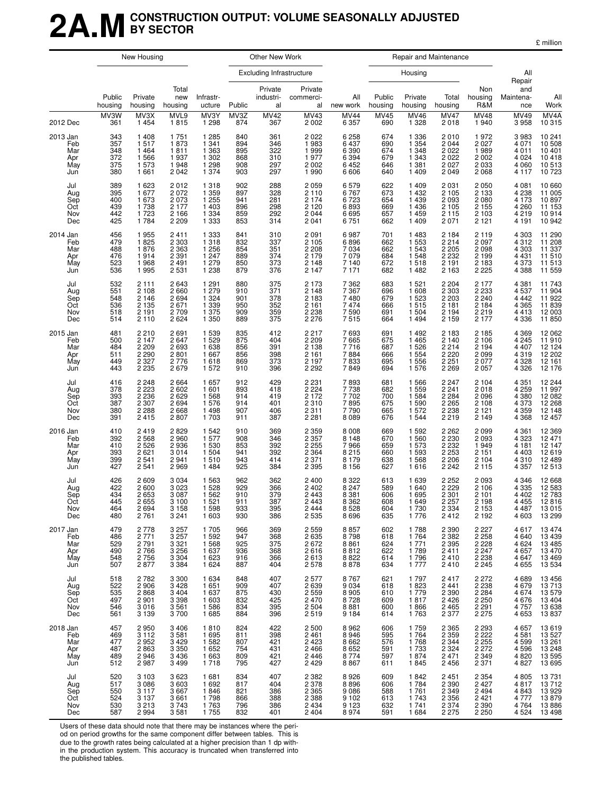## **2A.MCONSTRUCTION OUTPUT: VOLUME SEASONALLY ADJUSTED BY SECTOR**

|                                             |                                        | New Housing                                                    |                                                                |                                                                |                                        | Other New Work                         |                                                                |                                                             | Repair and Maintenance                 |                                                                |                                                                |                                                            |                                                                |                                                                                         |
|---------------------------------------------|----------------------------------------|----------------------------------------------------------------|----------------------------------------------------------------|----------------------------------------------------------------|----------------------------------------|----------------------------------------|----------------------------------------------------------------|-------------------------------------------------------------|----------------------------------------|----------------------------------------------------------------|----------------------------------------------------------------|------------------------------------------------------------|----------------------------------------------------------------|-----------------------------------------------------------------------------------------|
|                                             |                                        |                                                                |                                                                |                                                                |                                        | Excluding Infrastructure               |                                                                |                                                             |                                        | Housing                                                        |                                                                |                                                            | All<br>Repair                                                  |                                                                                         |
|                                             | Public<br>housing                      | Private<br>housing                                             | Total<br>new<br>housing                                        | Infrastr-<br>ucture                                            | Public                                 | Private<br>industri-<br>al             | Private<br>commerci-<br>al                                     | All<br>new work                                             | Public<br>housing                      | Private<br>housing                                             | Total<br>housing                                               | Non<br>housing<br>R&M                                      | and<br>Maintena-<br>nce                                        | All<br>Work                                                                             |
| 2012 Dec                                    | MV3W<br>361                            | MV3X<br>1 4 5 4                                                | MVL9<br>1815                                                   | MV3Y<br>1 2 9 8                                                | MV3Z<br>874                            | <b>MV42</b><br>367                     | MV43<br>2 0 0 2                                                | <b>MV44</b><br>6 3 5 7                                      | <b>MV45</b><br>690                     | <b>MV46</b><br>1 3 2 8                                         | <b>MV47</b><br>2018                                            | MV48<br>1940                                               | MV49<br>3958                                                   | MV4A<br>10 315                                                                          |
| 2013 Jan<br>Feb<br>Mar<br>Apr<br>May<br>Jun | 343<br>357<br>348<br>372<br>375<br>380 | 1 4 0 8<br>1517<br>1 4 6 4<br>1566<br>1 573<br>1661            | 1751<br>1873<br>1811<br>1937<br>1948<br>2 0 4 2                | 1 2 8 5<br>1 3 4 1<br>1 3 6 3<br>1 3 0 2<br>1 2 9 8<br>1 3 7 4 | 840<br>894<br>895<br>868<br>908<br>903 | 361<br>346<br>322<br>310<br>297<br>297 | 2 0 2 2<br>1983<br>1999<br>1977<br>2 0 0 2<br>1 9 9 0          | 6 2 5 8<br>6 4 3 7<br>6 3 9 0<br>6 3 9 4<br>6452<br>6606    | 674<br>690<br>674<br>679<br>646<br>640 | 1 3 3 6<br>1 3 5 4<br>1 3 4 8<br>1 3 4 3<br>1 3 8 1<br>1 4 0 9 | 2010<br>2 0 4 4<br>2 0 2 2<br>2 0 2 2<br>2 0 2 7<br>2 0 4 9    | 1972<br>2027<br>1989<br>2002<br>2 0 3 3<br>2068            | 3983<br>4 0 7 1<br>4 0 1 1<br>4 0 24<br>4 0 6 0<br>4 1 1 7     | 10 241<br>10 508<br>$10401$<br>$10418$<br>$10513$<br>10 723                             |
| Jul<br>Aug<br>Sep<br>Oct<br>Nov<br>Dec      | 389<br>395<br>400<br>439<br>442<br>425 | 1 6 2 3<br>1677<br>1 673<br>1738<br>1723<br>1 7 8 4            | 2012<br>2072<br>2 0 7 3<br>2 1 7 7<br>2 1 6 6<br>2 2 0 9       | 1 3 1 8<br>1 3 5 9<br>1255<br>1 4 0 3<br>1 3 3 4<br>1 3 3 3    | 902<br>897<br>941<br>896<br>859<br>853 | 288<br>328<br>281<br>298<br>292<br>314 | 2 0 5 9<br>2 1 1 0<br>2 1 7 4<br>2 1 2 0<br>2 0 4 4<br>2 0 4 1 | 6579<br>6767<br>6723<br>6893<br>6695<br>6751                | 622<br>673<br>654<br>669<br>657<br>662 | 1 4 0 9<br>1 4 3 2<br>1 4 3 9<br>1 4 3 6<br>1 4 5 9<br>1 4 0 9 | 2 0 3 1<br>2 1 0 5<br>2 0 9 3<br>2 1 0 5<br>2 1 1 5<br>2 0 7 1 | 2050<br>2 1 3 3<br>2 080<br>2 155<br>2 1 0 3<br>2 1 2 1    | 4 0 8 1<br>4 2 3 8<br>4 1 7 3<br>4 2 6 0<br>4219<br>4 1 9 1    | 10 660<br>11 005<br>10 897<br>11 153<br>10914<br>10942                                  |
| 2014 Jan<br>Feb<br>Mar<br>Apr<br>May<br>Jun | 456<br>479<br>488<br>476<br>523<br>536 | 1955<br>1825<br>1876<br>1914<br>1968<br>1995                   | 2411<br>2 3 0 3<br>2 3 6 3<br>2 3 9 1<br>2 4 9 1<br>2 5 3 1    | 1 3 3 3<br>1 3 1 8<br>1 2 5 6<br>1 2 4 7<br>1 2 7 9<br>1 2 3 8 | 841<br>832<br>854<br>889<br>850<br>879 | 310<br>337<br>351<br>374<br>373<br>376 | 2 0 9 1<br>2 1 0 5<br>2 2 0 8<br>2 1 7 9<br>2 1 4 8<br>2 1 4 7 | 6987<br>6896<br>7 0 34<br>7 0 7 9<br>7 140<br>7 1 7 1       | 701<br>662<br>662<br>684<br>672<br>682 | 1 4 8 3<br>1 5 5 3<br>1 5 4 3<br>1 5 4 8<br>1518<br>1482       | 2 1 8 4<br>2 2 1 4<br>2 2 0 5<br>2 2 3 2<br>2 1 9 1<br>2 1 6 3 | 2 1 1 9<br>2 097<br>2 098<br>2 1 9 9<br>2 1 8 3<br>2 2 2 5 | 4 3 0 3<br>4312<br>4 3 0 3<br>4 4 3 1<br>4 3 7 3<br>4 3 8 8    | 11 290<br>11 208<br>11 337<br>$\frac{11}{11}$ 510<br>11 513<br>11 559                   |
| Jul<br>Aug<br>Sep<br>Oct<br>Nov<br>Dec      | 532<br>551<br>548<br>536<br>518<br>514 | 2 1 1 1<br>2 1 0 8<br>2 1 4 6<br>2 1 3 5<br>2 1 9 1<br>2 1 1 0 | 2643<br>2 6 6 0<br>2694<br>2 6 7 1<br>2709<br>2624             | 1 2 9 1<br>1 279<br>1 3 2 4<br>1 3 3 9<br>1 375<br>1 3 5 0     | 880<br>910<br>901<br>950<br>909<br>889 | 375<br>371<br>378<br>352<br>359<br>375 | 2 1 7 3<br>2 1 4 8<br>2 1 8 3<br>2 1 6 1<br>2 2 3 8<br>2 2 7 6 | 7 3 6 2<br>7 3 6 7<br>7480<br>7 4 7 4<br>7590<br>7515       | 683<br>696<br>679<br>666<br>691<br>664 | 1 5 2 1<br>1 608<br>1 5 2 3<br>1515<br>1 504<br>1 4 9 4        | 2 2 0 4<br>2 3 0 3<br>2 2 0 3<br>2 1 8 1<br>2 1 9 4<br>2 1 5 9 | 2 177<br>2 233<br>2 2 4 0<br>2 1 8 4<br>2 2 1 9<br>2 177   | 4 3 8 1<br>4537<br>4 4 4 2<br>4 3 6 5<br>4413<br>4 3 3 6       | 11 743<br>11 904<br>$\begin{array}{r} 11922 \\ 11839 \\ 12003 \\ \end{array}$<br>11 850 |
| 2015 Jan<br>Feb<br>Mar<br>Apr<br>May<br>Jun | 481<br>500<br>484<br>511<br>449<br>443 | 2 2 1 0<br>2 1 4 7<br>2 2 0 9<br>2 2 9 0<br>2 3 2 7<br>2 2 3 5 | 2691<br>2647<br>2 6 9 3<br>2801<br>2 7 7 6<br>2679             | 1 5 3 9<br>1 5 2 9<br>1 638<br>1 6 6 7<br>1618<br>1 572        | 835<br>875<br>856<br>856<br>869<br>910 | 412<br>404<br>391<br>398<br>373<br>396 | 2 2 1 7<br>2 2 0 9<br>2 1 3 8<br>2 1 6 1<br>2 1 9 7<br>2 2 9 2 | 7693<br>7665<br>7716<br>7884<br>7833<br>7849                | 691<br>675<br>687<br>666<br>695<br>694 | 1 4 9 2<br>1 4 6 5<br>1 5 2 6<br>1 5 5 4<br>1 556<br>1 576     | 2 183<br>2 140<br>2 2 1 4<br>2 2 2 0<br>2 2 5 1<br>2 2 6 9     | 2 1 8 5<br>2 106<br>2 1 9 4<br>2 0 9 9<br>2077<br>2057     | 4 3 6 9<br>4 2 4 5<br>4 4 0 7<br>4319<br>4 3 2 8<br>4 3 2 6    | 12 062<br>11 910<br>12 124<br>12 202<br>12 161<br>12 176                                |
| Jul<br>Aug<br>Sep<br>Oct<br>Nov<br>Dec      | 416<br>378<br>393<br>387<br>380<br>391 | 2 2 4 8<br>2 2 2 3<br>2 2 3 6<br>2 3 0 7<br>2 2 8 8<br>2415    | 2664<br>2 602<br>2 6 2 9<br>2694<br>2668<br>2807               | 1 657<br>1 601<br>1 5 6 8<br>1 576<br>1498<br>1 703            | 912<br>893<br>914<br>914<br>907<br>911 | 429<br>418<br>419<br>401<br>406<br>387 | 2 231<br>2 224<br>2 172<br>2 3 1 0<br>2 3 1 1<br>2 2 8 1       | 7893<br>7738<br>7 702<br>7895<br>7790<br>8 0 8 9            | 681<br>682<br>700<br>675<br>665<br>676 | 1 5 6 6<br>1 5 5 9<br>1 5 8 4<br>1 5 9 0<br>1 572<br>1 544     | 2 247<br>2 241<br>2 2 8 4<br>2 2 6 5<br>2 2 3 8<br>2 2 1 9     | 2 1 0 4<br>2018<br>2096<br>2 1 0 8<br>2 1 2 1<br>2 1 4 9   | 4 3 5 1<br>4 2 5 9<br>4 3 8 0<br>4 3 7 3<br>4 3 5 9<br>4 3 6 8 | 12 244<br>11 997<br>12 082<br>12 268<br>12 148<br>12 457                                |
| 2016 Jan<br>Feb<br>Mar<br>Apr<br>May<br>Jun | 410<br>392<br>410<br>393<br>399<br>427 | 2419<br>2 5 6 8<br>2 5 2 6<br>2621<br>2 5 4 1<br>2 5 4 1       | 2829<br>2 9 6 0<br>2936<br>3014<br>2941<br>2969                | 1 542<br>1577<br>1 530<br>1 504<br>1510<br>1 4 8 4             | 910<br>908<br>853<br>941<br>943<br>925 | 369<br>346<br>392<br>392<br>414<br>384 | 2 3 5 9<br>2 3 5 7<br>2 2 5 5<br>2 3 6 4<br>2 3 7 1<br>2 3 9 5 | 8 0 0 8<br>8 1 4 8<br>7966<br>8 2 1 5<br>8 1 7 9<br>8 1 5 6 | 669<br>670<br>659<br>660<br>638<br>627 | 1 5 9 2<br>1 560<br>1 573<br>1 5 9 3<br>1 5 6 8<br>1616        | 2 2 6 2<br>2 2 3 0<br>2 2 3 2<br>2 2 5 3<br>2 2 0 6<br>2 2 4 2 | 2099<br>2 0 9 3<br>1949<br>2 1 5 1<br>2 1 0 4<br>2 1 1 5   | 4 3 6 1<br>4 3 2 3<br>4 1 8 1<br>4 4 0 3<br>4310<br>4 3 5 7    | 12 369<br>12 471<br>12 147<br>12619<br>12 489<br>12513                                  |
| Jul<br>Aug<br>Sep<br>Oct<br>Nov<br>Dec      | 426<br>422<br>434<br>445<br>464<br>480 | 2 609<br>2 600<br>2 6 5 3<br>2655<br>2694<br>2761              | 3 0 3 4<br>3 0 2 3<br>3 0 8 7<br>3 100<br>3 1 5 8<br>3 2 4 1   | 1 5 6 3<br>1 5 2 8<br>1 5 6 2<br>1 521<br>1 5 9 8<br>1 603     | 962<br>929<br>910<br>911<br>933<br>930 | 362<br>366<br>379<br>387<br>395<br>386 | 2 4 0 0<br>2 4 0 2<br>2 4 4 3<br>2 443<br>2 444<br>2 535       | 8 3 2 2<br>8 2 4 7<br>8 3 8 1<br>8 3 6 2<br>8 5 28<br>8696  | 613<br>589<br>606<br>608<br>604<br>635 | 1 6 3 9<br>1 640<br>1 6 9 5<br>1 649<br>1 7 3 0<br>1 7 7 6     | 2 2 5 2<br>2 2 2 9<br>2 3 0 1<br>2 2 5 7<br>2 3 3 4<br>2412    | 2093<br>2 106<br>2 1 0 1<br>2 198<br>2 1 5 3<br>2 1 9 2    | 4 3 4 6<br>4 3 3 5<br>4 4 0 2<br>4 4 5 5<br>4 4 8 7<br>4 603   | 12 668<br>12 583<br>12 783<br>12 816<br>13 015<br>13 299                                |
| 2017 Jan<br>Feb<br>Mar<br>Apr<br>May<br>Jun | 479<br>486<br>529<br>490<br>548<br>507 | 2 7 7 8<br>2 7 7 1<br>2 7 9 1<br>2766<br>2756<br>2877          | 3 2 5 7<br>3 2 5 7<br>3 3 2 1<br>3 2 5 6<br>3 3 0 4<br>3 3 8 4 | 1 705<br>1 5 9 2<br>1 5 6 8<br>1 637<br>1 6 2 3<br>1 6 2 4     | 966<br>947<br>925<br>936<br>916<br>887 | 369<br>368<br>375<br>368<br>366<br>404 | 2 5 5 9<br>2635<br>2672<br>2616<br>2613<br>2578                | 8857<br>8798<br>8861<br>8812<br>8822<br>8878                | 602<br>618<br>624<br>622<br>614<br>634 | 1788<br>1 7 6 4<br>1 771<br>1789<br>1796<br>1 777              | 2 3 9 0<br>2 3 8 2<br>2 3 9 5<br>2411<br>2410<br>2 4 1 0       | 2 227<br>2 258<br>2 2 2 8                                  | 4617<br>4640<br>4 6 2 4<br>4657<br>4647<br>4 6 5 5             | 13 474<br>13 439<br>13 485<br>13<br>470<br>13<br>469<br>13<br>534                       |
| Jul<br>Aug<br>Sep<br>Oct<br>Nov<br>Dec      | 518<br>522<br>535<br>497<br>546<br>561 | 2782<br>2 906<br>2868<br>2 9 0 1<br>3 0 1 6<br>3 1 3 9         | 3 3 0 0<br>3 4 2 8<br>3 4 0 4<br>3 3 9 8<br>3561<br>3700       | 1 6 3 4<br>1 651<br>1 637<br>1 603<br>1586<br>1685             | 848<br>909<br>875<br>832<br>834<br>884 | 407<br>407<br>430<br>425<br>395<br>396 | 2577<br>2 6 3 9<br>2 5 5 9<br>2 470<br>2 5 0 4<br>2519         | 8767<br>9 0 3 4<br>8 9 0 5<br>8728<br>8881<br>9 1 8 4       | 621<br>618<br>610<br>609<br>600<br>614 | 1 7 9 7<br>1823<br>1779<br>1817<br>1866<br>1763                | 2417<br>2 4 4 1<br>2 3 9 0<br>2 4 2 6<br>2 4 6 5<br>2 3 7 7    | 2 272<br>2 238<br>2 284<br>2 250<br>2 291<br>2 2 7 5       | 4689<br>4 6 7 9<br>4674<br>4676<br>4757<br>4653                | 13 456<br>13 713<br>13 579<br>13 404<br>13 638<br>13837                                 |
| 2018 Jan<br>Feb<br>Mar<br>Apr<br>May<br>Jun | 457<br>469<br>477<br>487<br>489<br>512 | 2950<br>3 1 1 2<br>2952<br>2863<br>2946<br>2987                | 3 4 0 6<br>3581<br>3 4 2 9<br>3 3 5 0<br>3 4 3 6<br>3499       | 1810<br>1 6 9 5<br>1 5 8 2<br>1 6 5 2<br>1 6 6 3<br>1718       | 824<br>811<br>807<br>754<br>809<br>795 | 422<br>398<br>421<br>431<br>421<br>427 | 2 500<br>2 4 6 1<br>2 4 2 3<br>2 4 6 6<br>2 4 4 6<br>2 4 2 9   | 8962<br>8 9 4 6<br>8 6 6 2<br>8652<br>8774<br>8867          | 606<br>595<br>576<br>591<br>597<br>611 | 1759<br>1764<br>1768<br>1 7 3 3<br>1874<br>1845                | 2 3 6 5<br>2 3 5 9<br>2 3 4 4<br>2 3 2 4<br>2 4 7 1<br>2456    | 2 293<br>2 222<br>2 255<br>2 2 7 2<br>2 3 4 9<br>2 3 7 1   | 4657<br>4 581<br>4 599<br>4596<br>4 8 20<br>4827               | 13 619<br>13 527<br>13 261<br>13 248<br>13 595<br>13 695                                |
| Jul<br>Aug<br>Sep<br>Oct<br>Nov<br>Dec      | 520<br>517<br>550<br>524<br>530<br>587 | 3 1 0 3<br>3 0 8 6<br>3 1 1 7<br>3 1 3 7<br>3 2 1 3<br>2994    | 3623<br>3603<br>3667<br>3661<br>3743<br>3581                   | 1681<br>1 6 9 2<br>1846<br>1798<br>1763<br>1755                | 834<br>817<br>821<br>866<br>796<br>832 | 407<br>404<br>386<br>388<br>386<br>401 | 2 382<br>2 378<br>2 3 6 5<br>2 3 8 8<br>2 4 3 4<br>2 4 0 4     | 8926<br>$8896$<br>9086<br>9 1 0 2<br>9 1 2 3<br>8974        | 609<br>606<br>588<br>613<br>632<br>591 | 1842<br>1 7 8 4<br>1761<br>1743<br>1 741<br>1 684              | 2 4 5 1<br>2 3 9 0<br>2 3 4 9<br>2 3 5 6<br>2 3 7 4<br>2 2 7 5 | 2 354<br>2 427<br>2 494<br>2421<br>2 3 9 0<br>2 2 5 0      | 4805<br>4817<br>4843<br>4777<br>4764<br>4 5 24                 | 13 731<br>13 712<br>13 929<br>13 879<br>13 886<br>13 498                                |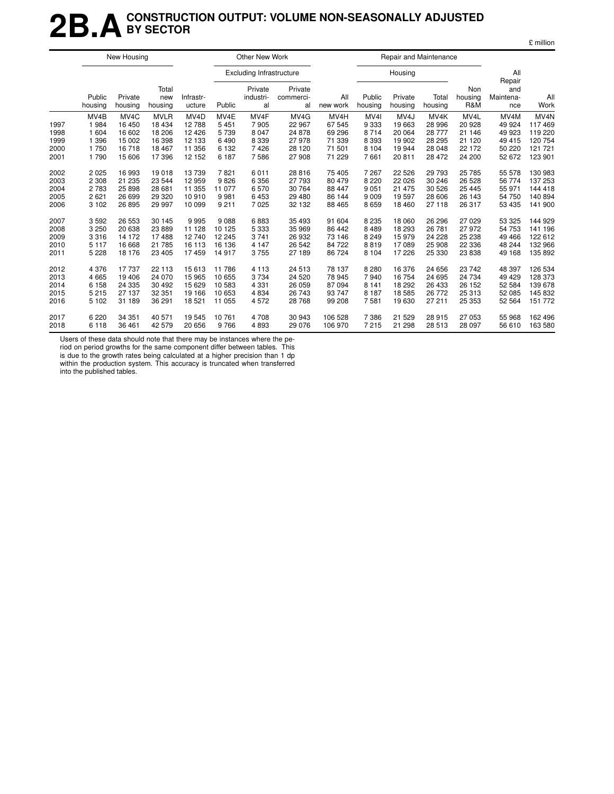## **2B.ACONSTRUCTION OUTPUT: VOLUME NON-SEASONALLY ADJUSTED BY SECTOR**

|                              |                                          | New Housing                                              |                                                       |                                                           |                                         | Other New Work                             |                                              |                                                            |                                                          | Repair and Maintenance                                   |                                                           |                                              |                                                           |                                                             |
|------------------------------|------------------------------------------|----------------------------------------------------------|-------------------------------------------------------|-----------------------------------------------------------|-----------------------------------------|--------------------------------------------|----------------------------------------------|------------------------------------------------------------|----------------------------------------------------------|----------------------------------------------------------|-----------------------------------------------------------|----------------------------------------------|-----------------------------------------------------------|-------------------------------------------------------------|
|                              |                                          |                                                          |                                                       |                                                           |                                         | <b>Excluding Infrastructure</b>            |                                              |                                                            |                                                          | Housing                                                  |                                                           |                                              | All                                                       |                                                             |
|                              | Public<br>housing                        | Private<br>housing                                       | Total<br>new<br>housing                               | Infrastr-<br>ucture                                       | Public                                  | Private<br>industri-<br>al                 | Private<br>commerci-<br>al                   | All<br>new work                                            | Public<br>housing                                        | Private<br>housing                                       | Total<br>housing                                          | Non<br>housing<br><b>R&amp;M</b>             | Repair<br>and<br>Maintena-<br>nce                         | All<br>Work                                                 |
| 1997<br>1998<br>1999<br>2000 | MV4B<br>1984<br>1 604<br>1 3 9 6<br>1750 | MV <sub>4</sub> C<br>16 450<br>16 602<br>15 002<br>16718 | <b>MVLR</b><br>18 4 34<br>18 206<br>16 398<br>18 4 67 | MV <sub>4</sub> D<br>12788<br>12 4 26<br>12 133<br>11 356 | MV4E<br>5451<br>5739<br>6490<br>6 1 3 2 | MV4F<br>7905<br>8 0 4 7<br>8 3 3 9<br>7426 | MV4G<br>22 967<br>24 878<br>27 978<br>28 120 | MV <sub>4</sub> H<br>67 545<br>69 29 6<br>71 339<br>71 501 | MV <sub>4</sub><br>9 3 3 3<br>8714<br>8 3 9 3<br>8 1 0 4 | MV <sub>4</sub> J<br>19663<br>20 064<br>19 902<br>19 944 | MV <sub>4</sub> K<br>28 996<br>28 777<br>28 295<br>28 048 | MV4L<br>20 928<br>21 146<br>21 120<br>22 172 | MV <sub>4</sub> M<br>49 924<br>49 923<br>49 415<br>50 220 | MV <sub>4N</sub><br>117469<br>119 220<br>120 754<br>121 721 |
| 2001                         | 1790                                     | 15 606                                                   | 17396                                                 | 12 152                                                    | 6 187                                   | 7586                                       | 27 908                                       | 71 229                                                     | 7661                                                     | 20 811                                                   | 28 472                                                    | 24 200                                       | 52 672                                                    | 123 901                                                     |
| 2002                         | 2 0 2 5                                  | 16 993                                                   | 19018                                                 | 13739                                                     | 7821                                    | 6011                                       | 28 816                                       | 75 405                                                     | 7 2 6 7                                                  | 22 5 26                                                  | 29 7 9 3                                                  | 25 785                                       | 55 578                                                    | 130 983                                                     |
| 2003                         | 2 3 0 8                                  | 21 235                                                   | 23 544                                                | 12 959                                                    | 9826                                    | 6 3 5 6                                    | 27 793                                       | 80 479                                                     | 8 2 2 0                                                  | 22 0 26                                                  | 30 246                                                    | 26 5 28                                      | 56 774                                                    | 137 253                                                     |
| 2004                         | 2 7 8 3                                  | 25 898                                                   | 28 681                                                | 11 355                                                    | 11 077                                  | 6570                                       | 30 764                                       | 88 447                                                     | 9 0 5 1                                                  | 21 475                                                   | 30 526                                                    | 25 4 45                                      | 55 971                                                    | 144 418                                                     |
| 2005                         | 2 6 2 1                                  | 26 699                                                   | 29 3 20                                               | 10910                                                     | 9981                                    | 6453                                       | 29 480                                       | 86 144                                                     | 9 0 0 9                                                  | 19597                                                    | 28 606                                                    | 26 143                                       | 54 750                                                    | 140 894                                                     |
| 2006                         | 3 1 0 2                                  | 26 895                                                   | 29 997                                                | 10 099                                                    | 9 2 1 1                                 | 7025                                       | 32 132                                       | 88 465                                                     | 8659                                                     | 18 4 60                                                  | 27 118                                                    | 26 317                                       | 53 435                                                    | 141 900                                                     |
| 2007                         | 3592                                     | 26 553                                                   | 30 145                                                | 9995                                                      | 9088                                    | 6883                                       | 35 493                                       | 91 604                                                     | 8 2 3 5                                                  | 18 060                                                   | 26 29 6                                                   | 27 0 29                                      | 53 325                                                    | 144 929                                                     |
| 2008                         | 3 2 5 0                                  | 20 638                                                   | 23 889                                                | 11 128                                                    | 10 125                                  | 5 3 3 3                                    | 35 969                                       | 86 442                                                     | 8 4 8 9                                                  | 18 293                                                   | 26 781                                                    | 27 972                                       | 54 753                                                    | 141 196                                                     |
| 2009                         | 3316                                     | 14 172                                                   | 17488                                                 | 12740                                                     | 12 245                                  | 3741                                       | 26 932                                       | 73 146                                                     | 8 2 4 9                                                  | 15979                                                    | 24 228                                                    | 25 238                                       | 49 4 66                                                   | 122 612                                                     |
| 2010                         | 5 1 1 7                                  | 16 668                                                   | 21 785                                                | 16 113                                                    | 16 136                                  | 4 1 4 7                                    | 26 542                                       | 84 722                                                     | 8819                                                     | 17089                                                    | 25 908                                                    | 22 3 36                                      | 48 244                                                    | 132 966                                                     |
| 2011                         | 5 2 2 8                                  | 18 176                                                   | 23 4 05                                               | 17459                                                     | 14917                                   | 3755                                       | 27 189                                       | 86 724                                                     | 8 1 0 4                                                  | 17 226                                                   | 25 330                                                    | 23 838                                       | 49 168                                                    | 135 892                                                     |
| 2012                         | 4 3 7 6                                  | 17 737                                                   | 22 113                                                | 15 613                                                    | 11786                                   | 4 1 1 3                                    | 24 513                                       | 78 137                                                     | 8 2 8 0                                                  | 16 376                                                   | 24 656                                                    | 23 742                                       | 48 397                                                    | 126 534                                                     |
| 2013                         | 4 6 6 5                                  | 19 40 6                                                  | 24 070                                                | 15 965                                                    | 10 655                                  | 3734                                       | 24 5 20                                      | 78 945                                                     | 7940                                                     | 16 754                                                   | 24 695                                                    | 24 734                                       | 49 4 29                                                   | 128 373                                                     |
| 2014                         | 6 1 5 8                                  | 24 335                                                   | 30 492                                                | 15 629                                                    | 10 583                                  | 4 3 3 1                                    | 26 059                                       | 87 094                                                     | 8 1 4 1                                                  | 18 29 2                                                  | 26 433                                                    | 26 152                                       | 52 584                                                    | 139 678                                                     |
| 2015                         | 5 2 1 5                                  | 27 137                                                   | 32 351                                                | 19 166                                                    | 10 653                                  | 4834                                       | 26 743                                       | 93 747                                                     | 8 1 8 7                                                  | 18 5 8 5                                                 | 26 772                                                    | 25 313                                       | 52 085                                                    | 145 832                                                     |
| 2016                         | 5 1 0 2                                  | 31 189                                                   | 36 291                                                | 18 521                                                    | 11 055                                  | 4572                                       | 28 768                                       | 99 208                                                     | 7581                                                     | 19630                                                    | 27 211                                                    | 25 353                                       | 52 564                                                    | 151 772                                                     |
| 2017                         | 6 2 2 0                                  | 34 351                                                   | 40 571                                                | 19 545                                                    | 10761                                   | 4708                                       | 30 943                                       | 106 528                                                    | 7 3 8 6                                                  | 21 5 29                                                  | 28 915                                                    | 27 053                                       | 55 968                                                    | 162 496                                                     |
| 2018                         | 6 1 1 8                                  | 36 461                                                   | 42 579                                                | 20 656                                                    | 9766                                    | 4893                                       | 29 0 76                                      | 106 970                                                    | 7 2 1 5                                                  | 21 298                                                   | 28 513                                                    | 28 097                                       | 56 610                                                    | 163 580                                                     |

Users of these data should note that there may be instances where the pe-

riod on period growths for the same component differ between tables. This is due to the growth rates being calculated at a higher precision than 1 dp within the production system. This accuracy is truncated when transferred into the published tables.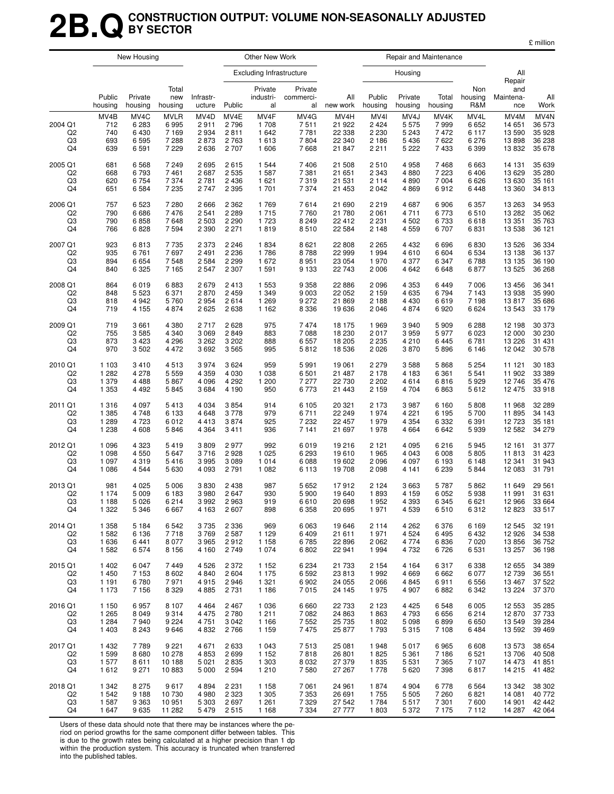## **2B.QCONSTRUCTION OUTPUT: VOLUME NON-SEASONALLY ADJUSTED BY SECTOR**

£ million

|                                       |                                  | New Housing                             |                                                      |                                                   |                                            | Other New Work                       |                                      |                                              |                                                          | Repair and Maintenance                                     |                                      |                                               |                                            |                                                          |
|---------------------------------------|----------------------------------|-----------------------------------------|------------------------------------------------------|---------------------------------------------------|--------------------------------------------|--------------------------------------|--------------------------------------|----------------------------------------------|----------------------------------------------------------|------------------------------------------------------------|--------------------------------------|-----------------------------------------------|--------------------------------------------|----------------------------------------------------------|
|                                       |                                  |                                         |                                                      |                                                   |                                            | <b>Excluding Infrastructure</b>      |                                      |                                              |                                                          | Housing                                                    |                                      |                                               | All<br>Repair                              |                                                          |
|                                       | Public<br>housing                | Private<br>housing                      | Total<br>new<br>housing                              | Infrastr-<br>ucture                               | Public                                     | Private<br>industri-<br>al           | Private<br>commerci-<br>al           | All<br>new work                              | Public<br>housing                                        | Private<br>housing                                         | Total<br>housing                     | Non<br>housing<br>R&M                         | and<br>Maintena-<br>nce                    | All<br>Work                                              |
| 2004 Q1<br>Q <sub>2</sub><br>Q3<br>Q4 | MV4B<br>712<br>740<br>693<br>639 | MV4C<br>6 2 8 3<br>6430<br>6595<br>6591 | <b>MVLR</b><br>6995<br>7 1 6 9<br>7 2 8 8<br>7 2 2 9 | MV <sub>4</sub> D<br>2911<br>2934<br>2873<br>2636 | MV4E<br>2796<br>2811<br>2 7 6 3<br>2 7 0 7 | MV4F<br>1708<br>1642<br>1613<br>1606 | MV4G<br>7511<br>7781<br>7804<br>7668 | MV4H<br>21 922<br>22 338<br>22 340<br>21 847 | MV <sub>4</sub><br>2 4 2 4<br>2 2 3 0<br>2 1 8 6<br>2211 | MV <sub>4</sub> J<br>5575<br>5 2 4 3<br>5 4 3 6<br>5 2 2 2 | MV4K<br>7999<br>7472<br>7622<br>7433 | MV4L<br>6652<br>6 1 1 7<br>6 2 7 6<br>6 3 9 9 | MV4M<br>14 651<br>13 590<br>13898<br>13832 | MV <sub>4</sub> N<br>36 573<br>35928<br>36 238<br>35 678 |
| 2005 Q1                               | 681                              | 6568                                    | 7 2 4 9                                              | 2695                                              | 2615                                       | 1 5 4 4                              | 7406                                 | 21 508                                       | 2510                                                     | 4 9 5 8                                                    | 7468                                 | 6 6 6 3                                       | 14 131                                     | 35 639                                                   |
| Q <sub>2</sub>                        | 668                              | 6793                                    | 7461                                                 | 2687                                              | 2 5 3 5                                    | 1587                                 | 7 3 8 1                              | 21 651                                       | 2 3 4 3                                                  | 4880                                                       | 7 2 2 3                              | 6 4 0 6                                       | 13 629                                     | 35 280                                                   |
| Q3                                    | 620                              | 6754                                    | 7 3 7 4                                              | 2781                                              | 2 4 3 6                                    | 1621                                 | 7319                                 | 21 531                                       | 2114                                                     | 4890                                                       | 7 0 0 4                              | 6626                                          | 13 630                                     | 35 161                                                   |
| Q4                                    | 651                              | 6584                                    | 7 2 3 5                                              | 2747                                              | 2 3 9 5                                    | 1701                                 | 7 3 7 4                              | 21 453                                       | 2042                                                     | 4869                                                       | 6912                                 | 6448                                          | 13 360                                     | 34 813                                                   |
| 2006 Q1                               | 757                              | 6523                                    | 7 2 8 0                                              | 2666                                              | 2 3 6 2                                    | 1769                                 | 7614                                 | 21 690                                       | 2 2 1 9                                                  | 4687                                                       | 6906                                 | 6 3 5 7                                       | 13 263                                     | 34 953                                                   |
| Q2                                    | 790                              | 6686                                    | 7476                                                 | 2541                                              | 2 2 8 9                                    | 1715                                 | 7760                                 | 21 780                                       | 2061                                                     | 4 7 1 1                                                    | 6773                                 | 6510                                          | 13 282                                     | 35 062                                                   |
| Q3                                    | 790                              | 6858                                    | 7648                                                 | 2 5 0 3                                           | 2 2 9 0                                    | 1723                                 | 8 2 4 9                              | 22 412                                       | 2 2 3 1                                                  | 4 5 0 2                                                    | 6733                                 | 6618                                          | 13 351                                     | 35 763                                                   |
| Q4                                    | 766                              | 6828                                    | 7 5 9 4                                              | 2 3 9 0                                           | 2 2 7 1                                    | 1819                                 | 8510                                 | 22 584                                       | 2 1 4 8                                                  | 4 5 5 9                                                    | 6707                                 | 6831                                          | 13 538                                     | 36 121                                                   |
| 2007 Q1                               | 923                              | 6813                                    | 7735                                                 | 2 3 7 3                                           | 2 2 4 6                                    | 1834                                 | 8621                                 | 22 808                                       | 2 2 6 5                                                  | 4 4 3 2                                                    | 6696                                 | 6830                                          | 13 5 26                                    | 36 334                                                   |
| Q2                                    | 935                              | 6761                                    | 7697                                                 | 2491                                              | 2 2 3 6                                    | 1786                                 | 8788                                 | 22 999                                       | 1994                                                     | 4610                                                       | 6604                                 | 6 5 3 4                                       | 13 138                                     | 36 137                                                   |
| Q3                                    | 894                              | 6654                                    | 7548                                                 | 2584                                              | 2 2 9 9                                    | 1672                                 | 8951                                 | 23 054                                       | 1970                                                     | 4 3 7 7                                                    | 6347                                 | 6788                                          | 13 135                                     | 36 190                                                   |
| Q4                                    | 840                              | 6 3 2 5                                 | 7 1 6 5                                              | 2547                                              | 2 3 0 7                                    | 1591                                 | 9 1 3 3                              | 22 743                                       | 2 0 0 6                                                  | 4642                                                       | 6648                                 | 6877                                          | 13 5 25                                    | 36 268                                                   |
| 2008 Q1                               | 864                              | 6019                                    | 6883                                                 | 2679                                              | 2413                                       | 1 5 5 3                              | 9 3 5 8                              | 22 886                                       | 2096                                                     | 4 3 5 3                                                    | 6449                                 | 7 0 0 6                                       | 13 4 5 6                                   | 36 341                                                   |
| Q2                                    | 848                              | 5 5 2 3                                 | 6 3 7 1                                              | 2870                                              | 2 4 5 9                                    | 1 3 4 9                              | 9 0 0 3                              | 22 052                                       | 2 1 5 9                                                  | 4 6 3 5                                                    | 6794                                 | 7 1 4 3                                       | 13 938                                     | 35 990                                                   |
| Q3                                    | 818                              | 4942                                    | 5760                                                 | 2954                                              | 2614                                       | 1 2 6 9                              | 9 2 7 2                              | 21 869                                       | 2 1 8 8                                                  | 4 4 3 0                                                    | 6619                                 | 7 1 9 8                                       | 13817                                      | 35 686                                                   |
| Q4                                    | 719                              | 4 1 5 5                                 | 4 8 7 4                                              | 2625                                              | 2638                                       | 1 1 6 2                              | 8 3 3 6                              | 19636                                        | 2046                                                     | 4 8 7 4                                                    | 6920                                 | 6624                                          | 13 543                                     | 33 179                                                   |
| 2009 Q1                               | 719                              | 3661                                    | 4 3 8 0                                              | 2717                                              | 2628                                       | 975                                  | 7474                                 | 18 175                                       | 1969                                                     | 3940                                                       | 5909                                 | 6 2 8 8                                       | 12 198                                     | 30 373                                                   |
| Q2                                    | 755                              | 3585                                    | 4 3 4 0                                              | 3 0 6 9                                           | 2849                                       | 883                                  | 7 0 8 8                              | 18 230                                       | 2017                                                     | 3 9 5 9                                                    | 5977                                 | 6 0 23                                        | 12 000                                     | 30 230                                                   |
| Q3                                    | 873                              | 3 4 2 3                                 | 4 2 9 6                                              | 3 2 6 2                                           | 3 2 0 2                                    | 888                                  | 6557                                 | 18 205                                       | 2 2 3 5                                                  | 4 2 1 0                                                    | 6445                                 | 6781                                          | 13 2 26                                    | 31 431                                                   |
| Q4                                    | 970                              | 3502                                    | 4 4 7 2                                              | 3692                                              | 3565                                       | 995                                  | 5812                                 | 18 536                                       | 2026                                                     | 3870                                                       | 5896                                 | 6 1 4 6                                       | 12 042                                     | 30 578                                                   |
| 2010 Q1                               | 1 1 0 3                          | 3410                                    | 4513                                                 | 3974                                              | 3 6 2 4                                    | 959                                  | 5991                                 | 19 061                                       | 2 2 7 9                                                  | 3588                                                       | 5868                                 | 5 2 5 4                                       | 11 121                                     | 30 183                                                   |
| Q <sub>2</sub>                        | 1 2 8 2                          | 4 2 7 8                                 | 5 5 5 9                                              | 4 3 5 9                                           | 4 0 3 0                                    | 1 0 3 8                              | 6 5 0 1                              | 21 487                                       | 2 1 7 8                                                  | 4 1 8 3                                                    | 6 3 6 1                              | 5 5 4 1                                       | 11 902                                     | 33 389                                                   |
| Q3                                    | 1 379                            | 4 4 8 8                                 | 5867                                                 | 4 0 9 6                                           | 4 2 9 2                                    | 1 200                                | 7 277                                | 22 730                                       | 2 2 0 2                                                  | 4614                                                       | 6816                                 | 5929                                          | 12746                                      | 35 476                                                   |
| Q4                                    | 1 3 5 3                          | 4 4 9 2                                 | 5845                                                 | 3684                                              | 4 1 9 0                                    | 950                                  | 6773                                 | 21 443                                       | 2 1 5 9                                                  | 4 704                                                      | 6863                                 | 5612                                          | 12 475                                     | 33 918                                                   |
| 2011 Q1                               | 1 3 1 6                          | 4 0 9 7                                 | 5413                                                 | 4 0 3 4                                           | 3854                                       | 914                                  | 6 1 0 5                              | 20 321                                       | 2 1 7 3                                                  | 3987                                                       | 6 1 6 0                              | 5808                                          | 11 968                                     | 32 289                                                   |
| Q2                                    | 1 3 8 5                          | 4748                                    | 6 1 3 3                                              | 4648                                              | 3778                                       | 979                                  | 6711                                 | 22 249                                       | 1974                                                     | 4 2 2 1                                                    | 6 1 9 5                              | 5700                                          | 11 895                                     | 34 143                                                   |
| Q3                                    | 1 2 8 9                          | 4723                                    | 6012                                                 | 4413                                              | 3874                                       | 925                                  | 7 2 3 2                              | 22 457                                       | 1979                                                     | 4 3 5 4                                                    | 6 3 3 2                              | 6 3 9 1                                       | 12723                                      | 35 181                                                   |
| Q4                                    | 1 2 3 8                          | 4608                                    | 5846                                                 | 4 3 6 4                                           | 3411                                       | 936                                  | 7 141                                | 21 697                                       | 1978                                                     | 4 6 64                                                     | 6642                                 | 5939                                          | 12 582                                     | 34 279                                                   |
| 2012 Q1                               | 1 0 9 6                          | 4 3 2 3                                 | 5419                                                 | 3809                                              | 2977                                       | 992                                  | 6019                                 | 19 216                                       | 2 1 2 1                                                  | 4 0 9 5                                                    | 6216                                 | 5945                                          | 12 161                                     | 31 377                                                   |
| Q2                                    | 1 0 9 8                          | 4550                                    | 5 6 4 7                                              | 3716                                              | 2928                                       | 1 0 2 5                              | 6 2 9 3                              | 19610                                        | 1965                                                     | 4 0 4 3                                                    | 6 0 0 8                              | 5805                                          | 11813                                      | 31 4 23                                                  |
| Q3                                    | 1 0 9 7                          | 4319                                    | 5416                                                 | 3995                                              | 3 0 8 9                                    | 1014                                 | 6 0 8 8                              | 19 602                                       | 2096                                                     | 4 0 9 7                                                    | 6 1 9 3                              | 6 1 4 8                                       | 12 341                                     | 31 943                                                   |
| Q4                                    | 1 0 8 6                          | 4544                                    | 5630                                                 | 4 0 9 3                                           | 2791                                       | 1 0 8 2                              | 6 1 1 3                              | 19 708                                       | 2098                                                     | 4 141                                                      | 6 2 3 9                              | 5844                                          | 12 083                                     | 31 791                                                   |
| 2013 Q1                               | 981                              | 4 0 2 5                                 | 5 0 0 6                                              | 3830                                              | 2438                                       | 987                                  | 5 6 5 2                              | 17912                                        | 2 1 2 4                                                  | 3663                                                       | 5787                                 | 5862                                          | 11 649                                     | 29 561                                                   |
| Q <sub>2</sub>                        | 1 1 7 4                          | 5 0 0 9                                 | 6 1 8 3                                              | 3980                                              | 2647                                       | 930                                  | 5 900                                | 19 640                                       | 1893                                                     | 4 159                                                      | 6052                                 | 5938                                          | 11 991                                     | 31 631                                                   |
| Q3                                    | 1 1 8 8                          | 5026                                    | 6 2 1 4                                              | 3992                                              | 2963                                       | 919                                  | 6.610                                | 20 698                                       | 1952                                                     | 4 393                                                      | 6345                                 | 6 621                                         | 12 966                                     | 33 664                                                   |
| Q4                                    | 1 3 2 2                          | 5 3 4 6                                 | 6667                                                 | 4 1 6 3                                           | 2 607                                      | 898                                  | 6 3 5 8                              | 20 695                                       | 1971                                                     | 4 5 3 9                                                    | 6510                                 | 6312                                          | 12 823                                     | 33 517                                                   |
| 2014 Q1                               | 1 3 5 8                          | 5 1 8 4                                 | 6 5 4 2                                              | 3735                                              | 2 3 3 6                                    | 969                                  | 6 0 63                               | 19 646                                       | 2 1 1 4                                                  | 4 2 6 2                                                    | 6376                                 | 6 1 6 9                                       | 12 545                                     | 32 191                                                   |
| Q <sub>2</sub>                        | 1 5 8 2                          | 6 1 3 6                                 | 7718                                                 | 3769                                              | 2587                                       | 1 1 2 9                              | 6409                                 | 21 611                                       | 1971                                                     | 4 5 24                                                     | 6495                                 | 6432                                          | 12 9 26                                    | 34 538                                                   |
| Q3                                    | 1 636                            | 6441                                    | 8 0 7 7                                              | 3965                                              | 2912                                       | 1 1 5 8                              | 6785                                 | 22 896                                       | 2062                                                     | 4 7 7 4                                                    | 6836                                 | 7 0 20                                        | 13856                                      | 36 752                                                   |
| Q4                                    | 1 5 8 2                          | 6574                                    | 8 1 5 6                                              | 4 1 6 0                                           | 2749                                       | 1 0 7 4                              | 6802                                 | 22 941                                       | 1994                                                     | 4 7 3 2                                                    | 6726                                 | 6 5 31                                        | 13 257                                     | 36 198                                                   |
| 2015 Q1                               | 1 4 0 2                          | 6 0 4 7                                 | 7449                                                 | 4526                                              | 2 3 7 2                                    | 1 1 5 2                              | 6 2 3 4                              | 21 733                                       | 2 1 5 4                                                  | 4 1 6 4                                                    | 6317                                 | 6 3 3 8                                       | 12 655                                     | 34 389                                                   |
| Q <sub>2</sub>                        | 1 4 5 0                          | 7 1 5 3                                 | 8 6 0 2                                              | 4840                                              | 2 604                                      | 1 1 7 5                              | 6 5 9 2                              | 23 813                                       | 1992                                                     | 4 6 6 9                                                    | 6662                                 | 6077                                          | 12 739                                     | 36 551                                                   |
| Q3                                    | 1 1 9 1                          | 6780                                    | 7971                                                 | 4915                                              | 2946                                       | 1 3 2 1                              | 6902                                 | 24 055                                       | 2066                                                     | 4 8 4 5                                                    | 6911                                 | 6 5 5 6                                       | 13 467                                     | 37 522                                                   |
| Q4                                    | 1 1 7 3                          | 7 1 5 6                                 | 8 3 2 9                                              | 4885                                              | 2 7 3 1                                    | 1 1 8 6                              | 7015                                 | 24 145                                       | 1975                                                     | 4 9 0 7                                                    | 6882                                 | 6 3 4 2                                       | 13 2 24                                    | 37 370                                                   |
| 2016 Q1                               | 1 150                            | 6957                                    | 8 1 0 7                                              | 4 4 6 4                                           | 2 4 6 7                                    | 1 0 3 6                              | 6 6 6 0                              | 22 733                                       | 2 1 2 3                                                  | 4 4 2 5                                                    | 6548                                 | 6 0 0 5                                       | 12 553                                     | 35 285                                                   |
| Q <sub>2</sub>                        | 1 2 6 5                          | 8 0 4 9                                 | 9314                                                 | 4 4 7 5                                           | 2780                                       | 1211                                 | 7 0 8 2                              | 24 863                                       | 1863                                                     | 4 7 9 3                                                    | 6656                                 | 6214                                          | 12870                                      | 37 733                                                   |
| Q3                                    | 1 2 8 4                          | 7940                                    | 9 2 2 4                                              | 4 7 5 1                                           | 3 0 4 2                                    | 1 1 6 6                              | 7 5 5 2                              | 25 735                                       | 1802                                                     | 5 0 9 8                                                    | 6899                                 | 6650                                          | 13 549                                     | 39 284                                                   |
| Q4                                    | 1 4 0 3                          | 8 2 4 3                                 | 9646                                                 | 4832                                              | 2766                                       | 1 1 5 9                              | 7475                                 | 25 877                                       | 1793                                                     | 5315                                                       | 7 1 0 8                              | 6484                                          | 13 592                                     | 39 4 69                                                  |
| 2017 Q1                               | 1 4 3 2                          | 7789                                    | 9 2 2 1                                              | 4671                                              | 2633                                       | 1 0 4 3                              | 7513                                 | 25 081                                       | 1948                                                     | 5017                                                       | 6965                                 | 6 6 0 8                                       | 13 573                                     | 38 654                                                   |
| Q <sub>2</sub>                        | 1 5 9 9                          | 8680                                    | 10 278                                               | 4853                                              | 2699                                       | 1 1 5 2                              | 7818                                 | 26 801                                       | 1825                                                     | 5 3 6 1                                                    | 7186                                 | 6 5 21                                        | 13 706                                     | 40 508                                                   |
| Q3                                    | 1577                             | 8611                                    | 10 188                                               | 5 0 21                                            | 2835                                       | 1 3 0 3                              | 8 0 3 2                              | 27 379                                       | 1835                                                     | 5 5 3 1                                                    | 7 3 6 5                              | 7 107                                         | 14 473                                     | 41 851                                                   |
| Q4                                    | 1612                             | 9 2 7 1                                 | 10883                                                | 5 0 0 0                                           | 2 5 9 4                                    | 1 2 1 0                              | 7580                                 | 27 267                                       | 1778                                                     | 5 6 20                                                     | 7 3 9 8                              | 6817                                          | 14 215                                     | 41 482                                                   |
| 2018 Q1                               | 1 3 4 2                          | 8 2 7 5                                 | 9617                                                 | 4894                                              | 2 2 3 1                                    | 1 1 5 8                              | 7 0 61                               | 24 961                                       | 1874                                                     | 4 9 0 4                                                    | 6778                                 | 6 5 64                                        | 13 342                                     | 38 302                                                   |
| Q <sub>2</sub>                        | 1 542                            | 9 1 8 8                                 | 10 730                                               | 4980                                              | 2 3 2 3                                    | 1 3 0 5                              | 7 3 5 3                              | 26 691                                       | 1755                                                     | 5 5 0 5                                                    | 7 2 6 0                              | 6821                                          | 14 081                                     | 40 772                                                   |
| Q3                                    | 1587                             | 9 3 6 3                                 | 10 951                                               | 5 3 0 3                                           | 2697                                       | 1 2 6 1                              | 7 3 2 9                              | 27 542                                       | 1784                                                     | 5517                                                       | 7 3 0 1                              | 7600                                          | 14 901                                     | 42 442                                                   |
| Q4                                    | 1647                             | 9635                                    | 11 282                                               | 5479                                              | 2515                                       | 1 1 6 8                              | 7 3 3 4                              | 27 777                                       | 1803                                                     | 5 3 7 2                                                    | 7 1 7 5                              | 7 1 1 2                                       | 14 287                                     | 42 064                                                   |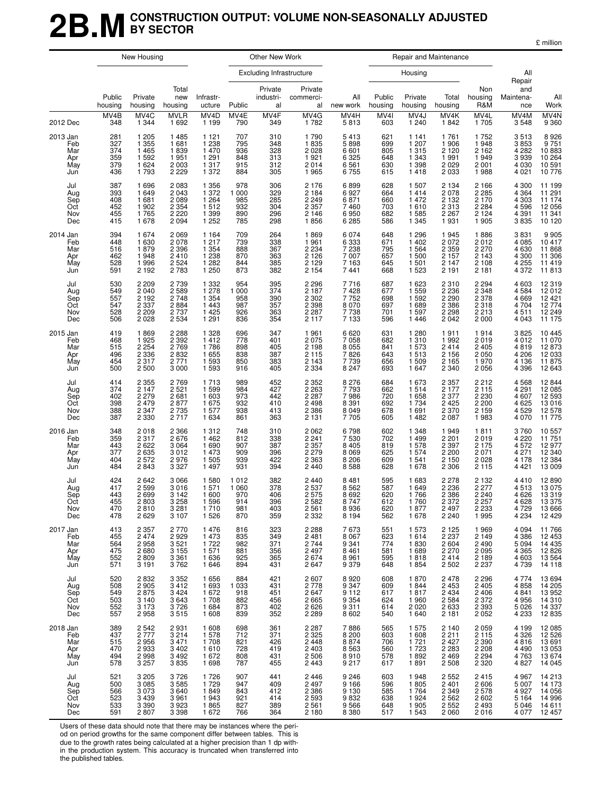## **2B.MCONSTRUCTION OUTPUT: VOLUME NON-SEASONALLY ADJUSTED BY SECTOR**

£ million

|                                             |                                        | New Housing                                                 |                                                                |                                                                        |                                                | Other New Work                         |                                                                |                                                       |                                        | Repair and Maintenance                                                       |                                                                      |                                                           |                                                              |                                                          |
|---------------------------------------------|----------------------------------------|-------------------------------------------------------------|----------------------------------------------------------------|------------------------------------------------------------------------|------------------------------------------------|----------------------------------------|----------------------------------------------------------------|-------------------------------------------------------|----------------------------------------|------------------------------------------------------------------------------|----------------------------------------------------------------------|-----------------------------------------------------------|--------------------------------------------------------------|----------------------------------------------------------|
|                                             |                                        |                                                             |                                                                |                                                                        |                                                | <b>Excluding Infrastructure</b>        |                                                                |                                                       |                                        | Housing                                                                      |                                                                      |                                                           | All<br>Repair                                                |                                                          |
|                                             | Public<br>housing                      | Private<br>housing                                          | Total<br>new<br>housing                                        | Infrastr-<br>ucture                                                    | Public                                         | Private<br>industri-<br>al             | Private<br>commerci-<br>al                                     | All<br>new work                                       | Public<br>housing                      | Private<br>housing                                                           | Total<br>housing                                                     | Non<br>housing<br>R&M                                     | and<br>Maintena-<br>nce                                      | All<br>Work                                              |
| 2012 Dec                                    | MV4B<br>348                            | MV4C<br>1 3 4 4                                             | <b>MVLR</b><br>1 6 9 2                                         | MV4D<br>1 1 9 9                                                        | MV4E<br>790                                    | MV4F<br>349                            | MV4G<br>1782                                                   | MV4H<br>5813                                          | MV4I<br>603                            | MV4J<br>1 2 4 0                                                              | MV4K<br>1842                                                         | MV4L<br>1705                                              | MV4M<br>3548                                                 | MV <sub>4</sub> N<br>9 360                               |
| 2013 Jan<br>Feb<br>Mar<br>Apr<br>May<br>Jun | 281<br>327<br>374<br>359<br>379<br>436 | 1 2 0 5<br>1 3 5 5<br>1465<br>1592<br>1 6 2 4<br>1793       | 1 4 8 5<br>1681<br>1839<br>1951<br>2 0 0 3<br>2 2 2 9          | 1 1 2 1<br>1 2 3 8<br>1 470<br>1 2 9 1<br>1 3 1 7<br>1 372             | 707<br>795<br>936<br>848<br>915<br>884         | 310<br>348<br>328<br>313<br>312<br>305 | 1790<br>1835<br>2028<br>1921<br>2014<br>1965                   | 5413<br>5898<br>6601<br>6 3 2 5<br>6561<br>6755       | 621<br>699<br>805<br>648<br>630<br>615 | 1 1 4 1<br>1 207<br>1 3 1 5<br>1 3 4 3<br>1398<br>1 4 1 8                    | 1761<br>1 906<br>2 1 2 0<br>1991<br>2 0 2 9<br>2 0 3 3               | 1752<br>1948<br>2 1 6 2<br>1949<br>2001<br>1988           | 3513<br>3853<br>4 2 8 2<br>3939<br>4 0 30<br>4 0 21          | 8926<br>9751<br>10 883<br>10 264<br>10 591<br>10 776     |
| Jul<br>Aug<br>Sep<br>Oct<br>Nov<br>Dec      | 387<br>393<br>408<br>452<br>455<br>415 | 1696<br>1649<br>1681<br>1902<br>1765<br>1678                | 2 0 8 3<br>2 0 4 3<br>2 0 8 9<br>2 3 5 4<br>2 2 2 0<br>2 0 9 4 | 1 3 5 6<br>1 372<br>1 2 6 4<br>$1\overline{512}$<br>1 3 9 9<br>1 2 5 2 | 978<br>1 000<br>985<br>932<br>890<br>785       | 306<br>329<br>285<br>304<br>296<br>298 | 2 1 7 6<br>2 1 8 4<br>2 2 4 9 2 3 5 7<br>2 1 4 6<br>1856       | 6899<br>6927<br>6871<br>7460<br>6950<br>6 2 8 5       | 628<br>664<br>660<br>703<br>682<br>586 | 1 507<br>1414<br>1 472<br>1610<br>1 5 8 5<br>1 3 4 5                         | 2 1 3 4<br>2 0 7 8<br>2 1 3 2<br>2 3 1 3<br>2 2 6 7<br>1931          | 2 1 6 6<br>2 285<br>2 170<br>2 284<br>2 1 2 4<br>1905     | 4 300<br>4 3 6 4<br>4 3 0 3<br>4596<br>4 3 9 1<br>3835       | 11 199<br>11 174<br>11 174<br>12 056<br>11 341<br>10 120 |
| 2014 Jan<br>Feb<br>Mar<br>Apr<br>May<br>Jun | 394<br>448<br>516<br>462<br>528<br>591 | 1674<br>1630<br>1879<br>1948<br>1996<br>2 1 9 2             | 2 0 6 9<br>2 0 7 8<br>2 3 9 6<br>2410<br>2 5 24<br>2 7 8 3     | 1 1 6 4<br>1 2 1 7<br>1 3 5 4<br>1 2 3 8<br>1 2 8 2<br>1 250           | 709<br>739<br>888<br>870<br>844<br>873         | 264<br>338<br>367<br>363<br>385<br>382 | 1869<br>1961<br>$2\,234$<br>2 1 2 6<br>2 1 2 9<br>2 1 5 4      | 6074<br>6333<br>7 2 3 8<br>7 0 0 7<br>7 1 6 3<br>7441 | 648<br>671<br>795<br>657<br>645<br>668 | 1 2 9 6<br>1 4 0 2<br>1.564<br>1 500<br>1 501<br>1 5 2 3                     | 1945<br>2 0 7 2<br>2359<br>2 1 5 7<br>2 1 4 7<br>2 1 9 1             | 1886<br>2012<br>2270<br>2 1 4 3<br>2 1 0 8<br>2 1 8 1     | 3831<br>4 0 8 5<br>4 6 30<br>4 300<br>4 2 5 5<br>4 372       | 9 905<br>10 417<br>11 868<br>11 306<br>11 419<br>11 813  |
| Jul<br>Aug<br>Sep<br>Oct<br>Nov<br>Dec      | 530<br>549<br>557<br>547<br>528<br>506 | 2 2 0 9<br>2 0 4 0<br>2 1 9 2<br>2 3 3 7<br>2 2 0 9<br>2028 | 2 7 3 9<br>2 589<br>2 748<br>2884<br>2 7 3 7<br>2 5 3 4        | 1 3 3 2<br>1278<br>1 3 5 4<br>1 4 4 3<br>1 4 2 5<br>1291               | 954<br>1 0 0 0<br>958<br>987<br>926<br>836     | 395<br>374<br>390<br>357<br>363<br>354 | 2 2 9 6<br>2 1 8 7<br>2 3 0 2<br>2 3 9 8<br>2 2 8 7<br>2 1 1 7 | 7716<br>7428<br>7752<br>8 070<br>7 738<br>7 1 3 3     | 687<br>677<br>698<br>697<br>701<br>596 | 1 623<br>1 559<br>1 5 9 2<br>1689<br>1 597<br>1 4 4 6                        | 2 3 1 0<br>2 2 3 6<br>2 2 9 0<br>2 3 8 6<br>2 2 9 8<br>2 0 4 2       | 2 294<br>2 348<br>2 3 7 8<br>2 318<br>2 213<br>2 0 0 0    | 4 603<br>4584<br>4 6 6 9<br>4 704<br>4511<br>4 0 4 3         | 12 319<br>12 012<br>12 421<br>12 774<br>12 249<br>11 175 |
| 2015 Jan<br>Feb<br>Mar<br>Apr<br>May<br>Jun | 419<br>468<br>515<br>496<br>454<br>500 | 1869<br>1925<br>2 2 5 4<br>2 3 3 6<br>2 3 1 7<br>2 5 0 0    | 2 2 8 8<br>2 3 9 2<br>2769<br>2 8 3 2<br>2 7 7 1<br>3 0 0 0    | 1 3 2 8<br>1412<br>1786<br>1655<br>1 5 9 3<br>1 5 9 3                  | 696<br>778<br>898<br>838<br>850<br>916         | 347<br>401<br>405<br>387<br>383<br>405 | 1961<br>2075<br>2 1 9 8<br>2 1 1 5<br>2 1 4 3<br>2 3 3 4       | 6620<br>7058<br>8 055<br>7 826<br>7739<br>8 2 4 7     | 631<br>682<br>841<br>643<br>656<br>693 | 1 2 8 0<br>1 3 1 0<br>1 573<br>1513<br>1 509<br>1 647                        | 1911<br>1 9 9 2<br>2414<br>2 1 5 6<br>2 1 6 5<br>2 3 4 0             | 1914<br>2019<br>2 405<br>2 050<br>1970<br>2056            | 3825<br>4 0 1 2<br>4819<br>4 206<br>4 1 3 6<br>4 3 9 6       | 10 445<br>11 070<br>12 873<br>12 033<br>11 875<br>12 643 |
| Jul<br>Aug<br>Sep<br>Oct<br>Nov<br>Dec      | 414<br>374<br>402<br>398<br>388<br>387 | 2 3 5 5<br>2 1 4 7<br>2 2 7 9<br>2479<br>2 3 4 7<br>2 3 3 0 | 2 7 6 9<br>2 5 21<br>2 681<br>2877<br>2 7 3 5<br>2717          | 1713<br>1 5 9 9<br>1 603<br>1 675<br>1577<br>1 6 3 4                   | 989<br>984<br>973<br>932<br>938<br>861         | 452<br>427<br>442<br>410<br>413<br>363 | 2 3 5 2<br>2 263<br>2 287<br>2498<br>2 3 8 6<br>2 1 3 1        | 8 2 7 6<br>7793<br>7986<br>8 3 9 1<br>8 0 4 9<br>7705 | 684<br>662<br>720<br>692<br>678<br>605 | 1 673<br>1514<br>1 658<br>1 7 3 4<br>1 691<br>1 4 8 2                        | 2 3 5 7<br>2 177<br>2 3 7 7<br>2 4 2 5<br>2 3 7 0<br>2 0 8 7         | 2212<br>2 115<br>2 230<br>2 2 0 0<br>2 159<br>1 983       | 4568<br>4 2 9 1<br>4 607<br>4 6 25<br>4529<br>4 0 7 0        | 12 844<br>12 085<br>12 593<br>13 016<br>12 578<br>11 775 |
| 2016 Jan<br>Feb<br>Mar<br>Apr<br>May<br>Jun | 348<br>359<br>443<br>377<br>404<br>484 | 2018<br>2 3 1 7<br>2622<br>2635<br>2572<br>2843             | 2 3 6 6<br>2 676<br>3 0 6 4<br>3012<br>2976<br>3 3 2 7         | 1 3 1 2<br>1 4 6 2<br>1690<br>1 473<br>1 505<br>1 4 9 7                | 748<br>812<br>907<br>909<br>939<br>931         | 310<br>338<br>387<br>396<br>422<br>394 | 2062<br>2 2 4 1<br>2 3 5 7<br>2 2 7 9<br>2 3 6 3<br>2 4 4 0    | 6798<br>7530<br>8 4 0 5<br>8 0 6 9<br>8 2 0 6<br>8588 | 602<br>702<br>819<br>625<br>609<br>628 | 1 3 4 8<br>1499<br>1578<br>1 574<br>1 5 4 1<br>1 678                         | 1949<br>2,201<br>2 3 9 7<br>2 2 0 0<br>2 150<br>2 3 0 6              | 1811<br>2019<br>2 175<br>2 071<br>2 028<br>2 1 1 5        | 3760<br>4 2 2 0<br>4 572<br>4 271<br>4 178<br>4 4 2 1        | 10 557<br>11 751<br>12 977<br>12 340<br>12 384<br>13 009 |
| Jul<br>Aug<br>Sep<br>Oct<br>Nov<br>Dec      | 424<br>417<br>443<br>455<br>470<br>478 | 2642<br>2599<br>2699<br>2803<br>2810<br>2629                | 3 0 6 6<br>3016<br>3 1 4 2<br>3 2 5 8<br>3 2 8 1<br>3 1 0 7    | 1 5 8 0<br>1 5 7 1<br>1 600<br>1 5 9 6<br>1710<br>1 5 2 6              | 1 0 1 2<br>1 0 6 0<br>970<br>914<br>981<br>870 | 382<br>378<br>406<br>396<br>403<br>359 | 2 4 4 0<br>2537<br>2575<br>2 582<br>2561<br>2 3 3 2            | 8481<br>8562<br>8692<br>8 747<br>8936<br>8 1 9 4      | 595<br>587<br>620<br>612<br>620<br>562 | 1683<br>1 6 4 9<br>1766<br>1760<br>1877<br>1678                              | 2 2 7 8<br>2 2 3 6<br>2 3 8 6<br>2 372<br>2 4 9 7<br>2 2 4 0         | 2 1 3 2<br>2 2 7 7<br>2 2 4 0<br>2 257<br>2 2 3 3<br>1995 | 4410<br>4513<br>4 6 2 6<br>4 628<br>4 7 2 9<br>4 2 3 4       | 12 890<br>13 075<br>13 319<br>13 375<br>13 666<br>12 429 |
| 2017 Jan<br>Feb<br>Mar<br>Apr<br>May<br>Jun | 413<br>455<br>564<br>475<br>552<br>571 | 2 3 5 7<br>2474<br>2958<br>2680<br>2809<br>3 1 9 1          | 2770<br>2929<br>3 5 21<br>3 1 5 5<br>3 3 6 1<br>3762           | 1476<br>1 473<br>1722<br>1571<br>1636<br>1646                          | 816<br>835<br>982<br>881<br>925<br>894         | 323<br>349<br>371<br>356<br>365<br>431 | 2 2 8 8<br>2 4 8 1<br>2744<br>2 4 9 7<br>2674<br>2647          | 7673<br>8 0 6 7<br>9 3 4 1<br>8 4 6 1<br>8961<br>9379 | 551<br>623<br>774<br>581<br>595<br>648 | 1 573<br>1614<br>1830<br>1 6 8 9<br>1818<br>1854                             | 2 1 2 5<br>2 237<br>2 604<br>2 2 7 0<br>2 414<br>2 502               | 1969<br>2 149<br>2 490<br>2 0 9 5<br>2 189<br>2 237       | 4 0 9 4<br>4 3 8 6<br>5 0 9 4<br>4 3 6 5<br>4 603<br>4 7 3 9 | 11 766<br>12 453<br>14 435<br>12 826<br>13 564<br>14 118 |
| Jul<br>Aug<br>Sep<br>Oct<br>Nov<br>Dec      | 520<br>508<br>549<br>503<br>552<br>557 | 2 832<br>2 905<br>2875<br>3 140<br>3 173<br>2958            | 3 352<br>3 412<br>3 4 2 4<br>3643<br>3726<br>3515              | 1656<br>1693<br>1672<br>1708<br>1 6 8 4<br>1 608                       | 884<br>1 0 3 3<br>918<br>882<br>873<br>839     | 421<br>431<br>451<br>456<br>402<br>352 | 2 607<br>2 778<br>2647<br>2665<br>2626<br>2 2 8 9              | 8920<br>9347<br>9 1 1 2<br>9354<br>9311<br>8602       | 608<br>609<br>617<br>624<br>614<br>540 | 1870<br>1844<br>1817<br>$\begin{array}{c} 1960 \\ 2020 \end{array}$<br>1 640 | 2 478<br>2 453<br>2 4 3 4<br>2 584<br>2 633<br>2 181                 | 2 2 9 6<br>2 4 0 5<br>2406<br>2372<br>2393<br>2052        | 4 7 7 4<br>4858<br>4 8 4 1<br>4 956<br>5 026<br>4 2 3 3      | 13 694<br>14 205<br>13 952<br>14 310<br>14 337<br>12 835 |
| 2018 Jan<br>Feb<br>Mar<br>Apr<br>May<br>Jun | 389<br>437<br>515<br>470<br>494<br>578 | 2542<br>2777<br>2956<br>2933<br>2998<br>3 2 5 7             | 2931<br>3 2 1 4<br>3 4 7 1<br>3 4 0 2<br>3 4 9 2<br>3835       | 1 608<br>1578<br>1708<br>1610<br>1672<br>1698                          | 698<br>712<br>821<br>728<br>808<br>787         | 361<br>371<br>426<br>419<br>431<br>455 | 2 2 8 7<br>2 3 2 5<br>2448<br>2403<br>2506<br>2443             | 7886<br>8 2 0 0<br>8874<br>8563<br>8910<br>9217       | 565<br>603<br>706<br>560<br>578<br>617 | 1 575<br>1 608<br>1 7 2 1<br>1 7 2 3<br>1892<br>1891                         | 2 140<br>$\frac{2}{2}$ 211<br>2.427<br>2 2 8 3<br>2 4 6 9<br>2 5 0 8 | $2059$<br>$2115$<br>2 390<br>2 208<br>2 2 9 4<br>2 3 2 0  | 4 1 9 9<br>4 3 2 6<br>4 816<br>4 490<br>4 7 6 3<br>4 8 27    | 12 085<br>12 526<br>13 691<br>13 053<br>13 674<br>14 045 |
| Jul<br>Aug<br>Sep<br>Oct<br>Nov<br>Dec      | 521<br>500<br>566<br>523<br>533<br>591 | 3 2 0 5<br>$3085$<br>$3073$<br>3 4 3 9<br>3 3 9 0<br>2807   | 3726<br>3585<br>3640<br>3 9 6 1<br>3923<br>3 3 9 8             | 1726<br>1729<br>1849<br>1943<br>1865<br>1672                           | 907<br>947<br>843<br>921<br>827<br>766         | 441<br>409<br>412<br>414<br>389<br>364 | 2 4 4 6<br>2 4 9 7<br>2 3 8 6<br>2593<br>2561<br>2 1 8 0       | 9 2 4 6<br>9 166<br>9 130<br>9832<br>9566<br>8 3 8 0  | 603<br>596<br>585<br>638<br>648<br>517 | 1948<br>1805<br>1 7 6 4<br>1924<br>1 9 0 5<br>1 5 4 3                        | 2 5 5 2<br>2 401<br>2 349<br>2 5 6 2<br>2 5 5 2<br>2 0 6 0           | 2415<br>2 606<br>2 578<br>2 6 0 2<br>2493<br>2016         | 4 9 6 7<br>5 007<br>4 927<br>5 1 6 4<br>5 046<br>4 077       | 14 213<br>14 173<br>14 056<br>14 996<br>14 611<br>12 457 |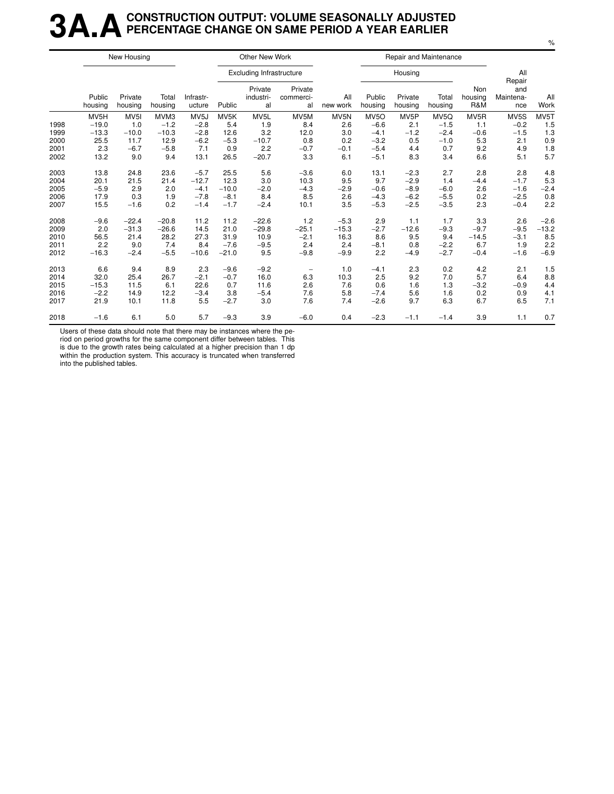## **3A.ACONSTRUCTION OUTPUT: VOLUME SEASONALLY ADJUSTED PERCENTAGE CHANGE ON SAME PERIOD A YEAR EARLIER**

|      |                   | New Housing        |                  |                     |                   | Other New Work                  |                            |                  |                   | Repair and Maintenance |                   |                       |                                   |             |
|------|-------------------|--------------------|------------------|---------------------|-------------------|---------------------------------|----------------------------|------------------|-------------------|------------------------|-------------------|-----------------------|-----------------------------------|-------------|
|      |                   |                    |                  |                     |                   | <b>Excluding Infrastructure</b> |                            |                  |                   | Housing                |                   |                       | All                               |             |
|      | Public<br>housing | Private<br>housing | Total<br>housing | Infrastr-<br>ucture | Public            | Private<br>industri-<br>al      | Private<br>commerci-<br>al | All<br>new work  | Public<br>housing | Private<br>housing     | Total<br>housing  | Non<br>housing<br>R&M | Repair<br>and<br>Maintena-<br>nce | All<br>Work |
|      | MV <sub>5</sub> H | MV <sub>5</sub> I  | MVM3             | MV <sub>5</sub> J   | MV <sub>5</sub> K | MV <sub>5</sub> L               | MV5M                       | MV <sub>5N</sub> | MV <sub>5</sub> O | MV <sub>5</sub> P      | MV <sub>5</sub> Q | MV <sub>5</sub> R     | MV5S                              | MV5T        |
| 1998 | $-19.0$           | 1.0                | $-1.2$           | $-2.8$              | 5.4               | 1.9                             | 8.4                        | 2.6              | $-6.6$            | 2.1                    | $-1.5$            | 1.1                   | $-0.2$                            | 1.5         |
| 1999 | $-13.3$           | $-10.0$            | $-10.3$          | $-2.8$              | 12.6              | 3.2                             | 12.0                       | 3.0              | $-4.1$            | $-1.2$                 | $-2.4$            | $-0.6$                | $-1.5$                            | 1.3         |
| 2000 | 25.5              | 11.7               | 12.9             | $-6.2$              | $-5.3$            | $-10.7$                         | 0.8                        | 0.2              | $-3.2$            | 0.5                    | $-1.0$            | 5.3                   | 2.1                               | 0.9         |
| 2001 | 2.3               | $-6.7$             | $-5.8$           | 7.1                 | 0.9               | 2.2                             | $-0.7$                     | $-0.1$           | $-5.4$            | 4.4                    | 0.7               | 9.2                   | 4.9                               | 1.8         |
| 2002 | 13.2              | 9.0                | 9.4              | 13.1                | 26.5              | $-20.7$                         | 3.3                        | 6.1              | $-5.1$            | 8.3                    | 3.4               | 6.6                   | 5.1                               | 5.7         |
| 2003 | 13.8              | 24.8               | 23.6             | $-5.7$              | 25.5              | 5.6                             | $-3.6$                     | 6.0              | 13.1              | $-2.3$                 | 2.7               | 2.8                   | 2.8                               | 4.8         |
| 2004 | 20.1              | 21.5               | 21.4             | $-12.7$             | 12.3              | 3.0                             | 10.3                       | 9.5              | 9.7               | $-2.9$                 | 1.4               | $-4.4$                | $-1.7$                            | 5.3         |
| 2005 | $-5.9$            | 2.9                | 2.0              | $-4.1$              | $-10.0$           | $-2.0$                          | $-4.3$                     | $-2.9$           | $-0.6$            | $-8.9$                 | $-6.0$            | 2.6                   | $-1.6$                            | $-2.4$      |
| 2006 | 17.9              | 0.3                | 1.9              | $-7.8$              | $-8.1$            | 8.4                             | 8.5                        | 2.6              | $-4.3$            | $-6.2$                 | $-5.5$            | 0.2                   | $-2.5$                            | 0.8         |
| 2007 | 15.5              | $-1.6$             | 0.2              | $-1.4$              | $-1.7$            | $-2.4$                          | 10.1                       | 3.5              | $-5.3$            | $-2.5$                 | $-3.5$            | 2.3                   | $-0.4$                            | 2.2         |
| 2008 | $-9.6$            | $-22.4$            | $-20.8$          | 11.2                | 11.2              | $-22.6$                         | 1.2                        | $-5.3$           | 2.9               | 1.1                    | 1.7               | 3.3                   | 2.6                               | $-2.6$      |
| 2009 | 2.0               | $-31.3$            | $-26.6$          | 14.5                | 21.0              | $-29.8$                         | $-25.1$                    | $-15.3$          | $-2.7$            | $-12.6$                | $-9.3$            | $-9.7$                | $-9.5$                            | $-13.2$     |
| 2010 | 56.5              | 21.4               | 28.2             | 27.3                | 31.9              | 10.9                            | $-2.1$                     | 16.3             | 8.6               | 9.5                    | 9.4               | $-14.5$               | $-3.1$                            | 8.5         |
| 2011 | 2.2               | 9.0                | 7.4              | 8.4                 | $-7.6$            | $-9.5$                          | 2.4                        | 2.4              | $-8.1$            | 0.8                    | $-2.2$            | 6.7                   | 1.9                               | 2.2         |
| 2012 | $-16.3$           | $-2.4$             | $-5.5$           | $-10.6$             | $-21.0$           | 9.5                             | $-9.8$                     | $-9.9$           | 2.2               | $-4.9$                 | $-2.7$            | $-0.4$                | $-1.6$                            | $-6.9$      |
| 2013 | 6.6               | 9.4                | 8.9              | 2.3                 | $-9.6$            | $-9.2$                          |                            | 1.0              | $-4.1$            | 2.3                    | 0.2               | 4.2                   | 2.1                               | 1.5         |
| 2014 | 32.0              | 25.4               | 26.7             | $-2.1$              | $-0.7$            | 16.0                            | 6.3                        | 10.3             | 2.5               | 9.2                    | 7.0               | 5.7                   | 6.4                               | 8.8         |
| 2015 | $-15.3$           | 11.5               | 6.1              | 22.6                | 0.7               | 11.6                            | 2.6                        | 7.6              | 0.6               | 1.6                    | 1.3               | $-3.2$                | $-0.9$                            | 4.4         |
| 2016 | $-2.2$            | 14.9               | 12.2             | $-3.4$              | 3.8               | $-5.4$                          | 7.6                        | 5.8              | $-7.4$            | 5.6                    | 1.6               | 0.2                   | 0.9                               | 4.1         |
| 2017 | 21.9              | 10.1               | 11.8             | 5.5                 | $-2.7$            | 3.0                             | 7.6                        | 7.4              | $-2.6$            | 9.7                    | 6.3               | 6.7                   | 6.5                               | 7.1         |
| 2018 | $-1.6$            | 6.1                | 5.0              | 5.7                 | $-9.3$            | 3.9                             | $-6.0$                     | 0.4              | $-2.3$            | $-1.1$                 | $-1.4$            | 3.9                   | 1.1                               | 0.7         |

Users of these data should note that there may be instances where the pe-

riod on period growths for the same component differ between tables. This is due to the growth rates being calculated at a higher precision than 1 dp

within the production system. This accuracy is truncated when transferred into the published tables.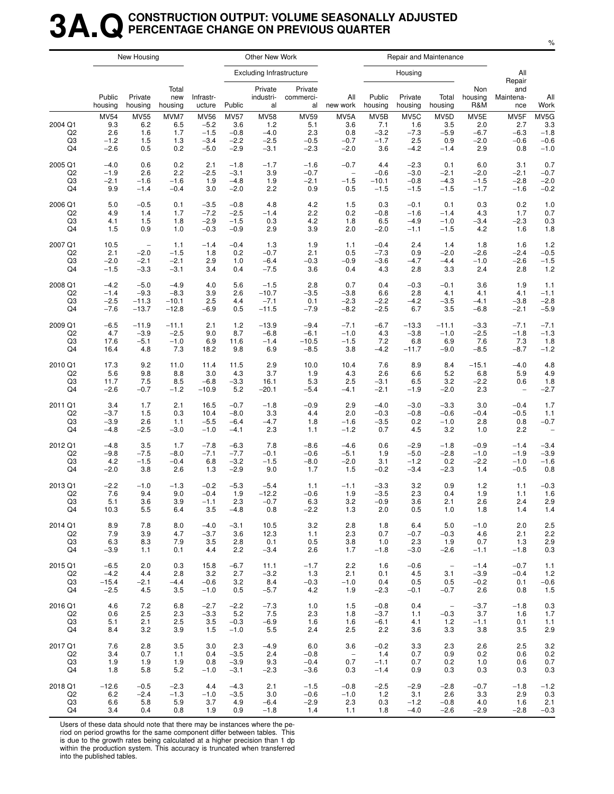## **3A.QCONSTRUCTION OUTPUT: VOLUME SEASONALLY ADJUSTED PERCENTAGE CHANGE ON PREVIOUS QUARTER**

|                                       |                                               | New Housing                             |                                  |                                                     |                                                  | Other New Work                                   |                                               |                                        |                                                     | Repair and Maintenance                              |                                                     |                                        |                                        |                                           |
|---------------------------------------|-----------------------------------------------|-----------------------------------------|----------------------------------|-----------------------------------------------------|--------------------------------------------------|--------------------------------------------------|-----------------------------------------------|----------------------------------------|-----------------------------------------------------|-----------------------------------------------------|-----------------------------------------------------|----------------------------------------|----------------------------------------|-------------------------------------------|
|                                       |                                               |                                         |                                  |                                                     |                                                  | <b>Excluding Infrastructure</b>                  |                                               |                                        |                                                     | Housing                                             |                                                     |                                        | All                                    |                                           |
|                                       | Public<br>housing                             | Private<br>housing                      | Total<br>new<br>housing          | Infrastr-<br>ucture                                 | Public                                           | Private<br>industri-<br>al                       | Private<br>commerci-<br>al                    | All<br>new work                        | Public<br>housing                                   | Private<br>housing                                  | Total<br>housing                                    | Non<br>housing<br>R&M                  | Repair<br>and<br>Maintena-<br>nce      | All<br>Work                               |
| 2004 Q1<br>Q <sub>2</sub><br>Q3<br>Q4 | <b>MV54</b><br>9.3<br>2.6<br>$-1.2$<br>$-2.6$ | <b>MV55</b><br>6.2<br>1.6<br>1.5<br>0.5 | MVM7<br>6.5<br>1.7<br>1.3<br>0.2 | <b>MV56</b><br>$-5.2$<br>$-1.5$<br>$-3.4$<br>$-5.0$ | <b>MV57</b><br>3.6<br>$-0.8$<br>$-2.2$<br>$-2.9$ | <b>MV58</b><br>1.2<br>$-4.0$<br>$-2.5$<br>$-3.1$ | <b>MV59</b><br>5.1<br>2.3<br>$-0.5$<br>$-2.3$ | MV5A<br>3.6<br>0.8<br>$-0.7$<br>$-2.0$ | MV <sub>5</sub> B<br>7.1<br>$-3.2$<br>$-1.7$<br>3.6 | MV <sub>5</sub> C<br>1.6<br>$-7.3$<br>2.5<br>$-4.2$ | MV <sub>5</sub> D<br>3.5<br>$-5.9$<br>0.9<br>$-1.4$ | MV5E<br>2.0<br>$-6.7$<br>$-2.0$<br>2.9 | MV5F<br>2.7<br>$-6.3$<br>$-0.6$<br>0.8 | MV5G<br>3.3<br>$-1.8$<br>$-0.6$<br>$-1.0$ |
| 2005 Q1                               | $-4.0$                                        | 0.6                                     | 0.2                              | 2.1                                                 | $-1.8$                                           | $-1.7$                                           | $-1.6$                                        | $-0.7$                                 | 4.4                                                 | $-2.3$                                              | 0.1                                                 | 6.0                                    | 3.1                                    | 0.7                                       |
| Q <sub>2</sub>                        | $-1.9$                                        | 2.6                                     | 2.2                              | $-2.5$                                              | $-3.1$                                           | 3.9                                              | $-0.7$                                        | $\overline{\phantom{a}}$               | $-0.6$                                              | $-3.0$                                              | $-2.1$                                              | $-2.0$                                 | $-2.1$                                 | $-0.7$                                    |
| Q3                                    | $-2.1$                                        | $-1.6$                                  | $-1.6$                           | 1.9                                                 | $-4.8$                                           | 1.9                                              | $-2.1$                                        | $-1.5$                                 | $-10.1$                                             | $-0.8$                                              | $-4.3$                                              | $-1.5$                                 | $-2.8$                                 | $-2.0$                                    |
| Q4                                    | 9.9                                           | $-1.4$                                  | $-0.4$                           | 3.0                                                 | $-2.0$                                           | 2.2                                              | 0.9                                           | 0.5                                    | $-1.5$                                              | $-1.5$                                              | $-1.5$                                              | $-1.7$                                 | $-1.6$                                 | $-0.2$                                    |
| 2006 Q1                               | 5.0                                           | $-0.5$                                  | 0.1                              | $-3.5$                                              | $-0.8$                                           | 4.8                                              | 4.2                                           | 1.5                                    | 0.3                                                 | $-0.1$                                              | 0.1                                                 | 0.3                                    | 0.2                                    | 1.0                                       |
| Q2                                    | 4.9                                           | 1.4                                     | 1.7                              | $-7.2$                                              | $-2.5$                                           | $-1.4$                                           | 2.2                                           | 0.2                                    | $-0.8$                                              | $-1.6$                                              | $-1.4$                                              | 4.3                                    | 1.7                                    | 0.7                                       |
| Q3                                    | 4.1                                           | 1.5                                     | 1.8                              | $-2.9$                                              | $-1.5$                                           | 0.3                                              | 4.2                                           | 1.8                                    | 6.5                                                 | $-4.9$                                              | $-1.0$                                              | $-3.4$                                 | $-2.3$                                 | 0.3                                       |
| Q4                                    | 1.5                                           | 0.9                                     | 1.0                              | $-0.3$                                              | $-0.9$                                           | 2.9                                              | 3.9                                           | 2.0                                    | $-2.0$                                              | $-1.1$                                              | $-1.5$                                              | 4.2                                    | 1.6                                    | 1.8                                       |
| 2007 Q1                               | 10.5                                          | $\qquad \qquad -$                       | 1.1                              | $-1.4$                                              | $-0.4$                                           | 1.3                                              | 1.9                                           | 1.1                                    | $-0.4$                                              | 2.4                                                 | 1.4                                                 | 1.8                                    | 1.6                                    | 1.2                                       |
| Q <sub>2</sub>                        | 2.1                                           | $-2.0$                                  | $-1.5$                           | 1.8                                                 | 0.2                                              | $-0.7$                                           | 2.1                                           | 0.5                                    | $-7.3$                                              | 0.9                                                 | $-2.0$                                              | $-2.6$                                 | $-2.4$                                 | $-0.5$                                    |
| Q <sub>3</sub>                        | $-2.0$                                        | $-2.1$                                  | $-2.1$                           | 2.9                                                 | 1.0                                              | $-6.4$                                           | $-0.3$                                        | $-0.9$                                 | $-3.6$                                              | $-4.7$                                              | $-4.4$                                              | $-1.0$                                 | $-2.6$                                 | $-1.5$                                    |
| Q4                                    | $-1.5$                                        | $-3.3$                                  | $-3.1$                           | 3.4                                                 | 0.4                                              | $-7.5$                                           | 3.6                                           | 0.4                                    | 4.3                                                 | 2.8                                                 | 3.3                                                 | 2.4                                    | 2.8                                    | 1.2                                       |
| 2008 Q1                               | $-4.2$                                        | $-5.0$                                  | $-4.9$                           | 4.0                                                 | 5.6                                              | $-1.5$                                           | 2.8                                           | 0.7                                    | 0.4                                                 | $-0.3$                                              | $-0.1$                                              | 3.6                                    | 1.9                                    | 1.1                                       |
| Q <sub>2</sub>                        | $-1.4$                                        | $-9.3$                                  | $-8.3$                           | 3.9                                                 | 2.6                                              | $-10.7$                                          | $-3.5$                                        | $-3.8$                                 | 6.6                                                 | 2.8                                                 | 4.1                                                 | 4.1                                    | 4.1                                    | $-1.1$                                    |
| Q3                                    | $-2.5$                                        | $-11.3$                                 | $-10.1$                          | 2.5                                                 | 4.4                                              | $-7.1$                                           | 0.1                                           | $-2.3$                                 | $-2.2$                                              | $-4.2$                                              | $-3.5$                                              | $-4.1$                                 | $-3.8$                                 | $-2.8$                                    |
| Q4                                    | $-7.6$                                        | $-13.7$                                 | $-12.8$                          | $-6.9$                                              | 0.5                                              | $-11.5$                                          | $-7.9$                                        | $-8.2$                                 | $-2.5$                                              | 6.7                                                 | 3.5                                                 | $-6.8$                                 | $-2.1$                                 | $-5.9$                                    |
| 2009 Q1                               | $-6.5$                                        | $-11.9$                                 | $-11.1$                          | 2.1                                                 | 1.2                                              | $-13.9$                                          | $-9.4$                                        | $-7.1$                                 | $-6.7$                                              | $-13.3$                                             | $-11.1$                                             | $-3.3$                                 | $-7.1$                                 | $-7.1$                                    |
| Q2                                    | 4.7                                           | $-3.9$                                  | $-2.5$                           | 9.0                                                 | 8.7                                              | $-6.8$                                           | $-6.1$                                        | $-1.0$                                 | 4.3                                                 | $-3.8$                                              | $-1.0$                                              | $-2.5$                                 | $-1.8$                                 | $-1.3$                                    |
| Q3                                    | 17.6                                          | $-5.1$                                  | $-1.0$                           | 6.9                                                 | 11.6                                             | $-1.4$                                           | $-10.5$                                       | $-1.5$                                 | 7.2                                                 | 6.8                                                 | 6.9                                                 | 7.6                                    | 7.3                                    | 1.8                                       |
| Q4                                    | 16.4                                          | 4.8                                     | 7.3                              | 18.2                                                | 9.8                                              | 6.9                                              | $-8.5$                                        | 3.8                                    | $-4.2$                                              | $-11.7$                                             | $-9.0$                                              | $-8.5$                                 | $-8.7$                                 | $-1.2$                                    |
| 2010 Q1                               | 17.3                                          | 9.2                                     | 11.0                             | 11.4                                                | 11.5                                             | 2.9                                              | 10.0                                          | 10.4                                   | 7.6                                                 | 8.9                                                 | 8.4                                                 | $-15.1$                                | $-4.0$                                 | 4.8                                       |
| Q <sub>2</sub>                        | 5.6                                           | 9.8                                     | 8.8                              | 3.0                                                 | 4.3                                              | 3.7                                              | 1.9                                           | 4.3                                    | 2.6                                                 | 6.6                                                 | 5.2                                                 | 6.8                                    | 5.9                                    | 4.9                                       |
| Q3                                    | 11.7                                          | 7.5                                     | 8.5                              | $-6.8$                                              | $-3.3$                                           | 16.1                                             | 5.3                                           | 2.5                                    | $-3.1$                                              | 6.5                                                 | 3.2                                                 | $-2.2$                                 | 0.6                                    | 1.8                                       |
| Q4                                    | $-2.6$                                        | $-0.7$                                  | $-1.2$                           | $-10.9$                                             | 5.2                                              | $-20.1$                                          | $-5.4$                                        | $-4.1$                                 | $-2.1$                                              | $-1.9$                                              | $-2.0$                                              | 2.3                                    | $\overline{\phantom{0}}$               | $-2.7$                                    |
| 2011 Q1<br>Q <sub>2</sub><br>Q3<br>Q4 | 3.4<br>$-3.7$<br>$-3.9$<br>$-4.8$             | 1.7<br>1.5<br>2.6<br>$-2.5$             | 2.1<br>0.3<br>1.1<br>$-3.0$      | 16.5<br>10.4<br>$-5.5$<br>$-1.0$                    | $-0.7$<br>$-8.0$<br>$-6.4$<br>$-4.1$             | $-1.8$<br>3.3<br>$-4.7$<br>2.3                   | $-0.9$<br>4.4<br>1.8<br>1.1                   | 2.9<br>2.0<br>$-1.6$<br>$-1.2$         | $-4.0$<br>$-0.3$<br>$-3.5$<br>0.7                   | $-3.0$<br>$-0.8$<br>0.2<br>4.5                      | $-3.3$<br>$-0.6$<br>$-1.0$<br>3.2                   | 3.0<br>$-0.4$<br>2.8<br>1.0            | $-0.4$<br>$-0.5$<br>0.8<br>2.2         | 1.7<br>1.1<br>$-0.7$                      |
| 2012 Q1                               | $-4.8$                                        | 3.5                                     | 1.7                              | $-7.8$                                              | $-6.3$                                           | 7.8                                              | $-8.6$                                        | $-4.6$                                 | 0.6                                                 | $-2.9$                                              | $-1.8$                                              | $-0.9$                                 | $-1.4$                                 | $-3.4$                                    |
| Q <sub>2</sub>                        | $-9.8$                                        | $-7.5$                                  | $-8.0$                           | $-7.1$                                              | $-7.7$                                           | $-0.1$                                           | $-0.6$                                        | $-5.1$                                 | 1.9                                                 | $-5.0$                                              | $-2.8$                                              | $-1.0$                                 | $-1.9$                                 | $-3.9$                                    |
| Q3                                    | 4.2                                           | $-1.5$                                  | $-0.4$                           | 6.8                                                 | $-3.2$                                           | $-1.5$                                           | $-8.0$                                        | $-2.0$                                 | 3.1                                                 | $-1.2$                                              | 0.2                                                 | $-2.2$                                 | $-1.0$                                 | $-1.6$                                    |
| Q4                                    | $-2.0$                                        | 3.8                                     | 2.6                              | 1.3                                                 | $-2.9$                                           | 9.0                                              | 1.7                                           | 1.5                                    | $-0.2$                                              | $-3.4$                                              | $-2.3$                                              | 1.4                                    | $-0.5$                                 | 0.8                                       |
| 2013 Q1                               | $-2.2$                                        | $-1.0$                                  | $-1.3$                           | $-0.2$                                              | $-5.3$                                           | $-5.4$                                           | 1.1                                           | $-1.1$                                 | $-3.3$                                              | 3.2                                                 | 0.9                                                 | 1.2                                    | 1.1                                    | $-0.3$                                    |
| Q <sub>2</sub>                        | 7.6                                           | 9.4                                     | 9.0                              | $-0.4$                                              | 1.9                                              | $-12.2$                                          | $-0.6$                                        | 1.9                                    | $-3.5$                                              | 2.3                                                 | 0.4                                                 | 1.9                                    | 1.1                                    | 1.6                                       |
| Q3                                    | 5.1                                           | 3.6                                     | 3.9                              | $-1.1$                                              | 2.3                                              | $-0.7$                                           | 6.3                                           | 3.2                                    | $-0.9$                                              | 3.6                                                 | 2.1                                                 | 2.6                                    | 2.4                                    | 2.9                                       |
| Q4                                    | 10.3                                          | 5.5                                     | 6.4                              | 3.5                                                 | $-4.8$                                           | 0.8                                              | $-2.2$                                        | 1.3                                    | 2.0                                                 | 0.5                                                 | 1.0                                                 | 1.8                                    | 1.4                                    | 1.4                                       |
| 2014 Q1                               | 8.9                                           | 7.8                                     | 8.0                              | $-4.0$                                              | $-3.1$                                           | 10.5                                             | 3.2                                           | 2.8                                    | 1.8                                                 | 6.4                                                 | 5.0                                                 | $-1.0$                                 | 2.0                                    | 2.5                                       |
| Q <sub>2</sub>                        | 7.9                                           | 3.9                                     | 4.7                              | $-3.7$                                              | 3.6                                              | 12.3                                             | 1.1                                           | 2.3                                    | 0.7                                                 | $-0.7$                                              | $-0.3$                                              | 4.6                                    | 2.1                                    | 2.2                                       |
| Q3                                    | 6.3                                           | 8.3                                     | 7.9                              | 3.5                                                 | 2.8                                              | 0.1                                              | 0.5                                           | 3.8                                    | 1.0                                                 | 2.3                                                 | 1.9                                                 | 0.7                                    | 1.3                                    | 2.9                                       |
| Q4                                    | $-3.9$                                        | 1.1                                     | 0.1                              | 4.4                                                 | 2.2                                              | $-3.4$                                           | 2.6                                           | 1.7                                    | $-1.8$                                              | $-3.0$                                              | $-2.6$                                              | $-1.1$                                 | $-1.8$                                 | 0.3                                       |
| 2015 Q1                               | $-6.5$                                        | 2.0                                     | 0.3                              | 15.8                                                | $-6.7$                                           | 11.1                                             | $-1.7$                                        | 2.2                                    | 1.6                                                 | $-0.6$                                              | $\overline{\phantom{a}}$                            | $-1.4$                                 | $-0.7$                                 | 1.1                                       |
| Q <sub>2</sub>                        | $-4.2$                                        | 4.4                                     | 2.8                              | 3.2                                                 | 2.7                                              | $-3.2$                                           | 1.3                                           | 2.1                                    | 0.1                                                 | 4.5                                                 | 3.1                                                 | $-3.9$                                 | $-0.4$                                 | 1.2                                       |
| Q3                                    | $-15.4$                                       | $-2.1$                                  | $-4.4$                           | $-0.6$                                              | 3.2                                              | 8.4                                              | $-0.3$                                        | $-1.0$                                 | 0.4                                                 | 0.5                                                 | 0.5                                                 | $-0.2$                                 | 0.1                                    | $-0.6$                                    |
| Q4                                    | $-2.5$                                        | 4.5                                     | 3.5                              | $-1.0$                                              | 0.5                                              | $-5.7$                                           | 4.2                                           | 1.9                                    | $-2.3$                                              | $-0.1$                                              | $-0.7$                                              | 2.6                                    | 0.8                                    | 1.5                                       |
| 2016 Q1                               | 4.6                                           | 7.2                                     | 6.8                              | $-2.7$                                              | $-2.2$                                           | $-7.3$                                           | 1.0                                           | 1.5                                    | $-0.8$                                              | 0.4                                                 | $\hspace{0.1mm}-\hspace{0.1mm}$                     | $-3.7$                                 | $-1.8$                                 | 0.3                                       |
| Q <sub>2</sub>                        | 0.6                                           | 2.5                                     | 2.3                              | $-3.3$                                              | 5.2                                              | 7.5                                              | 2.3                                           | 1.8                                    | $-3.7$                                              | 1.1                                                 | $-0.3$                                              | 3.7                                    | 1.6                                    | 1.7                                       |
| Q3                                    | 5.1                                           | 2.1                                     | 2.5                              | 3.5                                                 | $-0.3$                                           | $-6.9$                                           | 1.6                                           | 1.6                                    | $-6.1$                                              | 4.1                                                 | 1.2                                                 | $-1.1$                                 | 0.1                                    | 1.1                                       |
| Q4                                    | 8.4                                           | 3.2                                     | 3.9                              | 1.5                                                 | $-1.0$                                           | 5.5                                              | 2.4                                           | 2.5                                    | 2.2                                                 | 3.6                                                 | 3.3                                                 | 3.8                                    | 3.5                                    | 2.9                                       |
| 2017 Q1                               | 7.6                                           | 2.8                                     | 3.5                              | 3.0                                                 | 2.3                                              | $-4.9$                                           | 6.0                                           | 3.6                                    | $-0.2$                                              | 3.3                                                 | 2.3                                                 | 2.6                                    | 2.5                                    | 3.2                                       |
| Q2                                    | 3.4                                           | 0.7                                     | 1.1                              | 0.4                                                 | $-3.5$                                           | 2.4                                              | $-0.8$                                        | $\hspace{0.1mm}-\hspace{0.1mm}$        | 1.4                                                 | 0.7                                                 | 0.9                                                 | 0.2                                    | 0.6                                    | 0.2                                       |
| Q3                                    | 1.9                                           | 1.9                                     | 1.9                              | 0.8                                                 | $-3.9$                                           | 9.3                                              | $-0.4$                                        | 0.7                                    | $-1.1$                                              | 0.7                                                 | 0.2                                                 | 1.0                                    | 0.6                                    | 0.7                                       |
| Q4                                    | 1.8                                           | 5.8                                     | 5.2                              | $-1.0$                                              | $-3.1$                                           | $-2.3$                                           | $-3.6$                                        | 0.3                                    | $-1.4$                                              | 0.9                                                 | 0.3                                                 | 0.3                                    | 0.3                                    | 0.3                                       |
| 2018 Q1                               | $-12.6$                                       | $-0.5$                                  | $-2.3$                           | 4.4                                                 | $-4.3$                                           | 2.1                                              | $-1.5$                                        | $-0.8$                                 | $-2.5$                                              | $-2.9$                                              | $-2.8$                                              | $-0.7$                                 | $-1.8$                                 | $-1.2$                                    |
| Q <sub>2</sub>                        | 6.2                                           | $-2.4$                                  | $-1.3$                           | $-1.0$                                              | $-3.5$                                           | 3.0                                              | $-0.6$                                        | $-1.0$                                 | 1.2                                                 | 3.1                                                 | 2.6                                                 | 3.3                                    | 2.9                                    | 0.3                                       |
| Q3                                    | 6.6                                           | 5.8                                     | 5.9                              | 3.7                                                 | 4.9                                              | $-6.4$                                           | $-2.9$                                        | 2.3                                    | 0.3                                                 | $-1.2$                                              | $-0.8$                                              | 4.0                                    | 1.6                                    | 2.1                                       |
| Q4                                    | 3.4                                           | 0.4                                     | 0.8                              | 1.9                                                 | 0.9                                              | $-1.8$                                           | 1.4                                           | 1.1                                    | 1.8                                                 | $-4.0$                                              | $-2.6$                                              | $-2.9$                                 | $-2.8$                                 | $-0.3$                                    |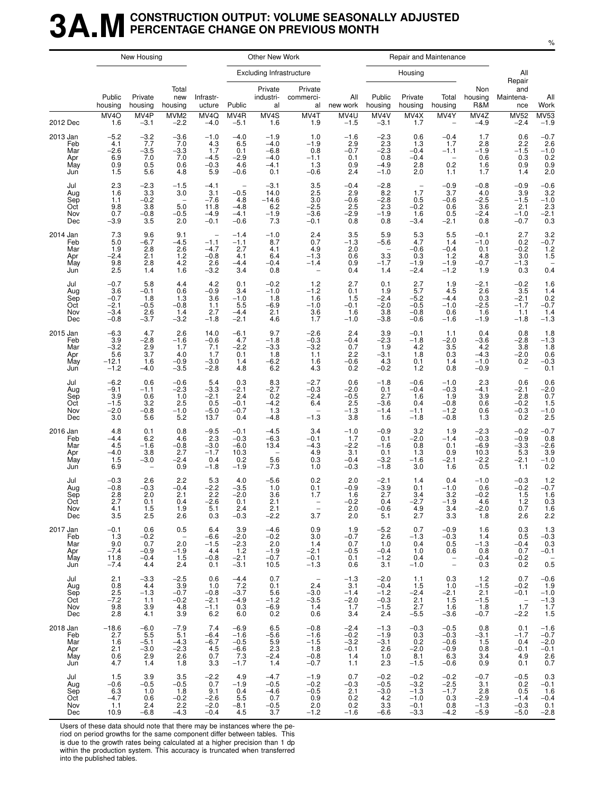## **3A.MCONSTRUCTION OUTPUT: VOLUME SEASONALLY ADJUSTED PERCENTAGE CHANGE ON PREVIOUS MONTH**

|                                               |                                                                  | New Housing                                                                |                                                                   |                                                     |                                                                         | Other New Work                                                        |                                                                            |                                                    |                                                                   |                                                                   | Repair and Maintenance                                            |                                                     |                                                                      |                                                                           |
|-----------------------------------------------|------------------------------------------------------------------|----------------------------------------------------------------------------|-------------------------------------------------------------------|-----------------------------------------------------|-------------------------------------------------------------------------|-----------------------------------------------------------------------|----------------------------------------------------------------------------|----------------------------------------------------|-------------------------------------------------------------------|-------------------------------------------------------------------|-------------------------------------------------------------------|-----------------------------------------------------|----------------------------------------------------------------------|---------------------------------------------------------------------------|
|                                               |                                                                  |                                                                            |                                                                   |                                                     |                                                                         | <b>Excluding Infrastructure</b>                                       |                                                                            |                                                    |                                                                   | Housing                                                           |                                                                   |                                                     | All<br>Repair                                                        |                                                                           |
|                                               | Public<br>housing                                                | Private<br>housing                                                         | Total<br>new<br>housing                                           | Infrastr-<br>ucture                                 | Public                                                                  | Private<br>industri-<br>al                                            | Private<br>commerci-<br>al                                                 | All<br>new work                                    | Public<br>housing                                                 | Private<br>housing                                                | Total<br>housing                                                  | Non<br>housing<br>R&M                               | and<br>Maintena-<br>nce                                              | All<br>Work                                                               |
| 2012 Dec                                      | MVAO<br>1.6                                                      | MV4P<br>-3.1                                                               | MVM <sub>2</sub><br>$-2.2$                                        | MV4Q<br>$-4.0$                                      | MV4R<br>$-5.1$                                                          | MV4S<br>1.6                                                           | MV4T<br>1.9                                                                | MV4U<br>$-1.5$                                     | MV4V<br>$-3.1$                                                    | MV4X<br>1.7                                                       | MV4Y<br>$\overline{\phantom{m}}$                                  | MV4Z<br>$-4.9$                                      | <b>MV52</b><br>$-2.4$                                                | $MV53$<br>$-1.9$                                                          |
| 2013 Jan<br>Feb<br>Mar<br>Apr<br>May<br>Jun   | $-5.2$<br>4.1<br>$-2.6$<br>$6.9$<br>$0.9$<br>1.5                 | $-3.2$<br>7.7<br>$-3.5$<br>7.0<br>0.5<br>5.6                               | $-3.6$<br>7.0<br>$-3.\overline{3}$<br>7.0<br>0.6<br>4.8           | $-1.0$<br>4.3<br>1.7<br>$-4.5$<br>$-0.3$<br>5.9     | $-4.0$<br>6.5<br>0.1<br>$-2.9$<br>4.6<br>$-0.6$                         | $-1.9$<br>$-4.0$<br>$-6.8$<br>$-4.0$<br>$-4.1$<br>0.1                 | 1.0<br>$-1.9$<br>0.8<br>$-1.1$<br>1.3<br>$-0.6$                            | $-1.6$<br>2.9<br>$-0.7$<br>0.1<br>0.9<br>2.4       | $^{-2.3}_{2.3}$<br>$-2.3$<br>0.8<br>$-4.9$<br>$-1.0$              | 0.6<br>1.3<br>$-0.4$<br>$-0.4$<br>2.8<br>2.0                      | $-0.4$<br>1.7<br>$-1.1$<br>$\overline{\phantom{m}}$<br>0.2<br>1.1 | 1.7<br>2.8<br>$-1.9$<br>0.6<br>1.6<br>1.7           | 0.6<br>2.2<br>$-1.5$<br>0.3<br>0.9<br>1.4                            | $^{-0.7}_{2.6}$<br>$-1.0$<br>$0.2$<br>$0.9$<br>2.0                        |
| Jul<br>Aug<br>Sep<br>Oct<br>Nov<br>Dec        | 2.3<br>1.6<br>1.1<br>9.8<br>0.7<br>$-3.9$                        | $-2.3$<br>3.3<br>$-0.2$<br>3.8<br>$-0.8$<br>3.5                            | $-1.5$<br>3.0<br>$\overline{\phantom{a}}$<br>5.0<br>$-0.5$<br>2.0 | $-4.1$<br>3.1<br>$-7.6$<br>11.8<br>$-4.9$<br>$-0.1$ | $\overline{\phantom{a}}$<br>$-0.5$<br>4.8<br>$-4.8$<br>$-4.1$<br>$-0.6$ | $-3.1$<br>14.0<br>$-14.6$<br>6.2<br>$-1.9$<br>7.3                     | 3.5<br>2.5<br>3.0<br>$-2.5$<br>$-3.6$<br>$-0.1$                            | $-0.4$<br>2.9<br>$-0.6$<br>2.5<br>$-2.9$<br>0.8    | $-2.8$<br>8.2<br>$-2.8$<br>2.3<br>$-1.9$<br>0.8                   | $\overline{\phantom{a}}$<br>1.7<br>0.5<br>$-0.2$<br>1.6<br>$-3.4$ | $-0.9$<br>3.7<br>$-0.6$<br>0.6<br>0.5<br>$-2.1$                   | $-0.8$<br>4.0<br>$-2.5$<br>3.6<br>$-2.4$<br>0.8     | $-0.9$<br>3.9<br>$-1.5$<br>2.1<br>$-1.0$<br>$-0.7$                   | $-0.6$<br>3.2<br>$^{-1.0}_{2.3}$<br>$-2.\overline{1}$<br>0.3              |
| 2014 Jan<br>Feb<br>Mar<br>Apr<br>May<br>Jun   | 7.3<br>5.0<br>1.9<br>$-2.4$<br>$\frac{9.8}{2.5}$                 | 9.6<br>$-6.7$<br>2.8<br>2.1<br>$^{2.8}_{1.4}$                              | 9.1<br>$-4.5$<br>2.6<br>1.2<br>$^{4.2}_{1.6}$                     | $-1.1$<br>$-4.7$<br>$-0.8$<br>2.6<br>$-3.2$         | $-1.4$<br>$-1.1$<br>2.7<br>4.1<br>$-4.4$<br>3.4                         | $-1.0$<br>8.7<br>4.1<br>6.4<br>$-0.4$<br>0.8                          | 2.4<br>0.7<br>4.9<br>$-1.3$<br>$-1.4$<br>$\hspace{1.0cm} - \hspace{1.0cm}$ | 3.5<br>$-1.3$<br>2.0<br>0.6<br>0.9<br>0.4          | 5.9<br>$-5.6$<br>$\overline{\phantom{a}}$<br>3.3<br>$-1.7$<br>1.4 | 5.3<br>4.7<br>$-0.6$<br>0.3<br>$-1.9$<br>$-2.4$                   | 5.5<br>1.4<br>$-0.4$<br>1.2<br>$-1.9$<br>$-1.\overline{2}$        | $-0.1$<br>$-1.0$<br>0.1<br>4.8<br>$-0.7$<br>1.9     | 2.7<br>0.2<br>$-0.2$<br>3.0<br>$-1.3$<br>0.3                         | $3.2 -0.7$<br>1.2<br>1.5<br>$0.\overline{4}$                              |
| Jul<br>Aug<br>Sep<br>Oct<br>Nov<br>Dec        | $-0.7$<br>3.6<br>$-0.7$<br>$-2.1$<br>$-3.4$<br>$-0.8$            | 5.8<br>$-0.1$<br>1.8<br>$-0.5$<br>2.6<br>$-3.7$                            | 4.4<br>0.6<br>1.3<br>$-0.8$<br>1.4<br>$-3.2$                      | 4.2<br>$-0.9$<br>3.6<br>1.1<br>2.7<br>$-1.8$        | 0.1<br>3.4<br>$-1.0$<br>5.5<br>$-4.4$<br>$-2.1$                         | $-0.2$<br>$-1.0$<br>1.8<br>$-6.9$<br>2.1<br>4.6                       | 1.2<br>$-1.2$<br>1.6<br>$-1.0$<br>3.6<br>1.7                               | 2.7<br>0.1<br>1.5<br>$-0.1$<br>1.6<br>$-1.0$       | 0.1<br>1.9<br>$-2.4$<br>$-2.0$<br>3.8<br>$-3.8$                   | 2.7<br>5.7<br>$-5.2$<br>$-0.5$<br>$-0.8$<br>$-0.6$                | 1.9<br>4.5<br>$-4.4$<br>$-1.0$<br>0.6<br>$-1.6$                   | $-2.1$<br>2.6<br>0.3<br>$-2.5$<br>1.6<br>$-1.9$     | $-0.2$<br>3.5<br>$-2.1$<br>$-1.7$<br>1.1<br>$-1.8$                   | 1.6<br>1.4<br>0.2<br>$-0.7$<br>1.4<br>$-1.3$                              |
| 2015 Jan<br>Feb<br>Mar<br>Apr<br>May<br>Jun   | $-6.3$<br>3.9<br>$-3.2$<br>$5.\overline{6}$<br>$-12.1$<br>$-1.2$ | 4.7<br>$-2.8$<br>$\frac{2.9}{3.7}$<br>1.6<br>$-4.0$                        | 2.6<br>$-1.6$<br>1.7<br>4.0<br>$-0.9$<br>$-3.5$                   | 14.0<br>$-0.6$<br>7.1<br>1.7<br>$-3.0$<br>$-2.8$    | $-6.1$<br>4.7<br>$-2.2$<br>0.1<br>1.4<br>4.8                            | 9.7<br>$-1.8$<br>$^{-3.3}_{1.8}$<br>$-6.2$<br>6.2                     | $-2.6$<br>$-0.3$<br>$-3.2$<br>1.1<br>1.6<br>4.3                            | 2.4<br>$-0.4$<br>0.7<br>2.2<br>$-0.6$<br>0.2       | 3.9<br>$-2.3$<br>1.9<br>$-3.1$<br>4.3<br>$-0.2$                   | $-0.1$<br>$-1.8$<br>4.2<br>1.8<br>0.1<br>$1.2$                    | 1.1<br>$-2.0$<br>3.5<br>0.3<br>1.4<br>0.8                         | 0.4<br>$-3.6$<br>4.2<br>$-4.3$<br>$-1.0$<br>$-0.9$  | 0.8<br>$-2.8$<br>3.8<br>$-2.0$<br>0.2<br>$\qquad \qquad -$           | 1.8<br>$-1.3$<br>$\begin{array}{c} 1.8 \\ 0.6 \\ -0.3 \end{array}$<br>0.1 |
| Jul<br>Aug<br>Sep<br>Oct<br>Nov<br>Dec        | $-6.2$<br>$-9.1$<br>3.9<br>$-1.5$<br>$-2.0$<br>3.0               | 0.6<br>$-1.1$<br>0.6<br>3.2<br>$-0.8$<br>5.6                               | $-0.6$<br>$-2.3$<br>1.0<br>2.5<br>$-1.0$<br>5.2                   | 5.4<br>$-3.3$<br>$-2.1$<br>0.5<br>$-5.0$<br>13.7    | 0.3<br>$-2.1$<br>2.4<br>$-0.1$<br>$-0.7$<br>0.4                         | 8.3<br>$^{-2.7}_{0.2}$<br>$-4.2$<br>1.3<br>$-4.8$                     | $-2.7$<br>$-0.3$<br>$-2.4$<br>6.4<br>$\overline{\phantom{a}}$<br>$-1.3$    | 0.6<br>$-2.0$<br>$-0.5$<br>2.5<br>$-1.3$<br>3.8    | $-1.8$<br>0.1<br>2.7<br>$-3.6$<br>$-1.4$<br>1.6                   | $-0.6$<br>$-0.4$<br>1.6<br>0.4<br>$-1.1$<br>$-1.8$                | $-1.0$<br>$^{-0.3}_{1.9}$<br>$-0.8$<br>$-1.2$<br>$-0.8$           | 2.3<br>$-4.1$<br>3.9<br>0.6<br>0.6<br>1.3           | 0.6<br>$-2.1$<br>2.8<br>$-0.2$<br>$-0.3$<br>0.2                      | 0.6<br>$-2.0$<br>0.7<br>1.5<br>$-1.0$<br>2.5                              |
| 2016 Jan<br>Feb<br>Mar<br>Apr<br>May<br>Jun   | 4.8<br>$-4.4$<br>4.5<br>$-4.0$<br>1.5<br>6.9                     | 0.1<br>6.2<br>$-1.6$<br>3.8<br>$-3.0$<br>$\hspace{1.0cm} - \hspace{1.0cm}$ | 0.8<br>4.6<br>$-0.8$<br>2.7<br>$-2.4$<br>0.9                      | $-9.5$<br>2.3<br>$-3.0$<br>$-1.7$<br>0.4<br>$-1.8$  | $-0.1$<br>$-0.3$<br>$-6.0$<br>10.3<br>0.2<br>$-1.9$                     | $-4.5$<br>$-6.3$<br>13.4<br>$\overline{\phantom{a}}$<br>5.6<br>$-7.3$ | 3.4<br>$-0.1$<br>$-4.3$<br>$^{4.9}_{0.3}$<br>1.0                           | $-1.0$<br>1.7<br>$-2.2$<br>3.1<br>$-0.4$<br>$-0.3$ | $-0.9$<br>0.1<br>$-1.6$<br>0.1<br>$-3.2$<br>$-1.8$                | 3.2<br>$-2.0$<br>0.8<br>1.3<br>$-1.6$<br>3.0                      | 1.9<br>$-1.4$<br>0.1<br>0.9<br>$-2.1$<br>1.6                      | $^{-2.3}_{-0.3}$<br>$-6.9$<br>10.3<br>$-2.2$<br>0.5 | $-0.2$<br>$-0.9$<br>$-3.3$<br>5.3<br>$-2.1$<br>1.1                   | $-0.7$<br>0.8<br>$-2.6$<br>3.9<br>$-1.0$<br>0.2                           |
| Jul<br>Aug<br>Sep<br>Oct<br>Nov<br>Dec        | $-0.3$<br>$-0.8$<br>2.8<br>2.7<br>4.1<br>3.5                     | 2.6<br>$-0.3$<br>2.0<br>0.1<br>1.5<br>2.5                                  | 2.2<br>$-0.4$<br>2.1<br>0.4<br>1.9<br>2.6                         | 5.3<br>$-2.2$<br>2.2<br>-2.6<br>5.1<br>0.3          | 4.0<br>$-3.5$<br>$-2.0$<br>0.1<br>2.4<br>$-0.3$                         | $-5.6$<br>1.0<br>3.6<br>2.1<br>2.1<br>$-2.2$                          | 0.2<br>0.1<br>1.7<br>$\qquad \qquad -$<br>3.7                              | 2.0<br>$-0.9$<br>1.6<br>$-0.2$<br>2.0<br>2.0       | $-2.1$<br>$-3.9$<br>2.7<br>0.4<br>$-0.6$<br>5.1                   | 1.4<br>0.1<br>3.4<br>-2.7<br>4.9<br>2.7                           | 0.4<br>$-1.0$<br>3.2<br>$-1.9$<br>3.4<br>3.3                      | $-1.0$<br>0.6<br>$-0.2$<br>4.6<br>$-2.0$<br>1.8     | $-0.3$<br>$-0.2$<br>1.5<br>$1.2$<br>0.7<br>2.6                       | $1.2 - 0.7$<br>$\begin{array}{c} 1.6 \\ 0.3 \end{array}$<br>1.6<br>2.2    |
| 2017 Jan<br>Feb<br>Mar<br>Apr<br>May<br>Jun   | $-0.1$<br>1.3<br>9.0<br>$-7.4$<br>11.8<br>$-7.4$                 | 0.6<br>$-0.2$<br>0.7<br>$-0.9$<br>$-0.4$<br>4.4                            | 0.5<br>$\hspace{0.1cm} -$<br>2.0<br>$-1.9$<br>1.5<br>2.4          | 6.4<br>$-6.6$<br>$-1.5$<br>4.4<br>$-0.8$<br>0.1     | 3.9<br>$-2.0$<br>$-2.3$<br>1.2<br>$-2.1$<br>$-3.1$                      | $-4.6$<br>$-0.2$<br>2.0<br>$-1.9$<br>$\substack{ -0.7 \\ 10.5 }$      | 0.9<br>3.0<br>1.4<br>$-2.1$<br>$-0.1$<br>$-1.3$                            | 1.9<br>$-0.7$<br>0.7<br>$-0.5$<br>0.1<br>0.6       | $-5.2$<br>2.6<br>1.0<br>$-0.4$<br>$-1.2$<br>3.1                   | 0.7<br>$-1.3$<br>0.4<br>1.0<br>0.4<br>$-1.0$                      | $-0.9$<br>$-0.3$<br>0.5<br>0.6<br>$\bar{a}$                       | 1.6<br>1.4<br>$-1.3$<br>0.8<br>$-0.4$<br>0.3        | 0.3<br>0.5<br>$-0.4$<br>0.7<br>$-0.2$<br>0.2                         | 1.3<br>$-0.3$<br>0.3<br>$-0.1$<br>$0.\overline{5}$                        |
| Jul<br>Aug<br>Sep<br>Oct<br><b>Nov</b><br>Dec | 2.1<br>0.8<br>2.5<br>$-7.2$<br>9.8<br>2.8                        | $-3.3$<br>4.4<br>$-1.3$<br>1.1<br>3.9<br>4.1                               | $-2.5$<br>3.9<br>$-0.7$<br>$-0.2$<br>4.8<br>3.9                   | 0.6<br>1.0<br>$-0.8$<br>$-2.1$<br>$-1.1$<br>6.2     | $-4.4$<br>7.2<br>$-3.7$<br>$-4.9$<br>0.3<br>6.0                         | 0.7<br>0.1<br>5.6<br>$-1.2$<br>$-6.9$<br>0.2                          | $\hspace{0.1mm}-\hspace{0.1mm}$<br>2.4<br>$-3.0$<br>$-3.5$<br>1.4<br>0.6   | $-1.3$<br>3.1<br>$-1.4$<br>$-2.0$<br>1.7<br>3.4    | $-2.0$<br>$-0.4$<br>$-1.2$<br>$-0.3$<br>$-1.5$<br>2.4             | 1.1<br>1.5<br>$-2.4$<br>2.1<br>2.7<br>$-5.5$                      | 0.3<br>1.0<br>$-2.1$<br>1.5<br>1.6<br>$-3.6$                      | 1.2<br>$-1.5$<br>2.1<br>$-1.5$<br>1.8<br>$-0.7$     | 0.7<br>$-0.2$<br>$-0.1$<br>$\overline{\phantom{0}}$<br>1.7<br>$-2.2$ | $-0.6$<br>1.9<br>$-1.0$<br>$-1.3$<br>1.7<br>1.5                           |
| 2018 Jan<br>Feb<br>Mar<br>Apr<br>May<br>Jun   | $-18.6$<br>2.7<br>1.6<br>2.1<br>0.6<br>4.7                       | $-6.0$<br>5.5<br>$-5.1$<br>$-3.0$<br>2.9<br>1.4                            | $-7.9$<br>5.1<br>$-4.3$<br>$-2.3$<br>2.6<br>1.8                   | 7.4<br>$-6.4$<br>$-6.7$<br>4.5<br>0.7<br>3.3        | $-6.9$<br>$-1.6$<br>$-0.5$<br>$-6.6$<br>7.3<br>$-1.7$                   | 6.5<br>$-5.6$<br>$\frac{5.9}{2.3}$<br>$-2.4$<br>1.4                   | $-0.8$<br>$-1.6$<br>$-1.5$<br>1.8<br>$-0.8$<br>$-0.7$                      | $-2.4$<br>$-0.2$<br>$-3.2$<br>$-0.1$<br>1.4<br>1.1 | $-1.3$<br>$-1.9$<br>$-3.1$<br>2.6<br>1.0<br>2.3                   | $-0.3$<br>0.3<br>0.2<br>$-2.0$<br>8.1<br>$-1.5$                   | $-0.5$<br>$-0.3$<br>$-0.6$<br>$-0.9$<br>6.3<br>$-0.6$             | 0.8<br>$-3.1$<br>1.5<br>0.8<br>3.4<br>0.9           | 0.1<br>$-1.7$<br>0.4<br>$-0.1$<br>4.9<br>0.1                         | $-1.6$<br>$-0.7$<br>$-2.0$<br>$-0.1$<br>$^{2.6}_{0.7}$                    |
| Jul<br>Aug<br>Sep<br>Oct<br>Nov<br>Dec        | 1.5<br>$-0.6$<br>6.3<br>$-4.7$<br>1.1<br>10.9                    | 3.9<br>$-0.5$<br>1.0<br>0.6<br>2.4<br>$-6.8$                               | 3.5<br>$-0.5$<br>1.8<br>$-0.2$<br>2.2<br>$-4.3$                   | $-2.2$<br>0.7<br>9.1<br>$-2.6$<br>$-2.0$<br>$-0.4$  | 4.9<br>$-1.9$<br>0.4<br>5.5<br>$-8.1$<br>4.5                            | $-4.7$<br>$-0.5$<br>$-4.6$<br>0.7<br>$-0.5$<br>3.7                    | $-1.9$<br>$-0.2$<br>$-0.5$<br>0.9<br>2.0<br>$-1.\overline{2}$              | 0.7<br>$-0.3$<br>2.1<br>0.2<br>0.2<br>$-1.6$       | $-0.2$<br>$-0.5$<br>$-3.0$<br>4.2<br>3.3<br>$-6.6$                | $-0.2$<br>$-3.2$<br>$-1.3$<br>$-1.0$<br>$-0.1$<br>$-3.3$          | $-0.2$<br>$-2.5$<br>$-1.7$<br>0.3<br>0.8<br>$-4.2$                | $-0.7$<br>3.1<br>2.8<br>$-2.9$<br>$-1.3$<br>$-5.9$  | $-0.5$<br>0.2<br>0.5<br>$-1.4$<br>$-0.3$<br>$-5.0$                   | 0.3<br>$-0.1$<br>1.6<br>$-0.4$<br>$0.1 - 2.8$                             |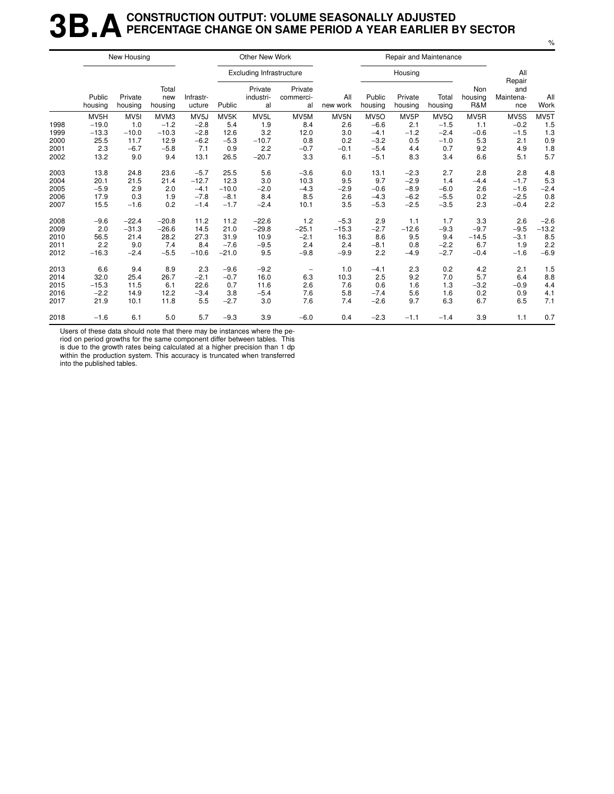## **3B.A** CONSTRUCTION OUTPUT: VOLUME SEASONALLY ADJUSTED<br>**3B.A** PERCENTAGE CHANGE ON SAME PERIOD A YEAR EARLIER E **PERCENTAGE CHANGE ON SAME PERIOD A YEAR EARLIER BY SECTOR**

|      |                   | New Housing        |                         |                     |         | Other New Work                  |                            |                 |                   |                    | Repair and Maintenance |                       |                                   |             |
|------|-------------------|--------------------|-------------------------|---------------------|---------|---------------------------------|----------------------------|-----------------|-------------------|--------------------|------------------------|-----------------------|-----------------------------------|-------------|
|      |                   |                    |                         |                     |         | <b>Excluding Infrastructure</b> |                            |                 |                   | Housing            |                        |                       | All                               |             |
|      | Public<br>housing | Private<br>housing | Total<br>new<br>housing | Infrastr-<br>ucture | Public  | Private<br>industri-<br>al      | Private<br>commerci-<br>al | All<br>new work | Public<br>housing | Private<br>housing | Total<br>housing       | Non<br>housing<br>R&M | Repair<br>and<br>Maintena-<br>nce | All<br>Work |
|      | MV5H              | MV <sub>5</sub> I  | MVM3                    | MV <sub>5</sub> J   | MV5K    | MV <sub>5</sub> L               | MV5M                       | MV5N            | MV <sub>50</sub>  | MV <sub>5</sub> P  | MV5Q                   | MV5R                  | MV5S                              | MV5T        |
| 1998 | $-19.0$           | 1.0                | $-1.2$                  | $-2.8$              | 5.4     | 1.9                             | 8.4                        | 2.6             | $-6.6$            | 2.1                | $-1.5$                 | 1.1                   | $-0.2$                            | 1.5         |
| 1999 | $-13.3$           | $-10.0$            | $-10.3$                 | $-2.8$              | 12.6    | 3.2                             | 12.0                       | 3.0             | $-4.1$            | $-1.2$             | $-2.4$                 | $-0.6$                | $-1.5$                            | 1.3         |
| 2000 | 25.5              | 11.7               | 12.9                    | $-6.2$              | $-5.3$  | $-10.7$                         | 0.8                        | 0.2             | $-3.2$            | 0.5                | $-1.0$                 | 5.3                   | 2.1                               | 0.9         |
| 2001 | 2.3               | $-6.7$             | $-5.8$                  | 7.1                 | 0.9     | 2.2                             | $-0.7$                     | $-0.1$          | $-5.4$            | 4.4                | 0.7                    | 9.2                   | 4.9                               | 1.8         |
| 2002 | 13.2              | 9.0                | 9.4                     | 13.1                | 26.5    | $-20.7$                         | 3.3                        | 6.1             | $-5.1$            | 8.3                | 3.4                    | 6.6                   | 5.1                               | 5.7         |
| 2003 | 13.8              | 24.8               | 23.6                    | $-5.7$              | 25.5    | 5.6                             | $-3.6$                     | 6.0             | 13.1              | $-2.3$             | 2.7                    | 2.8                   | 2.8                               | 4.8         |
| 2004 | 20.1              | 21.5               | 21.4                    | $-12.7$             | 12.3    | 3.0                             | 10.3                       | 9.5             | 9.7               | $-2.9$             | 1.4                    | $-4.4$                | $-1.7$                            | 5.3         |
| 2005 | $-5.9$            | 2.9                | 2.0                     | $-4.1$              | $-10.0$ | $-2.0$                          | $-4.3$                     | $-2.9$          | $-0.6$            | $-8.9$             | $-6.0$                 | 2.6                   | $-1.6$                            | $-2.4$      |
| 2006 | 17.9              | 0.3                | 1.9                     | $-7.8$              | $-8.1$  | 8.4                             | 8.5                        | 2.6             | $-4.3$            | $-6.2$             | $-5.5$                 | 0.2                   | $-2.5$                            | 0.8         |
| 2007 | 15.5              | $-1.6$             | 0.2                     | $-1.4$              | $-1.7$  | $-2.4$                          | 10.1                       | 3.5             | $-5.3$            | $-2.5$             | $-3.5$                 | 2.3                   | $-0.4$                            | 2.2         |
| 2008 | $-9.6$            | $-22.4$            | $-20.8$                 | 11.2                | 11.2    | $-22.6$                         | 1.2                        | $-5.3$          | 2.9               | 1.1                | 1.7                    | 3.3                   | 2.6                               | $-2.6$      |
| 2009 | 2.0               | $-31.3$            | $-26.6$                 | 14.5                | 21.0    | $-29.8$                         | $-25.1$                    | $-15.3$         | $-2.7$            | $-12.6$            | $-9.3$                 | $-9.7$                | $-9.5$                            | $-13.2$     |
| 2010 | 56.5              | 21.4               | 28.2                    | 27.3                | 31.9    | 10.9                            | $-2.1$                     | 16.3            | 8.6               | 9.5                | 9.4                    | $-14.5$               | $-3.1$                            | 8.5         |
| 2011 | 2.2               | 9.0                | 7.4                     | 8.4                 | $-7.6$  | $-9.5$                          | 2.4                        | 2.4             | $-8.1$            | 0.8                | $-2.2$                 | 6.7                   | 1.9                               | 2.2         |
| 2012 | $-16.3$           | $-2.4$             | $-5.5$                  | $-10.6$             | $-21.0$ | 9.5                             | $-9.8$                     | $-9.9$          | 2.2               | $-4.9$             | $-2.7$                 | $-0.4$                | $-1.6$                            | $-6.9$      |
| 2013 | 6.6               | 9.4                | 8.9                     | 2.3                 | $-9.6$  | $-9.2$                          | $\qquad \qquad -$          | 1.0             | $-4.1$            | 2.3                | 0.2                    | 4.2                   | 2.1                               | 1.5         |
| 2014 | 32.0              | 25.4               | 26.7                    | $-2.1$              | $-0.7$  | 16.0                            | 6.3                        | 10.3            | 2.5               | 9.2                | 7.0                    | 5.7                   | 6.4                               | 8.8         |
| 2015 | $-15.3$           | 11.5               | 6.1                     | 22.6                | 0.7     | 11.6                            | 2.6                        | 7.6             | 0.6               | 1.6                | 1.3                    | $-3.2$                | $-0.9$                            | 4.4         |
| 2016 | $-2.2$            | 14.9               | 12.2                    | $-3.4$              | 3.8     | $-5.4$                          | 7.6                        | 5.8             | $-7.4$            | 5.6                | 1.6                    | 0.2                   | 0.9                               | 4.1         |
| 2017 | 21.9              | 10.1               | 11.8                    | 5.5                 | $-2.7$  | 3.0                             | 7.6                        | 7.4             | $-2.6$            | 9.7                | 6.3                    | 6.7                   | 6.5                               | 7.1         |
| 2018 | $-1.6$            | 6.1                | 5.0                     | 5.7                 | $-9.3$  | 3.9                             | $-6.0$                     | 0.4             | $-2.3$            | $-1.1$             | $-1.4$                 | 3.9                   | 1.1                               | 0.7         |

Users of these data should note that there may be instances where the pe-

riod on period growths for the same component differ between tables. This is due to the growth rates being calculated at a higher precision than 1 dp

within the production system. This accuracy is truncated when transferred into the published tables.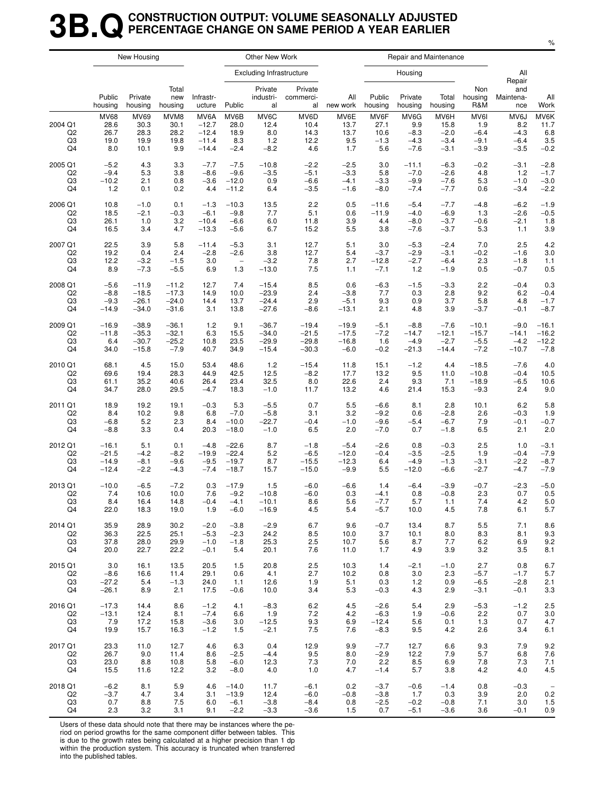## **3B.QCONSTRUCTION OUTPUT: VOLUME SEASONALLY ADJUSTED PERCENTAGE CHANGE ON SAME PERIOD A YEAR EARLIER**

|                                       |                                            | New Housing                          |                                     |                                                  |                                       | Other New Work                         |                                     |                                    |                                       | Repair and Maintenance                    |                                            |                                           |                                           |                                      |
|---------------------------------------|--------------------------------------------|--------------------------------------|-------------------------------------|--------------------------------------------------|---------------------------------------|----------------------------------------|-------------------------------------|------------------------------------|---------------------------------------|-------------------------------------------|--------------------------------------------|-------------------------------------------|-------------------------------------------|--------------------------------------|
|                                       |                                            |                                      |                                     |                                                  |                                       | <b>Excluding Infrastructure</b>        |                                     |                                    |                                       | Housing                                   |                                            |                                           | All<br>Repair                             |                                      |
|                                       | Public<br>housing                          | Private<br>housing                   | Total<br>new<br>housing             | Infrastr-<br>ucture                              | Public                                | Private<br>industri-<br>al             | Private<br>commerci-<br>al          | All<br>new work                    | Public<br>housing                     | Private<br>housing                        | Total<br>housing                           | Non<br>housing<br>R&M                     | and<br>Maintena-<br>nce                   | All<br>Work                          |
| 2004 Q1<br>Q <sub>2</sub><br>Q3<br>Q4 | <b>MV68</b><br>28.6<br>26.7<br>19.0<br>8.0 | MV69<br>30.3<br>28.3<br>19.9<br>10.1 | MVM8<br>30.1<br>28.2<br>19.8<br>9.9 | MV6A<br>$-12.7$<br>$-12.4$<br>$-11.4$<br>$-14.4$ | MV6B<br>28.0<br>18.9<br>8.3<br>$-2.4$ | MV6C<br>12.4<br>8.0<br>$1.2$<br>$-8.2$ | MV6D<br>10.4<br>14.3<br>12.2<br>4.6 | MV6E<br>13.7<br>13.7<br>9.5<br>1.7 | MV6F<br>27.1<br>10.6<br>$-1.3$<br>5.6 | MV6G<br>9.9<br>$-8.3$<br>$-4.3$<br>$-7.6$ | MV6H<br>15.8<br>$-2.0$<br>$-3.4$<br>$-3.1$ | MV6I<br>1.9<br>$-6.4$<br>$-9.1$<br>$-3.9$ | MV6J<br>8.2<br>$-4.3$<br>$-6.4$<br>$-3.5$ | MV6K<br>11.7<br>6.8<br>3.5<br>$-0.2$ |
| 2005 Q1                               | $-5.2$                                     | 4.3                                  | 3.3                                 | $-7.7$                                           | $-7.5$                                | $-10.8$                                | $-2.2$                              | $-2.5$                             | 3.0                                   | $-11.1$                                   | $-6.3$                                     | $-0.2$                                    | $-3.1$                                    | $-2.8$                               |
| Q2                                    | $-9.4$                                     | 5.3                                  | 3.8                                 | $-8.6$                                           | $-9.6$                                | $-3.5$                                 | $-5.1$                              | $-3.3$                             | 5.8                                   | $-7.0$                                    | $-2.6$                                     | 4.8                                       | $1.2$                                     | $-1.7$                               |
| Q3                                    | $-10.2$                                    | 2.1                                  | 0.8                                 | $-3.6$                                           | $-12.0$                               | 0.9                                    | $-6.6$                              | $-4.1$                             | $-3.3$                                | $-9.9$                                    | $-7.6$                                     | 5.3                                       | $-1.0$                                    | $-3.0$                               |
| Q4                                    | 1.2                                        | 0.1                                  | 0.2                                 | 4.4                                              | $-11.2$                               | 6.4                                    | $-3.5$                              | $-1.6$                             | $-8.0$                                | $-7.4$                                    | $-7.7$                                     | 0.6                                       | $-3.4$                                    | $-2.2$                               |
| 2006 Q1                               | 10.8                                       | $-1.0$                               | 0.1                                 | $-1.3$                                           | $-10.3$                               | 13.5                                   | 2.2                                 | 0.5                                | $-11.6$                               | $-5.4$                                    | $-7.7$                                     | $-4.8$                                    | $-6.2$                                    | $-1.9$                               |
| Q <sub>2</sub>                        | 18.5                                       | $-2.1$                               | $-0.3$                              | $-6.1$                                           | $-9.8$                                | 7.7                                    | 5.1                                 | 0.6                                | $-11.9$                               | $-4.0$                                    | $-6.9$                                     | 1.3                                       | $-2.6$                                    | $-0.5$                               |
| Q3                                    | 26.1                                       | 1.0                                  | 3.2                                 | $-10.4$                                          | $-6.6$                                | 6.0                                    | 11.8                                | 3.9                                | 4.4                                   | $-8.0$                                    | $-3.7$                                     | $-0.6$                                    | $-2.1$                                    | 1.8                                  |
| Q4                                    | 16.5                                       | 3.4                                  | 4.7                                 | $-13.3$                                          | $-5.6$                                | 6.7                                    | 15.2                                | 5.5                                | 3.8                                   | $-7.6$                                    | $-3.7$                                     | 5.3                                       | 1.1                                       | 3.9                                  |
| 2007 Q1                               | 22.5                                       | 3.9                                  | 5.8                                 | $-11.4$                                          | $-5.3$                                | 3.1                                    | 12.7                                | 5.1                                | 3.0                                   | $-5.3$                                    | $-2.4$                                     | 7.0                                       | 2.5                                       | 4.2                                  |
| Q <sub>2</sub>                        | 19.2                                       | 0.4                                  | 2.4                                 | $-2.8$                                           | $-2.6$                                | 3.8                                    | 12.7                                | 5.4                                | $-3.7$                                | $-2.9$                                    | $-3.1$                                     | $-0.2$                                    | $-1.6$                                    | 3.0                                  |
| Q3                                    | 12.2                                       | $-3.2$                               | $-1.5$                              | 3.0                                              | $\overline{\phantom{0}}$              | $-3.2$                                 | 7.8                                 | 2.7                                | $-12.8$                               | $-2.7$                                    | $-6.4$                                     | 2.3                                       | $-1.8$                                    | 1.1                                  |
| Q4                                    | 8.9                                        | $-7.3$                               | $-5.5$                              | 6.9                                              | 1.3                                   | $-13.0$                                | 7.5                                 | 1.1                                | $-7.1$                                | 1.2                                       | $-1.9$                                     | 0.5                                       | $-0.7$                                    | 0.5                                  |
| 2008 Q1                               | $-5.6$                                     | $-11.9$                              | $-11.2$                             | 12.7                                             | 7.4                                   | $-15.4$                                | 8.5                                 | 0.6                                | $-6.3$                                | $-1.5$                                    | $-3.3$                                     | 2.2                                       | $-0.4$                                    | 0.3                                  |
| Q <sub>2</sub>                        | $-8.8$                                     | $-18.5$                              | $-17.3$                             | 14.9                                             | 10.0                                  | $-23.9$                                | 2.4                                 | $-3.8$                             | 7.7                                   | 0.3                                       | 2.8                                        | 9.2                                       | 6.2                                       | $-0.4$                               |
| Q3                                    | $-9.3$                                     | $-26.1$                              | $-24.0$                             | 14.4                                             | 13.7                                  | $-24.4$                                | 2.9                                 | $-5.1$                             | 9.3                                   | 0.9                                       | 3.7                                        | 5.8                                       | 4.8                                       | $-1.7$                               |
| Q4                                    | $-14.9$                                    | $-34.0$                              | $-31.6$                             | 3.1                                              | 13.8                                  | $-27.6$                                | $-8.6$                              | $-13.1$                            | 2.1                                   | 4.8                                       | 3.9                                        | $-3.7$                                    | $-0.1$                                    | $-8.7$                               |
| 2009 Q1                               | $-16.9$                                    | $-38.9$                              | $-36.1$                             | 1.2                                              | 9.1                                   | $-36.7$                                | $-19.4$                             | $-19.9$                            | $-5.1$                                | $-8.8$                                    | $-7.6$                                     | $-10.1$                                   | $-9.0$                                    | $-16.1$                              |
| Q <sub>2</sub>                        | $-11.8$                                    | $-35.3$                              | $-32.1$                             | 6.3                                              | 15.5                                  | $-34.0$                                | $-21.5$                             | $-17.5$                            | $-7.2$                                | $-14.7$                                   | $-12.1$                                    | $-15.7$                                   | $-14.1$                                   | $-16.2$                              |
| Q3                                    | 6.4                                        | $-30.7$                              | $-25.2$                             | 10.8                                             | 23.5                                  | $-29.9$                                | $-29.8$                             | $-16.8$                            | 1.6                                   | $-4.9$                                    | $-2.7$                                     | $-5.5$                                    | $-4.2$                                    | $-12.2$                              |
| Q4                                    | 34.0                                       | $-15.8$                              | $-7.9$                              | 40.7                                             | 34.9                                  | $-15.4$                                | $-30.3$                             | $-6.0$                             | $-0.2$                                | $-21.3$                                   | $-14.4$                                    | $-7.2$                                    | $-10.7$                                   | $-7.8$                               |
| 2010 Q1                               | 68.1                                       | 4.5                                  | 15.0                                | 53.4                                             | 48.6                                  | 1.2                                    | $-15.4$                             | 11.8                               | 15.1                                  | $-1.2$                                    | 4.4                                        | $-18.5$                                   | $-7.6$                                    | 4.0                                  |
| Q <sub>2</sub>                        | 69.6                                       | 19.4                                 | 28.3                                | 44.9                                             | 42.5                                  | 12.5                                   | $-8.2$                              | 17.7                               | 13.2                                  | 9.5                                       | 11.0                                       | $-10.8$                                   | $-0.4$                                    | 10.5                                 |
| Q3                                    | 61.1                                       | 35.2                                 | 40.6                                | 26.4                                             | 23.4                                  | 32.5                                   | 8.0                                 | 22.6                               | 2.4                                   | 9.3                                       | 7.1                                        | $-18.9$                                   | $-6.5$                                    | 10.6                                 |
| Q4                                    | 34.7                                       | 28.0                                 | 29.5                                | $-4.7$                                           | 18.3                                  | $-1.0$                                 | 11.7                                | 13.2                               | 4.6                                   | 21.4                                      | 15.3                                       | $-9.3$                                    | 2.4                                       | 9.0                                  |
| 2011 Q1                               | 18.9                                       | 19.2                                 | 19.1                                | $-0.3$                                           | 5.3                                   | $-5.5$                                 | 0.7                                 | 5.5                                | $-6.6$                                | 8.1                                       | 2.8                                        | 10.1                                      | 6.2                                       | 5.8                                  |
| Q2                                    | 8.4                                        | 10.2                                 | 9.8                                 | 6.8                                              | $-7.0$                                | $-5.8$                                 | 3.1                                 | 3.2                                | $-9.2$                                | 0.6                                       | $-2.8$                                     | 2.6                                       | $-0.3$                                    | 1.9                                  |
| Q3                                    | $-6.8$                                     | 5.2                                  | 2.3                                 | 8.4                                              | $-10.0$                               | $-22.7$                                | $-0.4$                              | $-1.0$                             | $-9.6$                                | $-5.4$                                    | $-6.7$                                     | 7.9                                       | $-0.1$                                    | $-0.7$                               |
| Q4                                    | $-8.8$                                     | 3.3                                  | 0.4                                 | 20.3                                             | $-18.0$                               | $-1.0$                                 | 6.5                                 | 2.0                                | $-7.0$                                | 0.7                                       | $-1.8$                                     | 6.5                                       | 2.1                                       | 2.0                                  |
| 2012 Q1                               | $-16.1$                                    | 5.1                                  | 0.1                                 | $-4.8$                                           | $-22.6$                               | 8.7                                    | $-1.8$                              | $-5.4$                             | $-2.6$                                | 0.8                                       | $-0.3$                                     | 2.5                                       | 1.0                                       | $-3.1$                               |
| Q <sub>2</sub>                        | $-21.5$                                    | $-4.2$                               | $-8.2$                              | $-19.9$                                          | $-22.4$                               | 5.2                                    | $-6.5$                              | $-12.0$                            | $-0.4$                                | $-3.5$                                    | $-2.5$                                     | 1.9                                       | $-0.4$                                    | $-7.9$                               |
| Q3                                    | $-14.9$                                    | $-8.1$                               | $-9.6$                              | $-9.5$                                           | $-19.7$                               | 8.7                                    | $-15.5$                             | $-12.3$                            | 6.4                                   | $-4.9$                                    | $-1.3$                                     | $-3.1$                                    | $-2.2$                                    | $-8.7$                               |
| Q4                                    | $-12.4$                                    | $-2.2$                               | $-4.3$                              | $-7.4$                                           | $-18.7$                               | 15.7                                   | $-15.0$                             | $-9.9$                             | 5.5                                   | $-12.0$                                   | $-6.6$                                     | $-2.7$                                    | $-4.7$                                    | $-7.9$                               |
| 2013 Q1                               | $-10.0$                                    | $-6.5$                               | $-7.2$                              | 0.3                                              | $-17.9$                               | 1.5                                    | $-6.0$                              | $-6.6$                             | 1.4                                   | $-6.4$                                    | $-3.9$                                     | $-0.7$                                    | $-2.3$                                    | $-5.0$                               |
| Q <sub>2</sub>                        | 7.4                                        | 10.6                                 | 10.0                                | 7.6                                              | $-9.2$                                | $-10.8$                                | $-6.0$                              | 0.3                                | $-4.1$                                | 0.8                                       | $-0.8$                                     | 2.3                                       | 0.7                                       | 0.5                                  |
| Q3                                    | 8.4                                        | 16.4                                 | 14.8                                | $-0.4$                                           | $-4.1$                                | $-10.1$                                | 8.6                                 | 5.6                                | $-7.7$                                | 5.7                                       | 1.1                                        | 7.4                                       | 4.2                                       | 5.0                                  |
| Q4                                    | 22.0                                       | 18.3                                 | 19.0                                | 1.9                                              | $-6.0$                                | $-16.9$                                | 4.5                                 | 5.4                                | $-5.7$                                | 10.0                                      | 4.5                                        | 7.8                                       | 6.1                                       | 5.7                                  |
| 2014 Q1                               | 35.9                                       | 28.9                                 | 30.2                                | $-2.0$                                           | $-3.8$                                | $-2.9$                                 | 6.7                                 | 9.6                                | $-0.7$                                | 13.4                                      | 8.7                                        | 5.5                                       | 7.1                                       | 8.6                                  |
| Q2                                    | 36.3                                       | 22.5                                 | 25.1                                | $-5.3$                                           | $-2.3$                                | 24.2                                   | 8.5                                 | 10.0                               | 3.7                                   | 10.1                                      | 8.0                                        | 8.3                                       | 8.1                                       | 9.3                                  |
| Q3                                    | 37.8                                       | 28.0                                 | 29.9                                | $-1.0$                                           | $-1.8$                                | 25.3                                   | 2.5                                 | 10.7                               | 5.6                                   | 8.7                                       | 7.7                                        | 6.2                                       | 6.9                                       | 9.2                                  |
| Q4                                    | 20.0                                       | 22.7                                 | 22.2                                | $-0.1$                                           | 5.4                                   | 20.1                                   | 7.6                                 | 11.0                               | 1.7                                   | 4.9                                       | 3.9                                        | 3.2                                       | 3.5                                       | 8.1                                  |
| 2015 Q1                               | 3.0                                        | 16.1                                 | 13.5                                | 20.5                                             | 1.5                                   | 20.8                                   | 2.5                                 | 10.3                               | 1.4                                   | $-2.1$                                    | $-1.0$                                     | 2.7                                       | 0.8                                       | 6.7                                  |
| Q2                                    | $-8.6$                                     | 16.6                                 | 11.4                                | 29.1                                             | 0.6                                   | 4.1                                    | 2.7                                 | 10.2                               | 0.8                                   | 3.0                                       | 2.3                                        | $-5.7$                                    | $-1.7$                                    | 5.7                                  |
| Q3                                    | $-27.2$                                    | 5.4                                  | $-1.3$                              | 24.0                                             | 1.1                                   | 12.6                                   | 1.9                                 | 5.1                                | 0.3                                   | $1.2$                                     | 0.9                                        | $-6.5$                                    | $-2.8$                                    | 2.1                                  |
| Q4                                    | $-26.1$                                    | 8.9                                  | 2.1                                 | 17.5                                             | $-0.6$                                | 10.0                                   | 3.4                                 | 5.3                                | $-0.3$                                | 4.3                                       | 2.9                                        | $-3.1$                                    | $-0.1$                                    | 3.3                                  |
| 2016 Q1                               | $-17.3$                                    | 14.4                                 | 8.6                                 | $-1.2$                                           | 4.1                                   | $-8.3$                                 | 6.2                                 | 4.5                                | $-2.6$                                | 5.4                                       | 2.9                                        | $-5.3$                                    | $-1.2$                                    | 2.5                                  |
| Q2                                    | $-13.1$                                    | 12.4                                 | 8.1                                 | $-7.4$                                           | 6.6                                   | 1.9                                    | 7.2                                 | 4.2                                | $-6.3$                                | 1.9                                       | $-0.6$                                     | 2.2                                       | 0.7                                       | 3.0                                  |
| Q3                                    | 7.9                                        | 17.2                                 | 15.8                                | $-3.6$                                           | 3.0                                   | $-12.5$                                | 9.3                                 | 6.9                                | $-12.4$                               | 5.6                                       | 0.1                                        | 1.3                                       | 0.7                                       | 4.7                                  |
| Q4                                    | 19.9                                       | 15.7                                 | 16.3                                | $-1.2$                                           | 1.5                                   | $-2.1$                                 | 7.5                                 | 7.6                                | $-8.3$                                | 9.5                                       | 4.2                                        | 2.6                                       | 3.4                                       | 6.1                                  |
| 2017 Q1                               | 23.3                                       | 11.0                                 | 12.7                                | 4.6                                              | 6.3                                   | 0.4                                    | 12.9                                | 9.9                                | $-7.7$                                | 12.7                                      | 6.6                                        | 9.3                                       | 7.9                                       | 9.2                                  |
| Q2                                    | 26.7                                       | 9.0                                  | 11.4                                | 8.6                                              | $-2.5$                                | $-4.4$                                 | 9.5                                 | 8.0                                | $-2.9$                                | 12.2                                      | 7.9                                        | 5.7                                       | 6.8                                       | 7.6                                  |
| Q3                                    | 23.0                                       | 8.8                                  | 10.8                                | 5.8                                              | $-6.0$                                | 12.3                                   | 7.3                                 | 7.0                                | 2.2                                   | 8.5                                       | 6.9                                        | 7.8                                       | 7.3                                       | 7.1                                  |
| Q4                                    | 15.5                                       | 11.6                                 | 12.2                                | 3.2                                              | $-8.0$                                | 4.0                                    | 1.0                                 | 4.7                                | $-1.4$                                | 5.7                                       | 3.8                                        | 4.2                                       | 4.0                                       | 4.5                                  |
| 2018 Q1                               | $-6.2$                                     | 8.1                                  | 5.9                                 | 4.6                                              | $-14.0$                               | 11.7                                   | $-6.1$                              | 0.2                                | $-3.7$                                | $-0.6$                                    | $-1.4$                                     | 0.8                                       | $-0.3$                                    | $\overline{\phantom{a}}$             |
| Q2                                    | $-3.7$                                     | 4.7                                  | 3.4                                 | 3.1                                              | $-13.9$                               | 12.4                                   | $-6.0$                              | $-0.8$                             | $-3.8$                                | 1.7                                       | 0.3                                        | 3.9                                       | 2.0                                       | 0.2                                  |
| Q3                                    | 0.7                                        | 8.8                                  | 7.5                                 | 6.0                                              | $-6.1$                                | $-3.8$                                 | $-8.4$                              | 0.8                                | $-2.5$                                | $-0.2$                                    | $-0.8$                                     | 7.1                                       | 3.0                                       | 1.5                                  |
| Q4                                    | 2.3                                        | 3.2                                  | 3.1                                 | 9.1                                              | $-2.2$                                | $-3.3$                                 | $-3.6$                              | 1.5                                | 0.7                                   | $-5.1$                                    | $-3.6$                                     | 3.6                                       | $-0.1$                                    | 0.9                                  |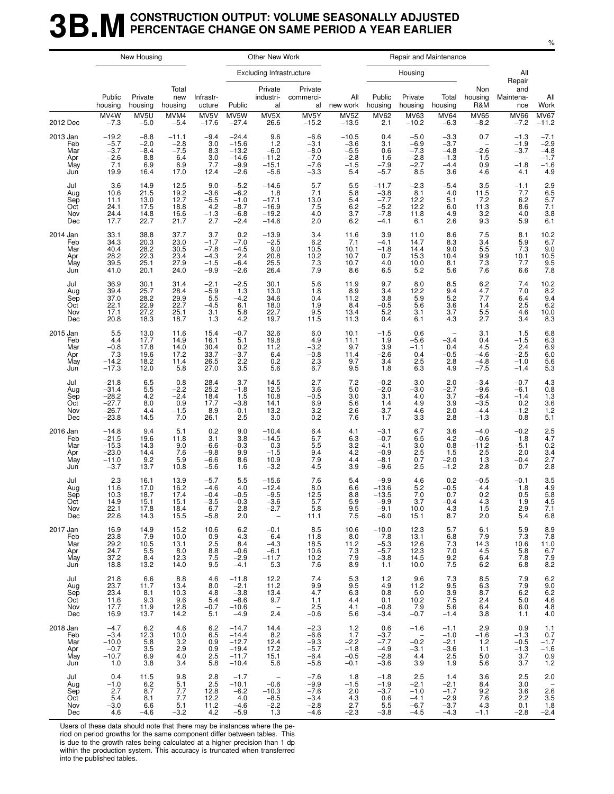### **3B.M** CONSTRUCTION OUTPUT: VOLUME SEASONALLY ADJUSTED<br>**3B.M** PERCENTAGE CHANGE ON SAME PERIOD A YEAR EARLIER **PERCENTAGE CHANGE ON SAME PERIOD A YEAR EARLIER**

|                                             |                                                                | New Housing                                      |                                                   |                                                       |                                                                | Other New Work                                                             |                                                          |                                                        |                                                           | Repair and Maintenance                                                      |                                                       |                                                          |                                                    |                                                                              |
|---------------------------------------------|----------------------------------------------------------------|--------------------------------------------------|---------------------------------------------------|-------------------------------------------------------|----------------------------------------------------------------|----------------------------------------------------------------------------|----------------------------------------------------------|--------------------------------------------------------|-----------------------------------------------------------|-----------------------------------------------------------------------------|-------------------------------------------------------|----------------------------------------------------------|----------------------------------------------------|------------------------------------------------------------------------------|
|                                             |                                                                |                                                  |                                                   |                                                       |                                                                | <b>Excluding Infrastructure</b>                                            |                                                          |                                                        |                                                           | Housing                                                                     |                                                       |                                                          | All<br>Repair                                      |                                                                              |
|                                             | Public<br>housing                                              | Private<br>housing                               | Total<br>new<br>housing                           | Infrastr-<br>ucture                                   | Public                                                         | Private<br>industri-<br>al                                                 | Private<br>commerci-<br>al                               | All<br>new work                                        | Public<br>housing                                         | Private<br>housing                                                          | Total<br>housing                                      | Non<br>housing<br>R&M                                    | and<br>Maintena-<br>nce                            | All<br>Work                                                                  |
| 2012 Dec                                    | MV4W<br>$-7.3$                                                 | MV5U<br>$-5.0$                                   | MVM4<br>$-5.4$                                    | MV5V<br>$-17.6$                                       | MV5W<br>$-27.4$                                                | MV5X<br>26.6                                                               | MV5Y<br>$-15.2$                                          | MV5Z<br>$-13.5$                                        | <b>MV62</b><br>2.1                                        | MV63<br>$-10.2$                                                             | <b>MV64</b><br>$-6.3$                                 | <b>MV65</b><br>$-8.2$                                    | <b>MV66</b><br>$-7.2$                              | $MV67 - 11.2$                                                                |
| 2013 Jan<br>Feb<br>Mar<br>Apr<br>May<br>Jun | $-19.2$<br>$-5.7$<br>$-3.7$<br>$-2.6$<br>7.1<br>19.9           | $-8.8$<br>$-2.0$<br>$-8.4$<br>8.8<br>6.9<br>16.4 | $-11.1$<br>$-2.8$<br>$-7.5$<br>6.4<br>6.9<br>17.0 | $-9.4$<br>3.0<br>8.3<br>3.0<br>7.7<br>12.4            | $-24.4$<br>$-15.6$<br>$-13.2$<br>$-14.6$<br>$-9.9$<br>$-2.6$   | 9.6<br>1.2<br>$-6.0$<br>$-11.2$<br>$-15.1$<br>$-5.6$                       | $-6.6$<br>$-3.1$<br>$-8.0$<br>$-7.0$<br>$-7.6$<br>$-3.3$ | $-10.5$<br>$-3.6$<br>$-5.5$<br>$-2.8$<br>$-1.5$<br>5.4 | 0.4<br>3.1<br>0.6<br>1.6<br>$-7.9$<br>$-5.7$              | $-5.0$<br>$-6.9$<br>$-7.3$<br>$-2.8$<br>$-2.7$<br>8.5                       | $-3.3$<br>$-3.7$<br>$-4.8$<br>$-1.3$<br>$-4.4$<br>3.6 | 0.7<br>$\qquad \qquad -$<br>$-2.6$<br>1.5<br>0.9<br>4.6  | $-1.3$<br>$-1.9$<br>$-3.7$<br>$-1.8$<br>4.1        | $-7.1$<br>$-2.9$<br>$-4.8$<br>$-1.7$<br>$-1.6$<br>4.9                        |
| Jul<br>Aug<br>Sep<br>Oct<br>Nov<br>Dec      | 3.6<br>10.6<br>11.1<br>24.1<br>24.4<br>17.7                    | 14.9<br>21.5<br>13.0<br>17.5<br>14.8<br>22.7     | 12.5<br>19.2<br>12.7<br>18.8<br>16.6<br>21.7      | 9.0<br>$-3.6$<br>$-5.5$<br>4.2<br>$-1.3$<br>2.7       | $-5.2$<br>$-6.2$<br>$-1.0$<br>$-8.7$<br>$-6.8$<br>$-2.4$       | $-14.6$<br>1.8<br>$-17.1$<br>$-16.9$<br>$-19.2$<br>$-14.6$                 | 5.7<br>7.1<br>13.0<br>7.5<br>4.0<br>2.0                  | 5.5<br>5.8<br>5.4<br>6.2<br>3.7<br>6.2                 | $-11.7$<br>$-3.8$<br>$-7.7$<br>$-5.2$<br>$-7.8$<br>$-4.1$ | $-2.3$<br>8.1<br>12.2<br>12.2<br>11.8<br>6.1                                | $-5.4$<br>4.0<br>5.1<br>6.0<br>4.9<br>2.6             | 3.5<br>11.5<br>7.2<br>11.3<br>3.2<br>9.3                 | $-1.1$<br>7.7<br>6.2<br>8.6<br>4.0<br>5.9          | 2.9<br>6.5<br>5.7<br>7.1<br>3.8<br>6.1                                       |
| 2014 Jan<br>Feb<br>Mar<br>Apr<br>May<br>Jun | 33.1<br>34.3<br>40.4<br>28.2<br>39.5<br>41.0                   | 38.8<br>20.3<br>28.2<br>22.3<br>25.1<br>20.1     | 37.7<br>23.0<br>30.5<br>23.4<br>27.9<br>24.0      | 3.7<br>$-1.7$<br>$-7.8$<br>$-4.3$<br>$-1.5$<br>$-9.9$ | 0.2<br>$-7.0$<br>$-4.5$<br>2.4<br>$-6.4$<br>$-2.6$             | $-13.9$<br>$-2.5$<br>9.0<br>20.8<br>25.5<br>26.4                           | 3.4<br>6.2<br>10.5<br>10.2<br>7.3<br>7.9                 | 11.6<br>7.1<br>10.1<br>10.7<br>10.7<br>8.6             | 3.9<br>$-4.1$<br>$-1.8$<br>0.7<br>4.0<br>6.5              | 11.0<br>14.7<br>14.4<br>15.3<br>10.0<br>5.2                                 | 8.6<br>8.3<br>9.0<br>10.4<br>8.1<br>5.6               | 7.5<br>3.4<br>5.5<br>9.9<br>7.3<br>7.6                   | 8.1<br>5.9<br>7.3<br>10.1<br>7.7<br>6.6            | 10.2<br>6.7<br>$\begin{array}{c} 9.0 \\ 10.5 \\ 9.5 \\ 7.8 \end{array}$      |
| Jul<br>Aug<br>Sep<br>Oct<br>Nov<br>Dec      | 36.9<br>39.4<br>37.0<br>22.1<br>17.1<br>20.8                   | 30.1<br>25.7<br>28.2<br>22.9<br>27.2<br>18.3     | 31.4<br>28.4<br>29.9<br>22.7<br>25.1<br>18.7      | $-2.1$<br>$-5.9$<br>5.5<br>$-4.5$<br>3.1<br>1.3       | $-2.5$<br>1.3<br>$-4.2$<br>6.1<br>5.8<br>4.2                   | 30.1<br>13.0<br>34.6<br>18.0<br>22.7<br>19.7                               | 5.6<br>1.8<br>0.4<br>1.9<br>9.5<br>11.5                  | 11.9<br>8.9<br>11.2<br>8.4<br>13.4<br>11.3             | 9.7<br>3.4<br>3.8<br>$-0.5$<br>5.2<br>0.4                 | 8.0<br>12.2<br>5.9<br>5.6<br>3.1<br>6.1                                     | 8.5<br>9.4<br>5.2<br>$\frac{3.6}{3.7}$<br>4.3         | 6.2<br>4.7<br>7.7<br>1.4<br>5.5<br>2.7                   | 7.4<br>7.0<br>6.4<br>2.5<br>4.6<br>3.4             | $\begin{array}{r} 10.2 \\ 8.2 \\ 9.4 \\ 6.2 \\ 10.0 \\ 8.3 \end{array}$      |
| 2015 Jan<br>Feb<br>Mar<br>Apr<br>May<br>Jun | 5.5<br>4.4<br>$-0.8$<br>7.3<br>$-14.2$<br>$-17.3$              | 13.0<br>17.7<br>17.8<br>19.6<br>18.2<br>12.0     | 11.6<br>14.9<br>14.0<br>17.2<br>11.4<br>5.8       | 15.4<br>16.1<br>30.4<br>33.7<br>26.5<br>27.0          | $-0.7$<br>5.1<br>0.2<br>$-3.7$<br>2.2<br>3.5                   | 32.6<br>19.8<br>11.2<br>6.4<br>0.2<br>5.6                                  | 6.0<br>4.9<br>$-3.2$<br>$-0.8$<br>2.3<br>6.7             | 10.1<br>11.1<br>9.7<br>11.4<br>9.7<br>9.5              | $-1.5$<br>1.9<br>3.9<br>$-2.6$<br>3.4<br>1.8              | 0.6<br>$-5.6$<br>$-1.1$<br>0.4<br>2.5<br>6.3                                | $-3.4$<br>0.4<br>$-0.5$<br>2.8<br>4.9                 | 3.1<br>0.4<br>4.5<br>$-4.6$<br>$-4.8$<br>$-7.5$          | 1.5<br>$-1.5$<br>2.4<br>$-2.5$<br>$-1.0$<br>$-1.4$ | 6.8<br>6.3<br>6.9<br>6.9<br>5.6<br>5.3                                       |
| Jul<br>Aug<br>Sep<br>Oct<br>Nov<br>Dec      | $-21.8$<br>$-31.4$<br>$-28.2$<br>$-27.7$<br>$-26.7$<br>$-23.8$ | 6.5<br>$\frac{5.5}{4.2}$<br>8.0<br>4.4<br>14.5   | 0.8<br>$-2.2$<br>$-2.4$<br>0.9<br>$-1.5$<br>7.0   | 28.4<br>25.2<br>18.4<br>17.7<br>8.9<br>26.1           | 3.7<br>$-1.8$<br>1.5<br>$-3.8$<br>$-0.1$<br>2.5                | 14.5<br>12.5<br>10.8<br>14.1<br>13.2<br>3.0                                | 2.7<br>3.6<br>$-0.5$<br>6.9<br>$3.2\,$<br>0.2            | 7.2<br>5.0<br>3.0<br>5.6<br>2.6<br>7.6                 | $-0.2$<br>$-2.0$<br>3.1<br>1.4<br>$-3.7$<br>1.7           | 3.0<br>$-3.0$<br>4.0<br>4.9<br>4.6<br>3.3                                   | 2.0<br>$-2.7$<br>3.7<br>3.9<br>2.0<br>2.8             | $-3.4$<br>$-9.6$<br>$-6.4$<br>$-3.5$<br>$-4.4$<br>$-1.3$ | $-0.7$<br>$-6.1$<br>$-1.4$<br>0.2<br>$-1.2$<br>0.8 | 4.3<br>0.8<br>1.3<br>3.6<br>1.2<br>5.1                                       |
| 2016 Jan<br>Feb<br>Mar<br>Apr<br>May<br>Jun | $-14.8$<br>$-21.5$<br>$-15.3$<br>$-23.0$<br>$-11.0$<br>$-3.7$  | 9.4<br>19.6<br>14.3<br>14.4<br>9.2<br>13.7       | 5.1<br>11.8<br>9.0<br>7.6<br>5.9<br>10.8          | 0.2<br>3.1<br>$-6.6$<br>$-9.8$<br>$-6.6$<br>$-5.6$    | 9.0<br>3.8<br>$-0.3$<br>9.9<br>8.6<br>1.6                      | $-10.4$<br>$-14.5$<br>0.3<br>$-1.5$<br>10.9<br>$-3.2$                      | $6.4$<br>$6.7$<br>5.5<br>9.4<br>7.9<br>4.5               | 4.1<br>6.3<br>3.2<br>4.2<br>4.4<br>3.9                 | $-3.1$<br>$-0.7$<br>$-4.1$<br>$-0.9$<br>$-8.1$<br>$-9.6$  | 6.7<br>6.5<br>3.0<br>2.5<br>0.7<br>2.5                                      | 3.6<br>4.2<br>0.8<br>1.5<br>$-2.0$<br>$-1.2$          | $-4.0$<br>$-0.6$<br>$-11.2$<br>2.5<br>1.3<br>2.8         | $-0.2$<br>1.8<br>$-5.1$<br>2.0<br>$-0.4$<br>0.7    | 2.5<br>4.7<br>0.2<br>3.4<br>2.7<br>2.8                                       |
| Jul<br>Aug<br>Sep<br>Oct<br>Nov<br>Dec      | 2.3<br>11.6<br>10.3<br>14.9<br>22.1<br>22.6                    | 16.1<br>17.0<br>18.7<br>15.1<br>17.8<br>14.3     | 13.9<br>16.2<br>17.4<br>15.1<br>18.4<br>15.5      | $-5.7$<br>$-4.6$<br>$-0.4$<br>$-3.5$<br>6.7<br>$-5.8$ | 5.5<br>4.0<br>$-0.5$<br>$-0.3$<br>2.8<br>2.0                   | $-15.6$<br>$-12.4$<br>$-9.5$<br>-3.6<br>$-2.7$<br>$\overline{\phantom{a}}$ | 7.6<br>8.0<br>12.5<br>ນ. /<br>5.8<br>11.1                | 5.4<br>6.6<br>8.8<br>5.9<br>9.5<br>7.5                 | $-9.9 - 13.6$<br>$-13.5$<br>$-9.9$<br>$-9.1$<br>$-6.0$    | 4.6<br>5.2<br>7.0<br>3.7<br>10.0<br>15.1                                    | 0.2<br>$-0.5$<br>0.7<br>-0.4<br>4.3<br>8.7            | $-0.5$<br>4.4<br>0.2<br>4.3<br>1.5<br>2.0                | $-0.1$<br>1.8<br>0.5<br>1.9<br>2.9<br>5.4          | $\frac{3.5}{4.9}$<br>$\frac{5.8}{4.5}$<br>7.1<br>6.8                         |
| 2017 Jan<br>Feb<br>Mar<br>Apr<br>May<br>Jun | 16.9<br>23.8<br>$\frac{29.2}{24.7}$<br>37.2<br>18.8            | 14.9<br>7.9<br>10.5<br>5.5<br>8.4<br>13.2        | 15.2<br>10.0<br>13.1<br>8.0<br>12.3<br>14.0       | 10.6<br>0.9<br>2.5<br>8.8<br>7.5<br>9.5               | 6.2<br>4.3<br>8.4<br>$-0.6$<br>$-2.9$<br>$-4.1$                | $-0.1$<br>6.4<br>$-4.3$<br>$-6.1$<br>$-11.7$<br>5.3                        | 8.5<br>11.8<br>18.5<br>10.6<br>10.2<br>7.6               | 10.6<br>8.0<br>11.2<br>7.3<br>7.9<br>8.9               | $-10.0$<br>$-7.8$<br>$-5.3$<br>$-5.7$<br>$-3.8$<br>1.1    | 12.3<br>13.1<br>12.6<br>12.3<br>14.5<br>10.0                                | 5.7<br>$6.8$<br>$7.3$<br>7.0<br>$\frac{9.2}{7.5}$     | 6.1<br>7.9<br>14.3<br>4.5<br>6.4<br>6.2                  | 5.9<br>7.3<br>10.6<br>5.8<br>7.8<br>6.8            | 8.9<br>7.8<br>11.0<br>6.7<br>$\frac{7.9}{8.2}$                               |
| Jul<br>Aug<br>Sep<br>Oct<br>Nov<br>Dec      | 21.8<br>23.7<br>23.4<br>11.6<br>17.7<br>16.9                   | 6.6<br>11.7<br>8.1<br>9.3<br>11.9<br>13.7        | 8.8<br>13.4<br>10.3<br>9.6<br>12.8<br>14.2        | 4.6<br>8.0<br>4.8<br>5.4<br>$-0.7$<br>5.1             | $-11.8$<br>$-2.1$<br>$-3.8$<br>$-8.6$<br>$-10.6$<br>$-4.9$     | 12.2<br>11.2<br>13.4<br>9.7<br>$\overline{\phantom{0}}$<br>2.4             | 7.4<br>9.9<br>4.7<br>1.1<br>2.5<br>$-0.6$                | 5.3<br>9.5<br>6.3<br>4.4<br>4.1<br>5.6                 | 1.2<br>4.9<br>0.8<br>0.1<br>$-0.8$<br>$-3.4$              | 9.6<br>11.2<br>5.0<br>10.2<br>7.9<br>$-0.7$                                 | 7.3<br>9.5<br>3.9<br>7.5<br>5.6<br>$-1.4$             | 8.5<br>6.3<br>8.7<br>2.4<br>6.4<br>3.8                   | 7.9<br>$\frac{7.9}{6.2}$<br>5.0<br>6.0<br>1.1      | 6.2<br>$\begin{array}{c} 9.0 \\ 6.2 \\ 4.6 \\ 4.8 \\ 1.8 \end{array}$<br>4.0 |
| 2018 Jan<br>Feb<br>Mar<br>Apr<br>May<br>Jun | $-4.7$<br>$-3.4$<br>$-10.0$<br>$-0.7$<br>$-10.7$<br>1.0        | 6.2<br>12.3<br>5.8<br>3.5<br>6.9<br>3.8          | 4.6<br>10.0<br>3.2<br>2.9<br>4.0<br>3.4           | 6.2<br>6.5<br>0.9<br>0.9<br>2.5<br>5.8                | $-14.7$<br>$-14.4$<br>$-12.7$<br>$-19.4$<br>$-11.7$<br>$-10.4$ | 14.4<br>8.2<br>12.4<br>17.2<br>15.1<br>5.6                                 | $-2.3$<br>$-6.6$<br>$-9.3$<br>$-5.7$<br>$-6.4$<br>$-5.8$ | $1.2$<br>1.7<br>$-2.2$<br>$-1.8$<br>$-0.5$<br>$-0.1$   | 0.6<br>$-3.7$<br>$-7.7$<br>$-4.9$<br>$-2.8$<br>$-3.6$     | $-1.6$<br>$\hspace{0.1mm}-\hspace{0.1mm}$<br>$-0.2$<br>$-3.1$<br>4.4<br>3.9 | $-1.1$<br>$-1.0$<br>$-2.1$<br>$-3.6$<br>2.5<br>1.9    | 2.9<br>$-1.6$<br>1.2<br>1.1<br>5.0<br>5.6                | 0.9<br>$-1.3$<br>$-0.5$<br>$-1.3$<br>3.7<br>3.7    | 1.1<br>0.7<br>$-1.7$<br>$-1.6$<br>$0.9$<br>1.2                               |
| Jul<br>Aug<br>Sep<br>Oct<br>Nov<br>Dec      | 0.4<br>$-1.0$<br>2.7<br>5.4<br>$-3.0$<br>4.6                   | 11.5<br>6.2<br>8.7<br>8.1<br>6.6<br>$-4.6$       | 9.8<br>$\frac{5.1}{7.7}$<br>7.7<br>5.1<br>$-3.2$  | 2.8<br>2.5<br>12.8<br>12.2<br>11.2<br>4.2             | $-1.7$<br>$-10.1$<br>$-6.2$<br>4.0<br>$-4.6$<br>$-5.9$         | $-$<br>$-0.6$<br>$-10.3$<br>$-8.5$<br>$-2.2$<br>1.3                        | $-7.6$<br>$-9.9$<br>$-7.6$<br>$-3.4$<br>$-2.8$<br>$-4.6$ | 1.8<br>$-1.5$<br>2.0<br>4.3<br>2.7<br>$-2.3$           | $-1.8$<br>$-1.9$<br>$-3.7$<br>0.6<br>5.5<br>$-3.8$        | 2.5<br>$-2.1$<br>$-1.0$<br>$-4.1$<br>$-6.7$<br>$-4.5$                       | 1.4<br>$-2.1$<br>$-1.7$<br>$-2.9$<br>$-3.7$<br>$-4.3$ | 3.6<br>8.4<br>9.2<br>7.6<br>4.3<br>$-1.1$                | 2.5<br>3.0<br>3.6<br>2.2<br>0.1<br>$-2.8$          | 2.0<br>$2.6$<br>$3.5$<br>$1.8$<br>$-2.4$                                     |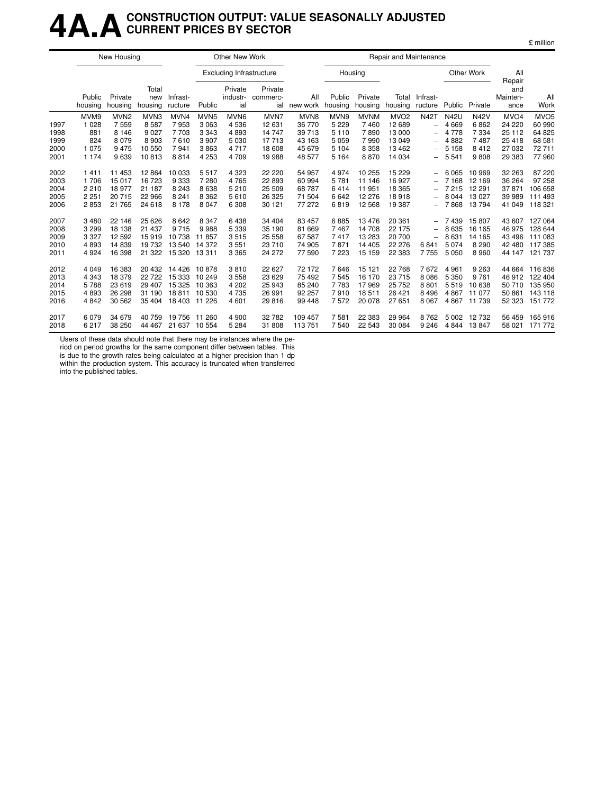## **4A.ACONSTRUCTION OUTPUT: VALUE SEASONALLY ADJUSTED CURRENT PRICES BY SECTOR**

£ million

|                                      |                                                     | New Housing                                                 |                                                       |                                                      |                                                                      | Other New Work                                               |                                                       |                                                        |                                                             |                                                        | Repair and Maintenance                                              |                                                                                                                                                         |                                                                 |                                                        |                                                                      |                                                                  |
|--------------------------------------|-----------------------------------------------------|-------------------------------------------------------------|-------------------------------------------------------|------------------------------------------------------|----------------------------------------------------------------------|--------------------------------------------------------------|-------------------------------------------------------|--------------------------------------------------------|-------------------------------------------------------------|--------------------------------------------------------|---------------------------------------------------------------------|---------------------------------------------------------------------------------------------------------------------------------------------------------|-----------------------------------------------------------------|--------------------------------------------------------|----------------------------------------------------------------------|------------------------------------------------------------------|
|                                      |                                                     |                                                             |                                                       |                                                      |                                                                      | <b>Excluding Infrastructure</b>                              |                                                       |                                                        | Housing                                                     |                                                        |                                                                     |                                                                                                                                                         |                                                                 | Other Work                                             | All<br>Repair                                                        |                                                                  |
|                                      | Public<br>housing                                   | Private<br>housing                                          | Total<br>new<br>housing                               | Infrast-<br>ructure                                  | Public                                                               | Private<br>industr-<br>ial                                   | Private<br>commerc-<br>ial                            | All<br>new work                                        | Public<br>housing                                           | Private<br>housing                                     | Total<br>housing                                                    | Infrast-<br>ructure                                                                                                                                     | Public                                                          | Private                                                | and<br>Mainten-<br>ance                                              | All<br>Work                                                      |
| 1997<br>1998<br>1999<br>2000<br>2001 | MVM9<br>1 0 2 8<br>881<br>824<br>1 0 7 5<br>1 1 7 4 | MVN <sub>2</sub><br>7559<br>8 1 4 6<br>8079<br>9475<br>9639 | MVN3<br>8587<br>9 0 2 7<br>8 9 0 3<br>10 550<br>10813 | MVN4<br>7953<br>7 7 0 3<br>7610<br>7941<br>8814      | MVN <sub>5</sub><br>3 0 6 3<br>3 3 4 3<br>3 9 0 7<br>3863<br>4 2 5 3 | MVN <sub>6</sub><br>4536<br>4893<br>5 0 3 0<br>4717<br>4 709 | MVN7<br>12 631<br>14 747<br>17713<br>18 608<br>19 988 | MVN8<br>36 770<br>39 713<br>43 163<br>45 679<br>48 577 | MVN9<br>5 2 2 9<br>5 1 1 0<br>5 0 5 9<br>5 1 0 4<br>5 1 6 4 | <b>MVNM</b><br>7460<br>7890<br>7990<br>8 3 5 8<br>8870 | MVO <sub>2</sub><br>12 689<br>13 000<br>13 049<br>13 4 62<br>14 034 | <b>N42T</b><br>$\overline{\phantom{0}}$<br>$\overline{\phantom{0}}$<br>$\overline{\phantom{0}}$<br>$\overline{\phantom{0}}$<br>$\overline{\phantom{0}}$ | <b>N42U</b><br>4 6 6 9<br>4 7 7 8<br>4882<br>5 1 5 8<br>5 5 4 1 | <b>N42V</b><br>6862<br>7 3 3 4<br>7487<br>8412<br>9808 | MVO <sub>4</sub><br>24 2 20<br>25 112<br>25 4 18<br>27 032<br>29 383 | MVO <sub>5</sub><br>60 990<br>64 825<br>68 581<br>72711<br>77960 |
| 2002<br>2003<br>2004<br>2005<br>2006 | 1411<br>1 706<br>2 2 1 0<br>2 2 5 1<br>2853         | 11 453<br>15017<br>18 977<br>20715<br>21 7 65               | 12 8 64<br>16 723<br>21 187<br>22 966<br>24 618       | 10 033<br>9 3 3 3<br>8 2 4 3<br>8 2 4 1<br>8 1 7 8   | 5517<br>7 2 8 0<br>8638<br>8 3 6 2<br>8 0 4 7                        | 4 3 2 3<br>4765<br>5 2 1 0<br>5610<br>6 3 0 8                | 22 2 20<br>22 893<br>25 509<br>26 3 25<br>30 121      | 54 957<br>60 994<br>68787<br>71 504<br>77 272          | 4974<br>5781<br>6414<br>6642<br>6819                        | 10 255<br>11 146<br>11951<br>12 276<br>12 5 68         | 15 2 29<br>16 927<br>18 3 65<br>18918<br>19 387                     | $\overline{\phantom{0}}$<br>$\overline{\phantom{0}}$<br>$\qquad \qquad -$                                                                               | 6 0 6 5<br>7 1 6 8<br>7 2 1 5<br>8 0 4 4<br>7868                | 10 969<br>12 169<br>12 291<br>13 0 27<br>13794         | 32 263<br>36 264<br>37871<br>39 989<br>41 049                        | 87 220<br>97 258<br>106 658<br>111 493<br>118 321                |
| 2007<br>2008<br>2009<br>2010<br>2011 | 3 4 8 0<br>3 2 9 9<br>3 3 2 7<br>4893<br>4 9 24     | 22 14 6<br>18 138<br>12 5 9 2<br>14839<br>16 398            | 25 6 26<br>21 437<br>15919<br>19732<br>21 3 22        | 8 6 4 2<br>9715<br>10 738<br>13 540<br>15 320 13 311 | 8 3 4 7<br>9988<br>11857<br>14 372                                   | 6438<br>5 3 3 9<br>3515<br>3551<br>3 3 6 5                   | 34 404<br>35 190<br>25 558<br>23 710<br>24 272        | 83 457<br>81 669<br>67 587<br>74 905<br>77 590         | 6885<br>7467<br>7417<br>7871<br>7 2 2 3                     | 13476<br>14 708<br>13 28 3<br>14 4 05<br>15 15 9       | 20 361<br>22 175<br>20 700<br>22 276<br>22 3 8 3                    | $\overline{\phantom{0}}$<br>$\overline{\phantom{0}}$<br>$\overline{\phantom{0}}$<br>6841<br>7755                                                        | 7439<br>8 6 3 5<br>8631<br>5 0 7 4<br>5 0 5 0                   | 15807<br>16 165<br>14 165<br>8 2 9 0<br>8 9 6 0        | 43 607<br>46 975<br>43 4 96<br>42 480<br>44 147                      | 127 064<br>128 644<br>111 083<br>117 385<br>121 737              |
| 2012<br>2013<br>2014<br>2015<br>2016 | 4 0 4 9<br>4 3 4 3<br>5788<br>4893<br>4 8 4 2       | 16 383<br>18 379<br>23 6 19<br>26 298<br>30 562             | 20 432<br>22 7 22<br>29 407<br>31 190<br>35 404       | 14 4 26<br>15 333<br>15 3 25<br>18811<br>18 403      | 10878<br>10 249<br>10 363<br>10 530<br>11 2 26                       | 3810<br>3 5 5 8<br>4 20 2<br>4735<br>4 601                   | 22 627<br>23 6 29<br>25 943<br>26 991<br>29 816       | 72 172<br>75 492<br>85 240<br>92 257<br>99 448         | 7646<br>7545<br>7783<br>7910<br>7572                        | 15 121<br>16 170<br>17969<br>18511<br>20 078           | 22 768<br>23 715<br>25 7 52<br>26 4 21<br>27 651                    | 7672<br>8 0 8 6<br>8801<br>8 4 9 6<br>8 0 6 7                                                                                                           | 4 9 6 1<br>5 3 5 0<br>5519<br>4 8 6 7<br>4867                   | 9 2 6 3<br>9 7 6 1<br>10 638<br>11 077<br>11 739       | 44 664<br>46 912<br>50 710<br>50 861<br>52 323                       | 116836<br>122 404<br>135 950<br>143 118<br>151 772               |
| 2017<br>2018                         | 6079<br>6 217                                       | 34 679<br>38 250                                            | 40 759<br>44 467                                      | 19 756<br>21 637 10 554                              | 11 260                                                               | 4 9 0 0<br>5 2 8 4                                           | 32 782<br>31 808                                      | 109 457<br>113751                                      | 7581<br>7540                                                | 22 383<br>22 543                                       | 29 9 64<br>30 084                                                   | 8762<br>9 2 4 6                                                                                                                                         | 5 0 0 2<br>4 8 4 4                                              | 12732<br>13847                                         | 56 459<br>58 0 21                                                    | 165 916<br>171 772                                               |

Users of these data should note that there may be instances where the pe-

riod on period growths for the same component differ between tables. This is due to the growth rates being calculated at a higher precision than 1 dp within the production system. This accuracy is truncated when transferred into the published tables.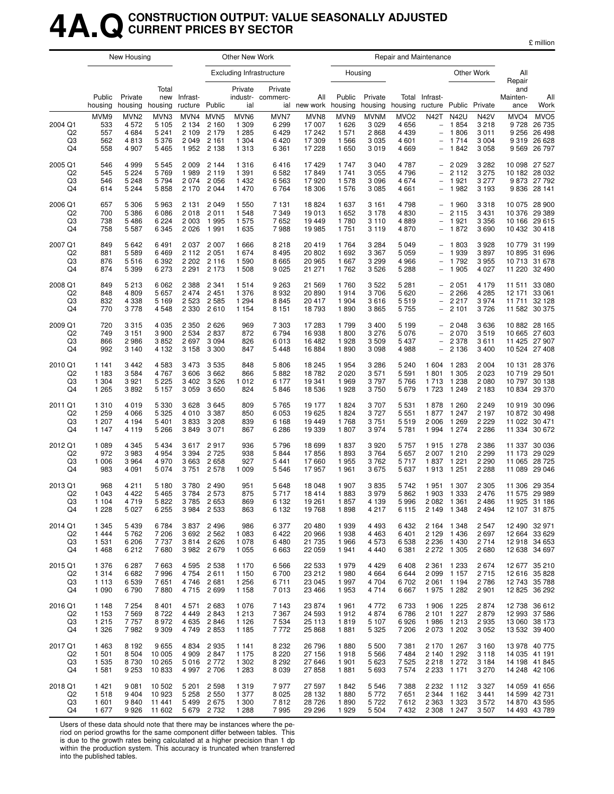#### **4A.QCONSTRUCTION OUTPUT: VALUE SEASONALLY ADJUSTED CURRENT PRICES BY SECTOR**

|                           |                    | New Housing                |                    |                     |                        | Other New Work     |                                 |                     |                   |                    | Repair and Maintenance |                                               |                                |                         |                         |                                |
|---------------------------|--------------------|----------------------------|--------------------|---------------------|------------------------|--------------------|---------------------------------|---------------------|-------------------|--------------------|------------------------|-----------------------------------------------|--------------------------------|-------------------------|-------------------------|--------------------------------|
|                           |                    |                            |                    |                     |                        |                    | <b>Excluding Infrastructure</b> |                     | Housing           |                    |                        |                                               |                                | Other Work              | All<br>Repair           |                                |
|                           | Public<br>housing  | Private<br>housing housing | Total<br>new       | Infrast-<br>ructure | Public                 | Private<br>ial     | Private<br>industr- commerc-    | All<br>ial new work | Public<br>housing | Private<br>housing | housing                | Total Infrast-<br>ructure Public Private      |                                |                         | and<br>Mainten-<br>ance | All<br>Work                    |
|                           | MVM9               | MVN <sub>2</sub>           | MVN3               | MVN4                | MVN <sub>5</sub>       | MVN6               | MVN7                            | MVN8                | MVN9              | <b>MVNM</b>        | MVO <sub>2</sub>       | <b>N42T</b>                                   | <b>N42U</b>                    | <b>N42V</b>             | MVO <sub>4</sub>        | MVO <sub>5</sub>               |
| 2004 Q1<br>Q <sub>2</sub> | 533<br>557         | 4 5 7 2<br>4 6 8 4         | 5 1 0 5<br>5 2 4 1 | 2 1 3 4<br>2 1 0 9  | 2 1 6 0<br>2 1 7 9     | 1 3 0 9<br>1 2 8 5 | 6 2 9 9<br>6429                 | 17 007<br>17 242    | 1626<br>1 571     | 3 0 2 9<br>2868    | 4656<br>4 4 3 9        | $\overline{\phantom{a}}$<br>$\qquad \qquad -$ | 1854<br>1806                   | 3 2 1 8<br>3 0 1 1      | 9728                    | 26 735<br>9 256 26 498         |
| Q3                        | 562                | 4813                       | 5 3 7 6            | 2049                | 2 1 6 1                | 1 3 0 4            | 6420                            | 17 309              | 1566              | 3 0 3 5            | 4 601                  | $\qquad \qquad -$                             | 1 7 1 4                        | 3 0 0 4                 |                         | 9 319 26 628                   |
| Q4                        | 558                | 4 9 0 7                    | 5465               | 1952                | 2 1 3 8                | 1 3 1 3            | 6 3 6 1                         | 17 228              | 1 650             | 3019               | 4669                   | $\bar{\phantom{a}}$                           | 1842                           | 3 0 5 8                 |                         | 9 5 69 26 797                  |
| 2005 Q1                   | 546                | 4 9 9 9                    | 5 5 4 5            | 2009                | 2 1 4 4                | 1 3 1 6            | 6416                            | 17429               | 1 7 4 7           | 3 0 4 0            | 4787                   |                                               | $-2029$                        | 3 2 8 2                 |                         | 10 098 27 527                  |
| Q <sub>2</sub><br>Q3      | 545<br>546         | 5 2 2 4<br>5 2 4 8         | 5769<br>5794       | 1989<br>2074        | 2 1 1 9<br>2 0 5 6     | 1 3 9 1<br>1432    | 6 5 8 2<br>6 5 6 3              | 17849<br>17920      | 1741<br>1578      | 3 0 5 5<br>3 0 9 6 | 4796<br>4674           | $\overline{\phantom{0}}$                      | 2 1 1 2<br>1921                | 3 2 7 5<br>3 2 7 7      |                         | 10 182 28 032<br>9 873 27 792  |
| Q4                        | 614                | 5 2 4 4                    | 5858               | 2 1 7 0             | 2 0 4 4                | 1470               | 6764                            | 18 306              | 1576              | 3 0 8 5            | 4661                   | $\overline{\phantom{a}}$                      | 1982                           | 3 1 9 3                 |                         | 9 836 28 141                   |
| 2006 Q1                   | 657                | 5 3 0 6                    | 5963               | 2 1 3 1             | 2 0 4 9                | 1 550              | 7 1 3 1                         | 18824               | 1 637             | 3 1 6 1            | 4798                   |                                               | $-1960$                        | 3 3 1 8                 |                         | 10 075 28 900                  |
| Q <sub>2</sub>            | 700                | 5 3 8 6                    | 6086               | 2018                | 2011                   | 1548               | 7 3 4 9                         | 19013               | 1 6 5 2           | 3 1 7 8            | 4830                   | $\qquad \qquad -$                             | 2 1 1 5                        | 3 4 3 1                 |                         | 10 376 29 389                  |
| Q3<br>Q4                  | 738<br>758         | 5486<br>5 5 8 7            | 6 2 2 4<br>6 3 4 5 | 2 0 0 3<br>2026     | 1995<br>1991           | 1575<br>1635       | 7652<br>7988                    | 19 449<br>19 985    | 1780<br>1751      | 3 1 1 0<br>3 1 1 9 | 4889<br>4870           | $-$                                           | 1921<br>1872                   | 3 3 5 6<br>3690         |                         | 10 166 29 615<br>10 432 30 418 |
| 2007 Q1                   | 849                | 5642                       | 6491               | 2037                | 2 0 0 7                | 1666               | 8 2 1 8                         | 20 419              | 1764              | 3 2 8 4            | 5 0 4 9                |                                               | 1803                           | 3928                    |                         | 10 779 31 199                  |
| Q <sub>2</sub>            | 881                | 5 5 8 9                    | 6469               | 2 1 1 2             | 2 0 5 1                | 1674               | 8 4 9 5                         | 20 802              | 1 6 9 2           | 3 3 6 7            | 5 0 5 9                | $\bar{\phantom{a}}$                           | 1939                           | 3897                    |                         | 10 895 31 696                  |
| Q3<br>Q4                  | 876<br>874         | 5516<br>5 3 9 9            | 6 3 9 2<br>6 2 7 3 | 2 2 0 2<br>2 2 9 1  | 2 1 1 6<br>2 1 7 3     | 1 5 9 0<br>1 508   | 8 6 6 5<br>9 0 25               | 20 965<br>21 271    | 1667<br>1762      | 3 2 9 9<br>3526    | 4966<br>5 2 8 8        | $\overline{\phantom{a}}$<br>$\qquad \qquad -$ | 1 7 9 2<br>1 9 0 5             | 3 9 5 5<br>4 0 2 7      |                         | 10 713 31 678<br>11 220 32 490 |
| 2008 Q1                   | 849                | 5 2 1 3                    | 6 0 6 2            | 2 3 8 8             | 2 3 4 1                | 1514               | 9 2 6 3                         | 21 569              | 1760              | 3522               | 5 281                  |                                               | $-2051$                        | 4 1 7 9                 |                         | 11 511 33 080                  |
| Q <sub>2</sub>            | 848                | 4809                       | 5657               | 2474                | 2 4 5 1                | 1 3 7 6            | 8932                            | 20 890              | 1914              | 3706               | 5620                   |                                               | 2 2 6 6                        | 4 2 8 5                 | 12 171                  | 33 061                         |
| Q3                        | 832                | 4 3 3 8                    | 5 1 6 9            | 2 5 2 3             | 2 5 8 5                | 1 2 9 4            | 8845                            | 20 417              | 1 9 0 4           | 3616               | 5519                   | $\overline{\phantom{a}}$                      | 2 2 1 7                        | 3974                    |                         | 11 711 32 128                  |
| Q4                        | 770                | 3778                       | 4548               | 2 3 3 0             | 2610                   | 1 1 5 4            | 8 1 5 1                         | 18793               | 1890              | 3865               | 5 7 5 5                | $\overline{\phantom{a}}$                      | 2 1 0 1                        | 3726                    |                         | 11 582 30 375                  |
| 2009 Q1                   | 720                | 3315                       | 4 0 3 5            | 2 3 5 0             | 2626                   | 969                | 7 3 0 3                         | 17 283              | 1799              | 3 4 0 0            | 5 1 9 9                | $\overline{\phantom{a}}$                      | 2 0 4 8                        | 3636                    |                         | 10 882 28 165                  |
| Q2<br>Q3                  | 749<br>866         | 3 1 5 1<br>2986            | 3 9 0 0            | 2 5 3 4             | 2837<br>3 0 9 4        | 872<br>826         | 6794<br>6013                    | 16 938<br>16 482    | 1800              | 3 2 7 6            | 5076                   | $\overline{\phantom{a}}$                      | 2 0 7 0<br>2 3 7 8             | 3519<br>3611            |                         | 10 665 27 603<br>11 425 27 907 |
| Q4                        | 992                | 3 1 4 0                    | 3852<br>4 1 3 2    | 2697<br>3 1 5 8     | 3 3 0 0                | 847                | 5448                            | 16884               | 1928<br>1890      | 3509<br>3 0 9 8    | 5437<br>4988           | $\overline{\phantom{0}}$                      | 2 1 3 6                        | 3 4 0 0                 |                         | 10 524 27 408                  |
| 2010 Q1                   | 1 1 4 1            | 3 4 4 2                    | 4583               | 3473                | 3 5 3 5                | 848                | 5806                            | 18 245              | 1954              | 3 2 8 6            | 5 2 4 0                |                                               | 1 604 1 283                    | 2 0 0 4                 | 10 131                  | 28 376                         |
| Q <sub>2</sub>            | 1 1 8 3            | 3584                       | 4767               | 3606                | 3 6 6 2                | 866                | 5882                            | 18782               | 2 0 2 0           | 3571               | 5 5 9 1                | 1801                                          | 1 3 0 5                        | 2 0 2 3                 |                         | 10 719 29 501                  |
| Q3<br>Q <sub>4</sub>      | 1 304<br>1 2 6 5   | 3921<br>3892               | 5 2 2 5<br>5 1 5 7 | 3402<br>3059        | 3526<br>3650           | 1012<br>824        | 6 177<br>5846                   | 19 341<br>18 536    | 1969<br>1928      | 3797<br>3750       | 5766<br>5679           | 1713<br>1723                                  | 1 2 3 8<br>1 2 4 9             | 2 0 8 0<br>2 1 8 3      |                         | 10 797 30 138<br>10 834 29 370 |
| 2011 Q1                   | 1 3 1 0            | 4019                       | 5 3 3 0            | 3628                | 3645                   | 809                | 5765                            | 19 177              | 1824              | 3707               | 5 5 3 1                | 1878                                          | 1 2 6 0                        | 2 2 4 9                 |                         | 10 919 30 096                  |
| Q <sub>2</sub>            | 1 2 5 9            | 4 0 6 6                    | 5 3 2 5            | 4010                | 3 3 8 7                | 850                | 6 0 5 3                         | 19 625              | 1824              | 3727               | 5 5 5 1                | 1877                                          | 1 2 4 7                        | 2 1 9 7                 |                         | 10 872 30 498                  |
| Q3<br>Q4                  | 1 207<br>1 1 4 7   | 4 1 9 4<br>4 1 1 9         | 5401<br>5 2 6 6    | 3833<br>3849        | 3 2 0 8<br>3 0 7 1     | 839<br>867         | 6 1 6 8<br>6 2 8 6              | 19 449<br>19 339    | 1768<br>1807      | 3751<br>3974       | 5519<br>5781           | 2 0 0 6<br>1994                               | 1 2 6 9<br>1 274               | 2 2 2 9<br>2 2 8 6      |                         | 11 022 30 471<br>11 334 30 672 |
| 2012 Q1                   | 1 0 8 9            | 4 3 4 5                    | 5434               | 3617                | 2917                   | 936                | 5796                            | 18 699              | 1837              | 3920               | 5 7 5 7                |                                               | 1915 1278                      | 2 3 8 6                 |                         | 11 337 30 036                  |
| Q2                        | 972                | 3983                       | 4 9 5 4            | 3 3 9 4             | 2 7 2 5                | 938                | 5844                            | 17856               | 1893              | 3764               | 5657                   | 2 0 0 7                                       | 1 2 1 0                        | 2 2 9 9                 | 11 173                  | 29 0 29                        |
| Q3                        | 1 0 0 6            | 3964                       | 4970               | 3663                | 2658                   | 927                | 5441                            | 17660               | 1955              | 3762               | 5717                   | 1837                                          | 1 2 2 1                        | 2 2 9 0                 |                         | 11 065 28 725                  |
| Q4                        | 983                | 4 0 9 1                    | 5074               | 3751                | 2 5 7 8                | 1 0 0 9            | 5 5 4 6                         | 17957               | 1961              | 3675               | 5 6 3 7                |                                               | 1913 1251                      | 2 2 8 8                 |                         | 11 089 29 046                  |
| 2013 Q1<br>Q <sub>2</sub> | 968<br>1 0 4 3     | 4 2 1 1<br>4 4 2 2         | 5 1 8 0<br>5465    | 3780<br>3 784       | 2 4 9 0<br>2 5 7 3     | 951<br>875         | 5648<br>5717                    | 18 048<br>18 4 14   | 1 907<br>1883     | 3835<br>3979       | 5742<br>5862           |                                               | 1951 1307<br>1903 1333         | 2 3 0 5<br>2 4 7 6      |                         | 11 306 29 354<br>11 575 29 989 |
| Q3                        | 1 1 0 4            | 4 7 1 9                    | 5822               |                     | 3785 2653              | 869                | 6 1 3 2                         | 19 261              | 1857              | 4 1 3 9            | 5996                   |                                               | 2 082 1 361                    | 2486                    | 11 925 31 186           |                                |
| Q4                        | 1 2 2 8            | 5 0 2 7                    | 6 2 5 5            |                     | 3984 2533              | 863                | 6 1 3 2                         | 19768               | 1898              | 4 2 1 7            | 6 1 1 5                |                                               | 2 149 1 348                    | 2494                    |                         | 12 107 31 875                  |
| 2014 Q1                   | 1 3 4 5            | 5439                       | 6784               |                     | 3837 2496              | 986                | 6377                            | 20 480              | 1939              | 4 4 9 3            | 6432                   |                                               | 2 164 1 348                    | 2 5 4 7                 |                         | 12 490 32 971                  |
| Q <sub>2</sub>            | 1444               | 5762                       | 7 206              |                     | 3 692 2 562            | 1 0 8 3            | 6422                            | 20 966              | 1938              | 4 4 6 3            | 6401                   |                                               | 2 129 1 436                    | 2697                    |                         | 12 664 33 629<br>12 918 34 653 |
| Q3<br>Q4                  | 1 5 3 1<br>1468    | 6 2 0 6<br>6212            | 7737<br>7680       |                     | 3814 2626<br>3982 2679 | 1078<br>1 0 5 5    | 6480<br>6663                    | 21 735<br>22 059    | 1966<br>1941      | 4573<br>4 4 4 0    | 6 538<br>6 3 8 1       |                                               | 2 2 3 6 1 4 3 0<br>2 272 1 305 | 2714<br>2680            |                         | 12 638 34 697                  |
| 2015 Q1                   | 1 3 7 6            | 6 2 8 7                    | 7663               |                     | 4 5 95 2 5 38          | 1 1 7 0            | 6566                            | 22 533              | 1979              | 4 4 2 9            | 6408                   |                                               | 2 361 1 2 33                   | 2674                    |                         | 12 677 35 210                  |
| Q <sub>2</sub>            | 1 3 1 4            | 6682                       | 7996               |                     | 4754 2611              | 1 1 5 0            | 6700                            | 23 212              | 1980              | 4 6 64             | 6644                   |                                               | 2 0 99 1 1 5 7                 | 2715                    |                         | 12 616 35 828                  |
| Q3<br>Q4                  | 1 1 1 3<br>1 0 9 0 | 6539<br>6790               | 7651<br>7880       |                     | 4746 2681<br>4715 2699 | 1 2 5 6<br>1 1 5 8 | 6711<br>7013                    | 23 045<br>23 4 66   | 1997<br>1953      | 4 704<br>4 7 1 4   | 6 702<br>6667          |                                               | 2 061 1 194<br>1975 1282       | 2786<br>2 9 0 1         |                         | 12 743 35 788<br>12 825 36 292 |
| 2016 Q1                   | 1 1 4 8            | 7 2 5 4                    | 8401               | 4 571               | 2683                   | 1076               | 7 1 4 3                         | 23 874              | 1961              | 4 772              | 6 733                  |                                               | 1906 1225                      | 2874                    |                         | 12 738 36 612                  |
| Q <sub>2</sub>            | 1 1 5 3            | 7569                       | 8722               |                     | 4 4 4 9 2 8 4 3        | 1 2 1 3            | 7 3 6 7                         | 24 593              | 1912              | 4874               | 6786                   |                                               | 2 101 1 227                    | 2879                    |                         | 12 993 37 586                  |
| Q3                        | 1 2 1 5            | 7757                       | 8972               |                     | 4 635 2 846            | 1 1 2 6            | 7 5 34                          | 25 113              | 1819              | 5 107              | 6926                   |                                               | 1986 1213                      | 2935                    |                         | 13 060 38 173                  |
| Q4                        | 1 3 2 6            | 7982                       | 9 3 0 9            |                     | 4749 2853              | 1 1 8 5            | 7772                            | 25 868              | 1881              | 5 3 2 5            | 7 206                  |                                               | 2 073 1 202                    | 3 0 5 2                 |                         | 13 532 39 400                  |
| 2017 Q1                   | 1463               | 8 1 9 2                    | 9655               |                     | 4834 2935              | 1 1 4 1            | 8 2 3 2                         | 26 796              | 1880              | 5 500              | 7 3 8 1                |                                               | 2 170 1 267                    | 3 1 6 0                 |                         | 13 978 40 775                  |
| Q <sub>2</sub><br>Q3      | 1 501<br>1 5 3 5   | 8504<br>8730               | 10 005<br>10 265   | 4 9 0 9             | 2847<br>5 0 16 2 7 72  | 1 1 7 5<br>1 3 0 2 | 8 2 2 0<br>8 2 9 2              | 27 156<br>27 646    | 1918<br>1 901     | 5566<br>5 6 23     | 7484<br>7525           |                                               | 2 140 1 292<br>2 2 18 1 2 72   | 3 1 1 8<br>3 1 8 4      |                         | 14 035 41 191<br>14 198 41 845 |
| Q4                        | 1581               | 9 2 5 3                    | 10833              |                     | 4 997 2 706            | 1 2 8 3            | 8 0 3 9                         | 27 858              | 1881              | 5693               | 7574                   |                                               | 2 2 3 1 1 7 1                  | 3 2 7 0                 |                         | 14 248 42 106                  |
| 2018 Q1                   | 1421               | 9081                       | 10 502 5 201 2 598 |                     |                        | 1319               | 7977                            | 27 597              | 1842              | 5 5 4 6            | 7 3 8 8                |                                               |                                | 2 2 3 2 1 1 1 2 3 3 2 7 |                         | 14 059 41 656                  |

Q2 1 518 9 404 10 923 5 258 2 550 1 377 8 025 28 132 1 880 5 772 7 651 2 344 1 162 3 441 14 599 42 731 Q3 1 601 9 840 11 441 5 499 2 675 1 300 7 812 28 726 1 890 5 722 7 612 2 363 1 323 3 572 14 870 43 595 Q4 1 677 9 926 11 602 5 679 2 732 1 288 7 995 29 296 1 929 5 504 7 432 2 308 1 247 3 507 14 493 43 789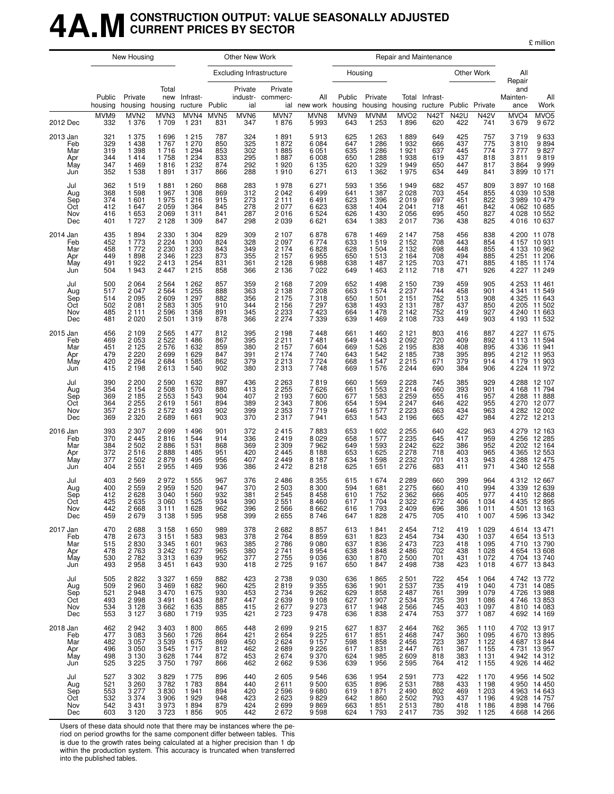## **4A.MCONSTRUCTION OUTPUT: VALUE SEASONALLY ADJUSTED CURRENT PRICES BY SECTOR**

| million |
|---------|
|---------|

|                                             |                                        | New Housing                                                    |                                                              |                                                                |                                        | Other New Work                         |                                                                |                                                          |                                        |                                                                | Repair and Maintenance                                         |                                        |                                        |                                                                |                                              |                                                                                                |
|---------------------------------------------|----------------------------------------|----------------------------------------------------------------|--------------------------------------------------------------|----------------------------------------------------------------|----------------------------------------|----------------------------------------|----------------------------------------------------------------|----------------------------------------------------------|----------------------------------------|----------------------------------------------------------------|----------------------------------------------------------------|----------------------------------------|----------------------------------------|----------------------------------------------------------------|----------------------------------------------|------------------------------------------------------------------------------------------------|
|                                             |                                        |                                                                |                                                              |                                                                |                                        |                                        | <b>Excluding Infrastructure</b>                                |                                                          |                                        | Housing                                                        |                                                                |                                        |                                        | Other Work                                                     | All<br>Repair                                |                                                                                                |
|                                             | Public<br>housing                      | Private<br>housing housing                                     | Total<br>new                                                 | Infrast-<br>ructure                                            | Public                                 | Private<br>ial                         | Private<br>industr- commerc-                                   | All<br>ial new work housing                              | Public                                 | Private                                                        | housing housing ructure Public Private                         | Total Infrast-                         |                                        |                                                                | and<br>Mainten-<br>ance                      | All<br>Work                                                                                    |
| 2012 Dec                                    | MVM9<br>332                            | MVN <sub>2</sub><br>1 3 7 6                                    | MVN3<br>1 709                                                | MVN4<br>1 2 3 1                                                | MVN <sub>5</sub><br>831                | MVN6<br>347                            | MVN7<br>1876                                                   | MVN8<br>5993                                             | MVN9<br>643                            | <b>MVNM</b><br>1 2 5 3                                         | MVO <sub>2</sub><br>1896                                       | <b>N42T</b><br>620                     | <b>N42U</b><br>422                     | <b>N42V</b><br>741                                             | MVO <sub>4</sub><br>3679                     | MVO <sub>5</sub><br>9672                                                                       |
| 2013 Jan<br>Feb<br>Mar<br>Apr<br>May<br>Jun | 321<br>329<br>319<br>344<br>347<br>352 | 1 375<br>1 4 3 8<br>1 3 9 8<br>1414<br>1469<br>1538            | 1696<br>1767<br>1716<br>1758<br>1816<br>1891                 | 1 2 1 5<br>1 270<br>1 2 9 4<br>1 2 3 4<br>1 2 3 2<br>1 3 1 7   | 787<br>850<br>853<br>833<br>874<br>866 | 324<br>325<br>302<br>295<br>292<br>288 | 1891<br>1872<br>1885<br>1887<br>1920<br>1910                   | 5913<br>6084<br>6 0 5 1<br>6 0 0 8<br>6 1 3 5<br>6 2 7 1 | 625<br>647<br>635<br>650<br>620<br>613 | 1 2 6 3<br>1 2 8 6<br>1 2 8 6<br>1 2 8 8<br>1 3 2 9<br>1 3 6 2 | 1889<br>1932<br>1921<br>1938<br>1949<br>1975                   | 649<br>666<br>637<br>619<br>650<br>634 | 425<br>437<br>445<br>437<br>447<br>449 | 757<br>775<br>774<br>818<br>817<br>841                         | 3719<br>3810<br>3777<br>3811<br>3864<br>3899 | 9 633<br>9 894<br>9 827<br>$9819$<br>$9999$<br>$10171$                                         |
| Jul<br>Aug<br>Sep<br>Oct<br>Nov<br>Dec      | 362<br>368<br>374<br>412<br>416<br>401 | 1519<br>1598<br>1601<br>1647<br>1653<br>1727                   | 1881<br>1967<br>1975<br>2 0 5 9<br>2 0 6 9<br>2 1 2 8        | 1 2 6 0<br>1 3 0 8<br>1 2 1 6<br>1 3 6 4<br>1 3 1 1<br>1 309   | 868<br>869<br>915<br>845<br>841<br>847 | 283<br>312<br>273<br>278<br>287<br>298 | 1978<br>2 0 4 2<br>2 1 1 1<br>2 0 7 7<br>2016<br>2 0 3 9       | 6 2 7 1<br>6499<br>6491<br>6623<br>6524<br>6621          | 593<br>641<br>623<br>638<br>626<br>634 | 1 3 5 6<br>1 3 8 7<br>1 3 9 6<br>1 4 0 4<br>1 4 3 0<br>1 3 8 3 | 1949<br>2 0 2 8<br>2019<br>2 0 4 1<br>2 0 5 6<br>2017          | 682<br>703<br>697<br>718<br>695<br>736 | 457<br>454<br>451<br>461<br>450<br>438 | 809<br>855<br>822<br>842<br>827<br>825                         | 4 0 3 9                                      | 3897 10168<br>10 538<br>3 989 10 479<br>4 062 10 685<br>4 0 28 10 5 52<br>4 016 10 637         |
| 2014 Jan<br>Feb<br>Mar<br>Apr<br>May<br>Jun | 435<br>452<br>458<br>449<br>491<br>504 | 1894<br>1773<br>1772<br>1898<br>1922<br>1943                   | 2 3 3 0<br>2 2 2 4<br>2 2 3 0<br>2 3 4 6<br>2413<br>2 4 4 7  | 1 304<br>1 300<br>1 2 3 3<br>1 2 2 3<br>1 2 5 4<br>1 2 1 5     | 829<br>824<br>843<br>873<br>831<br>858 | 309<br>328<br>349<br>355<br>361<br>366 | 2 107<br>2 0 9 7<br>2 1 7 4<br>2 1 5 7<br>2 1 2 8<br>2 1 3 6   | 6878<br>6774<br>6828<br>6955<br>6988<br>7022             | 678<br>633<br>628<br>650<br>638<br>649 | 1469<br>1519<br>1 504<br>1513<br>1 4 8 7<br>1 4 6 3            | 2 1 4 7<br>2 1 5 2<br>2 1 3 2<br>2 1 6 4<br>2 1 2 5<br>2 1 1 2 | 758<br>708<br>698<br>708<br>703<br>718 | 456<br>443<br>448<br>494<br>471<br>471 | 838<br>854<br>855<br>885<br>885<br>926                         | 4 1 3 3<br>4 185<br>4 2 2 7                  | 4 200 11 078<br>4 157 10 931<br>10 962<br>4 251 11 206<br>11 174<br>11 249                     |
| Jul<br>Aug<br>Sep<br>Oct<br>Nov<br>Dec      | 500<br>517<br>514<br>502<br>485<br>481 | 2064<br>2047<br>2095<br>2 0 8 1<br>2 1 1 1<br>2020             | 2 5 6 4<br>2 5 6 4<br>2 609<br>2 5 8 3<br>2 5 9 6<br>2 5 0 1 | 1 2 6 2<br>1 2 5 5<br>1 2 9 7<br>1 3 0 5<br>1 3 5 8<br>1 3 1 9 | 857<br>888<br>882<br>910<br>891<br>878 | 359<br>363<br>356<br>344<br>345<br>366 | 2 1 6 8<br>2 1 3 8<br>2 1 7 5<br>2 1 5 6<br>2 2 3 3<br>2 2 7 4 | 7 209<br>7 208<br>7318<br>7 2 9 7<br>7423<br>7 3 3 9     | 652<br>663<br>650<br>638<br>664<br>639 | 1498<br>1 574<br>1 501<br>1 4 9 3<br>1478<br>1469              | 2 1 5 0<br>2 2 3 7<br>2 1 5 1<br>2 1 3 1<br>2 1 4 2<br>2 1 0 8 | 739<br>744<br>752<br>787<br>752<br>733 | 459<br>458<br>513<br>437<br>419<br>449 | 905<br>901<br>908<br>850<br>927<br>903                         | 4 2 5 3<br>4 3 2 5<br>4 2 4 0                | 11 461<br>4 341 11 549<br>11 643<br>4 205 11 502<br>11 663<br>4 193 11 532                     |
| 2015 Jan<br>Feb<br>Mar<br>Apr<br>May<br>Jun | 456<br>469<br>451<br>479<br>420<br>415 | 2 1 0 9<br>2 0 5 3<br>2 1 2 5<br>2 2 2 0<br>2 2 6 4<br>2 1 9 8 | 2 5 6 5<br>2 5 2 2<br>2576<br>2699<br>2684<br>2613           | 1 477<br>1 4 8 6<br>1 6 3 2<br>1 6 2 9<br>1585<br>1 540        | 812<br>867<br>859<br>847<br>862<br>902 | 395<br>395<br>380<br>391<br>379<br>380 | 2 1 9 8<br>2 2 1 1<br>2 1 5 7<br>2 1 7 4<br>2 2 1 3<br>2 3 1 3 | 7448<br>7481<br>7604<br>7740<br>7724<br>7748             | 661<br>649<br>669<br>643<br>668<br>669 | 1 4 6 0<br>1 4 4 3<br>1 5 2 6<br>1 5 4 2<br>1 547<br>1 576     | 2 1 2 1<br>2 0 9 2<br>2 1 9 5<br>2 1 8 5<br>2 2 1 5<br>2 2 4 4 | 803<br>720<br>838<br>738<br>671<br>690 | 416<br>409<br>408<br>395<br>379<br>384 | 887<br>892<br>895<br>895<br>914<br>906                         |                                              | 4 227 11 675<br>4 113 11 594<br>4 336 11 941<br>4 212 11 953<br>4 179 11 903<br>4 2 24 11 9 72 |
| Jul<br>Aug<br>Sep<br>Oct<br>Nov<br>Dec      | 390<br>354<br>369<br>364<br>357<br>369 | 2 2 0 0<br>2 1 5 4<br>2 1 8 5<br>2 2 5 5<br>2215<br>2 3 2 0    | 2 5 9 0<br>2 5 0 8<br>2 5 5 3<br>2619<br>2572<br>2689        | 1 6 3 2<br>1570<br>1 5 4 3<br>1 5 6 1<br>1 4 9 3<br>1 661      | 897<br>880<br>904<br>894<br>902<br>903 | 436<br>413<br>407<br>389<br>399<br>370 | 2 2 6 3<br>2 2 5 5<br>2 1 9 3<br>2 3 4 3<br>2 3 5 3<br>2 3 1 7 | 7819<br>7626<br>7600<br>7806<br>7719<br>7941             | 660<br>661<br>677<br>654<br>646<br>653 | 1 5 6 9<br>1 5 5 3<br>1 583<br>1 5 9 4<br>1577<br>1 5 4 3      | 2 2 2 8<br>2 2 1 4<br>2 2 5 9<br>2 2 4 7<br>2 2 2 3<br>2 1 9 6 | 745<br>660<br>655<br>646<br>663<br>665 | 385<br>393<br>416<br>422<br>434<br>427 | 929<br>901<br>957<br>955<br>963<br>984                         | 4 2 7 2                                      | 4 288 12 107<br>4 168 11 794<br>4 288 11 888<br>4 270 12 077<br>4 282 12 002<br>12 213         |
| 2016 Jan<br>Feb<br>Mar<br>Apr<br>May<br>Jun | 393<br>370<br>384<br>372<br>377<br>404 | 2 3 0 7<br>2 4 4 5<br>2 5 0 2<br>2516<br>2 5 0 2<br>2 5 5 1    | 2699<br>2816<br>2886<br>2888<br>2879<br>2955                 | 1496<br>1 5 4 4<br>1 5 3 1<br>1 4 8 5<br>1 4 9 5<br>1 4 6 9    | 901<br>914<br>868<br>951<br>956<br>936 | 372<br>336<br>369<br>420<br>407<br>386 | 2415<br>2419<br>2 3 0 9<br>2 4 4 5<br>2 4 4 9<br>2472          | 7883<br>8 0 2 9<br>7962<br>8 1 8 8<br>8 1 8 7<br>8218    | 653<br>658<br>649<br>653<br>634<br>625 | 1 602<br>1 577<br>1 5 9 3<br>1 6 2 5<br>1 5 9 8<br>1 651       | 2 2 5 5<br>2 2 3 5<br>2 2 4 2<br>2 2 7 8<br>2 2 3 2<br>2 2 7 6 | 640<br>645<br>622<br>718<br>701<br>683 | 422<br>417<br>386<br>403<br>413<br>411 | 963<br>959<br>952<br>965<br>943<br>971                         | 4 2 7 9                                      | 12 163<br>4 256 12 285<br>4 202 12 164<br>4 365 12 553<br>4 288 12 475<br>4 340 12 558         |
| Jul<br>Aug<br>Sep<br>Oct<br>Nov<br>Dec      | 403<br>400<br>412<br>425<br>442<br>459 | 2569<br>2559<br>2 628<br>2635<br>2668<br>2679                  | 2972<br>2959<br>3 0 4 0<br>3 0 6 0<br>3 1 1 1<br>3 1 3 8     | 1 5 5 5<br>1 5 2 0<br>1 560<br>1 5 2 5<br>1628<br>1 5 9 5      | 967<br>947<br>932<br>934<br>962<br>958 | 376<br>370<br>381<br>390<br>396<br>399 | 2 4 8 6<br>2 5 0 3<br>2 5 4 5<br>2 5 5 1<br>2566<br>2655       | 8 3 5 5<br>8 3 0 0<br>8458<br>8 4 6 0<br>8662<br>8746    | 615<br>594<br>610<br>617<br>616<br>647 | 1 674<br>1681<br>1752<br>1 704<br>1793<br>1828                 | 2 2 8 9<br>2 2 7 5<br>2 3 6 2<br>2 322<br>2 4 0 9<br>2 4 7 5   | 660<br>660<br>666<br>672<br>696<br>705 | 399<br>410<br>405<br>406<br>386<br>410 | 964<br>994<br>977<br>1 0 3 4<br>1 0 1 1<br>1 0 0 7             |                                              | 4 312 12 667<br>4 339 12 639<br>4 410 12 868<br>4 4 35 12 8 95<br>4 501 13 163<br>4 596 13 342 |
| 2017 Jan<br>Feb<br>Mar<br>Apr<br>May<br>Jun | 470<br>478<br>515<br>478<br>530<br>493 | 2688<br>2673<br>2830<br>2763<br>2782<br>2958                   | 3 1 5 8<br>3 1 5 1<br>3 3 4 5<br>3 2 4 2<br>3313<br>3 4 5 1  | 1 650<br>1 5 8 3<br>1 601<br>1 627<br>1 639<br>1 643           | 989<br>983<br>963<br>965<br>952<br>930 | 378<br>378<br>385<br>380<br>377<br>418 | 2682<br>2764<br>2786<br>2 7 4 1<br>2 7 5 5<br>2 7 2 5          | 8857<br>8859<br>9080<br>8954<br>9036<br>9 1 6 7          | 613<br>631<br>637<br>638<br>630<br>650 | 1841<br>1823<br>1836<br>1848<br>1870<br>1847                   | 2 4 5 4<br>2 4 5 4<br>2 4 7 3<br>2486<br>2 500<br>2 4 9 8      | 712<br>734<br>723<br>702<br>701<br>738 | 419<br>430<br>418<br>438<br>431<br>423 | 1 0 2 9<br>1 0 3 7<br>1 0 9 5<br>1 0 2 8<br>1 0 7 2<br>1018    |                                              | 4 6 14 13 4 71<br>4 654 13 513<br>4 710 13 790<br>4 654 13 608<br>4 704 13 740<br>4 677 13 843 |
| Jul<br>Aug<br>Sep<br>Oct<br>Nov<br>Dec      | 505<br>509<br>521<br>493<br>534<br>553 | 2822<br>2960<br>2948<br>2998<br>3 1 2 8<br>3 1 2 7             | 3 3 2 7<br>3 4 6 9<br>3 4 7 0<br>3 4 9 1<br>3662<br>3680     | 1 6 5 9<br>1682<br>1675<br>1 643<br>1 6 3 5<br>1719            | 882<br>960<br>930<br>887<br>885<br>935 | 423<br>425<br>453<br>447<br>415<br>421 | 2738<br>2 819<br>2 734<br>2639<br>2677<br>2 7 2 3              | 9030<br>9 3 5 5<br>9 2 6 2<br>9 108<br>9 273<br>9478     | 636<br>636<br>629<br>627<br>617<br>636 | 1865<br>1 9 0 1<br>1858<br>1 907<br>1948<br>1838               | 2 5 0 1<br>2 5 3 7<br>2 4 8 7<br>2 5 3 4<br>2566<br>2 4 7 4    | 722<br>735<br>761<br>735<br>745<br>753 | 454<br>419<br>399<br>391<br>403<br>377 | 1 0 6 4<br>1 0 4 0<br>1 0 7 9<br>1 0 8 6<br>1 0 9 7<br>1 0 8 7 |                                              | 4 742 13 772<br>4 731 14 085<br>4 726 13 988<br>4 746 13 853<br>4 810 14 083<br>4 692 14 169   |
| 2018 Jan<br>Feb<br>Mar<br>Apr<br>May<br>Jun | 462<br>477<br>482<br>496<br>498<br>525 | 2942<br>3083<br>3 0 5 7<br>3 0 5 0<br>3 1 3 0<br>3 2 2 5       | 3 4 0 3<br>3560<br>3539<br>3545<br>3628<br>3750              | 1800<br>1726<br>1675<br>1 7 1 7<br>1 744<br>1797               | 865<br>864<br>869<br>812<br>872<br>866 | 448<br>421<br>450<br>462<br>453<br>462 | 2 699<br>2 654<br>2624<br>2689<br>2674<br>2 662                | 9 215<br>9 225<br>9 1 5 7<br>9226<br>9370<br>9536        | 627<br>617<br>598<br>617<br>624<br>639 | 1837<br>1851<br>1858<br>1831<br>1985<br>1956                   | 2 4 6 4<br>2 4 6 8<br>2 4 5 6<br>2 4 4 7<br>2 609<br>2 5 9 5   | 762<br>747<br>723<br>761<br>818<br>764 | 365<br>360<br>387<br>367<br>383<br>412 | 1 1 1 0<br>1 0 9 5<br>1 1 2 2<br>1 1 5 5<br>1 1 3 1<br>1 1 5 5 |                                              | 4 702 13 917<br>4 670 13 895<br>4 687 13 844<br>4 731 13 957<br>4 942 14 312<br>4 926 14 462   |
| Jul<br>Aug<br>Sep<br>Oct<br>Nov<br>Dec      | 527<br>521<br>553<br>532<br>542<br>603 | 3 3 0 2<br>3 2 6 0<br>3 2 7 7<br>3 3 7 4<br>3 4 3 1<br>3 1 2 0 | 3829<br>3782<br>3830<br>3 9 0 6<br>3973<br>3723              | 1 7 7 5<br>1783<br>1941<br>1929<br>1894<br>1856                | 896<br>884<br>894<br>948<br>879<br>905 | 440<br>440<br>420<br>423<br>424<br>442 | 2 6 0 5<br>2611<br>2 5 9 6<br>2623<br>2 699<br>2672            | 9546<br>9500<br>9680<br>9829<br>9869<br>9598             | 636<br>635<br>619<br>642<br>663<br>624 | 1954<br>1896<br>1871<br>1860<br>1851<br>1793                   | 2 5 9 1<br>2 5 3 1<br>2 4 9 0<br>2 5 0 2<br>2513<br>2417       | 773<br>788<br>802<br>793<br>780<br>735 | 422<br>433<br>469<br>437<br>418<br>392 | 1 1 7 0<br>1 1 9 8<br>1 203<br>1 1 9 6<br>1 1 8 6<br>1 1 2 5   |                                              | 4 956 14 502<br>4 950 14 450<br>4 963 14 643<br>4 928 14 757<br>4 898 14 766<br>4 668 14 266   |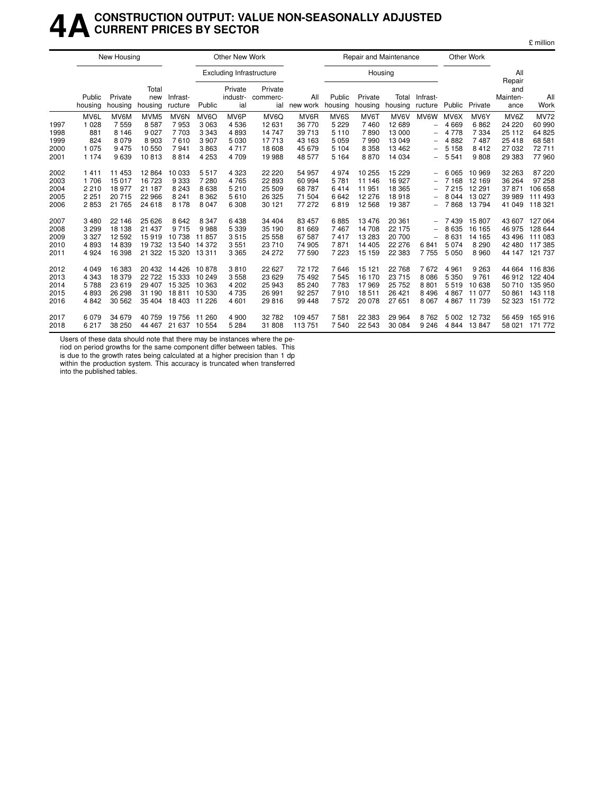### **4ACONSTRUCTION OUTPUT: VALUE NON-SEASONALLY ADJUSTED CURRENT PRICES BY SECTOR**

|      |                   | New Housing        |                         |                     |                   | Other New Work                  |                            |                 |                   |                    | Repair and Maintenance |                          |         | Other Work   |                                   |             |
|------|-------------------|--------------------|-------------------------|---------------------|-------------------|---------------------------------|----------------------------|-----------------|-------------------|--------------------|------------------------|--------------------------|---------|--------------|-----------------------------------|-------------|
|      |                   |                    |                         |                     |                   | <b>Excluding Infrastructure</b> |                            |                 |                   | Housing            |                        |                          |         |              | All                               |             |
|      | Public<br>housing | Private<br>housing | Total<br>new<br>housing | Infrast-<br>ructure | Public            | Private<br>industr-<br>ial      | Private<br>commerc-<br>ial | All<br>new work | Public<br>housing | Private<br>housing | Total<br>housing       | Infrast-<br>ructure      | Public  | Private      | Repair<br>and<br>Mainten-<br>ance | All<br>Work |
|      | MV6L              | MV6M               | MVM <sub>5</sub>        | MV6N                | MV <sub>6</sub> O | MV6P                            | MV6Q                       | MV6R            | MV6S              | MV6T               | MV6V                   | MV6W                     | MV6X    | MV6Y         | MV6Z                              | <b>MV72</b> |
| 1997 | 1 0 2 8           | 7559               | 8587                    | 7953                | 3 0 6 3           | 4536                            | 12 631                     | 36 770          | 5 2 2 9           | 7460               | 12 689                 | $\qquad \qquad -$        | 4 6 6 9 | 6862         | 24 220                            | 60 990      |
| 1998 | 881               | 8 1 4 6            | 9 0 2 7                 | 7703                | 3 3 4 3           | 4893                            | 14 747                     | 39 713          | 5 1 1 0           | 7890               | 13 000                 | $\overline{\phantom{0}}$ | 4 7 7 8 | 7 3 3 4      | 25 112                            | 64 825      |
| 1999 | 824               | 8 0 7 9            | 8 9 0 3                 | 7610                | 3907              | 5 0 3 0                         | 17713                      | 43 163          | 5 0 5 9           | 7990               | 13 049                 |                          | 4882    | 7487         | 25 4 18                           | 68 581      |
| 2000 | 1075              | 9475               | 10 550                  | 7941                | 3863              | 4717                            | 18 608                     | 45 679          | 5 1 0 4           | 8 3 5 8            | 13 4 62                | $\qquad \qquad -$        | 5 1 5 8 | 8412         | 27 032                            | 72 711      |
| 2001 | 1 1 7 4           | 9639               | 10813                   | 8814                | 4 2 5 3           | 4 709                           | 19 988                     | 48 577          | 5 1 6 4           | 8870               | 14 0 34                | $\overline{\phantom{0}}$ | 5 5 4 1 | 9808         | 29 383                            | 77960       |
| 2002 | 1411              | 11 453             | 12864                   | 10 033              | 5517              | 4 3 2 3                         | 22 2 20                    | 54 957          | 4974              | 10 255             | 15 2 29                |                          | 6 0 6 5 | 10 969       | 32 263                            | 87 220      |
| 2003 | 1706              | 15 017             | 16 723                  | 9333                | 7 2 8 0           | 4765                            | 22 893                     | 60 994          | 5781              | 11 146             | 16 927                 |                          | 7 1 6 8 | 12 169       | 36 264                            | 97 258      |
| 2004 | 2210              | 18 977             | 21 187                  | 8 2 4 3             | 8638              | 5 2 1 0                         | 25 509                     | 68 787          | 6414              | 11 951             | 18 3 65                | $\qquad \qquad -$        | 7 2 1 5 | 12 291       | 37 871                            | 106 658     |
| 2005 | 2 2 5 1           | 20 715             | 22 966                  | 8 2 4 1             | 8 3 6 2           | 5610                            | 26 3 25                    | 71 504          | 6642              | 12 276             | 18918                  |                          | 8 0 4 4 | 13 0 27      | 39 989                            | 111 493     |
| 2006 | 2853              | 21 765             | 24 618                  | 8 1 7 8             | 8 0 4 7           | 6 3 0 8                         | 30 121                     | 77 272          | 6819              | 12 5 68            | 19 387                 | $\overline{\phantom{0}}$ | 7868    | 13794        | 41 049                            | 118 321     |
| 2007 | 3480              | 22 146             | 25 6 26                 | 8642                | 8 3 4 7           | 6438                            | 34 404                     | 83 457          | 6885              | 13 4 76            | 20 361                 |                          | 7439    | 15 807       | 43 607                            | 127 064     |
| 2008 | 3 2 9 9           | 18 138             | 21 437                  | 9715                | 9988              | 5 3 3 9                         | 35 190                     | 81 669          | 7467              | 14 708             | 22 175                 | $\overline{\phantom{0}}$ | 8635    | 16 165       | 46 975                            | 128 644     |
| 2009 | 3 3 2 7           | 12 5 9 2           | 15919                   | 10738               | 11857             | 3515                            | 25 558                     | 67 587          | 7417              | 13 283             | 20 700                 | $\overline{\phantom{0}}$ | 8631    | 14 165       | 43 496                            | 111 083     |
| 2010 | 4893              | 14 839             | 19732                   | 13 540              | 14 372            | 3551                            | 23 710                     | 74 905          | 7871              | 14 4 05            | 22 276                 | 6841                     | 5074    | 8 2 9 0      | 42 480                            | 117385      |
| 2011 | 4924              | 16 398             | 21 3 22                 | 15 320 13 311       |                   | 3 3 6 5                         | 24 272                     | 77 590          | 7 2 2 3           | 15 159             | 22 383                 | 7755                     | 5 0 5 0 | 8960         | 44 147                            | 121 737     |
| 2012 | 4 0 4 9           | 16 383             | 20 432                  | 14 4 26             | 10878             | 3810                            | 22 6 27                    | 72 172          | 7646              | 15 121             | 22 768                 | 7672                     | 4 9 6 1 | 9 2 6 3      | 44 664                            | 116836      |
| 2013 | 4 3 4 3           | 18 379             | 22 7 22                 | 15 333              | 10 249            | 3558                            | 23 6 29                    | 75 492          | 7545              | 16 170             | 23 715                 | 8086                     | 5 3 5 0 | 9 7 6 1      | 46 912                            | 122 404     |
| 2014 | 5788              | 23 619             | 29 407                  | 15 3 25             | 10 363            | 4 202                           | 25 943                     | 85 240          | 7783              | 17969              | 25 7 52                | 8801                     | 5519    | 10 638       | 50 710                            | 135 950     |
| 2015 | 4893              | 26 298             | 31 190                  | 18811               | 10530             | 4735                            | 26 991                     | 92 257          | 7910              | 18511              | 26 4 21                | 8 4 9 6                  | 4867    | 11 077       | 50 861                            | 143 118     |
| 2016 | 4842              | 30 562             | 35 404                  | 18 403 11 226       |                   | 4 601                           | 29 816                     | 99 448          | 7572              | 20 078             | 27 651                 | 8 0 6 7                  | 4 8 6 7 | 11 739       | 52 323                            | 151 772     |
| 2017 | 6079              | 34 679             | 40 759                  | 19 756              | 11 260            | 4 9 0 0                         | 32 782                     | 109 457         | 7581              | 22 3 8 3           | 29 9 64                | 8762                     | 5 0 0 2 | 12732        | 56 459                            | 165 916     |
| 2018 | 6217              | 38 250             | 44 467                  | 21 637 10 554       |                   | 5 2 8 4                         | 31 808                     | 113 751         | 7540              | 22 543             | 30 084                 | 9 2 4 6                  |         | 4 844 13 847 | 58 021                            | 171 772     |

Users of these data should note that there may be instances where the pe-

riod on period growths for the same component differ between tables. This is due to the growth rates being calculated at a higher precision than 1 dp within the production system. This accuracy is truncated when transferred into the published tables.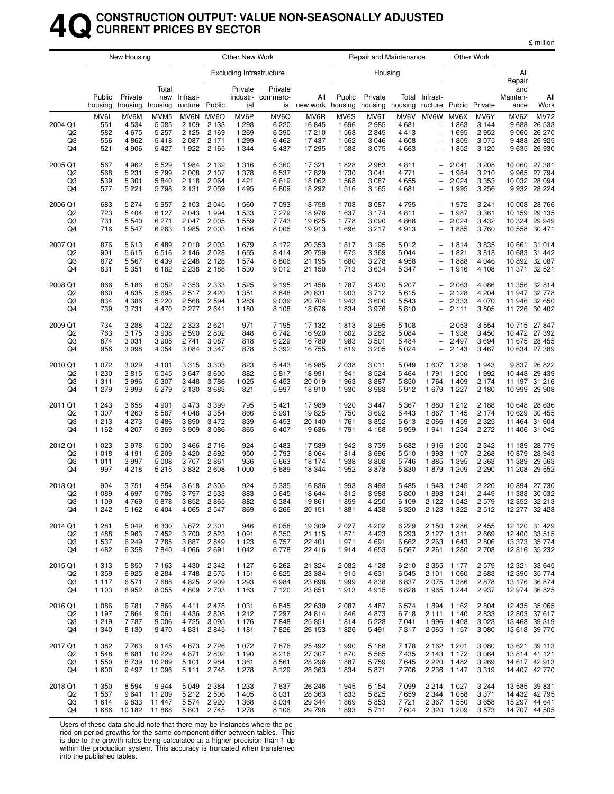## **4QCONSTRUCTION OUTPUT: VALUE NON-SEASONALLY ADJUSTED CURRENT PRICES BY SECTOR**

|                                       |                                          | New Housing                             |                                                        |                                       |                                                       | Other New Work                                   |                                            |                                           |                                         |                                            | Repair and Maintenance                |                                                                                                               |                                                               | Other Work                                    |                                   |                                                                  |
|---------------------------------------|------------------------------------------|-----------------------------------------|--------------------------------------------------------|---------------------------------------|-------------------------------------------------------|--------------------------------------------------|--------------------------------------------|-------------------------------------------|-----------------------------------------|--------------------------------------------|---------------------------------------|---------------------------------------------------------------------------------------------------------------|---------------------------------------------------------------|-----------------------------------------------|-----------------------------------|------------------------------------------------------------------|
|                                       |                                          |                                         |                                                        |                                       |                                                       |                                                  | <b>Excluding Infrastructure</b>            |                                           |                                         | Housing                                    |                                       |                                                                                                               |                                                               |                                               | All                               |                                                                  |
|                                       | Public<br>housing                        | Private<br>housing                      | Total<br>new<br>housing                                | Infrast-<br>ructure                   | Public                                                | Private<br>ial                                   | Private<br>industr- commerc-               | All<br>ial new work                       | Public<br>housing                       | Private<br>housing                         | housing                               | Total Infrast-<br>ructure Public Private                                                                      |                                                               |                                               | Repair<br>and<br>Mainten-<br>ance | All<br>Work                                                      |
| 2004 Q1<br>Q <sub>2</sub><br>Q3<br>Q4 | MV6L<br>551<br>582<br>556<br>521         | MV6M<br>4534<br>4675<br>4862<br>4 9 0 6 | MVM <sub>5</sub><br>5 0 8 5<br>5 2 5 7<br>5418<br>5427 | 2 1 0 9<br>2 1 2 5<br>2 0 8 7<br>1922 | MV6N MV6O<br>2 1 3 3<br>2 1 6 9<br>2 1 7 1<br>2 1 6 5 | MV6P<br>1 2 9 8<br>1 2 6 9<br>1 2 9 9<br>1 3 4 4 | MV6Q<br>6 2 2 0<br>6 3 9 0<br>6462<br>6437 | MV6R<br>16845<br>17210<br>17437<br>17 295 | MV6S<br>1696<br>1568<br>1 5 6 2<br>1588 | MV6T<br>2985<br>2845<br>3 0 4 6<br>3 0 7 5 | MV6V<br>4681<br>4413<br>4 608<br>4663 | MV6W<br>$\qquad \qquad -$<br>$\overline{\phantom{0}}$<br>$\overline{\phantom{0}}$<br>$\overline{\phantom{0}}$ | MV6X<br>1863<br>1695<br>1805<br>1852                          | MV6Y<br>3 1 4 4<br>2952<br>3 0 7 5<br>3 1 2 0 | MV6Z<br>9688<br>9 0 6 0<br>9635   | <b>MV72</b><br>26 533<br>26 270<br>9 488 26 925<br>26 930        |
| 2005 Q1<br>Q <sub>2</sub><br>Q3<br>Q4 | 567<br>568<br>539<br>577                 | 4962<br>5 2 3 1<br>5 3 0 1<br>5 2 2 1   | 5 5 2 9<br>5799<br>5840<br>5798                        | 1984<br>2 0 0 8<br>2 1 1 8<br>2 1 3 1 | 2 1 3 2<br>2 1 0 7<br>2064<br>2059                    | 1 3 1 6<br>1 378<br>1421<br>1 4 9 5              | 6 3 6 0<br>6537<br>6619<br>6809            | 17 321<br>17829<br>18 062<br>18 29 2      | 1828<br>1730<br>1568<br>1516            | 2983<br>3 0 4 1<br>3 0 8 7<br>3 1 6 5      | 4811<br>4771<br>4655<br>4681          | $\overline{a}$                                                                                                | 2 0 4 1<br>1984<br>2 0 2 4<br>1995                            | 3 2 0 8<br>3 2 1 0<br>3 3 5 3<br>3 2 5 6      | 9965                              | 10 060 27 381<br>27794<br>10 032 28 094<br>9 9 32 28 2 24        |
| 2006 Q1<br>Q2<br>Q3<br>Q4             | 683<br>723<br>731<br>716                 | 5 2 7 4<br>5 4 0 4<br>5540<br>5547      | 5957<br>6 1 2 7<br>6 2 7 1<br>6 2 6 3                  | 2 1 0 3<br>2 0 4 3<br>2 0 4 7<br>1985 | 2045<br>1994<br>2 0 0 5<br>2 0 0 3                    | 1 560<br>1 5 3 3<br>1 5 5 9<br>1656              | 7 0 9 3<br>7 2 7 9<br>7743<br>8 0 0 6      | 18758<br>18976<br>19625<br>19913          | 1708<br>1637<br>1778<br>1696            | 3 0 8 7<br>3 1 7 4<br>3 0 9 0<br>3 2 1 7   | 4795<br>4811<br>4868<br>4913          | $\overline{\phantom{0}}$                                                                                      | 1972<br>1987<br>2 0 2 4<br>1885                               | 3 2 4 1<br>3 3 6 1<br>3 4 3 2<br>3760         | 10 008<br>10 159<br>10 324        | 28 766<br>29 135<br>29 949<br>10 558 30 471                      |
| 2007 Q1<br>Q <sub>2</sub><br>Q3<br>Q4 | 876<br>901<br>872<br>831                 | 5613<br>5615<br>5567<br>5 3 5 1         | 6489<br>6516<br>6439<br>6 182                          | 2010<br>2 1 4 6<br>2 2 4 8<br>2 2 3 8 | 2 0 0 3<br>2028<br>2 1 2 8<br>2 1 8 8                 | 1679<br>1 655<br>1 574<br>1 5 3 0                | 8 1 7 2<br>8414<br>8806<br>9012            | 20 353<br>20 759<br>21 195<br>21 150      | 1817<br>1675<br>1680<br>1713            | 3 1 9 5<br>3 3 6 9<br>3 2 7 8<br>3634      | 5012<br>5044<br>4958<br>5 3 4 7       | $\overline{\phantom{0}}$                                                                                      | 1814<br>1821<br>1888<br>1916                                  | 3835<br>3818<br>4 0 4 6<br>4 108              | 10 661<br>10 683<br>11 371        | 31 0 14<br>31 442<br>10 892 32 087<br>32 521                     |
| 2008 Q1<br>Q <sub>2</sub><br>Q3<br>Q4 | 866<br>860<br>834<br>739                 | 5 1 8 6<br>4835<br>4 3 8 6<br>3731      | 6 0 5 2<br>5695<br>5 2 2 0<br>4 4 7 0                  | 2 3 5 3<br>2517<br>2 5 6 8<br>2 2 7 7 | 2 3 3 3<br>2420<br>2594<br>2641                       | 1 5 2 5<br>1 3 5 1<br>1 2 8 3<br>1 1 8 0         | 9 1 9 5<br>8848<br>9039<br>8 1 0 8         | 21 458<br>20 831<br>20 704<br>18676       | 1787<br>1 903<br>1943<br>1834           | 3 4 2 0<br>3712<br>3600<br>3976            | 5 207<br>5615<br>5 5 4 3<br>5810      | $\overline{\phantom{0}}$<br>$\overline{\phantom{0}}$<br>$\overline{\phantom{0}}$                              | 2 0 6 3<br>2 1 2 8<br>2 3 3 3<br>2 1 1 1                      | 4 0 8 6<br>4 204<br>4 0 7 0<br>3805           | 11 947<br>11 946                  | 11 356 32 814<br>32 778<br>32 650<br>11 726 30 402               |
| 2009 Q1<br>Q <sub>2</sub><br>Q3<br>Q4 | 734<br>763<br>874<br>956                 | 3 2 8 8<br>3 1 7 5<br>3 0 3 1<br>3098   | 4 0 2 2<br>3938<br>3 9 0 5<br>4 0 5 4                  | 2 3 2 3<br>2 5 9 0<br>2741<br>3 0 8 4 | 2621<br>2802<br>3 0 8 7<br>3 3 4 7                    | 971<br>848<br>818<br>878                         | 7 1 9 5<br>6742<br>6 2 2 9<br>5 3 9 2      | 17 132<br>16920<br>16780<br>16 755        | 1813<br>1802<br>1983<br>1819            | 3 2 9 5<br>3 2 8 2<br>3501<br>3 2 0 5      | 5 108<br>5 0 8 4<br>5484<br>5 0 24    | $\qquad \qquad -$<br>$\overline{\phantom{0}}$                                                                 | 2 0 5 3<br>1938<br>2 4 9 7<br>2 1 4 3                         | 3 5 5 4<br>3 4 5 0<br>3694<br>3 4 6 7         | 11 675<br>10 634                  | 10 715 27 847<br>10 472 27 392<br>28 455<br>27 389               |
| 2010 Q1<br>Q <sub>2</sub><br>Q3<br>Q4 | 1 0 7 2<br>1 2 3 0<br>1 3 1 1<br>1 2 7 9 | 3029<br>3815<br>3996<br>3999            | 4 101<br>5 0 4 5<br>5 3 0 7<br>5 2 7 9                 | 3 3 1 5<br>3647<br>3 4 4 8<br>3 1 3 0 | 3 3 0 3<br>3600<br>3786<br>3683                       | 823<br>882<br>1 0 2 5<br>821                     | 5 4 4 3<br>5817<br>6453<br>5997            | 16985<br>18 991<br>20 019<br>18910        | 2 0 38<br>1941<br>1963<br>1930          | 3 0 1 1<br>3 5 24<br>3887<br>3983          | 5 0 4 9<br>5464<br>5850<br>5912       | 1 607<br>1791<br>1764<br>1679                                                                                 | 1 2 3 8<br>1 200<br>1409<br>1 2 2 7                           | 1943<br>1992<br>2 1 7 4<br>2 180              | 10 448<br>11 197<br>10 999        | 9 837 26 822<br>29 439<br>31 216<br>29 908                       |
| 2011 Q1<br>Q <sub>2</sub><br>Q3<br>Q4 | 1 2 4 3<br>1 307<br>1 2 1 3<br>1 1 6 2   | 3658<br>4 2 6 0<br>4 2 7 3<br>4 207     | 4 9 0 1<br>5 5 6 7<br>5486<br>5 3 6 9                  | 3 4 7 3<br>4 0 4 8<br>3890<br>3 9 0 9 | 3 3 9 9<br>3 3 5 4<br>3472<br>3 0 8 6                 | 795<br>866<br>839<br>865                         | 5 4 21<br>5991<br>6453<br>6 4 0 7          | 17989<br>19825<br>20 140<br>19636         | 1920<br>1750<br>1761<br>1791            | 3 4 4 7<br>3692<br>3852<br>4 1 6 8         | 5 3 6 7<br>5443<br>5613<br>5959       | 1880<br>1867<br>2066<br>1941                                                                                  | 1 2 1 2<br>1 1 4 5<br>1459<br>1 2 3 4                         | 2 1 8 8<br>2 1 7 4<br>2 3 2 5<br>2 2 7 2      | 10 629<br>11 464                  | 10 648 28 636<br>30 455<br>31 604<br>11 406 31 042               |
| 2012 Q1<br>Q2<br>Q <sub>3</sub><br>Q4 | 1 0 2 3<br>1018<br>1011<br>997           | 3978<br>4 1 9 1<br>3997<br>4218         | 5 0 0 0<br>5 2 0 9<br>5 0 0 8<br>5 2 1 5               | 3 4 6 6<br>3 4 2 0<br>3707<br>3832    | 2716<br>2692<br>2861<br>2608                          | 924<br>950<br>936<br>1 000                       | 5483<br>5793<br>5 6 63<br>5 6 8 9          | 17589<br>18 0 64<br>18 174<br>18 344      | 1942<br>1814<br>1938<br>1952            | 3739<br>3696<br>3808<br>3878               | 5682<br>5510<br>5746<br>5830          | 1916<br>1993<br>1885<br>1879                                                                                  | 1 250<br>1 107<br>1 3 9 5<br>1 209                            | 2 3 4 2<br>2 2 6 8<br>2 3 6 3<br>2 2 9 0      | 10879<br>11 389<br>11 208         | 11 189 28 779<br>28 943<br>29 5 63<br>29 552                     |
| 2013 Q1<br>Q2<br>Q3<br>Q4             | 904<br>1 0 8 9<br>1 1 0 9<br>1 2 4 2     | 3751<br>4697<br>4 769<br>5 1 6 2        | 4 6 5 4<br>5786<br>5878<br>6404                        | 3618<br>3797<br>4 0 6 5               | 2 3 0 5<br>2 5 3 3<br>3 852 2 865<br>2 547            | 924<br>883<br>882<br>869                         | 5 3 3 5<br>5 6 4 5<br>6 384<br>6 2 6 6     | 16836<br>18 644<br>19861<br>20 151        | 1993<br>1812<br>1859<br>1881            | 3 4 9 3<br>3988<br>4 2 5 0<br>4 4 3 8      | 5485<br>5800<br>6 1 0 9<br>6 3 2 0    | 1943<br>1898                                                                                                  | 1 2 4 5<br>1 2 4 1<br>2 122 1 542<br>2 123 1 322              | 2 2 2 0<br>2449<br>2 5 7 9<br>2512            |                                   | 10 894 27 730<br>11 388 30 032<br>12 352 32 213<br>12 277 32 428 |
| 2014 Q1<br>Q <sub>2</sub><br>Q3<br>Q4 | 1 2 8 1<br>1488<br>1 537<br>1482         | 5049<br>5963<br>6249<br>6 3 5 8         | 6 3 3 0<br>7452<br>7785<br>7840                        | 3700<br>3887                          | 3 672 2 301<br>2 5 2 3<br>2849<br>4 0 66 2 691        | 946<br>1 0 9 1<br>1 1 2 3<br>1 0 4 2             | 6058<br>6 3 5 0<br>6 757<br>6778           | 19 309<br>21 1 1 5<br>22 401<br>22 4 16   | 2 0 2 7<br>1871<br>1971<br>1914         | 4 202<br>4 4 2 3<br>4 6 9 1<br>4 6 5 3     | 6 2 2 9<br>6 2 9 3<br>6 662<br>6567   | 2 2 6 3                                                                                                       | 2 150 1 286<br>2 127 1 311<br>1 643<br>2 2 61 1 2 80          | 2 4 5 5<br>2 6 6 9<br>2806<br>2 7 0 8         |                                   | 12 120 31 429<br>12 400 33 515<br>13 373 35 774<br>12 816 35 232 |
| 2015 Q1<br>Q2<br>Q3<br>Q4             | 1 3 1 3<br>1 3 5 9<br>1 1 1 7<br>1 1 0 3 | 5850<br>6925<br>6571<br>6952            | 7 1 6 3<br>8 2 8 4<br>7688<br>8 0 5 5                  | 4 4 3 0<br>4 748<br>4 8 25<br>4 8 0 9 | 2 3 4 2<br>2575<br>2909<br>2 7 0 3                    | 1 1 2 7<br>1 1 5 1<br>1 2 9 3<br>1 1 6 3         | 6 2 6 2<br>6625<br>6984<br>7 1 2 0         | 21 3 24<br>23 3 84<br>23 698<br>23 851    | 2 0 8 2<br>1915<br>1999<br>1913         | 4 1 2 8<br>4 6 3 1<br>4838<br>4915         | 6210<br>6 5 4 5<br>6837<br>6828       | 2075                                                                                                          | 2 3 55 1 177<br>2 101 1 060<br>1 3 8 6<br>1965 1244           | 2 5 7 9<br>2683<br>2878<br>2937               |                                   | 12 321 33 645<br>12 390 35 774<br>13 176 36 874<br>12 974 36 825 |
| 2016 Q1<br>Q2<br>Q3<br>Q4             | 1 0 8 6<br>1 1 9 7<br>1 2 1 9<br>1 3 4 0 | 6781<br>7864<br>7787<br>8 1 3 0         | 7866<br>9 0 6 1<br>9 0 0 6<br>9470                     | 4411<br>4 4 3 6<br>4 7 2 5<br>4 8 31  | 2478<br>2808<br>3095<br>2845                          | 1 0 3 1<br>1 2 1 2<br>1 1 7 6<br>1 1 8 1         | 6845<br>7 297<br>7848<br>7826              | 22 630<br>24 8 14<br>25 851<br>26 153     | 2 0 8 7<br>1846<br>1814<br>1826         | 4 4 8 7<br>4873<br>5 2 2 8<br>5 4 9 1      | 6574<br>6 718<br>7 041<br>7317        |                                                                                                               | 1894 1162<br>2 111 1 140<br>1996 1408<br>2 0 65 1 1 57        | 2 8 0 4<br>2833<br>3 0 2 3<br>3 0 8 0         |                                   | 12 435 35 065<br>12 803 37 617<br>13 468 39 319<br>13 618 39 770 |
| 2017 Q1<br>Q <sub>2</sub><br>Q3<br>Q4 | 1 3 8 2<br>1 548<br>1 550<br>1 600       | 7763<br>8681<br>8739<br>9497            | 9 1 4 5<br>10 229<br>10 289<br>11 096                  | 4 6 7 3<br>4 8 7 1<br>5 1 0 1         | 2726<br>2802<br>2984<br>5 111 2 748                   | 1 0 7 2<br>1 1 9 0<br>1 3 6 1<br>1 2 7 8         | 7876<br>8 2 1 6<br>8561<br>8 1 2 9         | 25 4 9 2<br>27 307<br>28 29 6<br>28 3 6 3 | 1990<br>1870<br>1887<br>1834            | 5 1 8 8<br>5 5 6 5<br>5 7 5 9<br>5871      | 7 1 7 8<br>7435<br>7645<br>7706       | 2 2 2 0                                                                                                       | 2 162 1 201<br>2 143 1 172<br>1482<br>2 2 3 6 1 1 4 7         | 3 0 8 0<br>3 0 6 4<br>3 2 6 9<br>3319         |                                   | 13 621 39 113<br>13 814 41 121<br>14 617 42 913<br>14 407 42 770 |
| 2018 Q1<br>Q2<br>Q3<br>Q4             | 1 3 5 0<br>1 5 6 7<br>1614<br>1686       | 8594<br>9641<br>9833<br>10 182          | 9944<br>11 209<br>11 447<br>11 868                     | 5 0 4 9<br>5 5 7 4                    | 2 3 8 4<br>5 212 2 506<br>2920<br>5 801 2 745         | 1 2 3 3<br>1 4 0 5<br>1 3 6 8<br>1 2 7 8         | 7637<br>8 0 3 1<br>8 0 3 4<br>8 1 0 6      | 26 246<br>28 3 6 3<br>29 344<br>29 7 98   | 1945<br>1833<br>1869<br>1893            | 5 1 5 4<br>5825<br>5853<br>5 7 1 1         | 7 0 9 9<br>7659<br>7721<br>7604       |                                                                                                               | 2 2 14 1 0 2 7<br>2 344 1 058<br>2 367 1 550<br>2 3 20 1 20 9 | 3 2 4 4<br>3 3 7 1<br>3658<br>3 5 7 3         |                                   | 13 585 39 831<br>14 432 42 795<br>15 297 44 641<br>14 707 44 505 |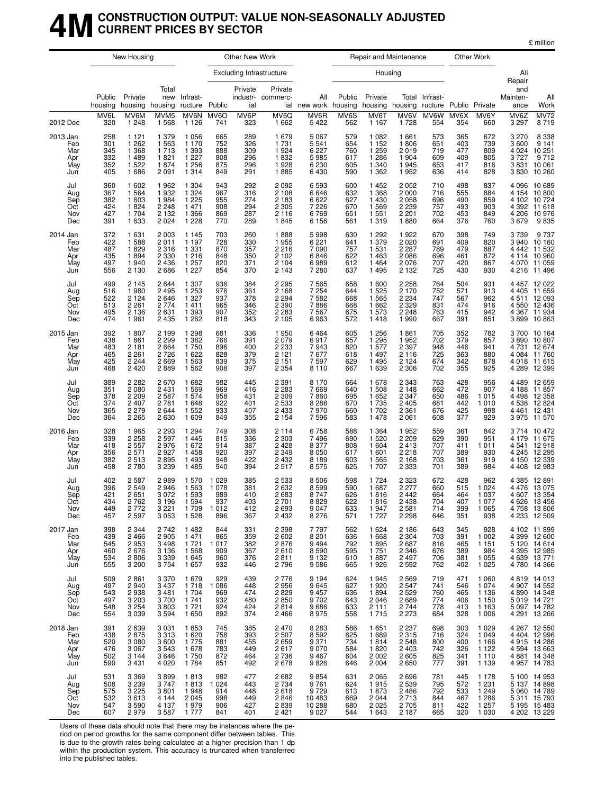### **4MCONSTRUCTION OUTPUT: VALUE NON-SEASONALLY ADJUSTED CURRENT PRICES BY SECTOR**

£ million

|                                             |                                        | New Housing                                               |                                                             |                                                               |                                              | Other New Work                         |                                                              |                                                       |                                        | Repair and Maintenance                                       |                                                                |                                        |                                        | Other Work                                                     |                                         |                                                                                              |
|---------------------------------------------|----------------------------------------|-----------------------------------------------------------|-------------------------------------------------------------|---------------------------------------------------------------|----------------------------------------------|----------------------------------------|--------------------------------------------------------------|-------------------------------------------------------|----------------------------------------|--------------------------------------------------------------|----------------------------------------------------------------|----------------------------------------|----------------------------------------|----------------------------------------------------------------|-----------------------------------------|----------------------------------------------------------------------------------------------|
|                                             |                                        |                                                           |                                                             |                                                               |                                              |                                        | <b>Excluding Infrastructure</b>                              |                                                       |                                        | Housing                                                      |                                                                |                                        |                                        |                                                                | All<br>Repair                           |                                                                                              |
|                                             | Public<br>housing<br>MV6L              | Private<br>MV6M                                           | Total<br>new<br>housing housing<br>MVM <sub>5</sub>         | Infrast-<br>ructure Public<br>MV6N                            | MV6O                                         | Private<br>ial<br>MV6P                 | Private<br>industr- commerc-<br>MV6Q                         | All<br>ial new work housing<br>MV6R                   | Public<br>MV6S                         | Private<br>MV6T                                              | housing housing ructure Public Private<br>MV6V                 | Total Infrast-<br>MV6W                 | MV6X                                   | MV6Y                                                           | and<br>Mainten-<br>ance<br>MV6Z         | All<br>Work                                                                                  |
| 2012 Dec                                    | 320                                    | 1 2 4 8                                                   | 1 5 6 8                                                     | 1 1 2 6                                                       | 741                                          | 323                                    | 1 6 6 2                                                      | 5422                                                  | 562                                    | 1 1 6 7                                                      | 1728                                                           | 554                                    | 354                                    | 660                                                            | 3 2 9 7                                 | MV72<br>8719                                                                                 |
| 2013 Jan<br>Feb<br>Mar<br>Apr<br>May<br>Jun | 258<br>301<br>345<br>332<br>352<br>405 | 1 121<br>1 262<br>1 3 6 8<br>1 4 8 9<br>1522<br>1686      | 1 3 7 9<br>1563<br>1713<br>1821<br>1874<br>2 0 9 1          | 1 0 5 6<br>1 1 7 0<br>1 3 9 3<br>1 227<br>1 256<br>1 3 1 4    | 665<br>752<br>888<br>808<br>875<br>849       | 289<br>326<br>309<br>296<br>296<br>291 | 1679<br>1731<br>1924<br>1832<br>1928<br>1885                 | 5 0 6 7<br>5541<br>6 2 2 7<br>5985<br>6230<br>6430    | 579<br>654<br>760<br>617<br>605<br>590 | 1 0 8 2<br>1 1 5 2<br>1 2 5 9<br>1 2 8 6<br>1 340<br>1 3 6 2 | 1661<br>1806<br>2019<br>1 9 0 4<br>1945<br>1952                | 573<br>651<br>719<br>609<br>653<br>636 | 365<br>403<br>477<br>409<br>417<br>414 | 672<br>739<br>809<br>805<br>816<br>828                         | 3 2 7 0<br>3600<br>4 0 24<br>3830       | 8 338<br>9 141<br>10251<br>3727 9712<br>3831 10061<br>10 260                                 |
| Jul<br>Aug<br>Sep<br>Oct<br>Nov<br>Dec      | 360<br>367<br>382<br>424<br>427<br>391 | 1 602<br>1 5 6 4<br>1 603<br>1824<br>1 704<br>1 633       | 1962<br>1932<br>1984<br>2 2 4 8<br>2 1 3 2<br>2 0 2 4       | 1 3 0 4<br>1 3 2 4<br>1 225<br>1 471<br>1 3 6 6<br>1 2 2 8    | 943<br>967<br>955<br>908<br>869<br>770       | 292<br>316<br>274<br>294<br>287<br>289 | 2 0 9 2<br>2 1 0 8<br>2 1 8 3<br>2 3 0 5<br>2 1 1 6<br>1845  | 6593<br>6646<br>6622<br>7226<br>6769<br>6 1 5 6       | 600<br>632<br>627<br>670<br>651<br>561 | 1452<br>1 3 6 8<br>1 4 3 0<br>1569<br>1 5 5 1<br>1319        | 2052<br>2 0 0 0<br>2058<br>2 2 3 9<br>2 2 0 1<br>1880          | 710<br>716<br>696<br>757<br>702<br>664 | 498<br>555<br>490<br>493<br>453<br>376 | 837<br>884<br>859<br>903<br>849<br>760                         | 4 206<br>3679                           | 4 096 10 689<br>4 154 10 800<br>4 102 10 724<br>4 392 11 618<br>10976<br>9835                |
| 2014 Jan<br>Feb<br>Mar<br>Apr<br>May<br>Jun | 372<br>422<br>487<br>435<br>497<br>556 | 1 631<br>1588<br>1829<br>1894<br>1940<br>2 1 3 0          | 2 0 0 3<br>2011<br>2 3 1 6<br>2 3 3 0<br>2 4 3 6<br>2686    | 1 1 4 5<br>1 1 9 7<br>1 3 3 1<br>1 2 1 6<br>1 257<br>$1\,227$ | 703<br>728<br>870<br>848<br>820<br>854       | 260<br>330<br>357<br>350<br>371<br>370 | 1888<br>1955<br>2 2 1 6<br>2 1 0 2<br>2 1 0 4<br>2 1 4 3     | 5998<br>6 221<br>7 090<br>6846<br>6989<br>7 2 8 0     | 630<br>641<br>757<br>622<br>612<br>637 | 1 2 9 2<br>1 379<br>1 5 3 1<br>1463<br>1464<br>1495          | 1922<br>2 0 2 0 2 0 2 2 8 7<br>2086<br>2076<br>2 1 3 2         | 670<br>691<br>789<br>696<br>707<br>725 | 398<br>409<br>479<br>461<br>420<br>430 | 749<br>820<br>887<br>872<br>867<br>930                         | 3739<br>3 940<br>4 442<br>4070<br>4 216 | 9737<br>10 160<br>11 532<br>4 114 10 960<br>11 059<br>11496                                  |
| Jul<br>Aug<br>Sep<br>Oct<br>Nov<br>Dec      | 499<br>516<br>522<br>513<br>495<br>474 | 2 1 4 5<br>1 980<br>2 1 2 4<br>2 2 6 1<br>2 1 3 6<br>1961 | 2644<br>2 4 9 5<br>2646<br>2 7 7 4<br>2631<br>2 4 3 5       | 1 307<br>1253<br>1 3 2 7<br>1411<br>1 3 9 3<br>1 2 6 2        | 936<br>976<br>937<br>965<br>907<br>818       | 384<br>361<br>378<br>346<br>352<br>343 | 2 295<br>2 168<br>2 2 9 4<br>2 3 9 0<br>2 2 8 3<br>2 1 0 5   | 7565<br>7254<br>7582<br>7886<br>7567<br>6963          | 658<br>644<br>668<br>668<br>675<br>572 | 1600<br>1 525<br>1565<br>1662<br>1573<br>1418                | 2 258<br>2 170<br>2 2 3 4<br>2 3 2 9<br>2 2 4 8<br>1990        | 764<br>752<br>747<br>831<br>763<br>667 | 504<br>571<br>567<br>474<br>415<br>391 | 931<br>913<br>962<br>916<br>942<br>851                         |                                         | 4 457 12 022<br>4 405 11 659<br>4511 12093<br>4 550 12 436<br>4 367 11 934<br>3 899 10 863   |
| 2015 Jan<br>Feb<br>Mar<br>Apr<br>May<br>Jun | 392<br>438<br>483<br>465<br>425<br>468 | 1807<br>1861<br>2 1 8 1<br>2 2 6 1<br>2 2 4 4<br>2 4 2 0  | 2 1 9 9<br>2 2 9 9<br>2 6 6 4<br>2 7 2 6<br>2 6 6 9<br>2889 | 1 2 9 8<br>1 3 8 2<br>1750<br>1 622<br>1 5 6 3<br>1 5 6 2     | 681<br>766<br>896<br>828<br>839<br>908       | 336<br>391<br>400<br>379<br>375<br>397 | 1950<br>2 0 7 9<br>2 233<br>2 121<br>2 1 5 1<br>2 3 5 4      | 6464<br>6917<br>7943<br>7677<br>7597<br>8 1 1 0       | 605<br>657<br>820<br>618<br>629<br>667 | 1 2 5 6<br>1 2 9 5<br>1577<br>1497<br>1495<br>1639           | 1861<br>1952<br>2 3 9 7<br>2 1 1 6<br>2 1 2 4<br>2 3 0 6       | 705<br>702<br>948<br>725<br>674<br>702 | 352<br>379<br>446<br>363<br>342<br>355 | 782<br>857<br>941<br>880<br>878<br>925                         | 4 289                                   | 3700 10164<br>3890 10807<br>4 731 12 674<br>4 084 11 760<br>4 018 11 615<br>12 3 9 9         |
| Jul<br>Aug<br>Sep<br>Oct<br>Nov<br>Dec      | 389<br>351<br>378<br>374<br>365<br>364 | 2 2 8 2<br>2 0 8 0<br>2,209<br>2 4 0 7<br>2 279<br>2 265  | 2670<br>2 4 3 1<br>2 587<br>2 7 8 1<br>2644<br>2630         | 1682<br>1 5 6 9<br>1 574<br>1648<br>1 5 5 2<br>1 609          | 982<br>969<br>958<br>922<br>933<br>849       | 445<br>416<br>431<br>401<br>407<br>355 | 2 3 9 1<br>2 2 8 3<br>2 309<br>2 5 3 3<br>2 4 3 3<br>2 1 5 4 | 8 1 7 0<br>7669<br>7860<br>8 2 8 6<br>7970<br>7596    | 664<br>640<br>695<br>670<br>660<br>583 | 1678<br>1508<br>1 6 5 2<br>1735<br>1702<br>1 4 7 8           | 2 3 4 3<br>2 1 4 8<br>2 3 4 7<br>2 4 0 5<br>2 3 6 1<br>2 0 6 1 | 763<br>662<br>650<br>681<br>676<br>608 | 428<br>472<br>486<br>442<br>425<br>377 | 956<br>907<br>1 0 1 5<br>1 0 1 0<br>998<br>929                 | 4461<br>3975                            | 4 489 12 659<br>4 188 11 857<br>4 498 12 358<br>4 538 12 824<br>12 431<br>11 570             |
| 2016 Jan<br>Feb<br>Mar<br>Apr<br>May<br>Jun | 328<br>339<br>418<br>356<br>382<br>458 | 1965<br>2.258<br>2 5 5 7<br>2 5 7 1<br>2513<br>2780       | 2 2 9 3<br>2 5 9 7<br>2976<br>2927<br>2895<br>3 2 3 9       | 1 2 9 4<br>1 4 4 5<br>1 672<br>1458<br>1 4 9 3<br>1 4 8 5     | 749<br>815<br>914<br>920<br>948<br>940       | 308<br>336<br>387<br>397<br>422<br>394 | 2 1 1 4<br>2 3 0 3<br>2 4 2 8<br>2 3 4 9<br>2 4 3 2<br>2517  | 6758<br>7496<br>8 3 7 7<br>8 0 5 0<br>8 1 8 9<br>8575 | 588<br>690<br>808<br>617<br>603<br>625 | 1 3 6 4<br>1 5 2 0<br>1 604<br>1601<br>1565<br>1707          | 1952<br>2209<br>2413<br>2218<br>2 1 6 8<br>2 3 3 3             | 559<br>629<br>707<br>707<br>703<br>701 | 361<br>390<br>411<br>389<br>361<br>389 | 842<br>951<br>1 0 1 1<br>930<br>919<br>984                     | 4 4 0 8                                 | 3714 10472<br>4 179 11 675<br>4541 12918<br>4 245 12 295<br>4 150 12 339<br>12 983           |
| Jul<br>Aug<br>Sep<br>Oct<br>Nov<br>Dec      | 402<br>396<br>421<br>434<br>449<br>457 | 2 5 8 7<br>2 5 4 9<br>2651<br>2762<br>2 7 7 2<br>2 5 9 7  | 2989<br>2946<br>3 0 7 2<br>3 196<br>3 2 2 1<br>3 0 5 3      | 1 570<br>1 5 6 3<br>1 5 9 3<br>1 5 9 4<br>1709<br>1 5 2 8     | 1 0 2 9<br>1078<br>989<br>937<br>1012<br>896 | 385<br>381<br>410<br>403<br>412<br>367 | 2 5 3 3<br>2 6 3 2<br>2683<br>2 701<br>2 6 9 3<br>2 4 3 2    | 8506<br>8599<br>8747<br>8829<br>9 0 4 7<br>8 2 7 6    | 598<br>590<br>626<br>622<br>633<br>571 | 1 7 2 4<br>1687<br>1816<br>1816<br>1947<br>1727              | 2 3 2 3<br>2 2 7 7<br>2442<br>2438<br>2581<br>2 2 9 8          | 672<br>660<br>664<br>704<br>714<br>646 | 428<br>515<br>464<br>407<br>399<br>351 | 962<br>1 0 2 4<br>1 0 3 7<br>1 0 7 7<br>1 0 6 5<br>938         |                                         | 4 385 12 891<br>4 476 13 075<br>4 607 13 354<br>4 626 13 456<br>4758 13806<br>4 233 12 509   |
| 2017 Jan<br>Feb<br>Mar<br>Apr<br>May<br>Jun | 398<br>439<br>545<br>460<br>534<br>555 | 2 3 4 4<br>2 4 6 6<br>2953<br>2676<br>2806<br>3 2 0 0     | 2742<br>2 9 0 5<br>3 4 9 8<br>3 1 3 6<br>3 339<br>3 754     | 1 4 8 2<br>1471<br>1 7 2 1<br>1 5 6 8<br>1 645<br>1 657       | 844<br>865<br>1017<br>909<br>960<br>932      | 331<br>359<br>382<br>367<br>376<br>446 | 2 3 9 8<br>2 602<br>2876<br>2610<br>2811<br>2796             | 7797<br>8 201<br>9 494<br>8590<br>9 1 3 2<br>9586     | 562<br>636<br>792<br>595<br>610<br>665 | 1 6 2 4<br>1668<br>1895<br>1751<br>1887<br>1926              | 2 1 8 6<br>2 3 0 4<br>2687<br>2 3 4 6<br>2 4 9 7<br>2592       | 643<br>703<br>816<br>676<br>706<br>762 | 345<br>391<br>465<br>389<br>381<br>402 | 928<br>1 002<br>1 1 5 1<br>984<br>1 0 5 5<br>1 0 2 5           |                                         | 4 102 11 899<br>4 399 12 600<br>$5120$ $14614$<br>4 395 12 985<br>4 639 13 771<br>4780 14366 |
| Jul<br>Aug<br>Sep<br>Oct<br>Nov<br>Dec      | 509<br>497<br>543<br>497<br>548<br>554 | 2861<br>2940<br>2938<br>3 203<br>3 254<br>3 0 3 9         | 3 370<br>3 437<br>3 4 8 1<br>3700<br>3803<br>3 5 9 4        | 1679<br>1718<br>1 704<br>1741<br>1721<br>1650                 | 929<br>1 0 8 6<br>969<br>932<br>924<br>892   | 439<br>448<br>474<br>480<br>424<br>374 | 2 776<br>2 956<br>2829<br>2850<br>2814<br>2466               | 9 194<br>9 645<br>9457<br>9702<br>9686<br>8975        | 624<br>627<br>636<br>643<br>633<br>558 | 1945<br>1920<br>1894<br>2046<br>2 1 1 1<br>1715              | 2 569<br>2 547<br>2529<br>2689<br>2744<br>2 2 7 3              | 719<br>741<br>760<br>774<br>778<br>684 | 471<br>546<br>465<br>406<br>413<br>328 | 1 0 6 0<br>1 0 7 4<br>1 1 3 6<br>1 150<br>1 1 6 3<br>1 0 0 6   |                                         | 4 819 14 013<br>4 907 14 552<br>4 890 14 348<br>5 019 14 721<br>5 097 14 782<br>4 291 13 266 |
| 2018 Jan<br>Feb<br>Mar<br>Apr<br>May<br>Jun | 391<br>438<br>520<br>476<br>502<br>590 | 2639<br>2875<br>3 0 8 0<br>3 0 6 7<br>3 1 4 4<br>3 4 3 1  | 3 031<br>3 3 1 3<br>3 600<br>3 5 4 3<br>3646<br>4 0 20      | 1 653<br>1 6 2 0<br>1775<br>1678<br>1750<br>1 7 8 4           | 745<br>758<br>881<br>783<br>872<br>851       | 385<br>393<br>455<br>449<br>464<br>492 | 2470<br>2 5 0 7<br>2659<br>2617<br>2 7 3 6<br>2678           | 8 2 8 3<br>8592<br>9371<br>9070<br>9467<br>9826       | 586<br>625<br>734<br>584<br>604<br>646 | 1651<br>1689<br>1814<br>1820<br>2002<br>2 0 0 4              | 2 2 3 7<br>2315<br>2548<br>2403<br>2605<br>2650                | 698<br>716<br>800<br>742<br>825<br>777 | 303<br>324<br>400<br>326<br>341<br>391 | 1 0 2 9<br>1 0 4 9<br>1 1 6 6<br>1 1 2 2<br>1 1 1 0<br>1 1 3 9 |                                         | 4 267 12 550<br>4 4 04 12 9 96<br>4 915 14 286<br>4 594 13 663<br>4881 14348<br>4 957 14 783 |
| Jul<br>Aug<br>Sep<br>Oct<br>Nov<br>Dec      | 531<br>508<br>575<br>532<br>547<br>607 | 3 3 6 9<br>3 239<br>3 225<br>3613<br>3590<br>2979         | 3899<br>3747<br>3801<br>4 144<br>4 137<br>3587              | 1813<br>1813<br>1948<br>2 0 4 5<br>1979<br>1 777              | 982<br>1 0 2 4<br>914<br>998<br>906<br>841   | 477<br>443<br>448<br>449<br>427<br>401 | 2682<br>2 7 3 4<br>2618<br>2846<br>2839<br>2421              | 9854<br>9761<br>9729<br>10 483<br>10 288<br>9 0 27    | 631<br>624<br>613<br>669<br>680<br>544 | 2065<br>1915<br>1873<br>2044<br>2 0 2 5<br>1 6 4 3           | 2696<br>2 539<br>2 486<br>2713<br>2705<br>2 1 8 7              | 781<br>795<br>792<br>844<br>811<br>665 | 445<br>572<br>533<br>467<br>422<br>320 | 1 1 7 8<br>1 2 3 1<br>1 2 4 9<br>1 2 8 6<br>1257<br>1 0 3 0    |                                         | 5 100 14 953<br>5 137 14 898<br>5 060 14 789<br>5 311 15 793<br>5 195 15 483<br>4 202 13 229 |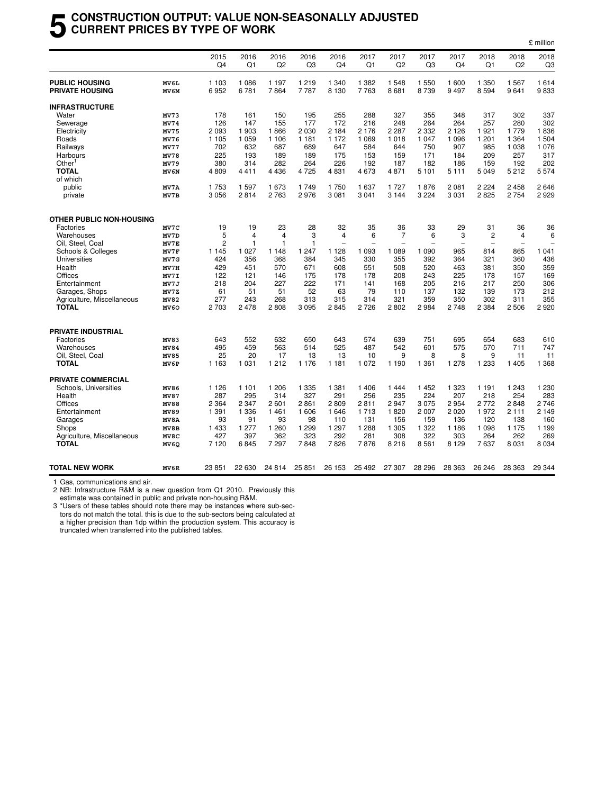#### **5 CONSTRUCTION OUTPUT: VALUE NON-SEASONALLY ADJUSTED CURRENT PRICES BY TYPE OF WORK**

| 2015<br>Q4<br>1 103<br>6952<br>178<br>126<br>2 0 9 3<br>1 1 0 5<br>702<br>225<br>380<br>4809<br>1753<br>3 0 5 6 | 2016<br>Q1<br>1 0 8 6<br>6781<br>161<br>147<br>1 903<br>1 0 5 9<br>632<br>193<br>314<br>4411<br>1597<br>2814           | 2016<br>Q2<br>1 1 9 7<br>7864<br>150<br>155<br>1866<br>1 1 0 6<br>687<br>189<br>282<br>4 4 3 6<br>1673                                         | 2016<br>Q <sub>3</sub><br>1 2 1 9<br>7787<br>195<br>177<br>2 0 3 0<br>1 1 8 1<br>689<br>189<br>264<br>4725       | 2016<br>Q4<br>1 340<br>8 1 3 0<br>255<br>172<br>2 1 8 4<br>1 172<br>647<br>175<br>226                                         | 2017<br>Q <sub>1</sub><br>1 3 8 2<br>7 7 6 3<br>288<br>216<br>2 1 7 6<br>1 0 6 9<br>584<br>153                         | 2017<br>Q <sub>2</sub><br>1548<br>8681<br>327<br>248<br>2 2 8 7<br>1018<br>644                                      | 2017<br>Q <sub>3</sub><br>1 550<br>8739<br>355<br>264<br>2 3 3 2<br>1 0 4 7                                            | 2017<br>Q4<br>1 600<br>9497<br>348<br>264<br>2 1 2 6<br>1 0 9 6                                                               | 2018<br>Q1<br>1 350<br>8594<br>317<br>257<br>1921                                                       | 2018<br>Q <sub>2</sub><br>1567<br>9641<br>302<br>280<br>1779                                                   | 2018<br>Q3<br>1614<br>9833<br>337<br>302<br>1836                                                                  |
|-----------------------------------------------------------------------------------------------------------------|------------------------------------------------------------------------------------------------------------------------|------------------------------------------------------------------------------------------------------------------------------------------------|------------------------------------------------------------------------------------------------------------------|-------------------------------------------------------------------------------------------------------------------------------|------------------------------------------------------------------------------------------------------------------------|---------------------------------------------------------------------------------------------------------------------|------------------------------------------------------------------------------------------------------------------------|-------------------------------------------------------------------------------------------------------------------------------|---------------------------------------------------------------------------------------------------------|----------------------------------------------------------------------------------------------------------------|-------------------------------------------------------------------------------------------------------------------|
|                                                                                                                 |                                                                                                                        |                                                                                                                                                |                                                                                                                  |                                                                                                                               |                                                                                                                        |                                                                                                                     |                                                                                                                        |                                                                                                                               |                                                                                                         |                                                                                                                |                                                                                                                   |
|                                                                                                                 |                                                                                                                        |                                                                                                                                                |                                                                                                                  |                                                                                                                               |                                                                                                                        |                                                                                                                     |                                                                                                                        |                                                                                                                               |                                                                                                         |                                                                                                                |                                                                                                                   |
|                                                                                                                 |                                                                                                                        |                                                                                                                                                |                                                                                                                  |                                                                                                                               |                                                                                                                        |                                                                                                                     |                                                                                                                        |                                                                                                                               |                                                                                                         |                                                                                                                |                                                                                                                   |
|                                                                                                                 |                                                                                                                        |                                                                                                                                                |                                                                                                                  |                                                                                                                               |                                                                                                                        |                                                                                                                     |                                                                                                                        |                                                                                                                               |                                                                                                         |                                                                                                                |                                                                                                                   |
|                                                                                                                 |                                                                                                                        |                                                                                                                                                |                                                                                                                  |                                                                                                                               |                                                                                                                        |                                                                                                                     |                                                                                                                        |                                                                                                                               |                                                                                                         |                                                                                                                |                                                                                                                   |
|                                                                                                                 |                                                                                                                        |                                                                                                                                                |                                                                                                                  |                                                                                                                               |                                                                                                                        |                                                                                                                     |                                                                                                                        |                                                                                                                               |                                                                                                         |                                                                                                                |                                                                                                                   |
|                                                                                                                 |                                                                                                                        |                                                                                                                                                |                                                                                                                  |                                                                                                                               |                                                                                                                        |                                                                                                                     |                                                                                                                        |                                                                                                                               |                                                                                                         |                                                                                                                |                                                                                                                   |
|                                                                                                                 |                                                                                                                        |                                                                                                                                                |                                                                                                                  |                                                                                                                               |                                                                                                                        |                                                                                                                     |                                                                                                                        |                                                                                                                               | 1 201                                                                                                   | 1 3 6 4                                                                                                        | 1 504                                                                                                             |
|                                                                                                                 |                                                                                                                        |                                                                                                                                                |                                                                                                                  |                                                                                                                               |                                                                                                                        |                                                                                                                     | 750                                                                                                                    | 907                                                                                                                           | 985                                                                                                     | 1 0 3 8                                                                                                        | 1 0 7 6                                                                                                           |
|                                                                                                                 |                                                                                                                        |                                                                                                                                                |                                                                                                                  |                                                                                                                               |                                                                                                                        | 159                                                                                                                 | 171                                                                                                                    | 184                                                                                                                           | 209                                                                                                     | 257                                                                                                            | 317                                                                                                               |
|                                                                                                                 |                                                                                                                        |                                                                                                                                                |                                                                                                                  |                                                                                                                               | 192                                                                                                                    | 187                                                                                                                 | 182                                                                                                                    | 186                                                                                                                           | 159                                                                                                     | 192                                                                                                            | 202                                                                                                               |
|                                                                                                                 |                                                                                                                        |                                                                                                                                                |                                                                                                                  | 4831                                                                                                                          | 4673                                                                                                                   | 4871                                                                                                                | 5 1 0 1                                                                                                                | 5 1 1 1                                                                                                                       | 5 0 4 9                                                                                                 | 5212                                                                                                           | 5 5 7 4                                                                                                           |
|                                                                                                                 |                                                                                                                        |                                                                                                                                                |                                                                                                                  |                                                                                                                               |                                                                                                                        |                                                                                                                     |                                                                                                                        |                                                                                                                               |                                                                                                         |                                                                                                                |                                                                                                                   |
|                                                                                                                 |                                                                                                                        |                                                                                                                                                | 1749                                                                                                             | 1750                                                                                                                          | 1637                                                                                                                   | 1727                                                                                                                | 1876                                                                                                                   | 2 0 8 1                                                                                                                       | 2 2 2 4                                                                                                 | 2 4 5 8                                                                                                        | 2646                                                                                                              |
|                                                                                                                 |                                                                                                                        | 2 7 6 3                                                                                                                                        | 2976                                                                                                             | 3 0 8 1                                                                                                                       | 3 0 4 1                                                                                                                | 3 1 4 4                                                                                                             | 3 2 2 4                                                                                                                | 3 0 3 1                                                                                                                       | 2825                                                                                                    | 2754                                                                                                           | 2929                                                                                                              |
|                                                                                                                 |                                                                                                                        |                                                                                                                                                |                                                                                                                  |                                                                                                                               |                                                                                                                        |                                                                                                                     |                                                                                                                        |                                                                                                                               |                                                                                                         |                                                                                                                |                                                                                                                   |
|                                                                                                                 |                                                                                                                        |                                                                                                                                                |                                                                                                                  |                                                                                                                               |                                                                                                                        |                                                                                                                     |                                                                                                                        |                                                                                                                               |                                                                                                         |                                                                                                                | 36                                                                                                                |
|                                                                                                                 |                                                                                                                        |                                                                                                                                                |                                                                                                                  |                                                                                                                               |                                                                                                                        |                                                                                                                     |                                                                                                                        |                                                                                                                               |                                                                                                         |                                                                                                                | 6                                                                                                                 |
|                                                                                                                 |                                                                                                                        | 1                                                                                                                                              |                                                                                                                  | ۰                                                                                                                             |                                                                                                                        | $\overline{\phantom{a}}$                                                                                            | $\overline{\phantom{0}}$                                                                                               | $\overline{\phantom{a}}$                                                                                                      | $\overline{\phantom{a}}$                                                                                | $\overline{\phantom{a}}$                                                                                       | L.                                                                                                                |
|                                                                                                                 |                                                                                                                        |                                                                                                                                                |                                                                                                                  |                                                                                                                               |                                                                                                                        |                                                                                                                     |                                                                                                                        |                                                                                                                               |                                                                                                         |                                                                                                                | 1 0 4 1                                                                                                           |
|                                                                                                                 |                                                                                                                        |                                                                                                                                                |                                                                                                                  |                                                                                                                               |                                                                                                                        |                                                                                                                     |                                                                                                                        |                                                                                                                               |                                                                                                         |                                                                                                                | 436                                                                                                               |
|                                                                                                                 |                                                                                                                        |                                                                                                                                                |                                                                                                                  |                                                                                                                               |                                                                                                                        |                                                                                                                     |                                                                                                                        |                                                                                                                               |                                                                                                         |                                                                                                                | 359                                                                                                               |
|                                                                                                                 |                                                                                                                        |                                                                                                                                                |                                                                                                                  |                                                                                                                               |                                                                                                                        |                                                                                                                     |                                                                                                                        |                                                                                                                               |                                                                                                         |                                                                                                                | 169                                                                                                               |
|                                                                                                                 |                                                                                                                        |                                                                                                                                                |                                                                                                                  |                                                                                                                               |                                                                                                                        |                                                                                                                     |                                                                                                                        |                                                                                                                               |                                                                                                         |                                                                                                                | 306                                                                                                               |
|                                                                                                                 |                                                                                                                        |                                                                                                                                                |                                                                                                                  |                                                                                                                               |                                                                                                                        |                                                                                                                     |                                                                                                                        |                                                                                                                               |                                                                                                         |                                                                                                                | 212                                                                                                               |
|                                                                                                                 |                                                                                                                        |                                                                                                                                                |                                                                                                                  |                                                                                                                               |                                                                                                                        |                                                                                                                     |                                                                                                                        |                                                                                                                               |                                                                                                         |                                                                                                                | 355                                                                                                               |
| 2 703                                                                                                           | 2478                                                                                                                   | 2808                                                                                                                                           | 3 0 9 5                                                                                                          | 2845                                                                                                                          | 2726                                                                                                                   | 2802                                                                                                                | 2984                                                                                                                   | 2748                                                                                                                          | 2 3 8 4                                                                                                 | 2506                                                                                                           | 2920                                                                                                              |
|                                                                                                                 |                                                                                                                        |                                                                                                                                                |                                                                                                                  |                                                                                                                               |                                                                                                                        |                                                                                                                     |                                                                                                                        |                                                                                                                               |                                                                                                         |                                                                                                                |                                                                                                                   |
| 643                                                                                                             | 552                                                                                                                    | 632                                                                                                                                            | 650                                                                                                              | 643                                                                                                                           | 574                                                                                                                    | 639                                                                                                                 | 751                                                                                                                    | 695                                                                                                                           | 654                                                                                                     | 683                                                                                                            | 610                                                                                                               |
|                                                                                                                 |                                                                                                                        |                                                                                                                                                | 514                                                                                                              |                                                                                                                               |                                                                                                                        |                                                                                                                     |                                                                                                                        | 575                                                                                                                           | 570                                                                                                     | 711                                                                                                            | 747                                                                                                               |
| 25                                                                                                              | 20                                                                                                                     | 17                                                                                                                                             | 13                                                                                                               | 13                                                                                                                            | 10                                                                                                                     | 9                                                                                                                   | 8                                                                                                                      | 8                                                                                                                             | 9                                                                                                       | 11                                                                                                             | 11                                                                                                                |
| 1 1 6 3                                                                                                         | 1 0 3 1                                                                                                                | 1 2 1 2                                                                                                                                        | 1 1 7 6                                                                                                          | 1 1 8 1                                                                                                                       | 1 0 7 2                                                                                                                | 1 1 9 0                                                                                                             | 1 3 6 1                                                                                                                | 1 278                                                                                                                         | 1 2 3 3                                                                                                 | 1 4 0 5                                                                                                        | 1 3 6 8                                                                                                           |
|                                                                                                                 |                                                                                                                        |                                                                                                                                                |                                                                                                                  |                                                                                                                               |                                                                                                                        |                                                                                                                     |                                                                                                                        |                                                                                                                               |                                                                                                         |                                                                                                                |                                                                                                                   |
|                                                                                                                 |                                                                                                                        |                                                                                                                                                |                                                                                                                  |                                                                                                                               |                                                                                                                        |                                                                                                                     |                                                                                                                        |                                                                                                                               |                                                                                                         |                                                                                                                | 1 2 3 0                                                                                                           |
|                                                                                                                 |                                                                                                                        |                                                                                                                                                |                                                                                                                  |                                                                                                                               |                                                                                                                        |                                                                                                                     |                                                                                                                        |                                                                                                                               |                                                                                                         |                                                                                                                | 283                                                                                                               |
|                                                                                                                 |                                                                                                                        |                                                                                                                                                |                                                                                                                  |                                                                                                                               |                                                                                                                        |                                                                                                                     |                                                                                                                        |                                                                                                                               |                                                                                                         |                                                                                                                | 2746                                                                                                              |
|                                                                                                                 |                                                                                                                        |                                                                                                                                                |                                                                                                                  |                                                                                                                               |                                                                                                                        |                                                                                                                     |                                                                                                                        |                                                                                                                               |                                                                                                         |                                                                                                                | 2 1 4 9                                                                                                           |
| 93                                                                                                              | 91                                                                                                                     | 93                                                                                                                                             | 98                                                                                                               | 110                                                                                                                           | 131                                                                                                                    | 156                                                                                                                 | 159                                                                                                                    | 136                                                                                                                           | 120                                                                                                     | 138                                                                                                            | 160                                                                                                               |
| 1 4 3 3                                                                                                         | 1 2 7 7                                                                                                                | 1 2 6 0                                                                                                                                        |                                                                                                                  |                                                                                                                               |                                                                                                                        | 1 3 0 5                                                                                                             |                                                                                                                        | 1 1 8 6                                                                                                                       | 1 0 9 8                                                                                                 | 1 1 7 5                                                                                                        | 1 1 9 9                                                                                                           |
|                                                                                                                 |                                                                                                                        | 362                                                                                                                                            |                                                                                                                  |                                                                                                                               |                                                                                                                        |                                                                                                                     |                                                                                                                        |                                                                                                                               |                                                                                                         |                                                                                                                | 269                                                                                                               |
| 7 1 2 0                                                                                                         | 6845                                                                                                                   | 7 297                                                                                                                                          | 7848                                                                                                             | 7826                                                                                                                          | 7876                                                                                                                   | 8 2 1 6                                                                                                             | 8561                                                                                                                   | 8 1 2 9                                                                                                                       | 7637                                                                                                    | 8 0 3 1                                                                                                        | 8 0 3 4                                                                                                           |
| 23851                                                                                                           | 22 630                                                                                                                 | 24 8 14                                                                                                                                        | 25 851                                                                                                           | 26 153                                                                                                                        | 25 4 9 2                                                                                                               | 27 307                                                                                                              | 28 29 6                                                                                                                | 28 363                                                                                                                        | 26 24 6                                                                                                 | 28 363                                                                                                         | 29 344                                                                                                            |
|                                                                                                                 | 19<br>5<br>2<br>1 1 4 5<br>424<br>429<br>122<br>218<br>61<br>277<br>495<br>1 1 2 6<br>287<br>2 3 6 4<br>1 3 9 1<br>427 | 19<br>$\overline{4}$<br>$\mathbf{1}$<br>1 0 2 7<br>356<br>451<br>121<br>204<br>51<br>243<br>459<br>1 1 0 1<br>295<br>2 3 4 7<br>1 3 3 6<br>397 | 23<br>$\overline{4}$<br>1 1 4 8<br>368<br>570<br>146<br>227<br>51<br>268<br>563<br>1 206<br>314<br>2 601<br>1461 | 28<br>3<br>$\mathbf{1}$<br>1 247<br>384<br>671<br>175<br>222<br>52<br>313<br>1 3 3 5<br>327<br>2861<br>1606<br>1 2 9 9<br>323 | 32<br>4<br>1 1 2 8<br>345<br>608<br>178<br>171<br>63<br>315<br>525<br>1 3 8 1<br>291<br>2809<br>1646<br>1 2 9 7<br>292 | 35<br>6<br>1 0 9 3<br>330<br>551<br>178<br>141<br>79<br>314<br>487<br>1406<br>256<br>2811<br>1713<br>1 2 8 8<br>281 | 36<br>$\overline{7}$<br>1 0 8 9<br>355<br>508<br>208<br>168<br>110<br>321<br>542<br>1444<br>235<br>2947<br>1820<br>308 | 33<br>6<br>1 0 9 0<br>392<br>520<br>243<br>205<br>137<br>359<br>601<br>1 4 5 2<br>224<br>3 0 7 5<br>2 0 0 7<br>1 3 2 2<br>322 | 29<br>3<br>965<br>364<br>463<br>225<br>216<br>132<br>350<br>1 3 2 3<br>207<br>2 9 5 4<br>2 0 2 0<br>303 | 31<br>$\overline{2}$<br>814<br>321<br>381<br>178<br>217<br>139<br>302<br>1 1 9 1<br>218<br>2772<br>1972<br>264 | 36<br>$\overline{4}$<br>865<br>360<br>350<br>157<br>250<br>173<br>311<br>1 2 4 3<br>254<br>2848<br>2 1 1 1<br>262 |

Gas, communications and air.

2 NB: Infrastructure R&M is a new question from Q1 2010. Previously this

estimate was contained in public and private non-housing R&M.

3 \*Users of these tables should note there may be instances where sub-sectors do not match the total. this is due to the sub-sectors being calculated at a higher precision than 1dp within the production system. This accuracy is truncated when transferred into the published tables.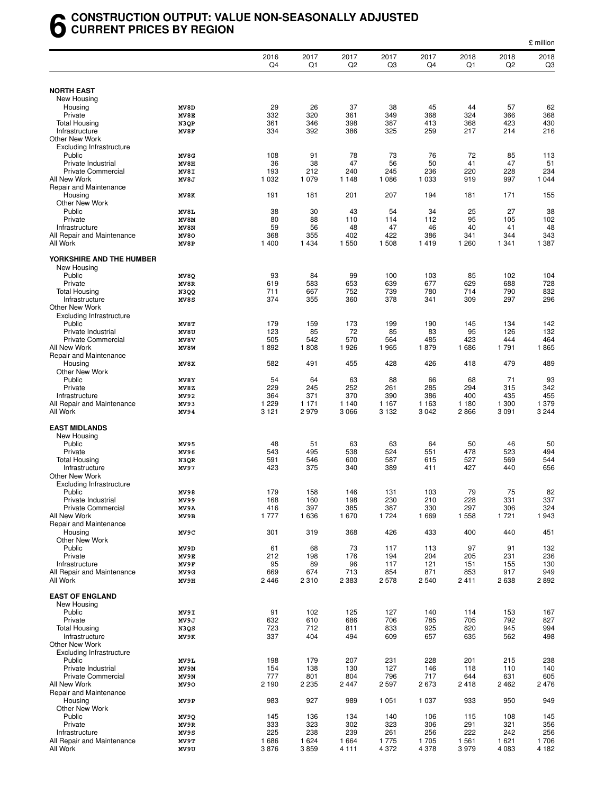#### **6 CONSTRUCTION OUTPUT: VALUE NON-SEASONALLY ADJUSTED CURRENT PRICES BY REGION**

|                                                 |              |                |                |                        |                |                |                |              | £ million    |
|-------------------------------------------------|--------------|----------------|----------------|------------------------|----------------|----------------|----------------|--------------|--------------|
|                                                 |              | 2016<br>Q4     | 2017<br>Q1     | 2017<br>Q <sub>2</sub> | 2017<br>Q3     | 2017<br>Q4     | 2018<br>Q1     | 2018<br>Q2   | 2018<br>Q3   |
|                                                 |              |                |                |                        |                |                |                |              |              |
| <b>NORTH EAST</b><br>New Housing                |              |                |                |                        |                |                |                |              |              |
| Housing                                         | MV8D         | 29             | 26             | 37                     | 38             | 45             | 44             | 57           | 62           |
| Private                                         | MV8E         | 332            | 320            | 361                    | 349            | 368            | 324            | 366          | 368          |
| <b>Total Housing</b>                            | N3QP         | 361            | 346            | 398                    | 387            | 413            | 368            | 423          | 430          |
| Infrastructure                                  | MV8F         | 334            | 392            | 386                    | 325            | 259            | 217            | 214          | 216          |
| Other New Work                                  |              |                |                |                        |                |                |                |              |              |
| <b>Excluding Infrastructure</b>                 |              |                |                |                        |                |                |                |              |              |
| Public<br>Private Industrial                    | MV8G<br>MV8H | 108<br>36      | 91<br>38       | 78<br>47               | 73<br>56       | 76<br>50       | 72<br>41       | 85<br>47     | 113<br>51    |
| <b>Private Commercial</b>                       | MV8I         | 193            | 212            | 240                    | 245            | 236            | 220            | 228          | 234          |
| All New Work                                    | MV8J         | 1 0 3 2        | 1 0 7 9        | 1 1 4 8                | 1 0 8 6        | 1 0 3 3        | 919            | 997          | 1 0 4 4      |
| Repair and Maintenance                          |              |                |                |                        |                |                |                |              |              |
| Housing                                         | MV8K         | 191            | 181            | 201                    | 207            | 194            | 181            | 171          | 155          |
| Other New Work                                  |              |                |                |                        |                |                |                |              |              |
| Public                                          | MV8L         | 38             | 30             | 43                     | 54             | 34             | 25             | 27           | 38           |
| Private<br>Infrastructure                       | MV8M<br>MV8N | 80<br>59       | 88<br>56       | 110<br>48              | 114<br>47      | 112<br>46      | 95<br>40       | 105<br>41    | 102<br>48    |
| All Repair and Maintenance                      | MV80         | 368            | 355            | 402                    | 422            | 386            | 341            | 344          | 343          |
| All Work                                        | MV8P         | 1 400          | 1 4 3 4        | 1 550                  | 1508           | 1419           | 1 2 6 0        | 1 3 4 1      | 1 387        |
| YORKSHIRE AND THE HUMBER                        |              |                |                |                        |                |                |                |              |              |
| New Housing                                     |              |                |                |                        |                |                |                |              |              |
| Public<br>Private                               | MV8Q<br>MV8R | 93<br>619      | 84<br>583      | 99<br>653              | 100<br>639     | 103<br>677     | 85<br>629      | 102<br>688   | 104<br>728   |
| <b>Total Housing</b>                            | N3QQ         | 711            | 667            | 752                    | 739            | 780            | 714            | 790          | 832          |
| Infrastructure                                  | MV8S         | 374            | 355            | 360                    | 378            | 341            | 309            | 297          | 296          |
| Other New Work                                  |              |                |                |                        |                |                |                |              |              |
| <b>Excluding Infrastructure</b>                 |              |                |                |                        |                |                |                |              |              |
| Public                                          | MV8T         | 179            | 159            | 173                    | 199            | 190            | 145            | 134          | 142          |
| Private Industrial<br><b>Private Commercial</b> | MV8U<br>MV8V | 123<br>505     | 85<br>542      | 72<br>570              | 85<br>564      | 83<br>485      | 95<br>423      | 126<br>444   | 132<br>464   |
| All New Work                                    | MV8W         | 1892           | 1808           | 1926                   | 1965           | 1879           | 1686           | 1791         | 1865         |
| Repair and Maintenance                          |              |                |                |                        |                |                |                |              |              |
| Housing                                         | MV8X         | 582            | 491            | 455                    | 428            | 426            | 418            | 479          | 489          |
| Other New Work                                  |              |                |                |                        |                |                |                |              |              |
| Public                                          | MV8Y         | 54             | 64             | 63                     | 88             | 66             | 68             | 71           | 93           |
| Private                                         | MV8Z         | 229            | 245            | 252                    | 261            | 285            | 294            | 315          | 342          |
| Infrastructure<br>All Repair and Maintenance    | MV92<br>MV93 | 364<br>1 2 2 9 | 371<br>1 1 7 1 | 370<br>1 140           | 390<br>1 1 6 7 | 386<br>1 1 6 3 | 400<br>1 1 8 0 | 435<br>1 300 | 455<br>1 379 |
| All Work                                        | MV94         | 3 1 2 1        | 2979           | 3 0 6 6                | 3 1 3 2        | 3 0 4 2        | 2866           | 3 0 9 1      | 3 2 4 4      |
|                                                 |              |                |                |                        |                |                |                |              |              |
| <b>EAST MIDLANDS</b>                            |              |                |                |                        |                |                |                |              |              |
| New Housing                                     |              |                |                |                        |                |                |                |              |              |
| Public                                          | MV95         | 48             | 51             | 63                     | 63             | 64             | 50             | 46           | 50           |
| Private<br><b>Total Housing</b>                 | MV96<br>N3QR | 543<br>591     | 495<br>546     | 538<br>600             | 524<br>587     | 551<br>615     | 478<br>527     | 523<br>569   | 494<br>544   |
| Infrastructure                                  | MV97         | 423            | 375            | 340                    | 389            | 411            | 427            | 440          | 656          |
| Other New Work                                  |              |                |                |                        |                |                |                |              |              |
| <b>Excluding Infrastructure</b>                 |              |                |                |                        |                |                |                |              |              |
| Public                                          | MV98         | 179            | 158            | 146                    | 131            | 103            | 79             | 75           | 82           |
| Private Industrial                              | MV99         | 168            | 160            | 198                    | 230            | 210            | 228            | 331          | 337          |
| <b>Private Commercial</b><br>All New Work       | MV9A         | 416            | 397            | 385                    | 387            | 330            | 297            | 306          | 324          |
| Repair and Maintenance                          | MV9B         | 1 7 7 7        | 1636           | 1670                   | 1724           | 1 6 6 9        | 1 5 5 8        | 1721         | 1943         |
| Housing                                         | MV9C         | 301            | 319            | 368                    | 426            | 433            | 400            | 440          | 451          |
| Other New Work                                  |              |                |                |                        |                |                |                |              |              |
| Public                                          | MV9D         | 61             | 68             | 73                     | 117            | 113            | 97             | 91           | 132          |
| Private                                         | MV9E         | 212            | 198            | 176                    | 194            | 204            | 205            | 231          | 236          |
| Infrastructure                                  | MV9F         | 95             | 89             | 96                     | 117            | 121            | 151            | 155          | 130          |
| All Repair and Maintenance<br>All Work          | MV9G         | 669<br>2 4 4 6 | 674<br>2 3 1 0 | 713<br>2 3 8 3         | 854<br>2578    | 871<br>2 5 4 0 | 853            | 917<br>2638  | 949<br>2892  |
|                                                 | MV9H         |                |                |                        |                |                | 2411           |              |              |
| <b>EAST OF ENGLAND</b>                          |              |                |                |                        |                |                |                |              |              |
| New Housing                                     |              |                |                |                        |                |                |                |              |              |
| Public                                          | MV9I         | 91             | 102            | 125                    | 127            | 140            | 114            | 153          | 167          |
| Private                                         | MV9J         | 632            | 610            | 686                    | 706            | 785            | 705            | 792          | 827          |
| <b>Total Housing</b>                            | N3QS         | 723            | 712            | 811                    | 833            | 925            | 820            | 945          | 994          |
| Infrastructure<br>Other New Work                | MV9K         | 337            | 404            | 494                    | 609            | 657            | 635            | 562          | 498          |
| <b>Excluding Infrastructure</b>                 |              |                |                |                        |                |                |                |              |              |
| Public                                          | MV9L         | 198            | 179            | 207                    | 231            | 228            | 201            | 215          | 238          |
| Private Industrial                              | MV9M         | 154            | 138            | 130                    | 127            | 146            | 118            | 110          | 140          |
| <b>Private Commercial</b>                       | MV9N         | 777            | 801            | 804                    | 796            | 717            | 644            | 631          | 605          |
| All New Work                                    | MV90         | 2 1 9 0        | 2 2 3 5        | 2 4 4 7                | 2597           | 2673           | 2418           | 2462         | 2476         |
| Repair and Maintenance                          |              |                |                |                        |                |                |                |              |              |
| Housing                                         | MV9P         | 983            | 927            | 989                    | 1 0 5 1        | 1 0 3 7        | 933            | 950          | 949          |
| Other New Work<br>Public                        | MV9Q         | 145            | 136            | 134                    | 140            | 106            | 115            | 108          | 145          |
| Private                                         | MV9R         | 333            | 323            | 302                    | 323            | 306            | 291            | 321          | 356          |
| Infrastructure                                  | MV9S         | 225            | 238            | 239                    | 261            | 256            | 222            | 242          | 256          |
| All Repair and Maintenance                      | MV9T         | 1686           | 1 6 2 4        | 1 6 6 4                | 1775           | 1705           | 1 5 6 1        | 1 6 2 1      | 1706         |
| All Work                                        | MV9U         | 3876           | 3859           | 4 1 1 1                | 4 3 7 2        | 4 3 7 8        | 3979           | 4 0 8 3      | 4 182        |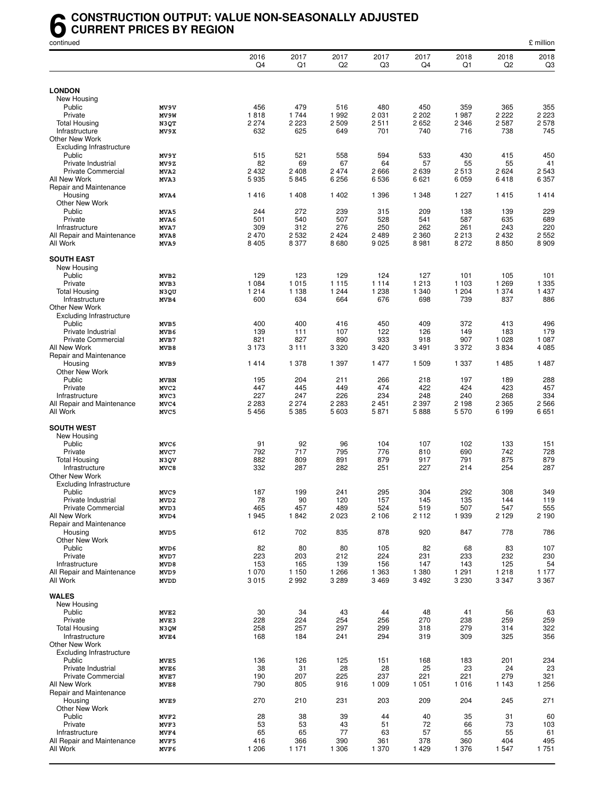#### **6** CONSTRUCTION OUTPUT: VALUE NON-SEASONALLY ADJUSTED<br>CURRENT PRICES BY REGION<br>continued **CURRENT PRICES BY REGION**

| continued                                 |                                 |            |            |                        |            |            |            |                        | £ million  |
|-------------------------------------------|---------------------------------|------------|------------|------------------------|------------|------------|------------|------------------------|------------|
|                                           |                                 | 2016<br>Q4 | 2017<br>Q1 | 2017<br>Q <sub>2</sub> | 2017<br>Q3 | 2017<br>Q4 | 2018<br>Q1 | 2018<br>Q <sub>2</sub> | 2018<br>Q3 |
|                                           |                                 |            |            |                        |            |            |            |                        |            |
| <b>LONDON</b>                             |                                 |            |            |                        |            |            |            |                        |            |
| New Housing<br>Public                     | MV9V                            | 456        | 479        | 516                    | 480        | 450        | 359        | 365                    | 355        |
| Private                                   | MV9W                            | 1818       | 1 7 4 4    | 1992                   | 2 0 3 1    | 2 2 0 2    | 1987       | 2 2 2 2                | 2 2 2 3    |
| <b>Total Housing</b>                      | N3QT                            | 2 2 7 4    | 2 2 2 3    | 2 5 0 9                | 2511       | 2652       | 2 346      | 2587                   | 2578       |
| Infrastructure                            | MV9X                            | 632        | 625        | 649                    | 701        | 740        | 716        | 738                    | 745        |
| Other New Work                            |                                 |            |            |                        |            |            |            |                        |            |
| <b>Excluding Infrastructure</b>           |                                 |            |            |                        |            |            |            |                        |            |
| Public<br>Private Industrial              | MV9Y<br>MV9Z                    | 515<br>82  | 521<br>69  | 558<br>67              | 594<br>64  | 533<br>57  | 430<br>55  | 415<br>55              | 450<br>41  |
| <b>Private Commercial</b>                 | MVA2                            | 2 4 3 2    | 2 4 0 8    | 2 4 7 4                | 2666       | 2639       | 2513       | 2 6 2 4                | 2 5 4 3    |
| All New Work                              | MVA3                            | 5935       | 5845       | 6 2 5 6                | 6536       | 6621       | 6 0 5 9    | 6418                   | 6 3 5 7    |
| Repair and Maintenance                    |                                 |            |            |                        |            |            |            |                        |            |
| Housing                                   | MVA4                            | 1416       | 1 4 0 8    | 1 4 0 2                | 1 3 9 6    | 1 3 4 8    | 1 2 2 7    | 1415                   | 1414       |
| Other New Work                            |                                 |            |            |                        |            |            |            |                        |            |
| Public<br>Private                         | MVA5<br>MVA6                    | 244<br>501 | 272<br>540 | 239<br>507             | 315<br>528 | 209<br>541 | 138<br>587 | 139<br>635             | 229<br>689 |
| Infrastructure                            | MVA7                            | 309        | 312        | 276                    | 250        | 262        | 261        | 243                    | 220        |
| All Repair and Maintenance                | MVA8                            | 2 4 7 0    | 2 5 3 2    | 2 4 2 4                | 2 4 8 9    | 2 3 6 0    | 2 2 1 3    | 2 4 3 2                | 2 5 5 2    |
| All Work                                  | MVA9                            | 8 4 0 5    | 8 3 7 7    | 8680                   | 9 0 25     | 8 9 8 1    | 8 2 7 2    | 8850                   | 8909       |
|                                           |                                 |            |            |                        |            |            |            |                        |            |
| <b>SOUTH EAST</b>                         |                                 |            |            |                        |            |            |            |                        |            |
| New Housing<br>Public                     | MVB <sub>2</sub>                | 129        | 123        | 129                    | 124        | 127        | 101        | 105                    | 101        |
| Private                                   | MVB3                            | 1 0 8 4    | 1 0 1 5    | 1 1 1 5                | 1 1 1 4    | 1 2 1 3    | 1 1 0 3    | 1 2 6 9                | 1 3 3 5    |
| <b>Total Housing</b>                      | N3QU                            | 1 2 1 4    | 1 1 3 8    | 1 2 4 4                | 1 2 3 8    | 1 340      | 1 204      | 1 374                  | 1 4 3 7    |
| Infrastructure                            | MVB4                            | 600        | 634        | 664                    | 676        | 698        | 739        | 837                    | 886        |
| Other New Work                            |                                 |            |            |                        |            |            |            |                        |            |
| <b>Excluding Infrastructure</b><br>Public |                                 |            |            |                        |            |            | 372        |                        |            |
| Private Industrial                        | MVB5<br>MVB6                    | 400<br>139 | 400<br>111 | 416<br>107             | 450<br>122 | 409<br>126 | 149        | 413<br>183             | 496<br>179 |
| <b>Private Commercial</b>                 | MVB7                            | 821        | 827        | 890                    | 933        | 918        | 907        | 1 0 28                 | 1 0 8 7    |
| All New Work                              | MVB8                            | 3 1 7 3    | 3 1 1 1    | 3 3 2 0                | 3 4 2 0    | 3 4 9 1    | 3 3 7 2    | 3834                   | 4 0 8 5    |
| Repair and Maintenance                    |                                 |            |            |                        |            |            |            |                        |            |
| Housing                                   | MVB9                            | 1414       | 1 378      | 1 3 9 7                | 1 477      | 1 509      | 1 3 3 7    | 1485                   | 1 4 8 7    |
| Other New Work                            |                                 |            |            |                        |            |            |            |                        |            |
| Public<br>Private                         | <b>MVBN</b><br>MVC <sub>2</sub> | 195<br>447 | 204<br>445 | 211<br>449             | 266<br>474 | 218<br>422 | 197<br>424 | 189<br>423             | 288<br>457 |
| Infrastructure                            | MVC3                            | 227        | 247        | 226                    | 234        | 248        | 240        | 268                    | 334        |
| All Repair and Maintenance                | MVC4                            | 2 2 8 3    | 2 2 7 4    | 2 2 8 3                | 2 4 5 1    | 2 3 9 7    | 2 1 9 8    | 2 3 6 5                | 2566       |
| All Work                                  | MVC5                            | 5456       | 5 3 8 5    | 5 603                  | 5871       | 5888       | 5570       | 6 199                  | 6651       |
|                                           |                                 |            |            |                        |            |            |            |                        |            |
| <b>SOUTH WEST</b><br>New Housing          |                                 |            |            |                        |            |            |            |                        |            |
| Public                                    | MVC6                            | 91         | 92         | 96                     | 104        | 107        | 102        | 133                    | 151        |
| Private                                   | MVC7                            | 792        | 717        | 795                    | 776        | 810        | 690        | 742                    | 728        |
| <b>Total Housing</b>                      | N3QV                            | 882        | 809        | 891                    | 879        | 917        | 791        | 875                    | 879        |
| Infrastructure                            | MVC8                            | 332        | 287        | 282                    | 251        | 227        | 214        | 254                    | 287        |
| <b>Other New Work</b>                     |                                 |            |            |                        |            |            |            |                        |            |
| <b>Excluding Infrastructure</b><br>Public | MVC9                            | 187        | 199        | 241                    |            | 304        | 292        | 308                    | 349        |
| Private Industrial                        | MVD2                            | 78         | 90         | 120                    | 295<br>157 | 145        | 135        | 144                    | 119        |
| <b>Private Commercial</b>                 | MVD3                            | 465        | 457        | 489                    | 524        | 519        | 507        | 547                    | 555        |
| All New Work                              | MVD4                            | 1945       | 1842       | 2023                   | 2 1 0 6    | 2 1 1 2    | 1939       | 2 1 2 9                | 2 1 9 0    |
| Repair and Maintenance                    |                                 |            |            |                        |            |            |            |                        |            |
| Housing                                   | MVD5                            | 612        | 702        | 835                    | 878        | 920        | 847        | 778                    | 786        |
| Other New Work<br>Public                  | MVD6                            | 82         | 80         | 80                     | 105        | 82         | 68         | 83                     | 107        |
| Private                                   | MVD7                            | 223        | 203        | 212                    | 224        | 231        | 233        | 232                    | 230        |
| Infrastructure                            | MVD8                            | 153        | 165        | 139                    | 156        | 147        | 143        | 125                    | 54         |
| All Repair and Maintenance                | MVD9                            | 1070       | 1 1 5 0    | 1 2 6 6                | 1 3 6 3    | 1 3 8 0    | 1 2 9 1    | 1218                   | 1 1 7 7    |
| All Work                                  | <b>MVDD</b>                     | 3015       | 2992       | 3 2 8 9                | 3 4 6 9    | 3 4 9 2    | 3 2 3 0    | 3 3 4 7                | 3 3 6 7    |
| <b>WALES</b>                              |                                 |            |            |                        |            |            |            |                        |            |
| New Housing                               |                                 |            |            |                        |            |            |            |                        |            |
| Public                                    | MVE <sub>2</sub>                | 30         | 34         | 43                     | 44         | 48         | 41         | 56                     | 63         |
| Private                                   | MVE3                            | 228        | 224        | 254                    | 256        | 270        | 238        | 259                    | 259        |
| <b>Total Housing</b>                      | N3QW                            | 258        | 257        | 297                    | 299        | 318        | 279        | 314                    | 322        |
| Infrastructure                            | MVE4                            | 168        | 184        | 241                    | 294        | 319        | 309        | 325                    | 356        |
| Other New Work                            |                                 |            |            |                        |            |            |            |                        |            |
| <b>Excluding Infrastructure</b><br>Public | MVE5                            | 136        | 126        | 125                    | 151        | 168        | 183        | 201                    | 234        |
| Private Industrial                        | MVE6                            | 38         | 31         | 28                     | 28         | 25         | 23         | 24                     | 23         |
| <b>Private Commercial</b>                 | MVE7                            | 190        | 207        | 225                    | 237        | 221        | 221        | 279                    | 321        |
| All New Work                              | MVE8                            | 790        | 805        | 916                    | 1 0 0 9    | 1 0 5 1    | 1016       | 1 1 4 3                | 1 2 5 6    |
| Repair and Maintenance                    |                                 |            |            |                        |            |            |            |                        |            |
| Housing                                   | MVE9                            | 270        | 210        | 231                    | 203        | 209        | 204        | 245                    | 271        |
| Other New Work<br>Public                  | MVF2                            | 28         | 38         | 39                     | 44         | 40         | 35         | 31                     | 60         |
| Private                                   | MVF3                            | 53         | 53         | 43                     | 51         | 72         | 66         | 73                     | 103        |
| Infrastructure                            | MVF4                            | 65         | 65         | 77                     | 63         | 57         | 55         | 55                     | 61         |
| All Repair and Maintenance                | MVF5                            | 416        | 366        | 390                    | 361        | 378        | 360        | 404                    | 495        |
| All Work                                  | MVF6                            | 1 206      | 1 1 7 1    | 1 3 0 6                | 1 370      | 1 4 2 9    | 1 3 7 6    | 1547                   | 1751       |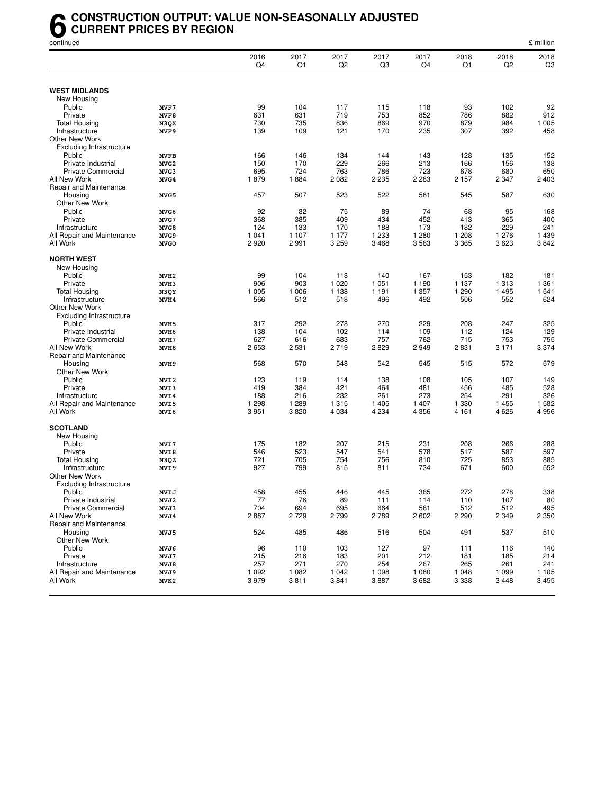#### **6** CONSTRUCTION OUTPUT: VALUE NON-SEASONALLY ADJUSTED<br>CURRENT PRICES BY REGION<br>continued **CURRENT PRICES BY REGION**

| continued                           |                  |            |            |            |            |            |            |                        | £ million              |
|-------------------------------------|------------------|------------|------------|------------|------------|------------|------------|------------------------|------------------------|
|                                     |                  | 2016<br>Q4 | 2017<br>Q1 | 2017<br>Q2 | 2017<br>Q3 | 2017<br>Q4 | 2018<br>Q1 | 2018<br>Q <sub>2</sub> | 2018<br>Q <sub>3</sub> |
|                                     |                  |            |            |            |            |            |            |                        |                        |
| <b>WEST MIDLANDS</b><br>New Housing |                  |            |            |            |            |            |            |                        |                        |
| Public                              | MVF7             | 99         | 104        | 117        | 115        | 118        | 93         | 102                    | 92                     |
| Private                             | MVF8             | 631        | 631        | 719        | 753        | 852        | 786        | 882                    | 912                    |
| <b>Total Housing</b>                | N3QX             | 730        | 735        | 836        | 869        | 970        | 879        | 984                    | 1 0 0 5                |
| Infrastructure                      | MVF9             | 139        | 109        | 121        | 170        | 235        | 307        | 392                    | 458                    |
| Other New Work                      |                  |            |            |            |            |            |            |                        |                        |
| <b>Excluding Infrastructure</b>     |                  |            |            |            |            |            |            |                        |                        |
| Public                              | <b>MVFB</b>      | 166        | 146        | 134        | 144        | 143        | 128        | 135                    | 152                    |
| Private Industrial                  | MVG <sub>2</sub> | 150        | 170        | 229        | 266        | 213        | 166        | 156                    | 138                    |
| <b>Private Commercial</b>           | MVG3             | 695        | 724        | 763        | 786        | 723        | 678        | 680                    | 650                    |
| All New Work                        |                  | 1879       | 1884       | 2 0 8 2    | 2 2 3 5    | 2 2 8 3    | 2 1 5 7    | 2 3 4 7                | 2 4 0 3                |
|                                     | MVG4             |            |            |            |            |            |            |                        |                        |
| Repair and Maintenance              |                  |            |            |            |            |            |            |                        |                        |
| Housing                             | MVG5             | 457        | 507        | 523        | 522        | 581        | 545        | 587                    | 630                    |
| Other New Work                      |                  |            |            |            |            |            |            |                        |                        |
| Public                              | MVG6             | 92         | 82         | 75         | 89         | 74         | 68         | 95                     | 168                    |
| Private                             | MVG7             | 368        | 385        | 409        | 434        | 452        | 413        | 365                    | 400                    |
| Infrastructure                      | MVG8             | 124        | 133        | 170        | 188        | 173        | 182        | 229                    | 241                    |
| All Repair and Maintenance          | MVG9             | 1 0 4 1    | 1 107      | 1 1 7 7    | 1 2 3 3    | 1 2 8 0    | 1 208      | 1 276                  | 1 4 3 9                |
| All Work                            | <b>MVGO</b>      | 2920       | 2991       | 3 2 5 9    | 3468       | 3563       | 3 3 6 5    | 3623                   | 3842                   |
| <b>NORTH WEST</b>                   |                  |            |            |            |            |            |            |                        |                        |
| New Housing                         |                  |            |            |            |            |            |            |                        |                        |
| Public                              | MVH <sub>2</sub> | 99         | 104        | 118        | 140        | 167        | 153        | 182                    | 181                    |
| Private                             | MVH3             | 906        | 903        | 1 0 2 0    | 1 0 5 1    | 1 1 9 0    | 1 1 3 7    | 1 3 1 3                | 1 3 6 1                |
| Total Housing                       | N3QY             | 1 0 0 5    | 1 0 0 6    | 1 1 3 8    | 1 1 9 1    | 1 357      | 1 2 9 0    | 1 4 9 5                | 1 541                  |
| Infrastructure                      | MVH4             | 566        | 512        | 518        | 496        | 492        | 506        | 552                    | 624                    |
| Other New Work                      |                  |            |            |            |            |            |            |                        |                        |
| <b>Excluding Infrastructure</b>     |                  |            |            |            |            |            |            |                        |                        |
| Public                              | MVH <sub>5</sub> | 317        | 292        | 278        | 270        | 229        | 208        | 247                    | 325                    |
| Private Industrial                  | MVH6             | 138        | 104        | 102        | 114        | 109        | 112        | 124                    | 129                    |
| <b>Private Commercial</b>           | MVH7             | 627        | 616        | 683        | 757        | 762        | 715        | 753                    | 755                    |
| All New Work                        | MVH8             | 2653       | 2 5 3 1    | 2719       | 2829       | 2949       | 2831       | 3 1 7 1                | 3 3 7 4                |
| Repair and Maintenance              |                  |            |            |            |            |            |            |                        |                        |
| Housing                             | MVH9             | 568        | 570        | 548        | 542        | 545        | 515        | 572                    | 579                    |
| Other New Work                      |                  |            |            |            |            |            |            |                        |                        |
| Public                              | MVI2             | 123        | 119        | 114        | 138        | 108        | 105        | 107                    | 149                    |
| Private                             | MVI3             | 419        | 384        | 421        | 464        | 481        | 456        | 485                    | 528                    |
| Infrastructure                      | MVI4             | 188        | 216        | 232        | 261        | 273        | 254        | 291                    | 326                    |
| All Repair and Maintenance          | MVI5             | 1 2 9 8    | 1 2 8 9    | 1 3 1 5    | 1 4 0 5    | 1 407      | 1 3 3 0    | 1 4 5 5                | 1582                   |
| All Work                            | MVI6             | 3 9 5 1    | 3820       | 4 0 34     | 4 2 3 4    | 4 3 5 6    | 4 1 6 1    | 4 6 2 6                | 4956                   |
|                                     |                  |            |            |            |            |            |            |                        |                        |
| <b>SCOTLAND</b>                     |                  |            |            |            |            |            |            |                        |                        |
| New Housing                         |                  |            |            |            |            |            |            |                        |                        |
| Public                              | MVI7             | 175        | 182        | 207        | 215        | 231        | 208        | 266                    | 288                    |
| Private                             | MVI8             | 546        | 523        | 547        | 541        | 578        | 517        | 587                    | 597                    |
| <b>Total Housing</b>                | N3QZ             | 721        | 705        | 754        | 756        | 810        | 725        | 853                    | 885                    |
| Infrastructure                      | MVI9             | 927        | 799        | 815        | 811        | 734        | 671        | 600                    | 552                    |
| Other New Work                      |                  |            |            |            |            |            |            |                        |                        |
| <b>Excluding Infrastructure</b>     |                  |            |            |            |            |            |            |                        |                        |
| Public                              | MVIJ             | 458        | 455        | 446        | 445        | 365        | 272        | 278                    | 338                    |
| Private Industrial                  | MVJ2             | 77         | 76         | 89         | 111        | 114        | 110        | 107                    | 80                     |
| <b>Private Commercial</b>           | MVJ3             | 704        | 694        | 695        | 664        | 581        | 512        | 512                    | 495                    |
| All New Work                        | MVJ4             | 2887       | 2729       | 2799       | 2789       | 2602       | 2 2 9 0    | 2 3 4 9                | 2 3 5 0                |
| Repair and Maintenance              |                  |            |            |            |            |            |            |                        |                        |
| Housing                             | MVJ5             | 524        | 485        | 486        | 516        | 504        | 491        | 537                    | 510                    |
| Other New Work                      |                  |            |            |            |            |            |            |                        |                        |
| Public                              | MVJ6             | 96         | 110        | 103        | 127        | 97         | 111        | 116                    | 140                    |
| Private                             | MVJ7             | 215        | 216        | 183        | 201        | 212        | 181        | 185                    | 214                    |
| Infrastructure                      | MVJ8             | 257        | 271        | 270        | 254        | 267        | 265        | 261                    | 241                    |
| All Repair and Maintenance          | MVJ9             | 1 0 9 2    | 1 0 8 2    | 1 0 4 2    | 1 0 9 8    | 1 0 8 0    | 1 0 4 8    | 1 0 9 9                | 1 1 0 5                |
| All Work                            | MVK2             | 3979       | 3811       | 3841       | 3887       | 3682       | 3 3 3 8    | 3448                   | 3455                   |
|                                     |                  |            |            |            |            |            |            |                        |                        |
|                                     |                  |            |            |            |            |            |            |                        |                        |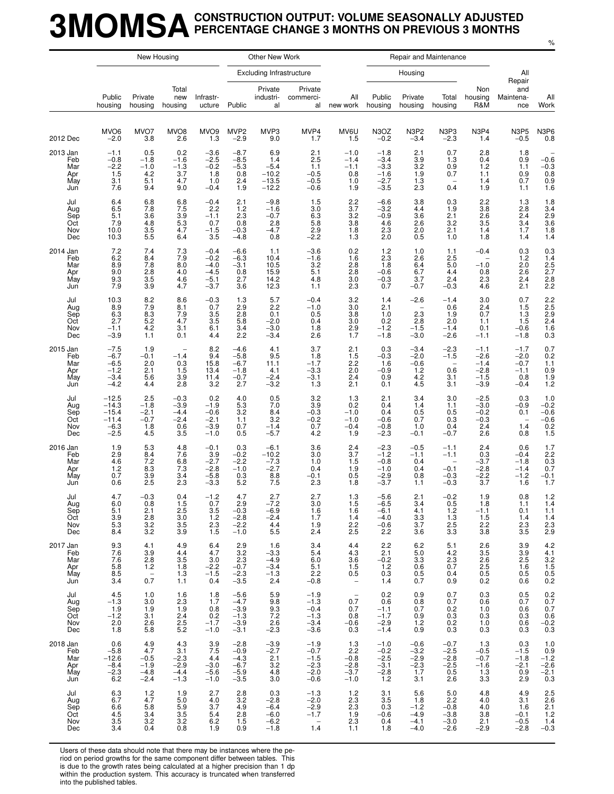### **3MOMSACONSTRUCTION OUTPUT: VOLUME SEASONALLY ADJUSTED PERCENTAGE CHANGE 3 MONTHS ON PREVIOUS 3 MONTHS**

|                                             |                                                              | New Housing                                                                  |                                                                |                                                          |                                                          | Other New Work                                        |                                                                         |                                                                       |                                                          |                                                                      | Repair and Maintenance                               |                                                          |                                                                                     |                                                    |
|---------------------------------------------|--------------------------------------------------------------|------------------------------------------------------------------------------|----------------------------------------------------------------|----------------------------------------------------------|----------------------------------------------------------|-------------------------------------------------------|-------------------------------------------------------------------------|-----------------------------------------------------------------------|----------------------------------------------------------|----------------------------------------------------------------------|------------------------------------------------------|----------------------------------------------------------|-------------------------------------------------------------------------------------|----------------------------------------------------|
|                                             |                                                              |                                                                              |                                                                |                                                          |                                                          | <b>Excluding Infrastructure</b>                       |                                                                         |                                                                       |                                                          | Housing                                                              |                                                      |                                                          | All                                                                                 |                                                    |
|                                             | Public<br>housing                                            | Private<br>housing                                                           | Total<br>new<br>housing                                        | Infrastr-<br>ucture                                      | Public                                                   | Private<br>industri-<br>al                            | Private<br>commerci-<br>al                                              | All<br>new work                                                       | Public<br>housing                                        | Private<br>housing                                                   | Total<br>housing                                     | Non<br>housing<br>R&M                                    | Repair<br>and<br>Maintena-<br>nce                                                   | All<br>Work                                        |
| 2012 Dec                                    | MVO <sub>6</sub><br>$-2.0$                                   | MVO7<br>3.8                                                                  | MVO <sub>8</sub><br>2.6                                        | MVO <sub>9</sub><br>1.3                                  | MVP <sub>2</sub><br>$-2.9$                               | MVP3<br>9.0                                           | MVP4<br>1.7                                                             | MV6U<br>1.5                                                           | N <sub>3</sub> OZ<br>$-0.2$                              | N3P2<br>$-3.4$                                                       | N3P3<br>$-2.3$                                       | N3P4<br>1.4                                              | N3P5<br>$-0.5$                                                                      | N3P6<br>0.8                                        |
| 2013 Jan<br>Feb<br>Mar<br>Apr<br>May<br>Jun | $-1.1$<br>$-0.8$<br>$-2.2$<br>1.5<br>3.1<br>7.6              | 0.5<br>$-1.8$<br>$-1.0$<br>4.2<br>5.1<br>9.4                                 | 0.2<br>$-1.6$<br>$-1.3$<br>3.7<br>4.7<br>9.0                   | $-3.6$<br>$-2.5$<br>$-0.2$<br>1.8<br>1.0<br>$-0.4$       | $-8.7$<br>$-8.5$<br>$-5.3$<br>0.8<br>2.4<br>1.9          | 6.9<br>1.4<br>$-5.4$<br>$-10.2$<br>$-13.5$<br>$-12.2$ | 2.1<br>2.5<br>1.1<br>$-0.5$<br>$-0.5$<br>$-0.6$                         | $-1.0$<br>$-1.4$<br>$-1.1$<br>0.8<br>1.0<br>1.9                       | $-1.8$<br>$-3.4$<br>$-3.3$<br>$-1.6$<br>$-2.7$<br>$-3.5$ | 2.1<br>3.9<br>3.2<br>1.9<br>1.3<br>2.3                               | 0.7<br>1.3<br>0.9<br>0.7<br>$\qquad \qquad -$<br>0.4 | 2.8<br>0.4<br>1.2<br>1.1<br>1.4<br>1.9                   | 1.8<br>0.9<br>1.1<br>0.9<br>0.7<br>1.1                                              | $-0.6$<br>$-0.3$<br>0.8<br>0.9<br>1.6              |
| Jul<br>Aug<br>Sep<br>Oct<br>Nov<br>Dec      | 6.4<br>6.5<br>5.1<br>7.9<br>10.0<br>10.3                     | 6.8<br>$\frac{7.8}{3.6}$<br>4.8<br>$\begin{array}{c} 3.5 \\ 5.5 \end{array}$ | 6.8<br>7.5<br>3.9<br>5.3<br>4.7<br>6.4                         | $-0.4$<br>2.2<br>$-1.1$<br>0.7<br>$-1.5$<br>3.5          | 2.1<br>1.2<br>2.3<br>0.8<br>$-0.3$<br>$-4.8$             | $-9.8$<br>$-1.6$<br>$-0.7$<br>2.8<br>$-4.7$<br>0.8    | 1.5<br>3.0<br>6.3<br>5.8<br>2.9<br>$-2.2$                               | 2.2<br>3.7<br>3.2<br>3.8<br>1.8<br>1.3                                | $-6.6$<br>$-3.2$<br>$-0.9$<br>4.6<br>2.3<br>2.0          | 3.8<br>4.4<br>3.6<br>2.6<br>2.0<br>0.5                               | 0.3<br>1.9<br>2.1<br>3.2<br>2.1<br>1.0               | 2.2<br>3.8<br>2.6<br>3.5<br>1.4<br>1.8                   | 1.3<br>2.8<br>2.4<br>3.4<br>1.7<br>1.4                                              | $1.8$<br>$3.4$<br>$2.9$<br>$3.6$<br>$1.8$<br>1.4   |
| 2014 Jan<br>Feb<br>Mar<br>Apr<br>May<br>Jun | 7.2<br>6.2<br>8.9<br>9.0<br>9.3<br>7.9                       | 7.4<br>8.4<br>7.8<br>$\frac{2.8}{3.5}$<br>3.9                                | 7.3<br>7.9<br>8.0<br>4.0<br>4.6<br>4.7                         | $-0.4$<br>$-0.2$<br>$-4.0$<br>$-4.5$<br>$-5.1$<br>$-3.7$ | $-6.6$<br>$-6.3$<br>$-3.1$<br>0.8<br>2.7<br>3.6          | 1.1<br>10.4<br>10.5<br>15.9<br>14.2<br>12.3           | $-3.6$<br>$-1.6$<br>3.2<br>5.1<br>4.8<br>1.1                            | 0.2<br>1.6<br>2.8<br>2.8<br>3.0<br>2.3                                | 1.2<br>2.3<br>1.8<br>$-0.6$<br>$-0.3$<br>0.7             | 1.0<br>2.6<br>6.4<br>6.7<br>3.7<br>$-0.7$                            | 1.1<br>2.5<br>5.0<br>4.4<br>2.4<br>$-0.3$            | $-0.4$<br>-<br>$-1.0$<br>0.8<br>2.3<br>4.6               | 0.3<br>1.2<br>2.0<br>2.6<br>2.4<br>2.1                                              | $0.3$<br>$1.4$<br>$2.5$<br>$2.7$<br>$2.8$<br>$2.2$ |
| Jul<br>Aug<br>Sep<br>Oct<br>Nov<br>Dec      | 10.3<br>8.9<br>6.3<br>2.7<br>$-1.1$<br>$-3.9$                | 8.2<br>7.9<br>$\substack{8.3 \\ 5.2}$<br>4.2<br>1.1                          | 8.6<br>8.1<br>7.9<br>4.7<br>3.1<br>0.1                         | $-0.3$<br>0.7<br>3.5<br>3.5<br>6.1<br>4.4                | 1.3<br>2.9<br>2.8<br>5.8<br>3.4<br>2.2                   | 5.7<br>2.2<br>0.1<br>$-2.0$<br>$-3.0$<br>$-3.4$       | $-0.4$<br>$-1.0$<br>0.5<br>0.4<br>1.8<br>2.6                            | 3.2<br>3.0<br>3.8<br>3.0<br>2.9<br>1.7                                | 1.4<br>2.1<br>1.0<br>0.2<br>$-1.2$<br>$-1.8$             | $-2.6$<br>$\overline{\phantom{0}}$<br>2.3<br>2.8<br>$-1.5$<br>$-3.0$ | $-1.4$<br>0.6<br>1.9<br>2.0<br>$-1.4$<br>$-2.6$      | 3.0<br>2.4<br>0.7<br>1.1<br>0.1<br>$-1.1$                | 0.7<br>1.5<br>1.3<br>1.5<br>$-0.6$<br>$-1.8$                                        | 2.2<br>2.5<br>2.9<br>2.4<br>1.6<br>0.3             |
| 2015 Jan<br>Feb<br>Mar<br>Apr<br>May<br>Jun | $-7.5$<br>$-6.7$<br>$-6.5$<br>$-1.2$<br>$-3.4$<br>$-4.2$     | 1.9<br>$-0.1$<br>2.0<br>2.1<br>5.6<br>4.4                                    | $\overline{\phantom{a}}$<br>$-1.4$<br>0.3<br>1.5<br>3.9<br>2.8 | 8.2<br>9.4<br>15.8<br>13.4<br>11.4<br>3.2                | $-4.6$<br>$-5.8$<br>$-6.7$<br>$-1.8$<br>$-0.7$<br>2.7    | 4.1<br>9.5<br>11.1<br>4.1<br>$-2.4$<br>$-3.2$         | 3.7<br>1.8<br>$-1.7$<br>$-3.3$<br>-3.1<br>1.3                           | 2.1<br>1.5<br>2.2<br>2.0<br>2.4<br>2.1                                | 0.3<br>$-0.3$<br>1.6<br>$-0.9$<br>0.9<br>0.1             | $-3.4$<br>$-2.0$<br>$-0.6$<br>1.2<br>4.2<br>4.5                      | $-2.3$<br>$-1.5$<br>0.6<br>3.1<br>3.1                | $-1.1$<br>$-2.6$<br>$-1.4$<br>$-2.8$<br>$-1.5$<br>$-3.9$ | $-1.7$<br>$-2.0$<br>$-0.7$<br>$-1.1$<br>0.8<br>$-0.4$                               | 0.7<br>0.2<br>1.1<br>0.9<br>$\frac{1.9}{1.2}$      |
| Jul<br>Aug<br>Sep<br>Oct<br>Nov<br>Dec      | $-12.5$<br>$-14.3$<br>$-15.4$<br>$-11.4$<br>$-6.3$<br>$-2.5$ | 2.5<br>$-1.8$<br>$-2.1$<br>$-0.7$<br>1.8<br>4.5                              | $-0.3$<br>$-3.9$<br>$-4.4$<br>$-2.4$<br>0.6<br>3.5             | 0.2<br>$-1.9$<br>$-0.6$<br>$-2.1$<br>$-3.9$<br>$-1.0$    | 4.0<br>5.3<br>3.2<br>1.1<br>0.7<br>0.5                   | 0.5<br>7.0<br>8.4<br>3.2<br>$-1.4$<br>$-5.7$          | 3.2<br>3.9<br>$-0.3$<br>$-0.2$<br>0.7<br>4.2                            | 1.3<br>0.2<br>$-1.0$<br>$-1.0$<br>$-0.4$<br>1.9                       | 2.1<br>0.4<br>0.4<br>$-0.6$<br>$-0.8$<br>$-2.3$          | 3.4<br>1.4<br>0.5<br>0.7<br>1.0<br>$-0.1$                            | 3.0<br>1.1<br>0.5<br>0.3<br>0.4<br>$-0.7$            | $-2.5$<br>$-3.0$<br>$-0.2$<br>$-0.3$<br>2.4<br>2.6       | 0.3<br>$-0.9$<br>0.1<br>1.4<br>0.8                                                  | 1.0<br>$-0.2$<br>$-0.6$<br>$-0.6$<br>0.2<br>1.5    |
| 2016 Jan<br>Feb<br>Mar<br>Apr<br>May<br>Jun | 1.9<br>2.9<br>4.6<br>1.2<br>0.7<br>0.6                       | 5.3<br>8.4<br>7.2<br>8.3<br>3.9<br>2.5                                       | 4.8<br>7.6<br>6.8<br>7.3<br>3.4<br>2.3                         | $-0.1$<br>3.9<br>$-2.7$<br>$-2.8$<br>$-5.8$<br>$-3.3$    | 0.3<br>$-0.2$<br>$-2.2$<br>$-1.0$<br>0.3<br>5.2          | $-6.1$<br>$-10.2$<br>$-7.3$<br>$-2.7$<br>8.8<br>7.5   | 3.6<br>3.0<br>1.0<br>0.4<br>$-0.1$<br>2.3                               | 2.4<br>3.7<br>1.5<br>1.9<br>0.5<br>1.8                                | $-2.3$<br>$-1.2$<br>$-0.8$<br>$-1.0$<br>$-2.9$<br>$-3.7$ | $-0.5$<br>$-1.1$<br>0.4<br>0.4<br>0.8<br>1.1                         | $-1.1$<br>$-1.1$<br>$-0.1$<br>$-0.3$<br>$-0.3$       | 2.4<br>0.3<br>$-3.7$<br>$-2.8$<br>$-2.2$<br>3.7          | 0.6<br>$-0.4$<br>$-1.8$<br>$-1.4$<br>$-1.2$<br>1.6                                  | 1.7<br>2.2<br>$0.3$<br>$0.7$<br>$-0.1$<br>1.7      |
| Jul<br>Aug<br>Sep<br>Oct<br>Nov<br>Dec      | 4.7<br>6.0<br>5.1<br>3.9<br>$5.3$<br>8.4                     | $-0.3$<br>0.8<br>2.1<br>2.8<br>$\begin{array}{c} 3.2 \\ 3.2 \end{array}$     | 0.4<br>1.5<br>2.5<br>3.0<br>3.5<br>3.9                         | $-1.2$<br>0.7<br>3.5<br>1.2<br>2.3<br>1.5                | 4.7<br>2.9<br>$-0.3$<br>$-2.8$<br>$-2.2$<br>$-1.0$       | 2.7<br>$-7.2$<br>$-6.9$<br>$-2.4$<br>4.4<br>5.5       | 2.7<br>3.0<br>1.6<br>1.7<br>1.9<br>2.4                                  | 1.3<br>1.5<br>1.6<br>1.4<br>2.2<br>2.5                                | $-5.6$<br>$-6.5$<br>$-6.1$<br>$-4.0$<br>$-0.6$<br>2.2    | 2.1<br>3.4<br>4.1<br>3.3<br>3.7<br>3.6                               | $-0.2$<br>0.5<br>$1.2$<br>1.3<br>2.5<br>3.3          | 1.9<br>1.8<br>$-1.1$<br>1.5<br>2.2<br>3.8                | 0.8<br>1.1<br>0.1<br>1.4<br>$\substack{2.3 \ 3.5}$                                  | 1.2<br>1.4<br>1.1<br>1.4<br>$^{2.3}_{2.9}$         |
| 2017 Jan<br>Feb<br>Mar<br>Apr<br>May<br>Jun | 9.3<br>7.6<br>7.6<br>5.8<br>8.5<br>3.4                       | 4.1<br>3.9<br>2.8<br>1.2<br>$\overline{\phantom{a}}$<br>0.7                  | 4.9<br>4.4<br>3.5<br>1.8<br>1.3<br>1.1                         | 6.4<br>4.7<br>3.0<br>$-2.2$<br>$-1.5$<br>0.4             | 2.9<br>3.2<br>2.3<br>$-0.7$<br>$-2.3$<br>$-3.5$          | 1.6<br>$-3.3$<br>$-4.9$<br>$-3.4$<br>$-1.3$<br>2.4    | 3.4<br>5.4<br>6.0<br>5.1<br>2.2<br>$-0.8$                               | 4.4<br>4.3<br>3.6<br>1.5<br>0.5<br>$\overline{\phantom{a}}$           | 2.2<br>2.1<br>$-0.2$<br>$1.2$<br>0.3<br>1.4              | 6.2<br>5.0<br>3.3<br>0.6<br>0.5<br>0.7                               | 5.1<br>4.2<br>2.3<br>0.7<br>0.4<br>0.9               | 2.6<br>3.5<br>2.6<br>2.5<br>0.5<br>0.2                   | 3.9<br>3.9<br>2.5<br>$\!\!\!\begin{array}{c} 1.6 \\ 0.5 \end{array}\!\!\!\!$<br>0.6 | 4.2<br>$4.1$<br>$3.2$<br>$1.5$<br>$0.5$<br>$0.2$   |
| Jul<br>Aug<br>Sep<br>Oct<br>Nov<br>Dec      | 4.5<br>$-1.3$<br>1.9<br>$-1.2$<br>2.0<br>1.8                 | 1.0<br>3.0<br>1.9<br>3.1<br>2.6<br>5.8                                       | 1.6<br>2.3<br>1.9<br>2.4<br>2.5<br>5.2                         | 1.8<br>1.7<br>0.8<br>0.2<br>$-1.7$<br>$-1.0$             | $-5.6$<br>$-4.7$<br>$-3.9$<br>$-1.3$<br>$-3.9$<br>$-3.1$ | 5.9<br>9.8<br>9.3<br>7.2<br>2.6<br>$-2.3$             | $-1.9$<br>$-1.3$<br>$-0.4$<br>$-1.3$<br>$-3.4$<br>$-3.6$                | $\hspace{0.1mm}-\hspace{0.1mm}$<br>0.7<br>0.7<br>0.8<br>$-0.6$<br>0.3 | 0.2<br>0.6<br>$-1.1$<br>$-1.7$<br>$-2.9$<br>$-1.4$       | 0.9<br>0.8<br>0.7<br>0.9<br>1.2<br>0.9                               | 0.7<br>0.7<br>0.2<br>0.3<br>0.2<br>0.3               | 0.3<br>0.6<br>1.0<br>0.3<br>1.0<br>0.3                   | 0.5<br>0.7<br>0.6<br>0.3<br>0.6<br>0.3                                              | $0.2 \\ 0.7$<br>0.7<br>$0.6 - 0.2$<br>0.3          |
| 2018 Jan<br>Feb<br>Mar<br>Apr<br>May<br>Jun | 0.6<br>$-5.8$<br>$-12.6$<br>$-8.4$<br>$-2.3$<br>6.2          | 4.9<br>4.7<br>$-0.5$<br>$-1.9$<br>$-4.8$<br>$-2.4$                           | 4.3<br>3.1<br>$-2.3$<br>$-2.9$<br>$-4.4$<br>$-1.3$             | 3.9<br>$7.5$<br>4.4<br>$-3.0$<br>$-5.6$<br>$-1.0$        | $-2.8$<br>$-0.9$<br>$-4.3$<br>$-6.7$<br>$-5.9$<br>$-3.5$ | $-3.9$<br>$-2.7$<br>2.1<br>3.2<br>4.8<br>3.0          | $-1.9$<br>$-0.7$<br>$-1.5$<br>$-2.3$<br>$-2.0$<br>$-0.6$                | 1.3<br>2.2<br>$-0.8$<br>$-2.8$<br>$-3.7$<br>$-1.0$                    | $-1.0$<br>$-0.2$<br>$-2.5$<br>$-3.1$<br>$-2.8$<br>1.2    | $-0.6$<br>$-3.2$<br>$-2.9$<br>$-2.3$<br>1.7<br>3.1                   | $-0.7$<br>$-2.5$<br>$-2.8$<br>$-2.5$<br>0.5<br>2.6   | 1.3<br>$-0.5$<br>$-0.7$<br>$-1.6$<br>1.3<br>3.3          | 0.3<br>$-1.5$<br>$-1.8$<br>$-2.1$<br>0.9<br>2.9                                     | 1.0<br>$0.9 - 1.2$<br>$-2.6$<br>$-2.1$<br>0.3      |
| Jul<br>Aug<br>Sep<br>Oct<br>Nov<br>Dec      | 6.3<br>6.7<br>6.6<br>4.5<br>3.5<br>3.4                       | 1.2<br>4.7<br>5.8<br>3.4<br>3.2<br>0.4                                       | 1.9<br>5.0<br>5.9<br>3.5<br>3.2<br>0.8                         | 2.7<br>4.0<br>3.7<br>5.4<br>6.2<br>1.9                   | 2.8<br>3.2<br>4.9<br>2.8<br>1.5<br>0.9                   | 0.3<br>$-2.8$<br>$-6.4$<br>$-6.0$<br>$-6.2$<br>$-1.8$ | $-1.3$<br>$-2.0$<br>$-2.9$<br>$-1.7$<br>$\overline{\phantom{0}}$<br>1.4 | $1.2$<br>2.3<br>2.3<br>1.9<br>2.3<br>1.1                              | 3.1<br>3.5<br>0.3<br>$-0.6$<br>0.4<br>1.8                | 5.6<br>1.8<br>$-1.2$<br>$-4.9$<br>$-4.1$<br>$-4.0$                   | 5.0<br>2.2<br>$-0.8$<br>$-3.8$<br>$-3.0$<br>$-2.6$   | 4.8<br>4.0<br>4.0<br>3.8<br>2.1<br>$-2.9$                | 4.9<br>3.1<br>1.6<br>$-0.1$<br>$-0.5$<br>$-2.8$                                     | $2.5$<br>$2.6$<br>2.1<br>1.2<br>$1.4 - 0.3$        |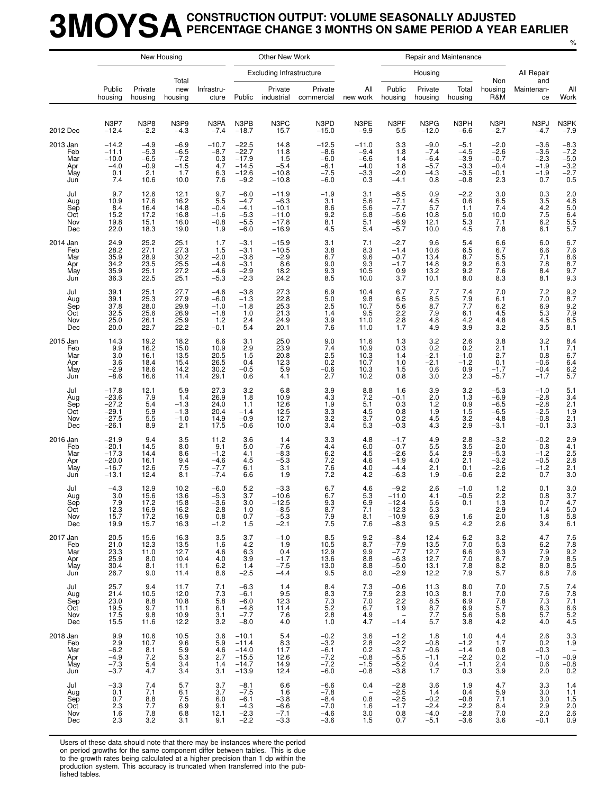## **3MOYSACONSTRUCTION OUTPUT: VOLUME SEASONALLY ADJUSTED PERCENTAGE CHANGE 3 MONTHS ON SAME PERIOD A YEAR EARLIER**

%

|                                             |                                                                |                                                     | New Housing                                                            |                                                         |                                                                | Other New Work                                                |                                                           |                                                                    |                                                                                | Repair and Maintenance                                |                                                                            |                                                                       |                                                          |                                                                              |
|---------------------------------------------|----------------------------------------------------------------|-----------------------------------------------------|------------------------------------------------------------------------|---------------------------------------------------------|----------------------------------------------------------------|---------------------------------------------------------------|-----------------------------------------------------------|--------------------------------------------------------------------|--------------------------------------------------------------------------------|-------------------------------------------------------|----------------------------------------------------------------------------|-----------------------------------------------------------------------|----------------------------------------------------------|------------------------------------------------------------------------------|
|                                             |                                                                |                                                     | Total                                                                  |                                                         |                                                                | Excluding Infrastructure                                      |                                                           |                                                                    |                                                                                | Housing                                               |                                                                            | Non                                                                   | All Repair<br>and                                        |                                                                              |
|                                             | Public<br>housing                                              | Private<br>housing                                  | new<br>housing                                                         | Infrastru-<br>cture                                     | Public                                                         | Private<br>industrial                                         | Private<br>commercial                                     | All<br>new work                                                    | Public<br>housing                                                              | Private<br>housing                                    | Total<br>housing                                                           | housing<br>R&M                                                        | Maintenan-<br>ce                                         | All<br>Work                                                                  |
| 2012 Dec                                    | N3P7<br>$-12.4$                                                | <b>N3P8</b><br>$-2.2$                               | N3P9<br>$-4.3$                                                         | N3PA<br>$-7.4$                                          | N3PB<br>$-18.7$                                                | N3PC<br>15.7                                                  | N3PD<br>$-15.0$                                           | N3PE<br>$-9.9$                                                     | N3PF<br>5.5                                                                    | N3PG<br>$-12.0$                                       | N3PH<br>$-6.6$                                                             | N3PI<br>$-2.7$                                                        | N3PJ<br>$-4.7$                                           | N3PK<br>$-7.9$                                                               |
| 2013 Jan<br>Feb<br>Mar<br>Apr<br>May<br>Jun | $-14.2$<br>$-11.1$<br>$-10.0$<br>$-4.0$<br>0.1<br>7.4          | $-4.9$<br>$-5.3$<br>$-6.5$<br>$-0.9$<br>2.1<br>10.6 | $-6.9$<br>$-6.5$<br>$-7.2$<br>$-1.5$<br>1.7<br>10.0                    | $-10.7$<br>$-8.7$<br>0.3<br>4.7<br>6.3<br>7.6           | $-22.5$<br>$-22.7$<br>$-17.9$<br>$-14.5$<br>$-12.6$<br>$-9.2$  | 14.8<br>11.8<br>1.5<br>$-5.4$<br>$-10.8$<br>$-10.8$           | $-12.5$<br>$-8.6$<br>$-6.0$<br>$-6.1$<br>$-7.5$<br>$-6.0$ | $-11.0$<br>$-9.4$<br>-6.6<br>-4.0<br>$-3.3$<br>0.3                 | 3.3<br>1.8<br>1.4<br>1.8<br>$-2.0$<br>$-4.1$                                   | $-9.0$<br>$-7.4$<br>$-6.4$<br>$-5.7$<br>$-4.3$<br>0.8 | $-5.1$<br>$-4.5$<br>$-3.9$<br>$-3.3$<br>$-3.5$<br>-0.8                     | $-2.0$<br>$-2.6$<br>$-0.7$<br>$-0.4$<br>$-0.1$<br>2.3                 | $-3.6$<br>$-3.6$<br>$-2.3$<br>$-1.9$<br>$-1.9$<br>0.7    | $-8.3$<br>$-7.2$<br>$-5.0$<br>$-3.2$<br>$-2.7$<br>0.5                        |
| Jul<br>Aug<br>Sep<br>Oct<br>Nov<br>Dec      | 9.7<br>10.9<br>8.4<br>15.2<br>19.8<br>22.0                     | 12.6<br>17.6<br>16.4<br>17.2<br>15.1<br>18.3        | 12.1<br>16.2<br>14.8<br>16.8<br>16.0<br>19.0                           | 9.7<br>5.5<br>$-0.4$<br>$-1.6$<br>$-0.8$<br>1.9         | $-6.0$<br>$-4.7$<br>$-4.1$<br>$-5.3$<br>$-5.5$<br>$-6.0$       | $-11.9$<br>$-6.3$<br>$-10.1$<br>$-11.0$<br>$-17.8$<br>$-16.9$ | $-1.9$<br>3.1<br>8.6<br>9.2<br>8.1<br>4.5                 | 3.1<br>5.6<br>5.6<br>5.8<br>5.1<br>5.4                             | $-8.5$<br>$-7.1$<br>$-7.7$<br>$-5.6$<br>$-6.9$<br>$-5.7$                       | 0.9<br>4.5<br>5.7<br>10.8<br>12.1<br>10.0             | $-2.2$<br>0.6<br>1.1<br>5.0<br>5.3<br>4.5                                  | 3.0<br>6.5<br>7.4<br>10.0<br>7.1<br>7.8                               | 0.3<br>3.5<br>$\frac{4.2}{7.5}$<br>6.2<br>6.1            | $^{2.0}_{4.8}$<br>5.0<br>$6.4$<br>$5.5$<br>$5.7$                             |
| 2014 Jan<br>Feb<br>Mar<br>Apr<br>May<br>Jun | 24.9<br>28.2<br>35.9<br>34.2<br>35.9<br>36.3                   | 25.2<br>27.1<br>28.9<br>23.5<br>25.1<br>22.5        | 25.1<br>27.3<br>30.2<br>25.5<br>27.2<br>25.1                           | 1.7<br>1.5<br>$-2.0$<br>$-4.6$<br>$-4.6$<br>$-5.3$      | $-3.1$<br>$-3.1$<br>$-3.8$<br>$-3.1$<br>$-2.9$<br>$-2.3$       | $-15.9$<br>$-10.5$<br>$-2.9$<br>8.6<br>18.2<br>24.2           | 3.1<br>3.8<br>6.7<br>9.0<br>9.3<br>8.5                    | 7.1<br>8.3<br>9.6<br>9.3<br>10.5<br>10.0                           | $-2.7$<br>$-1.4$<br>$-0.7$<br>$-1.7$<br>0.9<br>3.7                             | 9.6<br>10.6<br>13.4<br>14.8<br>13.2<br>10.1           | 5.4<br>6.5<br>8.7<br>9.2<br>9.2<br>8.0                                     | 6.6<br>6.7<br>5.5<br>6.3<br>7.6<br>8.3                                | 6.0<br>6.6<br>7.1<br>7.8<br>8.4<br>8.1                   | 6.7<br>$7.6$<br>$8.6$<br>$8.7$<br>9.7<br>9.3                                 |
| Jul<br>Aug<br>Sep<br>Oct<br>Nov<br>Dec      | 39.1<br>39.1<br>37.8<br>32.5<br>25.0<br>20.0                   | 25.1<br>25.3<br>28.0<br>25.6<br>26.1<br>22.7        | 27.7<br>27.9<br>29.9<br>26.9<br>25.9<br>22.2                           | $-4.6$<br>$-6.0$<br>$-1.0$<br>$-1.8$<br>1.2<br>$-0.1$   | $-3.8$<br>$-1.3$<br>$-1.8$<br>1.0<br>2.4<br>5.4                | 27.3<br>22.8<br>$25.\overline{3}$<br>21.3<br>24.9<br>20.1     | 6.9<br>5.0<br>2.5<br>1.4<br>3.9<br>7.6                    | 10.4<br>9.8<br>10.7<br>9.5<br>11.0<br>11.0                         | 6.7<br>6.5<br>5.6<br>2.2<br>2.8<br>1.7                                         | 7.7<br>8.5<br>8.7<br>7.9<br>4.8<br>4.9                | 7.4<br>7.9<br>7.7<br>6.1<br>4.2<br>3.9                                     | 7.0<br>6.1<br>6.2<br>4.5<br>4.8<br>$3.\overline{2}$                   | $7.2$<br>$7.0$<br>6.9<br>5.3<br>4.5<br>3.5               | 9.2<br>8.7<br>9.2<br>7.9<br>8.5<br>8.1                                       |
| 2015 Jan<br>Feb<br>Mar<br>Apr<br>May<br>Jun | 14.3<br>9.9<br>3.0<br>3.6<br>$-2.9$<br>$-8.6$                  | 19.2<br>16.2<br>16.1<br>18.4<br>18.6<br>16.6        | 18.2<br>15.0<br>13.5<br>15.4<br>14.2<br>11.4                           | 6.6<br>10.9<br>20.5<br>26.5<br>30.2<br>29.1             | 3.1<br>2.9<br>1.5<br>0.4<br>$-0.5$<br>0.6                      | 25.0<br>23.9<br>20.8<br>12.3<br>5.9<br>4.1                    | 9.0<br>7.4<br>2.5<br>0.2<br>$-0.6$<br>2.7                 | 11.6<br>10.9<br>10.3<br>10.7<br>10.3<br>10.2                       | 1.3<br>0.3<br>1.4<br>1.0<br>1.5<br>0.8                                         | 3.2<br>0.2<br>$-2.1$<br>$-2.1$<br>0.6<br>3.0          | 2.6<br>0.2<br>$-1.0$<br>$-1.2$<br>0.9<br>2.3                               | 3.8<br>2.1<br>2.7<br>0.1<br>$-1.7$<br>$-5.7$                          | 3.2<br>1.1<br>0.8<br>$-0.6$<br>$-0.4$<br>$-1.7$          | 8.4<br>7.1<br>6.7<br>6.4<br>$6.2$<br>5.7                                     |
| Jul<br>Aug<br>Sep<br>Oct<br>Nov<br>Dec      | $-17.8$<br>$-23.6$<br>$-27.2$<br>$-29.1$<br>$-27.5$<br>$-26.1$ | 12.1<br>7.9<br>5.4<br>5.9<br>5.5<br>8.9             | 5.9<br>1.4<br>$-1.3$<br>$-1.3$<br>$-1.0$<br>2.1                        | 27.3<br>26.9<br>24.0<br>20.4<br>14.9<br>17.5            | 3.2<br>1.8<br>1.1<br>$-1.4$<br>$-0.9$<br>$-0.6$                | 6.8<br>10.9<br>12.6<br>12.5<br>12.7<br>10.0                   | 3.9<br>4.3<br>1.9<br>3.3<br>3.2<br>3.4                    | 8.8<br>7.2<br>5.1<br>4.5<br>3.7<br>5.3                             | 1.6<br>$-0.1$<br>0.3<br>0.8<br>0.2<br>$-0.3$                                   | 3.9<br>2.0<br>1.2<br>1.9<br>4.5<br>4.3                | 3.2<br>1.3<br>0.9<br>1.5<br>3.2<br>2.9                                     | $-5.3$<br>$-6.9$<br>$-6.5$<br>$-6.5$<br>$-4.8$<br>$-3.1$              | $-1.0$<br>$-2.8$<br>$-2.8$<br>$-2.5$<br>$-0.8$<br>$-0.1$ | 5.1<br>3.4<br>2.1<br>1.9<br>2.1<br>3.3                                       |
| 2016 Jan<br>Feb<br>Mar<br>Apr<br>May<br>Jun | $-21.9$<br>$-20.1$<br>$-17.3$<br>$-20.0$<br>$-16.7$<br>$-13.1$ | 9.4<br>14.5<br>14.4<br>16.1<br>12.6<br>12.4         | 3.5<br>8.0<br>8.6<br>9.4<br>7.5<br>8.1                                 | 11.2<br>9.1<br>$-1.2$<br>$-4.6$<br>$-7.7$<br>$-7.4$     | 3.6<br>5.0<br>4.1<br>4.5<br>6.1<br>6.6                         | 1.4<br>$-7.6$<br>$-8.3$<br>$-5.3$<br>3.1<br>1.9               | 3.3<br>4.4<br>6.2<br>7.2<br>7.6<br>7.2                    | 4.8<br>6.0<br>4.5<br>4.6<br>4.0<br>4.2                             | $-1.7$<br>$-0.7$<br>$-2.6$<br>$-1.9$<br>$-4.4$<br>$-6.3$                       | 4.9<br>5.5<br>5.4<br>4.0<br>2.1<br>1.9                | 2.8<br>3.5<br>2.9<br>2.1<br>0.1<br>-0.6                                    | $-3.2$<br>$-2.0$<br>$-5.3$<br>$-3.2$<br>$-2.6$<br>2.2                 | $-0.2$<br>0.8<br>$-1.2$<br>$-0.5$<br>$-1.2$<br>0.7       | 2.9<br>4.1<br>2.5<br>2.8<br>2.1<br>3.0                                       |
| Jul<br>Aug<br>Sep<br>Oct<br>Nov<br>Dec      | $-4.3$<br>3.0<br>7.9<br>12.3<br>15.7<br>19.9                   | 12.9<br>15.6<br>17.2<br>16.9<br>17.2<br>15.7        | 10.2<br>13.6<br>15.8<br>16.2<br>16.9<br>16.3                           | $-6.0$<br>$-5.3$<br>$-3.6$<br>$^{-2.8}_{0.8}$<br>$-1.2$ | 5.2<br>3.7<br>3.0<br>1.0<br>0.7<br>1.5                         | $-3.3$<br>$-10.6$<br>$-12.5$<br>$-8.5$<br>$-5.3$<br>$-2.1$    | 6.7<br>6.7<br>9.3<br>8.7<br>7.9<br>7.5                    | 4.6<br>5.3<br>6.9<br>7.1<br>8.1<br>7.6                             | $-9.2$<br>$-11.0$<br>$-12.4$<br>$-12.3$<br>$-10.9$<br>$-8.3$                   | 2.6<br>4.1<br>5.6<br>5.3<br>6.9<br>9.5                | $-1.0$<br>$-0.5$<br>0.1<br>$\hspace{0.1mm}$ $\hspace{0.1mm}$<br>1.6<br>4.2 | 1.2<br>2.2<br>1.3<br>2.9<br>2.0<br>2.6                                | 0.1<br>0.8<br>0.7<br>1.4<br>1.8<br>3.4                   | $\frac{3.0}{3.7}$<br>4.7<br>$\begin{array}{c} 5.0 \\ 5.8 \end{array}$<br>6.1 |
| 2017 Jan<br>Feb<br>Mar<br>Apr<br>May<br>Jun | 20.5<br>21.0<br>23.3<br>25.9<br>30.4<br>26.7                   | 15.6<br>12.3<br>11.0<br>8.0<br>8.1<br>9.0           | 16.3<br>13.5<br>12.7<br>10.4<br>11.1<br>11.4                           | 3.5<br>1.6<br>4.6<br>4.0<br>6.2<br>8.6                  | 3.7<br>4.2<br>6.3<br>3.9<br>1.4<br>$-2.5$                      | $-1.0$<br>1.9<br>0.4<br>$-1.7$<br>$-7.5$<br>$-4.4$            | 8.5<br>10.5<br>12.9<br>13.6<br>13.0<br>9.5                | 9.2<br>8.7<br>9.9<br>8.8<br>8.8<br>8.0                             | $-8.4$<br>$-7.9$<br>$-7.7$<br>$-6.3$<br>$-5.0$<br>$-2.9$                       | 12.4<br>13.5<br>12.7<br>12.7<br>13.1<br>12.2          | 6.2<br>7.0<br>6.6<br>7.0<br>7.8<br>7.9                                     | 3.2<br>5.3<br>9.3<br>8.7<br>$8.2$<br>5.7                              | 4.7<br>$6.2$<br>7.9<br>7.9<br>8.0<br>6.8                 | 76825568876                                                                  |
| Jul<br>Aug<br>Sep<br>Oct<br>Nov<br>Dec      | 25.7<br>21.4<br>23.0<br>19.5<br>17.5<br>15.5                   | 9.4<br>10.5<br>8.8<br>9.7<br>9.8<br>11.6            | 11.7<br>12.0<br>10.8<br>11.1<br>10.9<br>12.2                           | 7.1<br>7.3<br>5.8<br>6.1<br>3.1<br>3.2                  | $-6.3$<br>$-6.1$<br>$-6.0$<br>$-4.8$<br>$-7.7$<br>$-8.0$       | 1.4<br>9.5<br>12.3<br>11.4<br>7.6<br>4.0                      | 8.4<br>8.3<br>7.3<br>5.2<br>2.8<br>1.0                    | 7.3<br>7.9<br>7.0<br>6.7<br>4.9<br>4.7                             | $-0.6$<br>2.3<br>$2.\overline{2}$<br>1.9<br>$\overline{\phantom{a}}$<br>$-1.4$ | 11.3<br>10.3<br>8.5<br>8.7<br>7.7<br>5.7              | 8.0<br>8.1<br>6.9<br>6.9<br>5.6<br>3.8                                     | 7.0<br>7.0<br>7.8<br>5.7<br>$\begin{array}{c} 5.8 \\ 4.2 \end{array}$ | $7.5$<br>7.6<br>$7.\overline{3}$<br>$6.3$<br>5.7<br>4.0  | $\frac{7.4}{7.8}$<br>7.1<br>$6.6$<br>$5.2$<br>$4.5$                          |
| 2018 Jan<br>Feb<br>Mar<br>Apr<br>May<br>Jun | 9.9<br>2.9<br>$-6.2$<br>$-4.9$<br>$-7.3$<br>$-3.7$             | 10.6<br>10.7<br>8.1<br>7.2<br>5.4<br>4.7            | 10.5<br>9.6<br>$\begin{array}{c} 5.9 \\ 5.3 \\ 3.4 \end{array}$<br>3.4 | 3.6<br>5.9<br>4.6<br>$^{2.7}_{1.4}$<br>3.1              | $-10.1$<br>$-11.4$<br>$-14.0$<br>$-15.5$<br>$-14.7$<br>$-13.9$ | 5.4<br>8.3<br>11.7<br>12.6<br>14.9<br>12.4                    | $-0.2$<br>$-3.2$<br>$-6.1$<br>$-7.2$<br>$-7.2$<br>$-6.0$  | 3.6<br>2.8<br>0.2<br>$-0.8$<br>$-1.5$<br>$-0.8$                    | $-1.2$<br>$-2.2$<br>$-3.7$<br>$-5.5$<br>$-5.2$<br>$-3.8$                       | 1.8<br>$-0.8$<br>$-0.6$<br>$-1.1$<br>0.4<br>1.7       | 1.0<br>$-1.2$<br>$-1.4$<br>$-2.2$<br>$-1.1$<br>0.3                         | 4.4<br>1.7<br>0.8<br>0.2<br>2.4<br>3.9                                | 2.6<br>0.2<br>$-0.3$<br>$-1.0$<br>0.6<br>2.0             | $\frac{3.3}{1.9}$<br>$\overline{\phantom{a}}$<br>$-0.9$<br>$-0.8$<br>0.2     |
| Jul<br>Aug<br>Sep<br>Oct<br>Nov<br>Dec      | $-3.3$<br>0.1<br>0.7<br>2.3<br>1.6<br>2.3                      | 7.4<br>7.1<br>8.8<br>7.7<br>7.8<br>3.2              | 5.7<br>6.1<br>7.5<br>6.9<br>6.8<br>3.1                                 | 3.7<br>3.7<br>6.0<br>9.1<br>12.1<br>9.1                 | $-8.1$<br>$-7.5$<br>$-6.1$<br>$-4.3$<br>$-2.3$<br>$-2.2$       | 6.6<br>1.6<br>$-3.8$<br>$-6.6$<br>$-7.1$<br>$-3.3$            | $-6.6$<br>$-7.8$<br>$-8.4$<br>$-7.0$<br>$-4.6$<br>$-3.6$  | 0.4<br>$\hspace{0.1mm}-\hspace{0.1mm}$<br>0.8<br>1.6<br>3.0<br>1.5 | $-2.8$<br>$-2.5$<br>$-2.5$<br>$-1.7$<br>0.8<br>0.7                             | 3.6<br>1.4<br>$-0.2$<br>$-2.4$<br>$-4.0$<br>$-5.1$    | 1.9<br>0.4<br>$-0.8$<br>$-2.2$<br>$-2.8$<br>$-3.6$                         | 4.7<br>5.9<br>7.1<br>8.4<br>7.0<br>3.6                                | 3.3<br>3.0<br>3.0<br>2.9<br>2.0<br>$-0.1$                | 1.4<br>1.1<br>$\frac{1.5}{2.0}$<br>$^{2.6}_{0.9}$                            |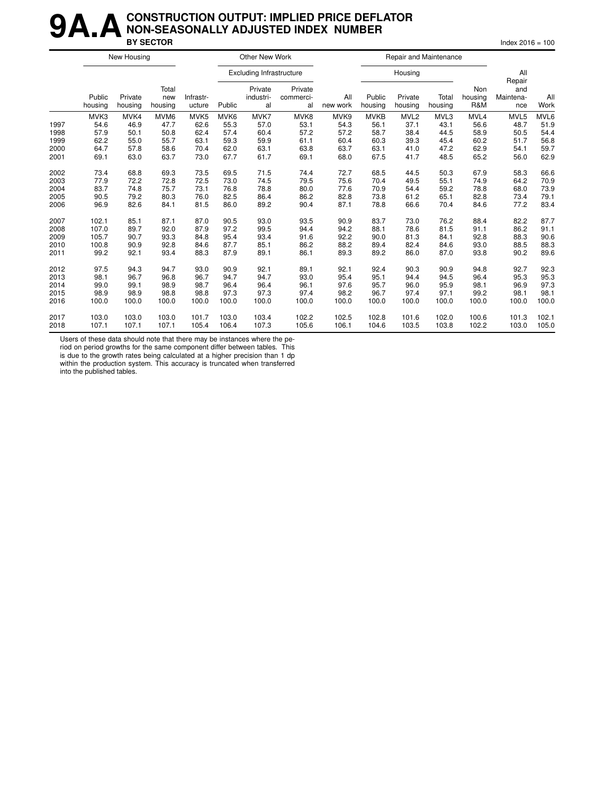#### **9A.A** CONSTRUCTION OUTPUT: IMPLIED PRICE DEFLATOR<br>BY SECTOR **NON-SEASONALLY ADJUSTED INDEX NUMBER BY SECTOR** Index 2016 = 100

|      |                   | New Housing        |                         |                     |                  | Other New Work                  |                            |                 |                   | Repair and Maintenance |                  |                              |                                   |             |
|------|-------------------|--------------------|-------------------------|---------------------|------------------|---------------------------------|----------------------------|-----------------|-------------------|------------------------|------------------|------------------------------|-----------------------------------|-------------|
|      |                   |                    |                         |                     |                  | <b>Excluding Infrastructure</b> |                            |                 |                   | Housing                |                  |                              | All                               |             |
|      | Public<br>housing | Private<br>housing | Total<br>new<br>housing | Infrastr-<br>ucture | Public           | Private<br>industri-<br>al      | Private<br>commerci-<br>al | All<br>new work | Public<br>housing | Private<br>housing     | Total<br>housing | <b>Non</b><br>housing<br>R&M | Repair<br>and<br>Maintena-<br>nce | All<br>Work |
|      | MVK3              | MVK4               | MVM <sub>6</sub>        | MVK <sub>5</sub>    | MVK <sub>6</sub> | MVK7                            | MVK8                       | MVK9            | <b>MVKB</b>       | MVL <sub>2</sub>       | MVL3             | MVL4                         | MVL5                              | MVL6        |
| 1997 | 54.6              | 46.9               | 47.7                    | 62.6                | 55.3             | 57.0                            | 53.1                       | 54.3            | 56.1              | 37.1                   | 43.1             | 56.6                         | 48.7                              | 51.9        |
| 1998 | 57.9              | 50.1               | 50.8                    | 62.4                | 57.4             | 60.4                            | 57.2                       | 57.2            | 58.7              | 38.4                   | 44.5             | 58.9                         | 50.5                              | 54.4        |
| 1999 | 62.2              | 55.0               | 55.7                    | 63.1                | 59.3             | 59.9                            | 61.1                       | 60.4            | 60.3              | 39.3                   | 45.4             | 60.2                         | 51.7                              | 56.8        |
| 2000 | 64.7              | 57.8               | 58.6                    | 70.4                | 62.0             | 63.1                            | 63.8                       | 63.7            | 63.1              | 41.0                   | 47.2             | 62.9                         | 54.1                              | 59.7        |
| 2001 | 69.1              | 63.0               | 63.7                    | 73.0                | 67.7             | 61.7                            | 69.1                       | 68.0            | 67.5              | 41.7                   | 48.5             | 65.2                         | 56.0                              | 62.9        |
| 2002 | 73.4              | 68.8               | 69.3                    | 73.5                | 69.5             | 71.5                            | 74.4                       | 72.7            | 68.5              | 44.5                   | 50.3             | 67.9                         | 58.3                              | 66.6        |
| 2003 | 77.9              | 72.2               | 72.8                    | 72.5                | 73.0             | 74.5                            | 79.5                       | 75.6            | 70.4              | 49.5                   | 55.1             | 74.9                         | 64.2                              | 70.9        |
| 2004 | 83.7              | 74.8               | 75.7                    | 73.1                | 76.8             | 78.8                            | 80.0                       | 77.6            | 70.9              | 54.4                   | 59.2             | 78.8                         | 68.0                              | 73.9        |
| 2005 | 90.5              | 79.2               | 80.3                    | 76.0                | 82.5             | 86.4                            | 86.2                       | 82.8            | 73.8              | 61.2                   | 65.1             | 82.8                         | 73.4                              | 79.1        |
| 2006 | 96.9              | 82.6               | 84.1                    | 81.5                | 86.0             | 89.2                            | 90.4                       | 87.1            | 78.8              | 66.6                   | 70.4             | 84.6                         | 77.2                              | 83.4        |
| 2007 | 102.1             | 85.1               | 87.1                    | 87.0                | 90.5             | 93.0                            | 93.5                       | 90.9            | 83.7              | 73.0                   | 76.2             | 88.4                         | 82.2                              | 87.7        |
| 2008 | 107.0             | 89.7               | 92.0                    | 87.9                | 97.2             | 99.5                            | 94.4                       | 94.2            | 88.1              | 78.6                   | 81.5             | 91.1                         | 86.2                              | 91.1        |
| 2009 | 105.7             | 90.7               | 93.3                    | 84.8                | 95.4             | 93.4                            | 91.6                       | 92.2            | 90.0              | 81.3                   | 84.1             | 92.8                         | 88.3                              | 90.6        |
| 2010 | 100.8             | 90.9               | 92.8                    | 84.6                | 87.7             | 85.1                            | 86.2                       | 88.2            | 89.4              | 82.4                   | 84.6             | 93.0                         | 88.5                              | 88.3        |
| 2011 | 99.2              | 92.1               | 93.4                    | 88.3                | 87.9             | 89.1                            | 86.1                       | 89.3            | 89.2              | 86.0                   | 87.0             | 93.8                         | 90.2                              | 89.6        |
| 2012 | 97.5              | 94.3               | 94.7                    | 93.0                | 90.9             | 92.1                            | 89.1                       | 92.1            | 92.4              | 90.3                   | 90.9             | 94.8                         | 92.7                              | 92.3        |
| 2013 | 98.1              | 96.7               | 96.8                    | 96.7                | 94.7             | 94.7                            | 93.0                       | 95.4            | 95.1              | 94.4                   | 94.5             | 96.4                         | 95.3                              | 95.3        |
| 2014 | 99.0              | 99.1               | 98.9                    | 98.7                | 96.4             | 96.4                            | 96.1                       | 97.6            | 95.7              | 96.0                   | 95.9             | 98.1                         | 96.9                              | 97.3        |
| 2015 | 98.9              | 98.9               | 98.8                    | 98.8                | 97.3             | 97.3                            | 97.4                       | 98.2            | 96.7              | 97.4                   | 97.1             | 99.2                         | 98.1                              | 98.1        |
| 2016 | 100.0             | 100.0              | 100.0                   | 100.0               | 100.0            | 100.0                           | 100.0                      | 100.0           | 100.0             | 100.0                  | 100.0            | 100.0                        | 100.0                             | 100.0       |
| 2017 | 103.0             | 103.0              | 103.0                   | 101.7               | 103.0            | 103.4                           | 102.2                      | 102.5           | 102.8             | 101.6                  | 102.0            | 100.6                        | 101.3                             | 102.1       |
| 2018 | 107.1             | 107.1              | 107.1                   | 105.4               | 106.4            | 107.3                           | 105.6                      | 106.1           | 104.6             | 103.5                  | 103.8            | 102.2                        | 103.0                             | 105.0       |

Users of these data should note that there may be instances where the pe-

riod on period growths for the same component differ between tables. This is due to the growth rates being calculated at a higher precision than 1 dp within the production system. This accuracy is truncated when transferred into the published tables.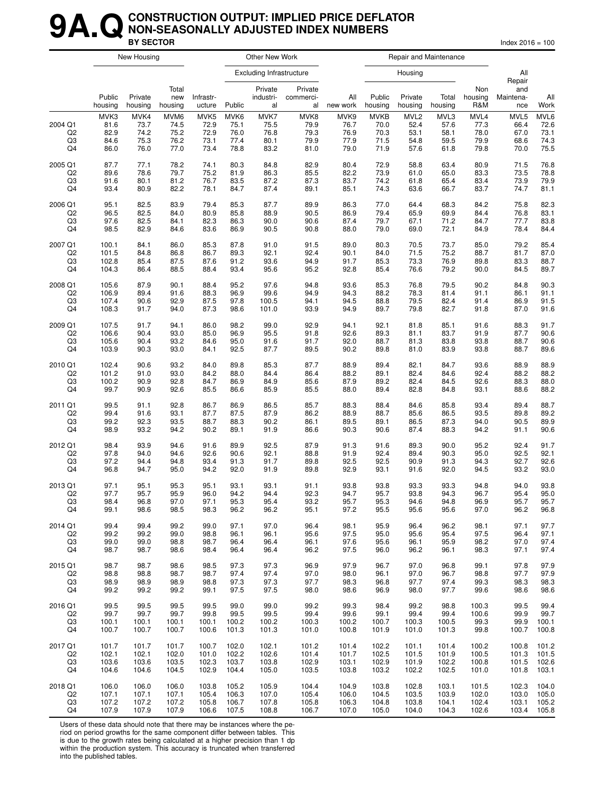#### **9A. Q** CONSTRUCTION OUTPUT: IMPLIED PRICE DEFLATOR<br>BY SECTOR **NON-SEASONALLY ADJUSTED INDEX NUMBERS BY SECTOR** Index 2016 = 100

|                     |                              | New Housing                  |                              |                              |                              | Other New Work                  |                              |                              |                                     |                                          | Repair and Maintenance       |                              |                              |                              |
|---------------------|------------------------------|------------------------------|------------------------------|------------------------------|------------------------------|---------------------------------|------------------------------|------------------------------|-------------------------------------|------------------------------------------|------------------------------|------------------------------|------------------------------|------------------------------|
|                     |                              |                              |                              |                              |                              | <b>Excluding Infrastructure</b> |                              |                              |                                     | Housing                                  |                              |                              | All<br>Repair                |                              |
|                     | Public<br>housing            | Private<br>housing           | Total<br>new<br>housing      | Infrastr-<br>ucture          | Public                       | Private<br>industri-<br>al      | Private<br>commerci-<br>al   | All<br>new work              | Public<br>housing                   | Private<br>housing                       | Total<br>housing             | Non<br>housing<br>R&M        | and<br>Maintena-<br>nce      | All<br>Work                  |
| 2004 Q1<br>Q2<br>Q3 | MVK3<br>81.6<br>82.9<br>84.6 | MVK4<br>73.7<br>74.2<br>75.3 | MVM6<br>74.5<br>75.2<br>76.2 | MVK5<br>72.9<br>72.9<br>73.1 | MVK6<br>75.1<br>76.0<br>77.4 | MVK7<br>75.5<br>76.8<br>80.1    | MVK8<br>79.9<br>79.3<br>79.9 | MVK9<br>76.7<br>76.9<br>77.9 | <b>MVKB</b><br>70.0<br>70.3<br>71.5 | MVL <sub>2</sub><br>52.4<br>53.1<br>54.8 | MVL3<br>57.6<br>58.1<br>59.5 | MVL4<br>77.3<br>78.0<br>79.9 | MVL5<br>66.4<br>67.0<br>68.6 | MVL6<br>72.6<br>73.1<br>74.3 |
| Q4                  | 86.0                         | 76.0                         | 77.0                         | 73.4                         | 78.8                         | 83.2                            | 81.0                         | 79.0                         | 71.9                                | 57.6                                     | 61.8                         | 79.8                         | 70.0                         | 75.5                         |
| 2005 Q1             | 87.7                         | 77.1                         | 78.2                         | 74.1                         | 80.3                         | 84.8                            | 82.9                         | 80.4                         | 72.9                                | 58.8                                     | 63.4                         | 80.9                         | 71.5                         | 76.8                         |
| Q <sub>2</sub>      | 89.6                         | 78.6                         | 79.7                         | 75.2                         | 81.9                         | 86.3                            | 85.5                         | 82.2                         | 73.9                                | 61.0                                     | 65.0                         | 83.3                         | 73.5                         | 78.8                         |
| $_{\rm Q3}$         | 91.6                         | 80.1                         | 81.2                         | 76.7                         | 83.5                         | 87.2                            | 87.3                         | 83.7                         | 74.2                                | 61.8                                     | 65.4                         | 83.4                         | 73.9                         | 79.9                         |
| Q4                  | 93.4                         | 80.9                         | 82.2                         | 78.1                         | 84.7                         | 87.4                            | 89.1                         | 85.1                         | 74.3                                | 63.6                                     | 66.7                         | 83.7                         | 74.7                         | 81.1                         |
| 2006 Q1             | 95.1                         | 82.5                         | 83.9                         | 79.4                         | 85.3                         | 87.7                            | 89.9                         | 86.3                         | 77.0                                | 64.4                                     | 68.3                         | 84.2                         | 75.8                         | 82.3                         |
| Q <sub>2</sub>      | 96.5                         | 82.5                         | 84.0                         | 80.9                         | 85.8                         | 88.9                            | 90.5                         | 86.9                         | 79.4                                | 65.9                                     | 69.9                         | 84.4                         | 76.8                         | 83.1                         |
| Q3                  | 97.6                         | 82.5                         | 84.1                         | 82.3                         | 86.3                         | 90.0                            | 90.6                         | 87.4                         | 79.7                                | 67.1                                     | 71.2                         | 84.7                         | 77.7                         | 83.8                         |
| Q4                  | 98.5                         | 82.9                         | 84.6                         | 83.6                         | 86.9                         | 90.5                            | 90.8                         | 88.0                         | 79.0                                | 69.0                                     | 72.1                         | 84.9                         | 78.4                         | 84.4                         |
| 2007 Q1             | 100.1                        | 84.1                         | 86.0                         | 85.3                         | 87.8                         | 91.0                            | 91.5                         | 89.0                         | 80.3                                | 70.5                                     | 73.7                         | 85.0                         | 79.2                         | 85.4                         |
| Q2                  | 101.5                        | 84.8                         | 86.8                         | 86.7                         | 89.3                         | 92.1                            | 92.4                         | 90.1                         | 84.0                                | 71.5                                     | 75.2                         | 88.7                         | 81.7                         | 87.0                         |
| Q3                  | 102.8                        | 85.4                         | 87.5                         | 87.6                         | 91.2                         | 93.6                            | 94.9                         | 91.7                         | 85.3                                | 73.3                                     | 76.9                         | 89.8                         | 83.3                         | 88.7                         |
| Q4                  | 104.3                        | 86.4                         | 88.5                         | 88.4                         | 93.4                         | 95.6                            | 95.2                         | 92.8                         | 85.4                                | 76.6                                     | 79.2                         | 90.0                         | 84.5                         | 89.7                         |
| 2008 Q1             | 105.6                        | 87.9                         | 90.1                         | 88.4                         | 95.2                         | 97.6                            | 94.8                         | 93.6                         | 85.3                                | 76.8                                     | 79.5                         | 90.2                         | 84.8                         | 90.3                         |
| Q <sub>2</sub>      | 106.9                        | 89.4                         | 91.6                         | 88.3                         | 96.9                         | 99.6                            | 94.9                         | 94.3                         | 88.2                                | 78.3                                     | 81.4                         | 91.1                         | 86.1                         | 91.1                         |
| Q3                  | 107.4                        | 90.6                         | 92.9                         | 87.5                         | 97.8                         | 100.5                           | 94.1                         | 94.5                         | 88.8                                | 79.5                                     | 82.4                         | 91.4                         | 86.9                         | 91.5                         |
| Q4                  | 108.3                        | 91.7                         | 94.0                         | 87.3                         | 98.6                         | 101.0                           | 93.9                         | 94.9                         | 89.7                                | 79.8                                     | 82.7                         | 91.8                         | 87.0                         | 91.6                         |
| 2009 Q1             | 107.5                        | 91.7                         | 94.1                         | 86.0                         | 98.2                         | 99.0                            | 92.9                         | 94.1                         | 92.1                                | 81.8                                     | 85.1                         | 91.6                         | 88.3                         | 91.7                         |
| Q <sub>2</sub>      | 106.6                        | 90.4                         | 93.0                         | 85.0                         | 96.9                         | 95.5                            | 91.8                         | 92.6                         | 89.3                                | 81.1                                     | 83.7                         | 91.9                         | 87.7                         | 90.6                         |
| Q3                  | 105.6                        | 90.4                         | 93.2                         | 84.6                         | 95.0                         | 91.6                            | 91.7                         | 92.0                         | 88.7                                | 81.3                                     | 83.8                         | 93.8                         | 88.7                         | 90.6                         |
| Q4                  | 103.9                        | 90.3                         | 93.0                         | 84.1                         | 92.5                         | 87.7                            | 89.5                         | 90.2                         | 89.8                                | 81.0                                     | 83.9                         | 93.8                         | 88.7                         | 89.6                         |
| 2010 Q1             | 102.4                        | 90.6                         | 93.2                         | 84.0                         | 89.8                         | 85.3                            | 87.7                         | 88.9                         | 89.4                                | 82.1                                     | 84.7                         | 93.6                         | 88.9                         | 88.9                         |
| Q2                  | 101.2                        | 91.0                         | 93.0                         | 84.2                         | 88.0                         | 84.4                            | 86.4                         | 88.2                         | 89.1                                | 82.4                                     | 84.6                         | 92.4                         | 88.2                         | 88.2                         |
| Q3                  | 100.2                        | 90.9                         | 92.8                         | 84.7                         | 86.9                         | 84.9                            | 85.6                         | 87.9                         | 89.2                                | 82.4                                     | 84.5                         | 92.6                         | 88.3                         | 88.0                         |
| Q4                  | 99.7                         | 90.9                         | 92.6                         | 85.5                         | 86.6                         | 85.9                            | 85.5                         | 88.0                         | 89.4                                | 82.8                                     | 84.8                         | 93.1                         | 88.6                         | 88.2                         |
| 2011 Q1             | 99.5                         | 91.1                         | 92.8                         | 86.7                         | 86.9                         | 86.5                            | 85.7                         | 88.3                         | 88.4                                | 84.6                                     | 85.8                         | 93.4                         | 89.4                         | 88.7                         |
| Q <sub>2</sub>      | 99.4                         | 91.6                         | 93.1                         | 87.7                         | 87.5                         | 87.9                            | 86.2                         | 88.9                         | 88.7                                | 85.6                                     | 86.5                         | 93.5                         | 89.8                         | 89.2                         |
| Q3                  | 99.2                         | 92.3                         | 93.5                         | 88.7                         | 88.3                         | 90.2                            | 86.1                         | 89.5                         | 89.1                                | 86.5                                     | 87.3                         | 94.0                         | 90.5                         | 89.9                         |
| Q4                  | 98.9                         | 93.2                         | 94.2                         | 90.2                         | 89.1                         | 91.9                            | 86.6                         | 90.3                         | 90.6                                | 87.4                                     | 88.3                         | 94.2                         | 91.1                         | 90.6                         |
| 2012 Q1             | 98.4                         | 93.9                         | 94.6                         | 91.6                         | 89.9                         | 92.5                            | 87.9                         | 91.3                         | 91.6                                | 89.3                                     | 90.0                         | 95.2                         | 92.4                         | 91.7                         |
| Q <sub>2</sub>      | 97.8                         | 94.0                         | 94.6                         | 92.6                         | 90.6                         | 92.1                            | 88.8                         | 91.9                         | 92.4                                | 89.4                                     | 90.3                         | 95.0                         | 92.5                         | 92.1                         |
| Q3                  | 97.2                         | 94.4                         | 94.8                         | 93.4                         | 91.3                         | 91.7                            | 89.8                         | 92.5                         | 92.5                                | 90.9                                     | 91.3                         | 94.3                         | 92.7                         | 92.6                         |
| Q4                  | 96.8                         | 94.7                         | 95.0                         | 94.2                         | 92.0                         | 91.9                            | 89.8                         | 92.9                         | 93.1                                | 91.6                                     | 92.0                         | 94.5                         | 93.2                         | 93.0                         |
| 2013 Q1             | 97.1                         | 95.1                         | 95.3                         | 95.1                         | 93.1                         | 93.1                            | 91.1                         | 93.8                         | 93.8                                | 93.3                                     | 93.3                         | 94.8                         | 94.0                         | 93.8                         |
| Q2                  | 97.7                         | 95.7                         | 95.9                         | 96.0                         | 94.2                         | 94.4                            | 92.3                         | 94.7                         | 95.7                                | 93.8                                     | 94.3                         | 96.7                         | 95.4                         | 95.0                         |
| Q3                  | 98.4                         | 96.8                         | 97.0                         | 97.1                         | 95.3                         | 95.4                            | 93.2                         | 95.7                         | 95.3                                | 94.6                                     | 94.8                         | 96.9                         | 95.7                         | 95.7                         |
| Q4                  | 99.1                         | 98.6                         | 98.5                         | 98.3                         | 96.2                         | 96.2                            | 95.1                         | 97.2                         | 95.5                                | 95.6                                     | 95.6                         | 97.0                         | 96.2                         | 96.8                         |
| 2014 Q1             | 99.4                         | 99.4                         | 99.2                         | 99.0                         | 97.1                         | 97.0                            | 96.4                         | 98.1                         | 95.9                                | 96.4                                     | 96.2                         | 98.1                         | 97.1                         | 97.7                         |
| Q <sub>2</sub>      | 99.2                         | 99.2                         | 99.0                         | 98.8                         | 96.1                         | 96.1                            | 95.6                         | 97.5                         | 95.0                                | 95.6                                     | 95.4                         | 97.5                         | 96.4                         | 97.1                         |
| Q3                  | 99.0                         | 99.0                         | 98.8                         | 98.7                         | 96.4                         | 96.4                            | 96.1                         | 97.6                         | 95.6                                | 96.1                                     | 95.9                         | 98.2                         | 97.0                         | 97.4                         |
| Q4                  | 98.7                         | 98.7                         | 98.6                         | 98.4                         | 96.4                         | 96.4                            | 96.2                         | 97.5                         | 96.0                                | 96.2                                     | 96.1                         | 98.3                         | 97.1                         | 97.4                         |
| 2015 Q1             | 98.7                         | 98.7                         | 98.6                         | 98.5                         | 97.3                         | 97.3                            | 96.9                         | 97.9                         | 96.7                                | 97.0                                     | 96.8                         | 99.1                         | 97.8                         | 97.9                         |
| Q <sub>2</sub>      | 98.8                         | 98.8                         | 98.7                         | 98.7                         | 97.4                         | 97.4                            | 97.0                         | 98.0                         | 96.1                                | 97.0                                     | 96.7                         | 98.8                         | 97.7                         | 97.9                         |
| Q3                  | 98.9                         | 98.9                         | 98.9                         | 98.8                         | 97.3                         | 97.3                            | 97.7                         | 98.3                         | 96.8                                | 97.7                                     | 97.4                         | 99.3                         | 98.3                         | 98.3                         |
| Q4                  | 99.2                         | 99.2                         | 99.2                         | 99.1                         | 97.5                         | 97.5                            | 98.0                         | 98.6                         | 96.9                                | 98.0                                     | 97.7                         | 99.6                         | 98.6                         | 98.6                         |
| 2016 Q1             | 99.5                         | 99.5                         | 99.5                         | 99.5                         | 99.0                         | 99.0                            | 99.2                         | 99.3                         | 98.4                                | 99.2                                     | 98.8                         | 100.3                        | 99.5                         | 99.4                         |
| Q2                  | 99.7                         | 99.7                         | 99.7                         | 99.8                         | 99.5                         | 99.5                            | 99.4                         | 99.6                         | 99.1                                | 99.4                                     | 99.4                         | 100.6                        | 99.9                         | 99.7                         |
| Q3                  | 100.1                        | 100.1                        | 100.1                        | 100.1                        | 100.2                        | 100.2                           | 100.3                        | 100.2                        | 100.7                               | 100.3                                    | 100.5                        | 99.3                         | 99.9                         | 100.1                        |
| Q4                  | 100.7                        | 100.7                        | 100.7                        | 100.6                        | 101.3                        | 101.3                           | 101.0                        | 100.8                        | 101.9                               | 101.0                                    | 101.3                        | 99.8                         | 100.7                        | 100.8                        |
| 2017 Q1             | 101.7                        | 101.7                        | 101.7                        | 100.7                        | 102.0                        | 102.1                           | 101.2                        | 101.4                        | 102.2                               | 101.1                                    | 101.4                        | 100.2                        | 100.8                        | 101.2                        |
| Q2                  | 102.1                        | 102.1                        | 102.0                        | 101.0                        | 102.2                        | 102.6                           | 101.4                        | 101.7                        | 102.5                               | 101.5                                    | 101.9                        | 100.5                        | 101.3                        | 101.5                        |
| $_{\rm Q3}$         | 103.6                        | 103.6                        | 103.5                        | 102.3                        | 103.7                        | 103.8                           | 102.9                        | 103.1                        | 102.9                               | 101.9                                    | 102.2                        | 100.8                        | 101.5                        | 102.6                        |
| Q4                  | 104.6                        | 104.6                        | 104.5                        | 102.9                        | 104.4                        | 105.0                           | 103.5                        | 103.8                        | 103.2                               | 102.2                                    | 102.5                        | 101.0                        | 101.8                        | 103.1                        |
| 2018 Q1             | 106.0                        | 106.0                        | 106.0                        | 103.8                        | 105.2                        | 105.9                           | 104.4                        | 104.9                        | 103.8                               | 102.8                                    | 103.1                        | 101.5                        | 102.3                        | 104.0                        |
| Q <sub>2</sub>      | 107.1                        | 107.1                        | 107.1                        | 105.4                        | 106.3                        | 107.0                           | 105.4                        | 106.0                        | 104.5                               | 103.5                                    | 103.9                        | 102.0                        | 103.0                        | 105.0                        |
| Q3                  | 107.2                        | 107.2                        | 107.2                        | 105.8                        | 106.7                        | 107.8                           | 105.8                        | 106.3                        | 104.8                               | 103.8                                    | 104.1                        | 102.4                        | 103.1                        | 105.2                        |
| Q4                  | 107.9                        | 107.9                        | 107.9                        | 106.6                        | 107.5                        | 108.8                           | 106.7                        | 107.0                        | 105.0                               | 104.0                                    | 104.3                        | 102.6                        | 103.4                        | 105.8                        |